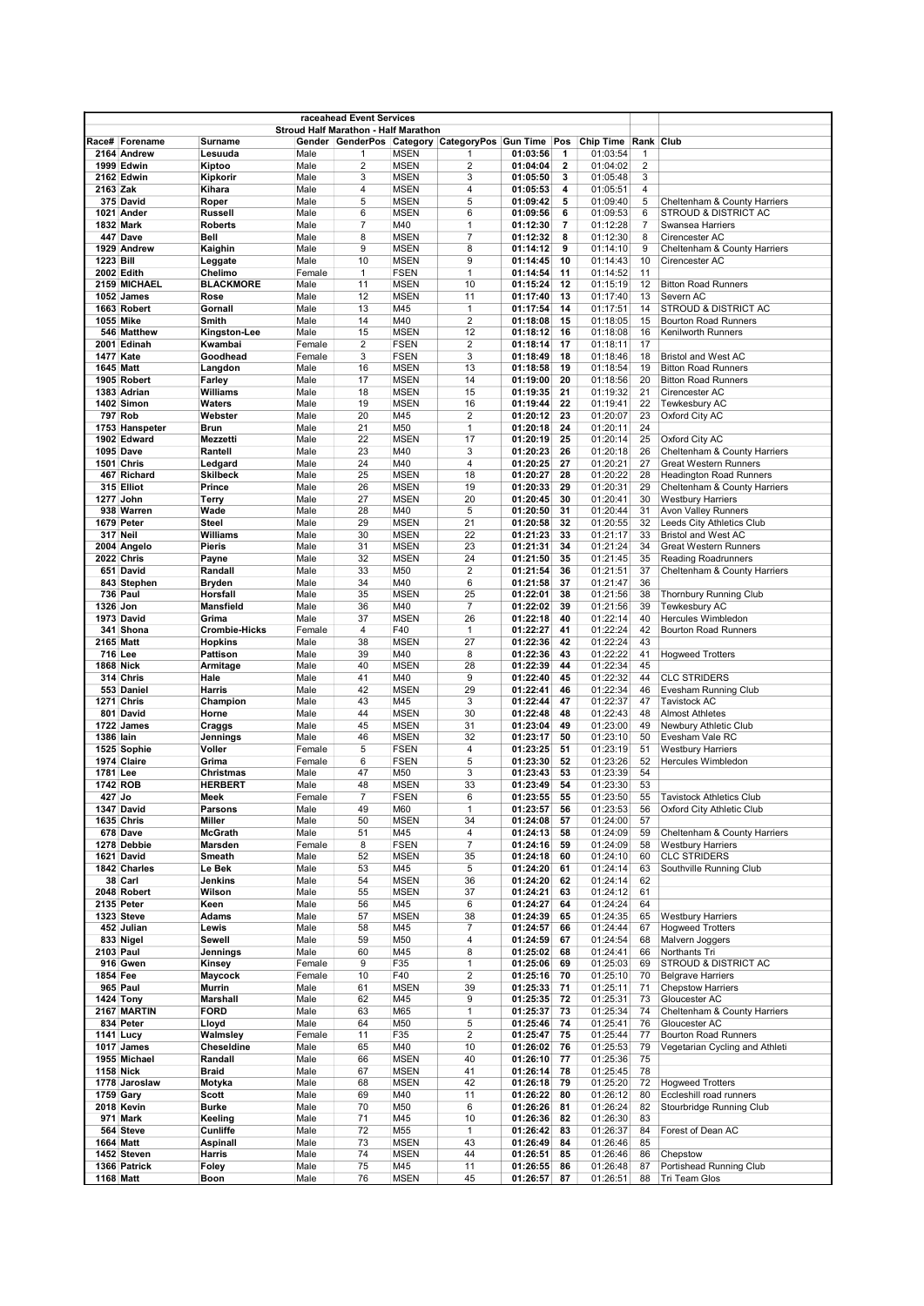|                  |                            |                            |                  | raceahead Event Services             |                            |                                                    |                      |          |                      |                |                                                                |
|------------------|----------------------------|----------------------------|------------------|--------------------------------------|----------------------------|----------------------------------------------------|----------------------|----------|----------------------|----------------|----------------------------------------------------------------|
|                  |                            |                            |                  | Stroud Half Marathon - Half Marathon |                            |                                                    |                      |          |                      |                |                                                                |
|                  | Race# Forename             | Surname                    |                  |                                      |                            | Gender GenderPos Category CategoryPos Gun Time Pos |                      |          | Chip Time            | Rank Club      |                                                                |
|                  | 2164 Andrew                | Lesuuda                    | Male             | 1                                    | <b>MSEN</b>                | 1                                                  | 01:03:56             | 1        | 01:03:54             | 1              |                                                                |
|                  | <b>1999 Edwin</b>          | Kiptoo                     | Male             | 2                                    | <b>MSEN</b>                | $\overline{2}$                                     | 01:04:04             | 2        | 01:04:02             | $\overline{2}$ |                                                                |
| 2163 Zak         | 2162 Edwin                 | Kipkorir<br>Kihara         | Male             | 3<br>4                               | <b>MSEN</b><br><b>MSEN</b> | 3<br>4                                             | 01:05:50<br>01:05:53 | 3<br>4   | 01:05:48<br>01:05:51 | 3<br>4         |                                                                |
|                  | 375 David                  | Roper                      | Male<br>Male     | 5                                    | <b>MSEN</b>                | 5                                                  | 01:09:42             | 5        | 01:09:40             | 5              | Cheltenham & County Harriers                                   |
|                  | 1021 Ander                 | <b>Russell</b>             | Male             | 6                                    | <b>MSEN</b>                | 6                                                  | 01:09:56             | 6        | 01:09:53             | 6              | <b>STROUD &amp; DISTRICT AC</b>                                |
|                  | 1832 Mark                  | <b>Roberts</b>             | Male             | $\overline{7}$                       | M40                        | $\mathbf{1}$                                       | 01:12:30             | 7        | 01:12:28             | 7              | Swansea Harriers                                               |
|                  | 447 Dave                   | Bell                       | Male             | 8                                    | <b>MSEN</b>                | $\overline{7}$                                     | 01:12:32             | 8        | 01:12:30             | 8              | Cirencester AC                                                 |
|                  | 1929 Andrew                | Kaighin                    | Male             | 9                                    | <b>MSEN</b>                | 8                                                  | 01:14:12             | 9        | 01:14:10             | 9              | Cheltenham & County Harriers                                   |
| 1223 Bill        |                            | Leggate                    | Male             | 10                                   | <b>MSEN</b>                | 9                                                  | 01:14:45             | 10       | 01:14:43             | 10             | Cirencester AC                                                 |
|                  | <b>2002 Edith</b>          | Chelimo                    | Female           | 1                                    | <b>FSEN</b>                | $\mathbf{1}$                                       | 01:14:54             | 11       | 01:14:52             | 11             |                                                                |
|                  | 2159 MICHAEL               | <b>BLACKMORE</b>           | Male             | 11                                   | <b>MSEN</b>                | 10                                                 | 01:15:24             | 12       | 01:15:19             | 12             | <b>Bitton Road Runners</b>                                     |
|                  | 1052 James                 | Rose                       | Male             | 12                                   | <b>MSEN</b>                | 11                                                 | 01:17:40             | 13       | 01:17:40             | 13             | Severn AC                                                      |
|                  | 1663 Robert                | Gornall                    | Male             | 13                                   | M45                        | $\mathbf{1}$                                       | 01:17:54             | 14       | 01:17:51             | 14             | STROUD & DISTRICT AC                                           |
| 1055 Mike        |                            | Smith                      | Male             | 14                                   | M40                        | $\overline{2}$                                     | 01:18:08             | 15       | 01:18:05             | 15             | <b>Bourton Road Runners</b>                                    |
|                  | 546 Matthew<br>2001 Edinah | Kingston-Lee<br>Kwambai    | Male<br>Female   | 15<br>2                              | <b>MSEN</b><br><b>FSEN</b> | 12<br>$\overline{2}$                               | 01:18:12<br>01:18:14 | 16<br>17 | 01:18:08<br>01:18:11 | 16<br>17       | <b>Kenilworth Runners</b>                                      |
| 1477 Kate        |                            | Goodhead                   | Female           | 3                                    | <b>FSEN</b>                | 3                                                  | 01:18:49             | 18       | 01:18:46             | 18             | <b>Bristol and West AC</b>                                     |
| <b>1645 Matt</b> |                            | Langdon                    | Male             | 16                                   | <b>MSEN</b>                | 13                                                 | 01:18:58             | 19       | 01:18:54             | 19             | <b>Bitton Road Runners</b>                                     |
|                  | 1905 Robert                | Farley                     | Male             | 17                                   | <b>MSEN</b>                | 14                                                 | 01:19:00             | 20       | 01:18:56             | 20             | <b>Bitton Road Runners</b>                                     |
|                  | 1383 Adrian                | Williams                   | Male             | 18                                   | <b>MSEN</b>                | 15                                                 | 01:19:35             | 21       | 01:19:32             | 21             | Cirencester AC                                                 |
|                  | 1402 Simon                 | <b>Waters</b>              | Male             | 19                                   | <b>MSEN</b>                | 16                                                 | 01:19:44             | 22       | 01:19:41             | 22             | <b>Tewkesbury AC</b>                                           |
|                  | 797 Rob                    | Webster                    | Male             | 20                                   | M45                        | $\overline{2}$                                     | 01:20:12             | 23       | 01:20:07             | 23             | Oxford City AC                                                 |
|                  | 1753 Hanspeter             | <b>Brun</b>                | Male             | 21                                   | M50                        | $\mathbf{1}$                                       | 01:20:18             | 24       | 01:20:11             | 24             |                                                                |
|                  | 1902 Edward                | Mezzetti                   | Male             | 22                                   | <b>MSEN</b>                | 17                                                 | 01:20:19             | 25       | 01:20:14             | 25             | Oxford City AC                                                 |
|                  | <b>1095 Dave</b>           | Rantell                    | Male             | 23                                   | M40                        | 3                                                  | 01:20:23             | 26       | 01:20:18             | 26             | Cheltenham & County Harriers                                   |
|                  | 1501 Chris<br>467 Richard  | Ledgard<br><b>Skilbeck</b> | Male<br>Male     | 24<br>25                             | M40<br><b>MSEN</b>         | $\overline{4}$<br>18                               | 01:20:25<br>01:20:27 | 27<br>28 | 01:20:21<br>01:20:22 | 27<br>28       | <b>Great Western Runners</b><br><b>Headington Road Runners</b> |
|                  | 315 Elliot                 | Prince                     | Male             | 26                                   | <b>MSEN</b>                | 19                                                 | 01:20:33             | 29       | 01:20:31             | 29             | Cheltenham & County Harriers                                   |
|                  | 1277 John                  | Terry                      | Male             | 27                                   | <b>MSEN</b>                | 20                                                 | 01:20:45             | 30       | 01:20:41             | 30             | <b>Westbury Harriers</b>                                       |
|                  | 938 Warren                 | Wade                       | Male             | 28                                   | M40                        | 5                                                  | 01:20:50             | 31       | 01:20:44             | 31             | Avon Valley Runners                                            |
|                  | 1679 Peter                 | <b>Steel</b>               | Male             | 29                                   | <b>MSEN</b>                | 21                                                 | 01:20:58             | 32       | 01:20:55             | 32             | Leeds City Athletics Club                                      |
|                  | 317 Neil                   | Williams                   | Male             | 30                                   | <b>MSEN</b>                | 22                                                 | 01:21:23             | 33       | 01:21:17             | 33             | <b>Bristol and West AC</b>                                     |
|                  | 2004 Angelo                | Pieris                     | Male             | 31                                   | <b>MSEN</b>                | 23                                                 | 01:21:31             | 34       | 01:21:24             | 34             | <b>Great Western Runners</b>                                   |
|                  | <b>2022 Chris</b>          | Payne                      | Male             | 32                                   | <b>MSEN</b>                | 24                                                 | 01:21:50             | 35       | 01:21:45             | 35             | <b>Reading Roadrunners</b>                                     |
|                  | 651 David                  | Randall                    | Male             | 33                                   | M50                        | $\overline{2}$                                     | 01:21:54             | 36       | 01:21:51             | 37             | Cheltenham & County Harriers                                   |
|                  | 843 Stephen                | <b>Bryden</b>              | Male             | 34                                   | M40                        | 6                                                  | 01:21:58             | 37       | 01:21:47             | 36             |                                                                |
|                  | 736 Paul                   | Horsfall                   | Male             | 35                                   | <b>MSEN</b>                | 25                                                 | 01:22:01             | 38       | 01:21:56             | 38             | Thornbury Running Club                                         |
| 1326 Jon         | 1973 David                 | <b>Mansfield</b><br>Grima  | Male<br>Male     | 36<br>37                             | M40<br><b>MSEN</b>         | $\overline{7}$<br>26                               | 01:22:02<br>01:22:18 | 39<br>40 | 01:21:56<br>01:22:14 | 39<br>40       | Tewkesbury AC<br>Hercules Wimbledon                            |
|                  | 341 Shona                  | <b>Crombie-Hicks</b>       | Female           | 4                                    | F40                        | $\mathbf{1}$                                       | 01:22:27             | 41       | 01:22:24             | 42             | <b>Bourton Road Runners</b>                                    |
| 2165 Matt        |                            | <b>Hopkins</b>             | Male             | 38                                   | <b>MSEN</b>                | 27                                                 | 01:22:36             | 42       | 01:22:24             | 43             |                                                                |
| 716 Lee          |                            | <b>Pattison</b>            | Male             | 39                                   | M40                        | 8                                                  | 01:22:36             | 43       | 01:22:22             | 41             | <b>Hogweed Trotters</b>                                        |
| 1868 Nick        |                            | Armitage                   | Male             | 40                                   | <b>MSEN</b>                | 28                                                 | 01:22:39             | 44       | 01:22:34             | 45             |                                                                |
|                  | 314 Chris                  | Hale                       | Male             | 41                                   | M40                        | 9                                                  | 01:22:40             | 45       | 01:22:32             | 44             | <b>CLC STRIDERS</b>                                            |
|                  | 553 Daniel                 | Harris                     | Male             | 42                                   | <b>MSEN</b>                | 29                                                 | 01:22:41             | 46       | 01:22:34             | 46             | Evesham Running Club                                           |
|                  | <b>1271 Chris</b>          | Champion                   | Male             | 43                                   | M45                        | 3                                                  | 01:22:44             | 47       | 01:22:37             | 47             | <b>Tavistock AC</b>                                            |
|                  | 801 David                  | Horne                      | Male             | 44                                   | <b>MSEN</b>                | 30                                                 | 01:22:48             | 48       | 01:22:43             | 48             | <b>Almost Athletes</b>                                         |
| 1386 lain        | 1722 James                 | Craggs<br>Jennings         | Male<br>Male     | 45<br>46                             | <b>MSEN</b><br><b>MSEN</b> | 31<br>32                                           | 01:23:04<br>01:23:17 | 49<br>50 | 01:23:00<br>01:23:10 | 49<br>50       | Newbury Athletic Club<br>Evesham Vale RC                       |
|                  | 1525 Sophie                | Voller                     | Female           | 5                                    | <b>FSEN</b>                | $\overline{4}$                                     | 01:23:25             | 51       | 01:23:19             | 51             | <b>Westbury Harriers</b>                                       |
|                  | 1974 Claire                | Grima                      | Female           | 6                                    | <b>FSEN</b>                | 5                                                  | 01:23:30             | 52       | 01:23:26             | 52             | Hercules Wimbledon                                             |
| 1781 Lee         |                            | Christmas                  | Male             | 47                                   | M50                        | 3                                                  | 01:23:43             | 53       | 01:23:39             | 54             |                                                                |
| 1742 ROB         |                            | <b>HERBERT</b>             | Male             | 48                                   | <b>MSEN</b>                | 33                                                 | 01:23:49             | 54       | 01:23:30             | 53             |                                                                |
| 427 Jo           |                            | Meek                       | Female           | $\overline{7}$                       | <b>FSEN</b>                | 6                                                  | 01:23:55             | 55       | 01:23:50             | 55             | <b>Tavistock Athletics Club</b>                                |
|                  | 1347 David                 | Parsons                    | Male             | 49                                   | M60                        |                                                    | 01:23:57             | 56       | 01:23:53             | 56             | Oxford City Athletic Club                                      |
|                  | 1635 Chris                 | Miller                     | Male             | 50                                   | <b>MSEN</b>                | 34                                                 | 01:24:08             | 57       | 01:24:00             | 57             |                                                                |
|                  | 678 Dave                   | McGrath                    | Male             | 51                                   | M45                        | 4                                                  | 01:24:13             | 58       | 01:24:09             | 59             | Cheltenham & County Harriers                                   |
|                  | 1278 Debbie<br>1621 David  | Marsden<br>Smeath          | Female           | 8<br>52                              | <b>FSEN</b><br><b>MSEN</b> | $\overline{7}$<br>35                               | 01:24:16             | 59<br>60 | 01:24:09<br>01:24:10 | 58<br>60       | <b>Westbury Harriers</b><br><b>CLC STRIDERS</b>                |
|                  | 1842 Charles               | Le Bek                     | Male<br>Male     | 53                                   | M45                        | 5                                                  | 01:24:18<br>01:24:20 | 61       | 01:24:14             | 63             | Southville Running Club                                        |
|                  | 38 Carl                    | Jenkins                    | Male             | 54                                   | <b>MSEN</b>                | 36                                                 | 01:24:20             | 62       | 01:24:14             | 62             |                                                                |
|                  | 2048 Robert                | Wilson                     | Male             | 55                                   | <b>MSEN</b>                | 37                                                 | 01:24:21             | 63       | 01:24:12             | 61             |                                                                |
|                  | 2135 Peter                 | Keen                       | Male             | 56                                   | M45                        | 6                                                  | 01:24:27             | 64       | 01:24:24             | 64             |                                                                |
|                  | 1323 Steve                 | Adams                      | Male             | 57                                   | <b>MSEN</b>                | 38                                                 | 01:24:39             | 65       | 01:24:35             | 65             | <b>Westbury Harriers</b>                                       |
|                  | 452 Julian                 | Lewis                      | Male             | 58                                   | M45                        | 7                                                  | 01:24:57             | 66       | 01:24:44             | 67             | <b>Hoaweed Trotters</b>                                        |
|                  | 833 Nigel                  | Sewell                     | Male             | 59                                   | M50                        | 4                                                  | 01:24:59             | 67       | 01:24:54             | 68             | Malvern Joggers                                                |
| 2103 Paul        |                            | Jennings                   | Male             | 60                                   | M45                        | 8                                                  | 01:25:02             | 68       | 01:24:41             | 66             | Northants Tri                                                  |
| 1854 Fee         | 916 Gwen                   | Kinsey<br>Maycock          | Female<br>Female | 9<br>10                              | F35<br>F40                 | 1<br>$\overline{2}$                                | 01:25:06<br>01:25:16 | 69<br>70 | 01:25:03<br>01:25:10 | 69<br>70       | STROUD & DISTRICT AC<br><b>Belgrave Harriers</b>               |
|                  | 965 Paul                   | Murrin                     | Male             | 61                                   | <b>MSEN</b>                | 39                                                 | 01:25:33             | 71       | 01:25:11             | 71             | <b>Chepstow Harriers</b>                                       |
|                  | <b>1424 Tony</b>           | Marshall                   | Male             | 62                                   | M45                        | 9                                                  | 01:25:35             | 72       | 01:25:31             | 73             | Gloucester AC                                                  |
|                  | 2167 MARTIN                | <b>FORD</b>                | Male             | 63                                   | M65                        | $\mathbf{1}$                                       | 01:25:37             | 73       | 01:25:34             | 74             | Cheltenham & County Harriers                                   |
|                  | 834 Peter                  | Lloyd                      | Male             | 64                                   | M50                        | 5                                                  | 01:25:46             | 74       | 01:25:41             | 76             | Gloucester AC                                                  |
|                  | 1141 Lucy                  | Walmsley                   | Female           | 11                                   | F35                        | $\overline{2}$                                     | 01:25:47             | 75       | 01:25:44             | 77             | <b>Bourton Road Runners</b>                                    |
|                  | 1017 James                 | Cheseldine                 | Male             | 65                                   | M40                        | 10                                                 | 01:26:02             | 76       | 01:25:53             | 79             | Vegetarian Cycling and Athleti                                 |
|                  | 1955 Michael               | Randall                    | Male             | 66                                   | <b>MSEN</b>                | 40                                                 | 01:26:10             | 77       | 01:25:36             | 75             |                                                                |
| <b>1158 Nick</b> |                            | <b>Braid</b>               | Male             | 67                                   | <b>MSEN</b>                | 41                                                 | 01:26:14             | 78       | 01:25:45             | 78             |                                                                |
|                  | 1778 Jaroslaw              | Motyka                     | Male             | 68                                   | <b>MSEN</b>                | 42                                                 | 01:26:18             | 79       | 01:25:20             | 72             | <b>Hogweed Trotters</b>                                        |
|                  | 1759 Gary                  | Scott                      | Male             | 69                                   | M40                        | 11                                                 | 01:26:22             | 80       | 01:26:12             | 80             | Eccleshill road runners                                        |
|                  | 2018 Kevin                 | Burke                      | Male             | 70                                   | M50                        | 6                                                  | 01:26:26             | 81       | 01:26:24             | 82             | Stourbridge Running Club                                       |
|                  | 971 Mark<br>564 Steve      | Keeling<br>Cunliffe        | Male<br>Male     | 71<br>72                             | M45<br>M55                 | 10<br>1                                            | 01:26:36<br>01:26:42 | 82<br>83 | 01:26:30<br>01:26:37 | 83<br>84       | Forest of Dean AC                                              |
| 1664 Matt        |                            | Aspinall                   | Male             | 73                                   | <b>MSEN</b>                | 43                                                 | 01:26:49             | 84       | 01:26:46             | 85             |                                                                |
|                  | 1452 Steven                | Harris                     | Male             | 74                                   | <b>MSEN</b>                | 44                                                 | 01:26:51             | 85       | 01:26:46             | 86             | Chepstow                                                       |
|                  | 1366 Patrick               | Foley                      | Male             | 75                                   | M45                        | 11                                                 | 01:26:55             | 86       | 01:26:48             | 87             | Portishead Running Club                                        |
| 1168 Matt        |                            | Boon                       | Male             | 76                                   | <b>MSEN</b>                | 45                                                 | 01:26:57             | 87       | 01:26:51             | 88             | Tri Team Glos                                                  |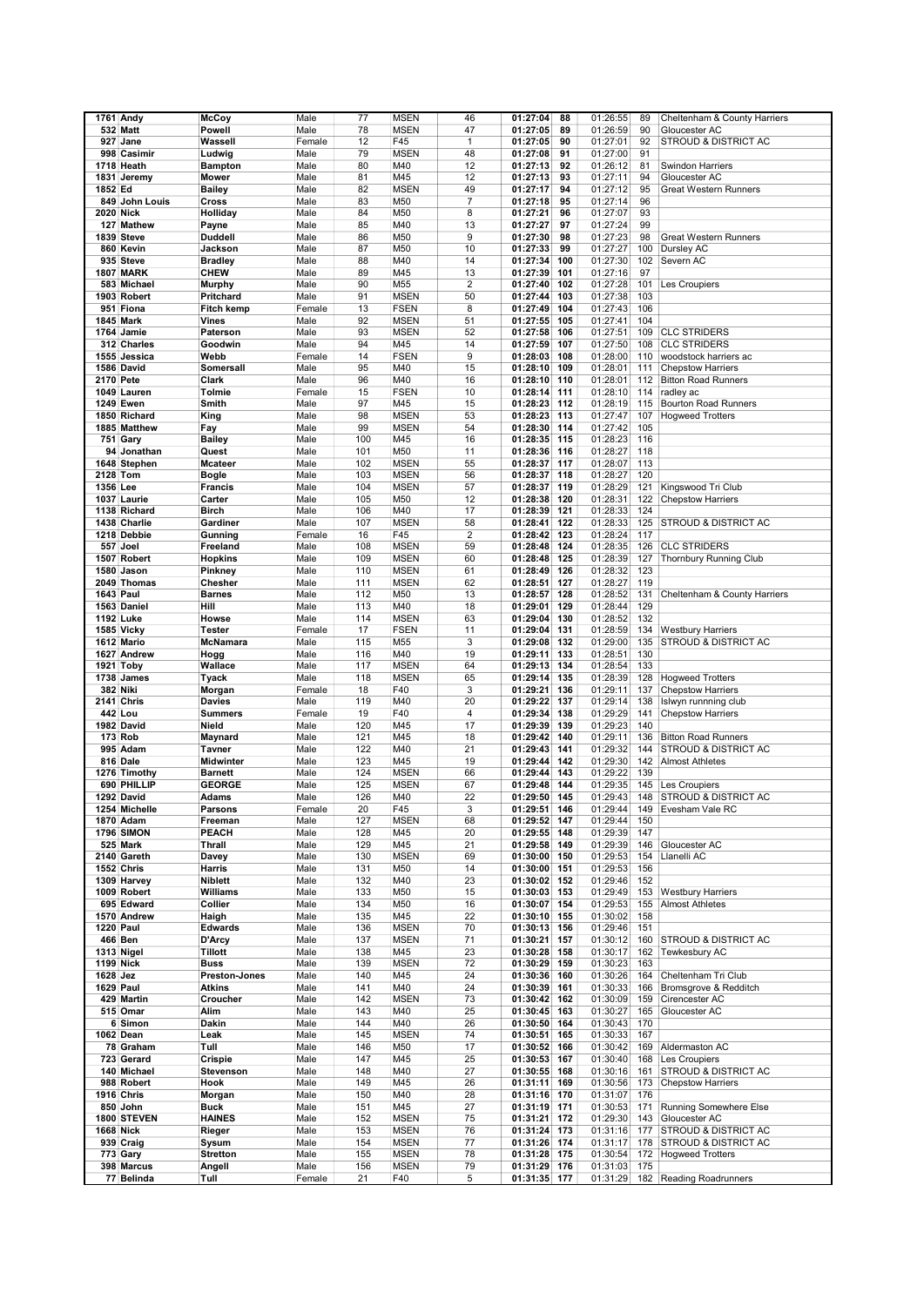|                  | 1761 Andy         | <b>McCoy</b>               | Male   | 77  | <b>MSEN</b> | 46                      | 01:27:04<br>88              | 01:26:55 | 89  | Cheltenham & County Harriers    |
|------------------|-------------------|----------------------------|--------|-----|-------------|-------------------------|-----------------------------|----------|-----|---------------------------------|
|                  | <b>532 Matt</b>   | Powell                     | Male   | 78  | <b>MSEN</b> | 47                      | 01:27:05<br>89              | 01:26:59 | 90  | Gloucester AC                   |
|                  | 927 Jane          | Wassell                    | Female | 12  | F45         | $\mathbf{1}$            | 90<br>01:27:05              | 01:27:01 | 92  | STROUD & DISTRICT AC            |
|                  | 998 Casimir       | Ludwig                     | Male   | 79  | <b>MSEN</b> | 48                      | 01:27:08<br>91              | 01:27:00 | 91  |                                 |
|                  | 1718 Heath        | <b>Bampton</b>             | Male   | 80  | M40         | 12                      | 01:27:13<br>92              | 01:26:12 | 81  | Swindon Harriers                |
|                  | 1831 Jeremy       | Mower                      | Male   | 81  | M45         | 12                      | 01:27:13<br>93              | 01:27:11 | 94  | Gloucester AC                   |
| 1852 Ed          |                   | <b>Bailey</b>              | Male   | 82  | <b>MSEN</b> | 49                      | 01:27:17<br>94              | 01:27:12 | 95  | <b>Great Western Runners</b>    |
|                  | 849 John Louis    | Cross                      | Male   | 83  | M50         | 7                       | 01:27:18<br>95              | 01:27:14 | 96  |                                 |
| 2020 Nick        |                   | Holliday                   | Male   | 84  | M50         | 8                       | 01:27:21<br>96              | 01:27:07 | 93  |                                 |
|                  | 127 Mathew        | Payne                      | Male   | 85  | M40         | 13                      | 97<br>01:27:27              | 01:27:24 | 99  |                                 |
|                  | 1839 Steve        | <b>Duddell</b>             | Male   | 86  | M50         | 9                       | 01:27:30<br>98              | 01:27:23 | 98  | <b>Great Western Runners</b>    |
|                  | 860 Kevin         | Jackson                    | Male   | 87  | M50         | 10                      | 99<br>01:27:33              | 01:27:27 | 100 | Dursley AC                      |
|                  | 935 Steve         | <b>Bradley</b>             | Male   | 88  | M40         | 14                      | 01:27:34<br>100             | 01:27:30 | 102 | Severn AC                       |
|                  | <b>1807 MARK</b>  | <b>CHEW</b>                | Male   | 89  | M45         | 13                      | 01:27:39<br>101             | 01:27:16 | 97  |                                 |
|                  | 583 Michael       |                            |        | 90  | M55         | $\overline{\mathbf{c}}$ | 01:27:40<br>102             | 01:27:28 | 101 |                                 |
|                  |                   | <b>Murphy</b>              | Male   |     |             |                         | 01:27:44                    |          |     | Les Croupiers                   |
|                  | 1903 Robert       | Pritchard                  | Male   | 91  | <b>MSEN</b> | 50                      | 103                         | 01:27:38 | 103 |                                 |
|                  | 951 Fiona         | <b>Fitch kemp</b>          | Female | 13  | <b>FSEN</b> | 8                       | 01:27:49<br>104             | 01:27:43 | 106 |                                 |
|                  | <b>1845 Mark</b>  | Vines                      | Male   | 92  | <b>MSEN</b> | 51                      | 01:27:55<br>105             | 01:27:41 | 104 |                                 |
|                  | 1764 Jamie        | Paterson                   | Male   | 93  | <b>MSEN</b> | 52                      | 106<br>01:27:58             | 01:27:51 | 109 | <b>CLC STRIDERS</b>             |
|                  | 312 Charles       | Goodwin                    | Male   | 94  | M45         | 14                      | 01:27:59<br>107             | 01:27:50 | 108 | <b>CLC STRIDERS</b>             |
|                  | 1555 Jessica      | Webb                       | Female | 14  | <b>FSEN</b> | 9                       | 01:28:03<br>108             | 01:28:00 | 110 | woodstock harriers ac           |
|                  | 1586 David        | Somersall                  | Male   | 95  | M40         | 15                      | 01:28:10<br>109             | 01:28:01 | 111 | <b>Chepstow Harriers</b>        |
| 2170 Pete        |                   | Clark                      | Male   | 96  | M40         | 16                      | 01:28:10<br>110             | 01:28:01 | 112 | <b>Bitton Road Runners</b>      |
|                  | 1049 Lauren       | Tolmie                     | Female | 15  | <b>FSEN</b> | 10                      | 01:28:14<br>111             | 01:28:10 | 114 | radley ac                       |
|                  | <b>1249 Ewen</b>  | Smith                      | Male   | 97  | M45         | 15                      | 01:28:23<br>112             | 01:28:19 | 115 | <b>Bourton Road Runners</b>     |
|                  | 1850 Richard      | King                       | Male   | 98  | <b>MSEN</b> | 53                      | 01:28:23<br>113             | 01:27:47 | 107 | <b>Hogweed Trotters</b>         |
|                  | 1885 Matthew      | Fay                        | Male   | 99  | <b>MSEN</b> | 54                      | 114<br>01:28:30             | 01:27:42 | 105 |                                 |
|                  | 751 Gary          | <b>Bailey</b>              | Male   | 100 | M45         | 16                      | 115<br>01:28:35             | 01:28:23 | 116 |                                 |
|                  | 94 Jonathan       | Quest                      | Male   | 101 | M50         | 11                      | 01:28:36<br>116             | 01:28:27 | 118 |                                 |
|                  | 1648 Stephen      | <b>Mcateer</b>             | Male   | 102 | <b>MSEN</b> | 55                      | 01:28:37<br>117             | 01:28:07 | 113 |                                 |
| 2128 Tom         |                   | <b>Bogle</b>               | Male   | 103 | <b>MSEN</b> | 56                      | 01:28:37<br>118             | 01:28:27 | 120 |                                 |
| 1356 Lee         |                   | <b>Francis</b>             | Male   | 104 | <b>MSEN</b> | 57                      | 01:28:37<br>119             | 01:28:29 | 121 | Kingswood Tri Club              |
|                  | 1037 Laurie       | Carter                     | Male   | 105 | M50         | 12                      | 01:28:38<br>120             | 01:28:31 | 122 | <b>Chepstow Harriers</b>        |
|                  | 1138 Richard      | <b>Birch</b>               | Male   | 106 | M40         | 17                      | 01:28:39<br>121             | 01:28:33 | 124 |                                 |
|                  | 1438 Charlie      | Gardiner                   | Male   | 107 | <b>MSEN</b> | 58                      | 122<br>01:28:41             | 01:28:33 | 125 | <b>STROUD &amp; DISTRICT AC</b> |
|                  | 1218 Debbie       | Gunning                    | Female | 16  | F45         | $\overline{2}$          | 01:28:42<br>123             | 01:28:24 | 117 |                                 |
|                  | 557 Joel          | Freeland                   | Male   | 108 | <b>MSEN</b> | 59                      | 01:28:48<br>124             | 01:28:35 | 126 | <b>CLC STRIDERS</b>             |
|                  | 1507 Robert       | <b>Hopkins</b>             | Male   | 109 | <b>MSEN</b> | 60                      | 125<br>01:28:48             | 01:28:39 | 127 | Thornbury Running Club          |
|                  | 1580 Jason        | Pinkney                    | Male   | 110 | <b>MSEN</b> | 61                      | 01:28:49<br>126             | 01:28:32 | 123 |                                 |
|                  | 2049 Thomas       | Chesher                    | Male   | 111 | <b>MSEN</b> | 62                      | 01:28:51<br>127             | 01:28:27 | 119 |                                 |
| 1643 Paul        |                   | <b>Barnes</b>              | Male   | 112 | M50         | 13                      | 01:28:57<br>128             | 01:28:52 | 131 | Cheltenham & County Harriers    |
|                  | 1563 Daniel       | Hill                       | Male   | 113 | M40         | 18                      | 01:29:01<br>129             | 01:28:44 | 129 |                                 |
|                  | 1192 Luke         | Howse                      | Male   | 114 | <b>MSEN</b> | 63                      | 01:29:04<br>130             | 01:28:52 | 132 |                                 |
|                  | 1585 Vicky        | <b>Tester</b>              | Female | 17  | <b>FSEN</b> | 11                      | 01:29:04<br>131             | 01:28:59 | 134 | <b>Westbury Harriers</b>        |
|                  | 1612 Mario        | McNamara                   | Male   | 115 | M55         | 3                       | 01:29:08<br>132             | 01:29:00 | 135 | <b>STROUD &amp; DISTRICT AC</b> |
|                  | 1627 Andrew       | Hogg                       | Male   | 116 | M40         | 19                      | 01:29:11<br>133             | 01:28:51 | 130 |                                 |
|                  | 1921 Toby         | Wallace                    | Male   | 117 | <b>MSEN</b> | 64                      | 01:29:13<br>134             | 01:28:54 | 133 |                                 |
|                  | 1738 James        | <b>Tyack</b>               | Male   | 118 | <b>MSEN</b> | 65                      | 01:29:14<br>135             | 01:28:39 | 128 | <b>Hogweed Trotters</b>         |
|                  | 382 Niki          | Morgan                     | Female | 18  | F40         | 3                       | 01:29:21<br>136             | 01:29:11 | 137 | <b>Chepstow Harriers</b>        |
|                  | 2141 Chris        | Davies                     | Male   | 119 | M40         | 20                      | 01:29:22<br>137             | 01:29:14 | 138 | Islwyn runnning club            |
|                  | 442 Lou           | <b>Summers</b>             | Female | 19  | F40         | 4                       | 01:29:34<br>138             | 01:29:29 | 141 | <b>Chepstow Harriers</b>        |
|                  | 1982 David        | Nield                      | Male   | 120 | M45         | 17                      | 139                         | 01:29:23 | 140 |                                 |
|                  | 173 Rob           |                            | Male   | 121 | M45         | 18                      | 01:29:39<br>01:29:42<br>140 | 01:29:11 | 136 | <b>Bitton Road Runners</b>      |
|                  |                   | Maynard                    |        |     |             | 21                      | 01:29:43<br>141             |          | 144 | <b>STROUD &amp; DISTRICT AC</b> |
|                  | 995 Adam          | <b>Tavner</b><br>Midwinter | Male   | 122 | M40         | 19                      | 01:29:44<br>142             | 01:29:32 |     |                                 |
|                  | 816 Dale          |                            | Male   | 123 | M45         |                         |                             | 01:29:30 | 142 | <b>Almost Athletes</b>          |
|                  | 1276 Timothy      | <b>Barnett</b>             | Male   | 124 | <b>MSEN</b> | 66                      | 01:29:44<br>143             | 01:29:22 | 139 |                                 |
|                  | 690 PHILLIP       | <b>GEORGE</b>              | Male   | 125 | <b>MSEN</b> | 67                      | 01:29:48<br>144             | 01:29:35 | 145 | Les Croupiers                   |
|                  | 1292 David        | <b>Adams</b>               | Male   | 126 | M40         | 22                      | 01:29:50<br>145             | 01:29:43 |     | 148 STROUD & DISTRICT AC        |
|                  | 1254 Michelle     | Parsons                    | Female | 20  | F45         | 3                       | 01:29:51<br>146             | 01:29:44 | 149 | Evesham Vale RC                 |
|                  | 1870 Adam         | Freeman                    | Male   | 127 | <b>MSEN</b> | 68                      | 01:29:52<br>147             | 01:29:44 | 150 |                                 |
|                  | 1796 SIMON        | PEACH                      | Male   | 128 | M45         | 20                      | 01:29:55<br>148             | 01:29:39 | 147 |                                 |
|                  | 525 Mark          | Thrall                     | Male   | 129 | M45         | 21                      | 01:29:58<br>149             | 01:29:39 | 146 | Gloucester AC                   |
|                  | 2140 Gareth       | Davey                      | Male   | 130 | <b>MSEN</b> | 69                      | 01:30:00<br>150             | 01:29:53 | 154 | Llanelli AC                     |
|                  | 1552 Chris        | Harris                     | Male   | 131 | M50         | 14                      | 01:30:00 151                | 01:29:53 | 156 |                                 |
|                  | 1309 Harvey       | Niblett                    | Male   | 132 | M40         | 23                      | 01:30:02<br>152             | 01:29:46 | 152 |                                 |
|                  | 1009 Robert       | Williams                   | Male   | 133 | M50         | 15                      | 01:30:03<br>153             | 01:29:49 | 153 | <b>Westbury Harriers</b>        |
|                  | 695 Edward        | Collier                    | Male   | 134 | M50         | 16                      | 01:30:07<br>154             | 01:29:53 | 155 | <b>Almost Athletes</b>          |
|                  | 1570 Andrew       | Haigh                      | Male   | 135 | M45         | 22                      | 01:30:10<br>155             | 01:30:02 | 158 |                                 |
| <b>1220 Paul</b> |                   | <b>Edwards</b>             | Male   | 136 | <b>MSEN</b> | 70                      | 01:30:13<br>156             | 01:29:46 | 151 |                                 |
|                  | <b>466 Ben</b>    | D'Arcy                     | Male   | 137 | <b>MSEN</b> | 71                      | 01:30:21<br>157             | 01:30:12 | 160 | STROUD & DISTRICT AC            |
|                  | 1313 Nigel        | Tillott                    | Male   | 138 | M45         | 23                      | 01:30:28<br>158             | 01:30:17 | 162 | Tewkesbury AC                   |
| 1199 Nick        |                   | <b>Buss</b>                | Male   | 139 | <b>MSEN</b> | 72                      | 01:30:29<br>159             | 01:30:23 | 163 |                                 |
| 1628 Jez         |                   | Preston-Jones              | Male   | 140 | M45         | 24                      | 01:30:36<br>160             | 01:30:26 | 164 | Cheltenham Tri Club             |
|                  | 1629 Paul         | Atkins                     | Male   | 141 | M40         | 24                      | 01:30:39<br>161             | 01:30:33 | 166 | Bromsgrove & Redditch           |
|                  | 429 Martin        | Croucher                   | Male   | 142 | <b>MSEN</b> | 73                      | 01:30:42<br>162             | 01:30:09 | 159 | Cirencester AC                  |
|                  | 515 Omar          | Alim                       | Male   | 143 | M40         | 25                      | 01:30:45<br>163             | 01:30:27 | 165 | Gloucester AC                   |
|                  | 6 Simon           | Dakin                      | Male   | 144 | M40         | 26                      | 01:30:50<br>164             | 01:30:43 | 170 |                                 |
|                  | 1062 Dean         | Leak                       | Male   | 145 | <b>MSEN</b> | 74                      | 01:30:51<br>165             | 01:30:33 | 167 |                                 |
|                  | 78 Graham         | Tull                       | Male   | 146 | M50         | 17                      | 01:30:52<br>166             | 01:30:42 | 169 | Aldermaston AC                  |
|                  | 723 Gerard        | Crispie                    | Male   | 147 | M45         | 25                      | 01:30:53<br>167             | 01:30:40 | 168 | Les Croupiers                   |
|                  | 140 Michael       | Stevenson                  | Male   | 148 | M40         | 27                      | 01:30:55<br>168             | 01:30:16 | 161 | STROUD & DISTRICT AC            |
|                  | 988 Robert        | Hook                       | Male   | 149 | M45         | 26                      | 01:31:11<br>169             | 01:30:56 | 173 | <b>Chepstow Harriers</b>        |
|                  | <b>1916 Chris</b> | Morgan                     | Male   | 150 | M40         | 28                      | 01:31:16<br>170             | 01:31:07 | 176 |                                 |
|                  | 850 John          | <b>Buck</b>                | Male   | 151 | M45         | 27                      | 01:31:19 171                | 01:30:53 | 171 | Running Somewhere Else          |
|                  | 1800 STEVEN       | <b>HAINES</b>              | Male   | 152 | <b>MSEN</b> | 75                      | 172<br>01:31:21             | 01:29:30 | 143 | Gloucester AC                   |
|                  | 1668 Nick         | Rieger                     | Male   | 153 | <b>MSEN</b> | 76                      | 01:31:24<br>173             | 01:31:16 | 177 | STROUD & DISTRICT AC            |
|                  | 939 Craig         | Sysum                      | Male   | 154 | <b>MSEN</b> | 77                      | 01:31:26 174                | 01:31:17 | 178 | STROUD & DISTRICT AC            |
|                  | 773 Gary          | <b>Stretton</b>            | Male   | 155 | <b>MSEN</b> | 78                      | 01:31:28 175                | 01:30:54 | 172 | <b>Hogweed Trotters</b>         |
|                  | 398 Marcus        | Angell                     | Male   | 156 | <b>MSEN</b> | 79                      | 01:31:29 176                | 01:31:03 | 175 |                                 |
|                  | 77 Belinda        | Tull                       | Female | 21  | F40         | 5                       | 01:31:35 177                | 01:31:29 |     | 182 Reading Roadrunners         |
|                  |                   |                            |        |     |             |                         |                             |          |     |                                 |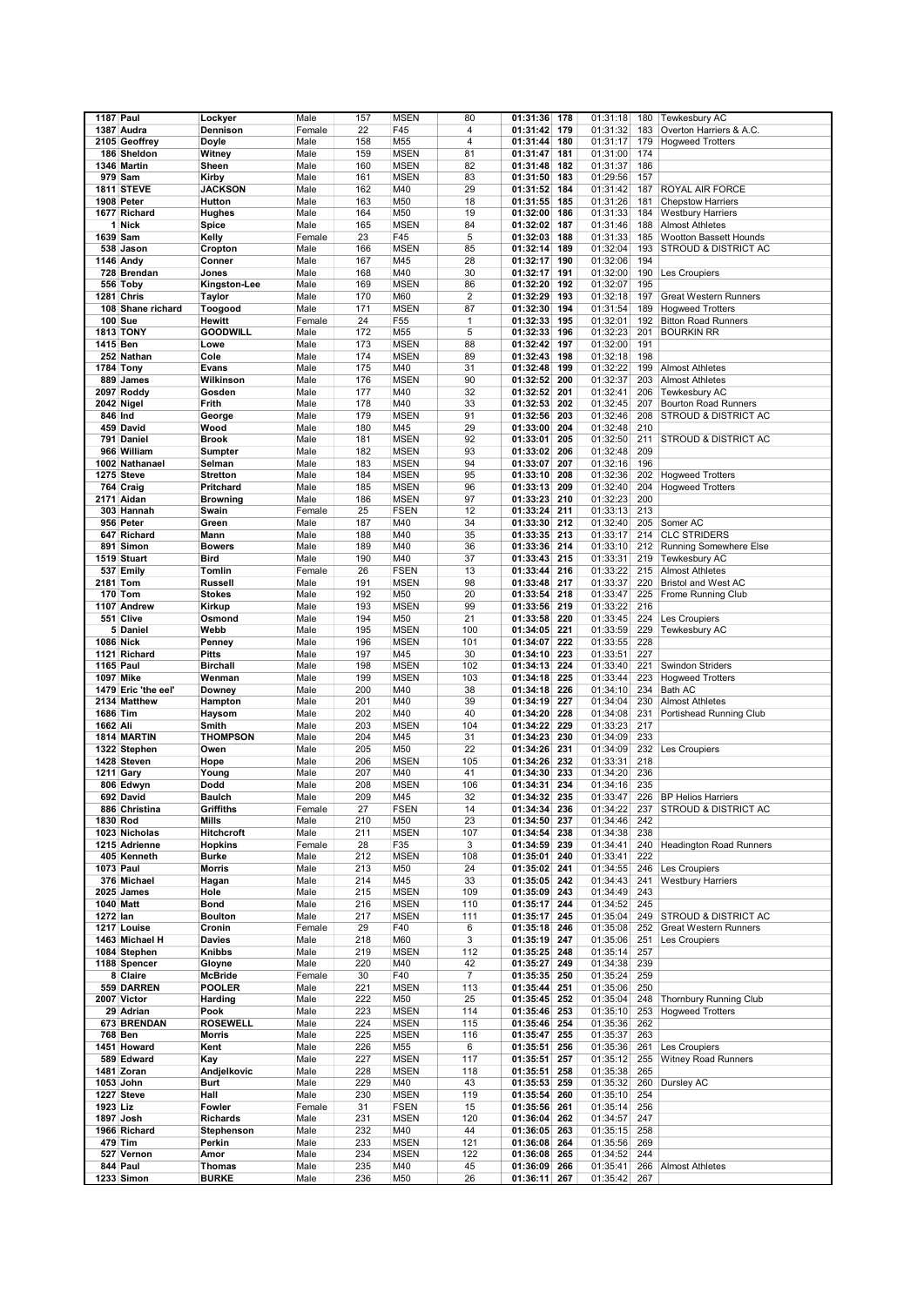| 1187 Paul<br>1387 Audra<br>Dennison<br>Female<br>22<br>F45<br>4<br>01:31:42<br>179<br>01:31:32<br>183<br>Overton Harriers & A.C.<br>158<br>M55<br>4<br>180<br>01:31:17<br>179<br><b>Hogweed Trotters</b><br>2105 Geoffrey<br>Doyle<br>Male<br>01:31:44<br>81<br>01:31:00<br>186 Sheldon<br>Witney<br>Male<br>159<br><b>MSEN</b><br>01:31:47<br>181<br>174<br>160<br>82<br>182<br>01:31:37<br>186<br>1346 Martin<br>Sheen<br>Male<br><b>MSEN</b><br>01:31:48<br><b>MSEN</b><br>83<br>01:29:56<br>979 Sam<br>Kirby<br>Male<br>161<br>01:31:50<br>183<br>157<br>29<br>01:31:42<br>ROYAL AIR FORCE<br><b>1811 STEVE</b><br><b>JACKSON</b><br>Male<br>162<br>M40<br>01:31:52<br>184<br>187<br>18<br>01:31:26<br>1908 Peter<br>Hutton<br>Male<br>163<br>M50<br>01:31:55<br>185<br>181<br><b>Chepstow Harriers</b><br>164<br>19<br>01:32:00<br>01:31:33<br>1677 Richard<br>Hughes<br>Male<br>M50<br>186<br>184<br><b>Westbury Harriers</b><br>1 Nick<br>84<br>01:31:46<br>Spice<br>Male<br>165<br><b>MSEN</b><br>01:32:02<br>187<br>188<br><b>Almost Athletes</b><br>1639 Sam<br>23<br>F45<br>5<br>01:32:03<br>01:31:33<br>Wootton Bassett Hounds<br>Female<br>188<br>185<br>Kelly<br>85<br>01:32:04<br>STROUD & DISTRICT AC<br>538 Jason<br>Cropton<br>Male<br>166<br><b>MSEN</b><br>01:32:14<br>189<br>193<br>167<br>28<br>01:32:06<br>1146 Andy<br>Conner<br>Male<br>M45<br>01:32:17<br>190<br>194<br>30<br>01:32:00<br>728 Brendan<br>Jones<br>Male<br>168<br>M40<br>01:32:17<br>191<br>190<br>Les Croupiers<br>86<br>01:32:07<br>556 Toby<br>Kingston-Lee<br>Male<br>169<br><b>MSEN</b><br>01:32:20<br>192<br>195<br>1281 Chris<br>$\overline{2}$<br>01:32:18<br><b>Taylor</b><br>Male<br>170<br>M60<br>01:32:29<br>193<br>197<br><b>Great Western Runners</b><br>108 Shane richard<br>171<br><b>MSEN</b><br>87<br>01:32:30<br>194<br>01:31:54<br>Toogood<br>Male<br>189<br><b>Hogweed Trotters</b><br>01:32:33<br>01:32:01<br><b>100 Sue</b><br>Hewitt<br>Female<br>24<br>F <sub>55</sub><br>1<br>195<br>192<br><b>Bitton Road Runners</b><br><b>1813 TONY</b><br><b>GOODWILL</b><br>172<br>M55<br>5<br>01:32:33<br>196<br>01:32:23<br>201<br><b>BOURKIN RR</b><br>Male<br>173<br>88<br>01:32:42<br>01:32:00<br>191<br>1415 Ben<br>Lowe<br>Male<br><b>MSEN</b><br>197<br>174<br><b>MSEN</b><br>89<br>01:32:18<br>198<br>252 Nathan<br>Cole<br>Male<br>01:32:43<br>198<br>31<br>01:32:48<br>01:32:22<br><b>1784 Tony</b><br>Male<br>175<br>M40<br>199<br>199<br><b>Almost Athletes</b><br>Evans<br>90<br>01:32:37<br>889 James<br>Wilkinson<br>Male<br>176<br><b>MSEN</b><br>01:32:52<br>200<br>203<br><b>Almost Athletes</b><br>M40<br>32<br>01:32:52<br>201<br>01:32:41<br>2097 Roddy<br>Gosden<br>Male<br>177<br>206<br>Tewkesbury AC<br>33<br>01:32:45<br>2042 Nigel<br>Frith<br>Male<br>178<br>M40<br>01:32:53<br>202<br>207<br><b>Bourton Road Runners</b><br>846 Ind<br>179<br><b>MSEN</b><br>91<br>01:32:56<br>203<br>01:32:46<br>208<br>STROUD & DISTRICT AC<br>George<br>Male<br>180<br>M45<br>29<br>01:32:48<br>459 David<br>Wood<br>Male<br>01:33:00<br>204<br>210<br>181<br><b>MSEN</b><br>92<br>205<br>01:32:50<br>211<br>STROUD & DISTRICT AC<br>791 Daniel<br><b>Brook</b><br>Male<br>01:33:01<br>966 William<br><b>MSEN</b><br>93<br>01:32:48<br>Male<br>182<br>01:33:02<br>206<br>209<br>Sumpter<br>183<br>94<br>207<br>01:32:16<br>1002 Nathanael<br>Selman<br>Male<br><b>MSEN</b><br>01:33:07<br>196<br><b>MSEN</b><br>01:32:36<br>1275 Steve<br><b>Stretton</b><br>Male<br>184<br>95<br>01:33:10<br>208<br>202<br><b>Hogweed Trotters</b><br>764 Craig<br>96<br>209<br>01:32:40<br>Pritchard<br>Male<br>185<br><b>MSEN</b><br>01:33:13<br>204<br><b>Hogweed Trotters</b><br>97<br>01:32:23<br>2171 Aidan<br><b>Browning</b><br>Male<br>186<br><b>MSEN</b><br>01:33:23<br>210<br>200<br>25<br><b>FSEN</b><br>12<br>01:33:24<br>01:33:13<br>303 Hannah<br>Swain<br>Female<br>211<br>213<br>187<br>M40<br>34<br>01:33:30<br>01:32:40<br>Somer AC<br>956 Peter<br>Green<br>Male<br>212<br>205<br>35<br>01:33:35<br>01:33:17<br>214<br><b>CLC STRIDERS</b><br>647 Richard<br>Mann<br>Male<br>188<br>M40<br>213<br>M40<br>36<br>01:33:10<br>891 Simon<br><b>Bowers</b><br>Male<br>189<br>01:33:36<br>214<br>212<br><b>Running Somewhere Else</b><br>190<br>37<br>01:33:31<br><b>Tewkesbury AC</b><br>1519 Stuart<br><b>Bird</b><br>M40<br>01:33:43<br>215<br>219<br>Male<br>537 Emily<br>Tomlin<br>26<br><b>FSEN</b><br>13<br>01:33:44<br>216<br>01:33:22<br>215<br><b>Almost Athletes</b><br>Female<br>98<br>01:33:37<br>Bristol and West AC<br>2181 Tom<br><b>Russell</b><br>Male<br>191<br><b>MSEN</b><br>01:33:48<br>217<br>220<br>20<br>01:33:47<br>170 Tom<br><b>Stokes</b><br>Male<br>192<br>M50<br>01:33:54<br>218<br>225<br>Frome Running Club<br>193<br><b>MSEN</b><br>99<br>01:33:22<br>1107 Andrew<br>Kirkup<br>Male<br>01:33:56<br>219<br>216<br>551 Clive<br>21<br>01:33:45<br>Les Croupiers<br>Osmond<br>Male<br>194<br>M50<br>01:33:58<br>220<br>224<br>5 Daniel<br>195<br>100<br>221<br>01:33:59<br>229<br>Tewkesbury AC<br>Webb<br>Male<br><b>MSEN</b><br>01:34:05<br><b>MSEN</b><br>222<br>01:33:55<br>228<br>1086 Nick<br>Penney<br>Male<br>196<br>101<br>01:34:07<br>197<br>30<br>223<br>01:33:51<br>227<br>1121 Richard<br><b>Pitts</b><br>Male<br>M45<br>01:34:10<br>01:33:40<br><b>1165 Paul</b><br><b>Birchall</b><br>Male<br>198<br><b>MSEN</b><br>102<br>01:34:13<br>224<br>221<br><b>Swindon Striders</b><br>103<br>01:33:44<br>1097 Mike<br>Wenman<br>Male<br>199<br><b>MSEN</b><br>01:34:18<br>225<br>223<br><b>Hogweed Trotters</b><br>01:34:10<br>Bath AC<br>1479 Eric 'the eel'<br>Downey<br>Male<br>200<br>M40<br>38<br>01:34:18<br>226<br>234<br>201<br>39<br>01:34:19<br>01:34:04<br>2134 Matthew<br>Hampton<br>Male<br>M40<br>227<br>230<br><b>Almost Athletes</b><br>1686 Tim<br>202<br>40<br>228<br>01:34:08<br>Haysom<br>Male<br>M40<br>01:34:20<br>231<br>Portishead Running Club<br>1662 Ali<br>203<br><b>MSEN</b><br>104<br>229<br>01:33:23<br>217<br>Smith<br>Male<br>01:34:22<br>1814 MARTIN<br><b>THOMPSON</b><br>204<br>31<br>230<br>01:34:09<br>233<br>Male<br>M45<br>01:34:23<br>205<br>22<br>01:34:09<br>232<br>Les Croupiers<br>1322 Stephen<br>Owen<br>Male<br>M50<br>01:34:26<br>231<br>206<br>1428 Steven<br>Male<br><b>MSEN</b><br>105<br>01:34:26<br>232<br>01:33:31<br>218<br>Hope<br>M40<br>41<br>01:34:20<br><b>1211 Gary</b><br>Young<br>Male<br>207<br>01:34:30<br>233<br>236<br>106<br>806 Edwyn<br>Dodd<br>Male<br>208<br><b>MSEN</b><br>01:34:31<br>234<br>01:34:16<br>235<br>692 David<br>209<br>M45<br>32<br>01:33:47<br>226<br><b>Baulch</b><br>Male<br>01:34:32<br>235<br><b>BP Helios Harriers</b><br>886 Christina<br>Griffiths<br>Female<br>27<br><b>FSEN</b><br>14<br>01:34:34<br>236<br>01:34:22<br>237<br>STROUD & DISTRICT AC<br>1830 Rod<br>Male<br>210<br>M50<br>23<br>01:34:50<br>237<br>01:34:46<br>242<br>Mills<br>1023 Nicholas<br><b>Hitchcroft</b><br>Male<br>211<br><b>MSEN</b><br>107<br>01:34:54<br>238<br>01:34:38<br>238<br>1215 Adrienne<br><b>Hopkins</b><br>Female<br>28<br>F35<br>3<br>01:34:59<br>239<br>01:34:41<br>240<br>Headington Road Runners<br>405 Kenneth<br><b>Burke</b><br>Male<br>212<br><b>MSEN</b><br>108<br>01:35:01<br>01:33:41<br>222<br>240<br>1073 Paul<br>Male<br>213<br>M50<br>24<br>241<br>01:34:55<br>246<br>Morris<br>01:35:02<br>Les Croupiers<br>376 Michael<br>Male<br>214<br>M45<br>33<br>01:35:05<br>242<br>01:34:43<br>241<br>Hagan<br><b>Westbury Harriers</b><br>Male<br>215<br><b>MSEN</b><br>01:34:49<br>243<br>2025 James<br>Hole<br>109<br>01:35:09 243<br>01:34:52<br>1040 Matt<br><b>Bond</b><br>Male<br>216<br><b>MSEN</b><br>110<br>01:35:17<br>244<br>245<br>1272 lan<br><b>MSEN</b><br>111<br>01:35:17<br>01:35:04<br>249<br>STROUD & DISTRICT AC<br><b>Boulton</b><br>Male<br>217<br>245<br>1217 Louise<br>Cronin<br>Female<br>29<br>F40<br>6<br>01:35:18<br>246<br>01:35:08<br>252<br>Great Western Runners<br>1463 Michael H<br>Male<br>218<br>M60<br>3<br>01:35:06<br>Les Croupiers<br>Davies<br>01:35:19 247<br>251<br>1084 Stephen<br>219<br><b>MSEN</b><br>112<br>248<br>01:35:14<br>257<br>Knibbs<br>Male<br>01:35:25<br>1188 Spencer<br>Male<br>220<br>M40<br>42<br>01:34:38<br>239<br>Gloyne<br>01:35:27<br>249<br>$\overline{7}$<br>01:35:24<br>259<br>8 Claire<br>Female<br>30<br>F40<br>01:35:35 250<br><b>McBride</b><br>559 DARREN<br>221<br><b>MSEN</b><br>113<br>01:35:44 251<br>01:35:06<br>250<br><b>POOLER</b><br>Male<br>2007 Victor<br>Male<br>222<br>M50<br>25<br>01:35:45<br>252<br>01:35:04<br>248<br><b>Thornbury Running Club</b><br>Harding<br>Male<br>223<br><b>MSEN</b><br>114<br>01:35:46<br>253<br>01:35:10<br>253<br><b>Hogweed Trotters</b><br>29 Adrian<br>Pook<br>673 BRENDAN<br><b>ROSEWELL</b><br>Male<br>224<br><b>MSEN</b><br>115<br>01:35:46<br>254<br>01:35:36<br>262<br>768 Ben<br>Male<br>225<br><b>MSEN</b><br>116<br>01:35:47<br>255<br>01:35:37<br>263<br>Morris<br>1451 Howard<br>Male<br>226<br>M55<br>6<br>01:35:51<br>256<br>01:35:36<br>261<br>Les Croupiers<br>Kent<br>589 Edward<br>Male<br>227<br><b>MSEN</b><br>117<br>01:35:12<br><b>Witney Road Runners</b><br>Kay<br>01:35:51<br>257<br>255<br>01:35:38<br>1481 Zoran<br>Male<br>228<br><b>MSEN</b><br>118<br>01:35:51<br>258<br>265<br>Andjelkovic<br>229<br>M40<br>43<br>01:35:32<br>260<br>1053 John<br>Burt<br>Male<br>01:35:53<br>259<br>Dursley AC<br>1227 Steve<br>Male<br>230<br><b>MSEN</b><br>119<br>01:35:54<br>01:35:10<br>254<br>Hall<br>260<br>1923 Liz<br><b>FSEN</b><br>15<br>01:35:14<br>256<br>Fowler<br>Female<br>31<br>01:35:56<br>261<br>01:34:57<br>1897 Josh<br><b>Richards</b><br>Male<br>231<br><b>MSEN</b><br>120<br>01:36:04<br>262<br>247<br>1966 Richard<br>232<br>M40<br>44<br>01:35:15<br>Stephenson<br>Male<br>01:36:05<br>263<br>258<br>233<br>269<br>Perkin<br>Male<br><b>MSEN</b><br>121<br>264<br>01:35:56<br>479 Tim<br>01:36:08<br>527 Vernon<br>Male<br>234<br><b>MSEN</b><br>122<br>265<br>01:34:52<br>244<br>Amor<br>01:36:08<br>844 Paul<br>235<br>M40<br>45<br>266<br>01:35:41<br>266<br><b>Thomas</b><br>Male<br>01:36:09<br><b>Almost Athletes</b><br>1233 Simon<br><b>BURKE</b><br>26<br>Male<br>236<br>M50<br>01:36:11<br>267<br>01:35:42<br>267 |  |         |      |     |             |    |          |     |          |     |               |
|----------------------------------------------------------------------------------------------------------------------------------------------------------------------------------------------------------------------------------------------------------------------------------------------------------------------------------------------------------------------------------------------------------------------------------------------------------------------------------------------------------------------------------------------------------------------------------------------------------------------------------------------------------------------------------------------------------------------------------------------------------------------------------------------------------------------------------------------------------------------------------------------------------------------------------------------------------------------------------------------------------------------------------------------------------------------------------------------------------------------------------------------------------------------------------------------------------------------------------------------------------------------------------------------------------------------------------------------------------------------------------------------------------------------------------------------------------------------------------------------------------------------------------------------------------------------------------------------------------------------------------------------------------------------------------------------------------------------------------------------------------------------------------------------------------------------------------------------------------------------------------------------------------------------------------------------------------------------------------------------------------------------------------------------------------------------------------------------------------------------------------------------------------------------------------------------------------------------------------------------------------------------------------------------------------------------------------------------------------------------------------------------------------------------------------------------------------------------------------------------------------------------------------------------------------------------------------------------------------------------------------------------------------------------------------------------------------------------------------------------------------------------------------------------------------------------------------------------------------------------------------------------------------------------------------------------------------------------------------------------------------------------------------------------------------------------------------------------------------------------------------------------------------------------------------------------------------------------------------------------------------------------------------------------------------------------------------------------------------------------------------------------------------------------------------------------------------------------------------------------------------------------------------------------------------------------------------------------------------------------------------------------------------------------------------------------------------------------------------------------------------------------------------------------------------------------------------------------------------------------------------------------------------------------------------------------------------------------------------------------------------------------------------------------------------------------------------------------------------------------------------------------------------------------------------------------------------------------------------------------------------------------------------------------------------------------------------------------------------------------------------------------------------------------------------------------------------------------------------------------------------------------------------------------------------------------------------------------------------------------------------------------------------------------------------------------------------------------------------------------------------------------------------------------------------------------------------------------------------------------------------------------------------------------------------------------------------------------------------------------------------------------------------------------------------------------------------------------------------------------------------------------------------------------------------------------------------------------------------------------------------------------------------------------------------------------------------------------------------------------------------------------------------------------------------------------------------------------------------------------------------------------------------------------------------------------------------------------------------------------------------------------------------------------------------------------------------------------------------------------------------------------------------------------------------------------------------------------------------------------------------------------------------------------------------------------------------------------------------------------------------------------------------------------------------------------------------------------------------------------------------------------------------------------------------------------------------------------------------------------------------------------------------------------------------------------------------------------------------------------------------------------------------------------------------------------------------------------------------------------------------------------------------------------------------------------------------------------------------------------------------------------------------------------------------------------------------------------------------------------------------------------------------------------------------------------------------------------------------------------------------------------------------------------------------------------------------------------------------------------------------------------------------------------------------------------------------------------------------------------------------------------------------------------------------------------------------------------------------------------------------------------------------------------------------------------------------------------------------------------------------------------------------------------------------------------------------------------------------------------------------------------------------------------------------------------------------------------------------------------------------------------------------------------------------------------------------------------------------------------------------------------------------------------------------------------------------------------------------------------------------------------------------------------------------------------------------------------------------------------------------------------------------------------------------------------------------------------------------------------------------------------------------------------------------------------------------------------------------------------------------------------------------------------------------------------------------------------------------------------------------------------------------------------------------------------------------------------------------------------------------------------------------------------------------------------------------------------------------------------------------------------------------------------------------------------------------------------------------------------------------------------------------------------------------------------------------------------------------------------------------------------------------------------------------------------------------------------------------------------------------------------------------------------------------------------------------------------------------------------------------------------------------------------------------------------------------------------------------------------------------------------------------------------------------------------------------------------------------------------------------------------------------------------------------------------------------------------------------------------------------------------------------------------------------------------------------------------------------------------------------------------------------------------------------------------------------------------------------------------------------------------------------------------------------------------------------------------------------------------------------------------------------------------------------------------------------------------------------------------------------------------------------------------------------------------------------------------------------------------------------------------------------------------------------------------------------------------------------------------------------------|--|---------|------|-----|-------------|----|----------|-----|----------|-----|---------------|
|                                                                                                                                                                                                                                                                                                                                                                                                                                                                                                                                                                                                                                                                                                                                                                                                                                                                                                                                                                                                                                                                                                                                                                                                                                                                                                                                                                                                                                                                                                                                                                                                                                                                                                                                                                                                                                                                                                                                                                                                                                                                                                                                                                                                                                                                                                                                                                                                                                                                                                                                                                                                                                                                                                                                                                                                                                                                                                                                                                                                                                                                                                                                                                                                                                                                                                                                                                                                                                                                                                                                                                                                                                                                                                                                                                                                                                                                                                                                                                                                                                                                                                                                                                                                                                                                                                                                                                                                                                                                                                                                                                                                                                                                                                                                                                                                                                                                                                                                                                                                                                                                                                                                                                                                                                                                                                                                                                                                                                                                                                                                                                                                                                                                                                                                                                                                                                                                                                                                                                                                                                                                                                                                                                                                                                                                                                                                                                                                                                                                                                                                                                                                                                                                                                                                                                                                                                                                                                                                                                                                                                                                                                                                                                                                                                                                                                                                                                                                                                                                                                                                                                                                                                                                                                                                                                                                                                                                                                                                                                                                                                                                                                                                                                                                                                                                                                                                                                                                                                                                                                                                                                                                                                                                                                                                                                                                                                                                                                                                                                                                                                                                                                                                                                                                                                                                                                                                                                                                                                                                                                                                                                                                                                                                                                                                                                                                                                                                                                                                                                                                                                                                                                                                                                                                                                                                |  | Lockyer | Male | 157 | <b>MSEN</b> | 80 | 01:31:36 | 178 | 01:31:18 | 180 | Tewkesbury AC |
|                                                                                                                                                                                                                                                                                                                                                                                                                                                                                                                                                                                                                                                                                                                                                                                                                                                                                                                                                                                                                                                                                                                                                                                                                                                                                                                                                                                                                                                                                                                                                                                                                                                                                                                                                                                                                                                                                                                                                                                                                                                                                                                                                                                                                                                                                                                                                                                                                                                                                                                                                                                                                                                                                                                                                                                                                                                                                                                                                                                                                                                                                                                                                                                                                                                                                                                                                                                                                                                                                                                                                                                                                                                                                                                                                                                                                                                                                                                                                                                                                                                                                                                                                                                                                                                                                                                                                                                                                                                                                                                                                                                                                                                                                                                                                                                                                                                                                                                                                                                                                                                                                                                                                                                                                                                                                                                                                                                                                                                                                                                                                                                                                                                                                                                                                                                                                                                                                                                                                                                                                                                                                                                                                                                                                                                                                                                                                                                                                                                                                                                                                                                                                                                                                                                                                                                                                                                                                                                                                                                                                                                                                                                                                                                                                                                                                                                                                                                                                                                                                                                                                                                                                                                                                                                                                                                                                                                                                                                                                                                                                                                                                                                                                                                                                                                                                                                                                                                                                                                                                                                                                                                                                                                                                                                                                                                                                                                                                                                                                                                                                                                                                                                                                                                                                                                                                                                                                                                                                                                                                                                                                                                                                                                                                                                                                                                                                                                                                                                                                                                                                                                                                                                                                                                                                                                                |  |         |      |     |             |    |          |     |          |     |               |
|                                                                                                                                                                                                                                                                                                                                                                                                                                                                                                                                                                                                                                                                                                                                                                                                                                                                                                                                                                                                                                                                                                                                                                                                                                                                                                                                                                                                                                                                                                                                                                                                                                                                                                                                                                                                                                                                                                                                                                                                                                                                                                                                                                                                                                                                                                                                                                                                                                                                                                                                                                                                                                                                                                                                                                                                                                                                                                                                                                                                                                                                                                                                                                                                                                                                                                                                                                                                                                                                                                                                                                                                                                                                                                                                                                                                                                                                                                                                                                                                                                                                                                                                                                                                                                                                                                                                                                                                                                                                                                                                                                                                                                                                                                                                                                                                                                                                                                                                                                                                                                                                                                                                                                                                                                                                                                                                                                                                                                                                                                                                                                                                                                                                                                                                                                                                                                                                                                                                                                                                                                                                                                                                                                                                                                                                                                                                                                                                                                                                                                                                                                                                                                                                                                                                                                                                                                                                                                                                                                                                                                                                                                                                                                                                                                                                                                                                                                                                                                                                                                                                                                                                                                                                                                                                                                                                                                                                                                                                                                                                                                                                                                                                                                                                                                                                                                                                                                                                                                                                                                                                                                                                                                                                                                                                                                                                                                                                                                                                                                                                                                                                                                                                                                                                                                                                                                                                                                                                                                                                                                                                                                                                                                                                                                                                                                                                                                                                                                                                                                                                                                                                                                                                                                                                                                                                |  |         |      |     |             |    |          |     |          |     |               |
|                                                                                                                                                                                                                                                                                                                                                                                                                                                                                                                                                                                                                                                                                                                                                                                                                                                                                                                                                                                                                                                                                                                                                                                                                                                                                                                                                                                                                                                                                                                                                                                                                                                                                                                                                                                                                                                                                                                                                                                                                                                                                                                                                                                                                                                                                                                                                                                                                                                                                                                                                                                                                                                                                                                                                                                                                                                                                                                                                                                                                                                                                                                                                                                                                                                                                                                                                                                                                                                                                                                                                                                                                                                                                                                                                                                                                                                                                                                                                                                                                                                                                                                                                                                                                                                                                                                                                                                                                                                                                                                                                                                                                                                                                                                                                                                                                                                                                                                                                                                                                                                                                                                                                                                                                                                                                                                                                                                                                                                                                                                                                                                                                                                                                                                                                                                                                                                                                                                                                                                                                                                                                                                                                                                                                                                                                                                                                                                                                                                                                                                                                                                                                                                                                                                                                                                                                                                                                                                                                                                                                                                                                                                                                                                                                                                                                                                                                                                                                                                                                                                                                                                                                                                                                                                                                                                                                                                                                                                                                                                                                                                                                                                                                                                                                                                                                                                                                                                                                                                                                                                                                                                                                                                                                                                                                                                                                                                                                                                                                                                                                                                                                                                                                                                                                                                                                                                                                                                                                                                                                                                                                                                                                                                                                                                                                                                                                                                                                                                                                                                                                                                                                                                                                                                                                                                                |  |         |      |     |             |    |          |     |          |     |               |
|                                                                                                                                                                                                                                                                                                                                                                                                                                                                                                                                                                                                                                                                                                                                                                                                                                                                                                                                                                                                                                                                                                                                                                                                                                                                                                                                                                                                                                                                                                                                                                                                                                                                                                                                                                                                                                                                                                                                                                                                                                                                                                                                                                                                                                                                                                                                                                                                                                                                                                                                                                                                                                                                                                                                                                                                                                                                                                                                                                                                                                                                                                                                                                                                                                                                                                                                                                                                                                                                                                                                                                                                                                                                                                                                                                                                                                                                                                                                                                                                                                                                                                                                                                                                                                                                                                                                                                                                                                                                                                                                                                                                                                                                                                                                                                                                                                                                                                                                                                                                                                                                                                                                                                                                                                                                                                                                                                                                                                                                                                                                                                                                                                                                                                                                                                                                                                                                                                                                                                                                                                                                                                                                                                                                                                                                                                                                                                                                                                                                                                                                                                                                                                                                                                                                                                                                                                                                                                                                                                                                                                                                                                                                                                                                                                                                                                                                                                                                                                                                                                                                                                                                                                                                                                                                                                                                                                                                                                                                                                                                                                                                                                                                                                                                                                                                                                                                                                                                                                                                                                                                                                                                                                                                                                                                                                                                                                                                                                                                                                                                                                                                                                                                                                                                                                                                                                                                                                                                                                                                                                                                                                                                                                                                                                                                                                                                                                                                                                                                                                                                                                                                                                                                                                                                                                                                |  |         |      |     |             |    |          |     |          |     |               |
|                                                                                                                                                                                                                                                                                                                                                                                                                                                                                                                                                                                                                                                                                                                                                                                                                                                                                                                                                                                                                                                                                                                                                                                                                                                                                                                                                                                                                                                                                                                                                                                                                                                                                                                                                                                                                                                                                                                                                                                                                                                                                                                                                                                                                                                                                                                                                                                                                                                                                                                                                                                                                                                                                                                                                                                                                                                                                                                                                                                                                                                                                                                                                                                                                                                                                                                                                                                                                                                                                                                                                                                                                                                                                                                                                                                                                                                                                                                                                                                                                                                                                                                                                                                                                                                                                                                                                                                                                                                                                                                                                                                                                                                                                                                                                                                                                                                                                                                                                                                                                                                                                                                                                                                                                                                                                                                                                                                                                                                                                                                                                                                                                                                                                                                                                                                                                                                                                                                                                                                                                                                                                                                                                                                                                                                                                                                                                                                                                                                                                                                                                                                                                                                                                                                                                                                                                                                                                                                                                                                                                                                                                                                                                                                                                                                                                                                                                                                                                                                                                                                                                                                                                                                                                                                                                                                                                                                                                                                                                                                                                                                                                                                                                                                                                                                                                                                                                                                                                                                                                                                                                                                                                                                                                                                                                                                                                                                                                                                                                                                                                                                                                                                                                                                                                                                                                                                                                                                                                                                                                                                                                                                                                                                                                                                                                                                                                                                                                                                                                                                                                                                                                                                                                                                                                                                                |  |         |      |     |             |    |          |     |          |     |               |
|                                                                                                                                                                                                                                                                                                                                                                                                                                                                                                                                                                                                                                                                                                                                                                                                                                                                                                                                                                                                                                                                                                                                                                                                                                                                                                                                                                                                                                                                                                                                                                                                                                                                                                                                                                                                                                                                                                                                                                                                                                                                                                                                                                                                                                                                                                                                                                                                                                                                                                                                                                                                                                                                                                                                                                                                                                                                                                                                                                                                                                                                                                                                                                                                                                                                                                                                                                                                                                                                                                                                                                                                                                                                                                                                                                                                                                                                                                                                                                                                                                                                                                                                                                                                                                                                                                                                                                                                                                                                                                                                                                                                                                                                                                                                                                                                                                                                                                                                                                                                                                                                                                                                                                                                                                                                                                                                                                                                                                                                                                                                                                                                                                                                                                                                                                                                                                                                                                                                                                                                                                                                                                                                                                                                                                                                                                                                                                                                                                                                                                                                                                                                                                                                                                                                                                                                                                                                                                                                                                                                                                                                                                                                                                                                                                                                                                                                                                                                                                                                                                                                                                                                                                                                                                                                                                                                                                                                                                                                                                                                                                                                                                                                                                                                                                                                                                                                                                                                                                                                                                                                                                                                                                                                                                                                                                                                                                                                                                                                                                                                                                                                                                                                                                                                                                                                                                                                                                                                                                                                                                                                                                                                                                                                                                                                                                                                                                                                                                                                                                                                                                                                                                                                                                                                                                                                |  |         |      |     |             |    |          |     |          |     |               |
|                                                                                                                                                                                                                                                                                                                                                                                                                                                                                                                                                                                                                                                                                                                                                                                                                                                                                                                                                                                                                                                                                                                                                                                                                                                                                                                                                                                                                                                                                                                                                                                                                                                                                                                                                                                                                                                                                                                                                                                                                                                                                                                                                                                                                                                                                                                                                                                                                                                                                                                                                                                                                                                                                                                                                                                                                                                                                                                                                                                                                                                                                                                                                                                                                                                                                                                                                                                                                                                                                                                                                                                                                                                                                                                                                                                                                                                                                                                                                                                                                                                                                                                                                                                                                                                                                                                                                                                                                                                                                                                                                                                                                                                                                                                                                                                                                                                                                                                                                                                                                                                                                                                                                                                                                                                                                                                                                                                                                                                                                                                                                                                                                                                                                                                                                                                                                                                                                                                                                                                                                                                                                                                                                                                                                                                                                                                                                                                                                                                                                                                                                                                                                                                                                                                                                                                                                                                                                                                                                                                                                                                                                                                                                                                                                                                                                                                                                                                                                                                                                                                                                                                                                                                                                                                                                                                                                                                                                                                                                                                                                                                                                                                                                                                                                                                                                                                                                                                                                                                                                                                                                                                                                                                                                                                                                                                                                                                                                                                                                                                                                                                                                                                                                                                                                                                                                                                                                                                                                                                                                                                                                                                                                                                                                                                                                                                                                                                                                                                                                                                                                                                                                                                                                                                                                                                                |  |         |      |     |             |    |          |     |          |     |               |
|                                                                                                                                                                                                                                                                                                                                                                                                                                                                                                                                                                                                                                                                                                                                                                                                                                                                                                                                                                                                                                                                                                                                                                                                                                                                                                                                                                                                                                                                                                                                                                                                                                                                                                                                                                                                                                                                                                                                                                                                                                                                                                                                                                                                                                                                                                                                                                                                                                                                                                                                                                                                                                                                                                                                                                                                                                                                                                                                                                                                                                                                                                                                                                                                                                                                                                                                                                                                                                                                                                                                                                                                                                                                                                                                                                                                                                                                                                                                                                                                                                                                                                                                                                                                                                                                                                                                                                                                                                                                                                                                                                                                                                                                                                                                                                                                                                                                                                                                                                                                                                                                                                                                                                                                                                                                                                                                                                                                                                                                                                                                                                                                                                                                                                                                                                                                                                                                                                                                                                                                                                                                                                                                                                                                                                                                                                                                                                                                                                                                                                                                                                                                                                                                                                                                                                                                                                                                                                                                                                                                                                                                                                                                                                                                                                                                                                                                                                                                                                                                                                                                                                                                                                                                                                                                                                                                                                                                                                                                                                                                                                                                                                                                                                                                                                                                                                                                                                                                                                                                                                                                                                                                                                                                                                                                                                                                                                                                                                                                                                                                                                                                                                                                                                                                                                                                                                                                                                                                                                                                                                                                                                                                                                                                                                                                                                                                                                                                                                                                                                                                                                                                                                                                                                                                                                                                |  |         |      |     |             |    |          |     |          |     |               |
|                                                                                                                                                                                                                                                                                                                                                                                                                                                                                                                                                                                                                                                                                                                                                                                                                                                                                                                                                                                                                                                                                                                                                                                                                                                                                                                                                                                                                                                                                                                                                                                                                                                                                                                                                                                                                                                                                                                                                                                                                                                                                                                                                                                                                                                                                                                                                                                                                                                                                                                                                                                                                                                                                                                                                                                                                                                                                                                                                                                                                                                                                                                                                                                                                                                                                                                                                                                                                                                                                                                                                                                                                                                                                                                                                                                                                                                                                                                                                                                                                                                                                                                                                                                                                                                                                                                                                                                                                                                                                                                                                                                                                                                                                                                                                                                                                                                                                                                                                                                                                                                                                                                                                                                                                                                                                                                                                                                                                                                                                                                                                                                                                                                                                                                                                                                                                                                                                                                                                                                                                                                                                                                                                                                                                                                                                                                                                                                                                                                                                                                                                                                                                                                                                                                                                                                                                                                                                                                                                                                                                                                                                                                                                                                                                                                                                                                                                                                                                                                                                                                                                                                                                                                                                                                                                                                                                                                                                                                                                                                                                                                                                                                                                                                                                                                                                                                                                                                                                                                                                                                                                                                                                                                                                                                                                                                                                                                                                                                                                                                                                                                                                                                                                                                                                                                                                                                                                                                                                                                                                                                                                                                                                                                                                                                                                                                                                                                                                                                                                                                                                                                                                                                                                                                                                                                                |  |         |      |     |             |    |          |     |          |     |               |
|                                                                                                                                                                                                                                                                                                                                                                                                                                                                                                                                                                                                                                                                                                                                                                                                                                                                                                                                                                                                                                                                                                                                                                                                                                                                                                                                                                                                                                                                                                                                                                                                                                                                                                                                                                                                                                                                                                                                                                                                                                                                                                                                                                                                                                                                                                                                                                                                                                                                                                                                                                                                                                                                                                                                                                                                                                                                                                                                                                                                                                                                                                                                                                                                                                                                                                                                                                                                                                                                                                                                                                                                                                                                                                                                                                                                                                                                                                                                                                                                                                                                                                                                                                                                                                                                                                                                                                                                                                                                                                                                                                                                                                                                                                                                                                                                                                                                                                                                                                                                                                                                                                                                                                                                                                                                                                                                                                                                                                                                                                                                                                                                                                                                                                                                                                                                                                                                                                                                                                                                                                                                                                                                                                                                                                                                                                                                                                                                                                                                                                                                                                                                                                                                                                                                                                                                                                                                                                                                                                                                                                                                                                                                                                                                                                                                                                                                                                                                                                                                                                                                                                                                                                                                                                                                                                                                                                                                                                                                                                                                                                                                                                                                                                                                                                                                                                                                                                                                                                                                                                                                                                                                                                                                                                                                                                                                                                                                                                                                                                                                                                                                                                                                                                                                                                                                                                                                                                                                                                                                                                                                                                                                                                                                                                                                                                                                                                                                                                                                                                                                                                                                                                                                                                                                                                                                |  |         |      |     |             |    |          |     |          |     |               |
|                                                                                                                                                                                                                                                                                                                                                                                                                                                                                                                                                                                                                                                                                                                                                                                                                                                                                                                                                                                                                                                                                                                                                                                                                                                                                                                                                                                                                                                                                                                                                                                                                                                                                                                                                                                                                                                                                                                                                                                                                                                                                                                                                                                                                                                                                                                                                                                                                                                                                                                                                                                                                                                                                                                                                                                                                                                                                                                                                                                                                                                                                                                                                                                                                                                                                                                                                                                                                                                                                                                                                                                                                                                                                                                                                                                                                                                                                                                                                                                                                                                                                                                                                                                                                                                                                                                                                                                                                                                                                                                                                                                                                                                                                                                                                                                                                                                                                                                                                                                                                                                                                                                                                                                                                                                                                                                                                                                                                                                                                                                                                                                                                                                                                                                                                                                                                                                                                                                                                                                                                                                                                                                                                                                                                                                                                                                                                                                                                                                                                                                                                                                                                                                                                                                                                                                                                                                                                                                                                                                                                                                                                                                                                                                                                                                                                                                                                                                                                                                                                                                                                                                                                                                                                                                                                                                                                                                                                                                                                                                                                                                                                                                                                                                                                                                                                                                                                                                                                                                                                                                                                                                                                                                                                                                                                                                                                                                                                                                                                                                                                                                                                                                                                                                                                                                                                                                                                                                                                                                                                                                                                                                                                                                                                                                                                                                                                                                                                                                                                                                                                                                                                                                                                                                                                                                                |  |         |      |     |             |    |          |     |          |     |               |
|                                                                                                                                                                                                                                                                                                                                                                                                                                                                                                                                                                                                                                                                                                                                                                                                                                                                                                                                                                                                                                                                                                                                                                                                                                                                                                                                                                                                                                                                                                                                                                                                                                                                                                                                                                                                                                                                                                                                                                                                                                                                                                                                                                                                                                                                                                                                                                                                                                                                                                                                                                                                                                                                                                                                                                                                                                                                                                                                                                                                                                                                                                                                                                                                                                                                                                                                                                                                                                                                                                                                                                                                                                                                                                                                                                                                                                                                                                                                                                                                                                                                                                                                                                                                                                                                                                                                                                                                                                                                                                                                                                                                                                                                                                                                                                                                                                                                                                                                                                                                                                                                                                                                                                                                                                                                                                                                                                                                                                                                                                                                                                                                                                                                                                                                                                                                                                                                                                                                                                                                                                                                                                                                                                                                                                                                                                                                                                                                                                                                                                                                                                                                                                                                                                                                                                                                                                                                                                                                                                                                                                                                                                                                                                                                                                                                                                                                                                                                                                                                                                                                                                                                                                                                                                                                                                                                                                                                                                                                                                                                                                                                                                                                                                                                                                                                                                                                                                                                                                                                                                                                                                                                                                                                                                                                                                                                                                                                                                                                                                                                                                                                                                                                                                                                                                                                                                                                                                                                                                                                                                                                                                                                                                                                                                                                                                                                                                                                                                                                                                                                                                                                                                                                                                                                                                                                |  |         |      |     |             |    |          |     |          |     |               |
|                                                                                                                                                                                                                                                                                                                                                                                                                                                                                                                                                                                                                                                                                                                                                                                                                                                                                                                                                                                                                                                                                                                                                                                                                                                                                                                                                                                                                                                                                                                                                                                                                                                                                                                                                                                                                                                                                                                                                                                                                                                                                                                                                                                                                                                                                                                                                                                                                                                                                                                                                                                                                                                                                                                                                                                                                                                                                                                                                                                                                                                                                                                                                                                                                                                                                                                                                                                                                                                                                                                                                                                                                                                                                                                                                                                                                                                                                                                                                                                                                                                                                                                                                                                                                                                                                                                                                                                                                                                                                                                                                                                                                                                                                                                                                                                                                                                                                                                                                                                                                                                                                                                                                                                                                                                                                                                                                                                                                                                                                                                                                                                                                                                                                                                                                                                                                                                                                                                                                                                                                                                                                                                                                                                                                                                                                                                                                                                                                                                                                                                                                                                                                                                                                                                                                                                                                                                                                                                                                                                                                                                                                                                                                                                                                                                                                                                                                                                                                                                                                                                                                                                                                                                                                                                                                                                                                                                                                                                                                                                                                                                                                                                                                                                                                                                                                                                                                                                                                                                                                                                                                                                                                                                                                                                                                                                                                                                                                                                                                                                                                                                                                                                                                                                                                                                                                                                                                                                                                                                                                                                                                                                                                                                                                                                                                                                                                                                                                                                                                                                                                                                                                                                                                                                                                                                                |  |         |      |     |             |    |          |     |          |     |               |
|                                                                                                                                                                                                                                                                                                                                                                                                                                                                                                                                                                                                                                                                                                                                                                                                                                                                                                                                                                                                                                                                                                                                                                                                                                                                                                                                                                                                                                                                                                                                                                                                                                                                                                                                                                                                                                                                                                                                                                                                                                                                                                                                                                                                                                                                                                                                                                                                                                                                                                                                                                                                                                                                                                                                                                                                                                                                                                                                                                                                                                                                                                                                                                                                                                                                                                                                                                                                                                                                                                                                                                                                                                                                                                                                                                                                                                                                                                                                                                                                                                                                                                                                                                                                                                                                                                                                                                                                                                                                                                                                                                                                                                                                                                                                                                                                                                                                                                                                                                                                                                                                                                                                                                                                                                                                                                                                                                                                                                                                                                                                                                                                                                                                                                                                                                                                                                                                                                                                                                                                                                                                                                                                                                                                                                                                                                                                                                                                                                                                                                                                                                                                                                                                                                                                                                                                                                                                                                                                                                                                                                                                                                                                                                                                                                                                                                                                                                                                                                                                                                                                                                                                                                                                                                                                                                                                                                                                                                                                                                                                                                                                                                                                                                                                                                                                                                                                                                                                                                                                                                                                                                                                                                                                                                                                                                                                                                                                                                                                                                                                                                                                                                                                                                                                                                                                                                                                                                                                                                                                                                                                                                                                                                                                                                                                                                                                                                                                                                                                                                                                                                                                                                                                                                                                                                                                |  |         |      |     |             |    |          |     |          |     |               |
|                                                                                                                                                                                                                                                                                                                                                                                                                                                                                                                                                                                                                                                                                                                                                                                                                                                                                                                                                                                                                                                                                                                                                                                                                                                                                                                                                                                                                                                                                                                                                                                                                                                                                                                                                                                                                                                                                                                                                                                                                                                                                                                                                                                                                                                                                                                                                                                                                                                                                                                                                                                                                                                                                                                                                                                                                                                                                                                                                                                                                                                                                                                                                                                                                                                                                                                                                                                                                                                                                                                                                                                                                                                                                                                                                                                                                                                                                                                                                                                                                                                                                                                                                                                                                                                                                                                                                                                                                                                                                                                                                                                                                                                                                                                                                                                                                                                                                                                                                                                                                                                                                                                                                                                                                                                                                                                                                                                                                                                                                                                                                                                                                                                                                                                                                                                                                                                                                                                                                                                                                                                                                                                                                                                                                                                                                                                                                                                                                                                                                                                                                                                                                                                                                                                                                                                                                                                                                                                                                                                                                                                                                                                                                                                                                                                                                                                                                                                                                                                                                                                                                                                                                                                                                                                                                                                                                                                                                                                                                                                                                                                                                                                                                                                                                                                                                                                                                                                                                                                                                                                                                                                                                                                                                                                                                                                                                                                                                                                                                                                                                                                                                                                                                                                                                                                                                                                                                                                                                                                                                                                                                                                                                                                                                                                                                                                                                                                                                                                                                                                                                                                                                                                                                                                                                                                                |  |         |      |     |             |    |          |     |          |     |               |
|                                                                                                                                                                                                                                                                                                                                                                                                                                                                                                                                                                                                                                                                                                                                                                                                                                                                                                                                                                                                                                                                                                                                                                                                                                                                                                                                                                                                                                                                                                                                                                                                                                                                                                                                                                                                                                                                                                                                                                                                                                                                                                                                                                                                                                                                                                                                                                                                                                                                                                                                                                                                                                                                                                                                                                                                                                                                                                                                                                                                                                                                                                                                                                                                                                                                                                                                                                                                                                                                                                                                                                                                                                                                                                                                                                                                                                                                                                                                                                                                                                                                                                                                                                                                                                                                                                                                                                                                                                                                                                                                                                                                                                                                                                                                                                                                                                                                                                                                                                                                                                                                                                                                                                                                                                                                                                                                                                                                                                                                                                                                                                                                                                                                                                                                                                                                                                                                                                                                                                                                                                                                                                                                                                                                                                                                                                                                                                                                                                                                                                                                                                                                                                                                                                                                                                                                                                                                                                                                                                                                                                                                                                                                                                                                                                                                                                                                                                                                                                                                                                                                                                                                                                                                                                                                                                                                                                                                                                                                                                                                                                                                                                                                                                                                                                                                                                                                                                                                                                                                                                                                                                                                                                                                                                                                                                                                                                                                                                                                                                                                                                                                                                                                                                                                                                                                                                                                                                                                                                                                                                                                                                                                                                                                                                                                                                                                                                                                                                                                                                                                                                                                                                                                                                                                                                                                |  |         |      |     |             |    |          |     |          |     |               |
|                                                                                                                                                                                                                                                                                                                                                                                                                                                                                                                                                                                                                                                                                                                                                                                                                                                                                                                                                                                                                                                                                                                                                                                                                                                                                                                                                                                                                                                                                                                                                                                                                                                                                                                                                                                                                                                                                                                                                                                                                                                                                                                                                                                                                                                                                                                                                                                                                                                                                                                                                                                                                                                                                                                                                                                                                                                                                                                                                                                                                                                                                                                                                                                                                                                                                                                                                                                                                                                                                                                                                                                                                                                                                                                                                                                                                                                                                                                                                                                                                                                                                                                                                                                                                                                                                                                                                                                                                                                                                                                                                                                                                                                                                                                                                                                                                                                                                                                                                                                                                                                                                                                                                                                                                                                                                                                                                                                                                                                                                                                                                                                                                                                                                                                                                                                                                                                                                                                                                                                                                                                                                                                                                                                                                                                                                                                                                                                                                                                                                                                                                                                                                                                                                                                                                                                                                                                                                                                                                                                                                                                                                                                                                                                                                                                                                                                                                                                                                                                                                                                                                                                                                                                                                                                                                                                                                                                                                                                                                                                                                                                                                                                                                                                                                                                                                                                                                                                                                                                                                                                                                                                                                                                                                                                                                                                                                                                                                                                                                                                                                                                                                                                                                                                                                                                                                                                                                                                                                                                                                                                                                                                                                                                                                                                                                                                                                                                                                                                                                                                                                                                                                                                                                                                                                                                                |  |         |      |     |             |    |          |     |          |     |               |
|                                                                                                                                                                                                                                                                                                                                                                                                                                                                                                                                                                                                                                                                                                                                                                                                                                                                                                                                                                                                                                                                                                                                                                                                                                                                                                                                                                                                                                                                                                                                                                                                                                                                                                                                                                                                                                                                                                                                                                                                                                                                                                                                                                                                                                                                                                                                                                                                                                                                                                                                                                                                                                                                                                                                                                                                                                                                                                                                                                                                                                                                                                                                                                                                                                                                                                                                                                                                                                                                                                                                                                                                                                                                                                                                                                                                                                                                                                                                                                                                                                                                                                                                                                                                                                                                                                                                                                                                                                                                                                                                                                                                                                                                                                                                                                                                                                                                                                                                                                                                                                                                                                                                                                                                                                                                                                                                                                                                                                                                                                                                                                                                                                                                                                                                                                                                                                                                                                                                                                                                                                                                                                                                                                                                                                                                                                                                                                                                                                                                                                                                                                                                                                                                                                                                                                                                                                                                                                                                                                                                                                                                                                                                                                                                                                                                                                                                                                                                                                                                                                                                                                                                                                                                                                                                                                                                                                                                                                                                                                                                                                                                                                                                                                                                                                                                                                                                                                                                                                                                                                                                                                                                                                                                                                                                                                                                                                                                                                                                                                                                                                                                                                                                                                                                                                                                                                                                                                                                                                                                                                                                                                                                                                                                                                                                                                                                                                                                                                                                                                                                                                                                                                                                                                                                                                                                |  |         |      |     |             |    |          |     |          |     |               |
|                                                                                                                                                                                                                                                                                                                                                                                                                                                                                                                                                                                                                                                                                                                                                                                                                                                                                                                                                                                                                                                                                                                                                                                                                                                                                                                                                                                                                                                                                                                                                                                                                                                                                                                                                                                                                                                                                                                                                                                                                                                                                                                                                                                                                                                                                                                                                                                                                                                                                                                                                                                                                                                                                                                                                                                                                                                                                                                                                                                                                                                                                                                                                                                                                                                                                                                                                                                                                                                                                                                                                                                                                                                                                                                                                                                                                                                                                                                                                                                                                                                                                                                                                                                                                                                                                                                                                                                                                                                                                                                                                                                                                                                                                                                                                                                                                                                                                                                                                                                                                                                                                                                                                                                                                                                                                                                                                                                                                                                                                                                                                                                                                                                                                                                                                                                                                                                                                                                                                                                                                                                                                                                                                                                                                                                                                                                                                                                                                                                                                                                                                                                                                                                                                                                                                                                                                                                                                                                                                                                                                                                                                                                                                                                                                                                                                                                                                                                                                                                                                                                                                                                                                                                                                                                                                                                                                                                                                                                                                                                                                                                                                                                                                                                                                                                                                                                                                                                                                                                                                                                                                                                                                                                                                                                                                                                                                                                                                                                                                                                                                                                                                                                                                                                                                                                                                                                                                                                                                                                                                                                                                                                                                                                                                                                                                                                                                                                                                                                                                                                                                                                                                                                                                                                                                                                                |  |         |      |     |             |    |          |     |          |     |               |
|                                                                                                                                                                                                                                                                                                                                                                                                                                                                                                                                                                                                                                                                                                                                                                                                                                                                                                                                                                                                                                                                                                                                                                                                                                                                                                                                                                                                                                                                                                                                                                                                                                                                                                                                                                                                                                                                                                                                                                                                                                                                                                                                                                                                                                                                                                                                                                                                                                                                                                                                                                                                                                                                                                                                                                                                                                                                                                                                                                                                                                                                                                                                                                                                                                                                                                                                                                                                                                                                                                                                                                                                                                                                                                                                                                                                                                                                                                                                                                                                                                                                                                                                                                                                                                                                                                                                                                                                                                                                                                                                                                                                                                                                                                                                                                                                                                                                                                                                                                                                                                                                                                                                                                                                                                                                                                                                                                                                                                                                                                                                                                                                                                                                                                                                                                                                                                                                                                                                                                                                                                                                                                                                                                                                                                                                                                                                                                                                                                                                                                                                                                                                                                                                                                                                                                                                                                                                                                                                                                                                                                                                                                                                                                                                                                                                                                                                                                                                                                                                                                                                                                                                                                                                                                                                                                                                                                                                                                                                                                                                                                                                                                                                                                                                                                                                                                                                                                                                                                                                                                                                                                                                                                                                                                                                                                                                                                                                                                                                                                                                                                                                                                                                                                                                                                                                                                                                                                                                                                                                                                                                                                                                                                                                                                                                                                                                                                                                                                                                                                                                                                                                                                                                                                                                                                                                |  |         |      |     |             |    |          |     |          |     |               |
|                                                                                                                                                                                                                                                                                                                                                                                                                                                                                                                                                                                                                                                                                                                                                                                                                                                                                                                                                                                                                                                                                                                                                                                                                                                                                                                                                                                                                                                                                                                                                                                                                                                                                                                                                                                                                                                                                                                                                                                                                                                                                                                                                                                                                                                                                                                                                                                                                                                                                                                                                                                                                                                                                                                                                                                                                                                                                                                                                                                                                                                                                                                                                                                                                                                                                                                                                                                                                                                                                                                                                                                                                                                                                                                                                                                                                                                                                                                                                                                                                                                                                                                                                                                                                                                                                                                                                                                                                                                                                                                                                                                                                                                                                                                                                                                                                                                                                                                                                                                                                                                                                                                                                                                                                                                                                                                                                                                                                                                                                                                                                                                                                                                                                                                                                                                                                                                                                                                                                                                                                                                                                                                                                                                                                                                                                                                                                                                                                                                                                                                                                                                                                                                                                                                                                                                                                                                                                                                                                                                                                                                                                                                                                                                                                                                                                                                                                                                                                                                                                                                                                                                                                                                                                                                                                                                                                                                                                                                                                                                                                                                                                                                                                                                                                                                                                                                                                                                                                                                                                                                                                                                                                                                                                                                                                                                                                                                                                                                                                                                                                                                                                                                                                                                                                                                                                                                                                                                                                                                                                                                                                                                                                                                                                                                                                                                                                                                                                                                                                                                                                                                                                                                                                                                                                                                                |  |         |      |     |             |    |          |     |          |     |               |
|                                                                                                                                                                                                                                                                                                                                                                                                                                                                                                                                                                                                                                                                                                                                                                                                                                                                                                                                                                                                                                                                                                                                                                                                                                                                                                                                                                                                                                                                                                                                                                                                                                                                                                                                                                                                                                                                                                                                                                                                                                                                                                                                                                                                                                                                                                                                                                                                                                                                                                                                                                                                                                                                                                                                                                                                                                                                                                                                                                                                                                                                                                                                                                                                                                                                                                                                                                                                                                                                                                                                                                                                                                                                                                                                                                                                                                                                                                                                                                                                                                                                                                                                                                                                                                                                                                                                                                                                                                                                                                                                                                                                                                                                                                                                                                                                                                                                                                                                                                                                                                                                                                                                                                                                                                                                                                                                                                                                                                                                                                                                                                                                                                                                                                                                                                                                                                                                                                                                                                                                                                                                                                                                                                                                                                                                                                                                                                                                                                                                                                                                                                                                                                                                                                                                                                                                                                                                                                                                                                                                                                                                                                                                                                                                                                                                                                                                                                                                                                                                                                                                                                                                                                                                                                                                                                                                                                                                                                                                                                                                                                                                                                                                                                                                                                                                                                                                                                                                                                                                                                                                                                                                                                                                                                                                                                                                                                                                                                                                                                                                                                                                                                                                                                                                                                                                                                                                                                                                                                                                                                                                                                                                                                                                                                                                                                                                                                                                                                                                                                                                                                                                                                                                                                                                                                                                |  |         |      |     |             |    |          |     |          |     |               |
|                                                                                                                                                                                                                                                                                                                                                                                                                                                                                                                                                                                                                                                                                                                                                                                                                                                                                                                                                                                                                                                                                                                                                                                                                                                                                                                                                                                                                                                                                                                                                                                                                                                                                                                                                                                                                                                                                                                                                                                                                                                                                                                                                                                                                                                                                                                                                                                                                                                                                                                                                                                                                                                                                                                                                                                                                                                                                                                                                                                                                                                                                                                                                                                                                                                                                                                                                                                                                                                                                                                                                                                                                                                                                                                                                                                                                                                                                                                                                                                                                                                                                                                                                                                                                                                                                                                                                                                                                                                                                                                                                                                                                                                                                                                                                                                                                                                                                                                                                                                                                                                                                                                                                                                                                                                                                                                                                                                                                                                                                                                                                                                                                                                                                                                                                                                                                                                                                                                                                                                                                                                                                                                                                                                                                                                                                                                                                                                                                                                                                                                                                                                                                                                                                                                                                                                                                                                                                                                                                                                                                                                                                                                                                                                                                                                                                                                                                                                                                                                                                                                                                                                                                                                                                                                                                                                                                                                                                                                                                                                                                                                                                                                                                                                                                                                                                                                                                                                                                                                                                                                                                                                                                                                                                                                                                                                                                                                                                                                                                                                                                                                                                                                                                                                                                                                                                                                                                                                                                                                                                                                                                                                                                                                                                                                                                                                                                                                                                                                                                                                                                                                                                                                                                                                                                                                                |  |         |      |     |             |    |          |     |          |     |               |
|                                                                                                                                                                                                                                                                                                                                                                                                                                                                                                                                                                                                                                                                                                                                                                                                                                                                                                                                                                                                                                                                                                                                                                                                                                                                                                                                                                                                                                                                                                                                                                                                                                                                                                                                                                                                                                                                                                                                                                                                                                                                                                                                                                                                                                                                                                                                                                                                                                                                                                                                                                                                                                                                                                                                                                                                                                                                                                                                                                                                                                                                                                                                                                                                                                                                                                                                                                                                                                                                                                                                                                                                                                                                                                                                                                                                                                                                                                                                                                                                                                                                                                                                                                                                                                                                                                                                                                                                                                                                                                                                                                                                                                                                                                                                                                                                                                                                                                                                                                                                                                                                                                                                                                                                                                                                                                                                                                                                                                                                                                                                                                                                                                                                                                                                                                                                                                                                                                                                                                                                                                                                                                                                                                                                                                                                                                                                                                                                                                                                                                                                                                                                                                                                                                                                                                                                                                                                                                                                                                                                                                                                                                                                                                                                                                                                                                                                                                                                                                                                                                                                                                                                                                                                                                                                                                                                                                                                                                                                                                                                                                                                                                                                                                                                                                                                                                                                                                                                                                                                                                                                                                                                                                                                                                                                                                                                                                                                                                                                                                                                                                                                                                                                                                                                                                                                                                                                                                                                                                                                                                                                                                                                                                                                                                                                                                                                                                                                                                                                                                                                                                                                                                                                                                                                                                                                |  |         |      |     |             |    |          |     |          |     |               |
|                                                                                                                                                                                                                                                                                                                                                                                                                                                                                                                                                                                                                                                                                                                                                                                                                                                                                                                                                                                                                                                                                                                                                                                                                                                                                                                                                                                                                                                                                                                                                                                                                                                                                                                                                                                                                                                                                                                                                                                                                                                                                                                                                                                                                                                                                                                                                                                                                                                                                                                                                                                                                                                                                                                                                                                                                                                                                                                                                                                                                                                                                                                                                                                                                                                                                                                                                                                                                                                                                                                                                                                                                                                                                                                                                                                                                                                                                                                                                                                                                                                                                                                                                                                                                                                                                                                                                                                                                                                                                                                                                                                                                                                                                                                                                                                                                                                                                                                                                                                                                                                                                                                                                                                                                                                                                                                                                                                                                                                                                                                                                                                                                                                                                                                                                                                                                                                                                                                                                                                                                                                                                                                                                                                                                                                                                                                                                                                                                                                                                                                                                                                                                                                                                                                                                                                                                                                                                                                                                                                                                                                                                                                                                                                                                                                                                                                                                                                                                                                                                                                                                                                                                                                                                                                                                                                                                                                                                                                                                                                                                                                                                                                                                                                                                                                                                                                                                                                                                                                                                                                                                                                                                                                                                                                                                                                                                                                                                                                                                                                                                                                                                                                                                                                                                                                                                                                                                                                                                                                                                                                                                                                                                                                                                                                                                                                                                                                                                                                                                                                                                                                                                                                                                                                                                                                                |  |         |      |     |             |    |          |     |          |     |               |
|                                                                                                                                                                                                                                                                                                                                                                                                                                                                                                                                                                                                                                                                                                                                                                                                                                                                                                                                                                                                                                                                                                                                                                                                                                                                                                                                                                                                                                                                                                                                                                                                                                                                                                                                                                                                                                                                                                                                                                                                                                                                                                                                                                                                                                                                                                                                                                                                                                                                                                                                                                                                                                                                                                                                                                                                                                                                                                                                                                                                                                                                                                                                                                                                                                                                                                                                                                                                                                                                                                                                                                                                                                                                                                                                                                                                                                                                                                                                                                                                                                                                                                                                                                                                                                                                                                                                                                                                                                                                                                                                                                                                                                                                                                                                                                                                                                                                                                                                                                                                                                                                                                                                                                                                                                                                                                                                                                                                                                                                                                                                                                                                                                                                                                                                                                                                                                                                                                                                                                                                                                                                                                                                                                                                                                                                                                                                                                                                                                                                                                                                                                                                                                                                                                                                                                                                                                                                                                                                                                                                                                                                                                                                                                                                                                                                                                                                                                                                                                                                                                                                                                                                                                                                                                                                                                                                                                                                                                                                                                                                                                                                                                                                                                                                                                                                                                                                                                                                                                                                                                                                                                                                                                                                                                                                                                                                                                                                                                                                                                                                                                                                                                                                                                                                                                                                                                                                                                                                                                                                                                                                                                                                                                                                                                                                                                                                                                                                                                                                                                                                                                                                                                                                                                                                                                                                |  |         |      |     |             |    |          |     |          |     |               |
|                                                                                                                                                                                                                                                                                                                                                                                                                                                                                                                                                                                                                                                                                                                                                                                                                                                                                                                                                                                                                                                                                                                                                                                                                                                                                                                                                                                                                                                                                                                                                                                                                                                                                                                                                                                                                                                                                                                                                                                                                                                                                                                                                                                                                                                                                                                                                                                                                                                                                                                                                                                                                                                                                                                                                                                                                                                                                                                                                                                                                                                                                                                                                                                                                                                                                                                                                                                                                                                                                                                                                                                                                                                                                                                                                                                                                                                                                                                                                                                                                                                                                                                                                                                                                                                                                                                                                                                                                                                                                                                                                                                                                                                                                                                                                                                                                                                                                                                                                                                                                                                                                                                                                                                                                                                                                                                                                                                                                                                                                                                                                                                                                                                                                                                                                                                                                                                                                                                                                                                                                                                                                                                                                                                                                                                                                                                                                                                                                                                                                                                                                                                                                                                                                                                                                                                                                                                                                                                                                                                                                                                                                                                                                                                                                                                                                                                                                                                                                                                                                                                                                                                                                                                                                                                                                                                                                                                                                                                                                                                                                                                                                                                                                                                                                                                                                                                                                                                                                                                                                                                                                                                                                                                                                                                                                                                                                                                                                                                                                                                                                                                                                                                                                                                                                                                                                                                                                                                                                                                                                                                                                                                                                                                                                                                                                                                                                                                                                                                                                                                                                                                                                                                                                                                                                                                                |  |         |      |     |             |    |          |     |          |     |               |
|                                                                                                                                                                                                                                                                                                                                                                                                                                                                                                                                                                                                                                                                                                                                                                                                                                                                                                                                                                                                                                                                                                                                                                                                                                                                                                                                                                                                                                                                                                                                                                                                                                                                                                                                                                                                                                                                                                                                                                                                                                                                                                                                                                                                                                                                                                                                                                                                                                                                                                                                                                                                                                                                                                                                                                                                                                                                                                                                                                                                                                                                                                                                                                                                                                                                                                                                                                                                                                                                                                                                                                                                                                                                                                                                                                                                                                                                                                                                                                                                                                                                                                                                                                                                                                                                                                                                                                                                                                                                                                                                                                                                                                                                                                                                                                                                                                                                                                                                                                                                                                                                                                                                                                                                                                                                                                                                                                                                                                                                                                                                                                                                                                                                                                                                                                                                                                                                                                                                                                                                                                                                                                                                                                                                                                                                                                                                                                                                                                                                                                                                                                                                                                                                                                                                                                                                                                                                                                                                                                                                                                                                                                                                                                                                                                                                                                                                                                                                                                                                                                                                                                                                                                                                                                                                                                                                                                                                                                                                                                                                                                                                                                                                                                                                                                                                                                                                                                                                                                                                                                                                                                                                                                                                                                                                                                                                                                                                                                                                                                                                                                                                                                                                                                                                                                                                                                                                                                                                                                                                                                                                                                                                                                                                                                                                                                                                                                                                                                                                                                                                                                                                                                                                                                                                                                                                |  |         |      |     |             |    |          |     |          |     |               |
|                                                                                                                                                                                                                                                                                                                                                                                                                                                                                                                                                                                                                                                                                                                                                                                                                                                                                                                                                                                                                                                                                                                                                                                                                                                                                                                                                                                                                                                                                                                                                                                                                                                                                                                                                                                                                                                                                                                                                                                                                                                                                                                                                                                                                                                                                                                                                                                                                                                                                                                                                                                                                                                                                                                                                                                                                                                                                                                                                                                                                                                                                                                                                                                                                                                                                                                                                                                                                                                                                                                                                                                                                                                                                                                                                                                                                                                                                                                                                                                                                                                                                                                                                                                                                                                                                                                                                                                                                                                                                                                                                                                                                                                                                                                                                                                                                                                                                                                                                                                                                                                                                                                                                                                                                                                                                                                                                                                                                                                                                                                                                                                                                                                                                                                                                                                                                                                                                                                                                                                                                                                                                                                                                                                                                                                                                                                                                                                                                                                                                                                                                                                                                                                                                                                                                                                                                                                                                                                                                                                                                                                                                                                                                                                                                                                                                                                                                                                                                                                                                                                                                                                                                                                                                                                                                                                                                                                                                                                                                                                                                                                                                                                                                                                                                                                                                                                                                                                                                                                                                                                                                                                                                                                                                                                                                                                                                                                                                                                                                                                                                                                                                                                                                                                                                                                                                                                                                                                                                                                                                                                                                                                                                                                                                                                                                                                                                                                                                                                                                                                                                                                                                                                                                                                                                                                                |  |         |      |     |             |    |          |     |          |     |               |
|                                                                                                                                                                                                                                                                                                                                                                                                                                                                                                                                                                                                                                                                                                                                                                                                                                                                                                                                                                                                                                                                                                                                                                                                                                                                                                                                                                                                                                                                                                                                                                                                                                                                                                                                                                                                                                                                                                                                                                                                                                                                                                                                                                                                                                                                                                                                                                                                                                                                                                                                                                                                                                                                                                                                                                                                                                                                                                                                                                                                                                                                                                                                                                                                                                                                                                                                                                                                                                                                                                                                                                                                                                                                                                                                                                                                                                                                                                                                                                                                                                                                                                                                                                                                                                                                                                                                                                                                                                                                                                                                                                                                                                                                                                                                                                                                                                                                                                                                                                                                                                                                                                                                                                                                                                                                                                                                                                                                                                                                                                                                                                                                                                                                                                                                                                                                                                                                                                                                                                                                                                                                                                                                                                                                                                                                                                                                                                                                                                                                                                                                                                                                                                                                                                                                                                                                                                                                                                                                                                                                                                                                                                                                                                                                                                                                                                                                                                                                                                                                                                                                                                                                                                                                                                                                                                                                                                                                                                                                                                                                                                                                                                                                                                                                                                                                                                                                                                                                                                                                                                                                                                                                                                                                                                                                                                                                                                                                                                                                                                                                                                                                                                                                                                                                                                                                                                                                                                                                                                                                                                                                                                                                                                                                                                                                                                                                                                                                                                                                                                                                                                                                                                                                                                                                                                                                |  |         |      |     |             |    |          |     |          |     |               |
|                                                                                                                                                                                                                                                                                                                                                                                                                                                                                                                                                                                                                                                                                                                                                                                                                                                                                                                                                                                                                                                                                                                                                                                                                                                                                                                                                                                                                                                                                                                                                                                                                                                                                                                                                                                                                                                                                                                                                                                                                                                                                                                                                                                                                                                                                                                                                                                                                                                                                                                                                                                                                                                                                                                                                                                                                                                                                                                                                                                                                                                                                                                                                                                                                                                                                                                                                                                                                                                                                                                                                                                                                                                                                                                                                                                                                                                                                                                                                                                                                                                                                                                                                                                                                                                                                                                                                                                                                                                                                                                                                                                                                                                                                                                                                                                                                                                                                                                                                                                                                                                                                                                                                                                                                                                                                                                                                                                                                                                                                                                                                                                                                                                                                                                                                                                                                                                                                                                                                                                                                                                                                                                                                                                                                                                                                                                                                                                                                                                                                                                                                                                                                                                                                                                                                                                                                                                                                                                                                                                                                                                                                                                                                                                                                                                                                                                                                                                                                                                                                                                                                                                                                                                                                                                                                                                                                                                                                                                                                                                                                                                                                                                                                                                                                                                                                                                                                                                                                                                                                                                                                                                                                                                                                                                                                                                                                                                                                                                                                                                                                                                                                                                                                                                                                                                                                                                                                                                                                                                                                                                                                                                                                                                                                                                                                                                                                                                                                                                                                                                                                                                                                                                                                                                                                                                                |  |         |      |     |             |    |          |     |          |     |               |
|                                                                                                                                                                                                                                                                                                                                                                                                                                                                                                                                                                                                                                                                                                                                                                                                                                                                                                                                                                                                                                                                                                                                                                                                                                                                                                                                                                                                                                                                                                                                                                                                                                                                                                                                                                                                                                                                                                                                                                                                                                                                                                                                                                                                                                                                                                                                                                                                                                                                                                                                                                                                                                                                                                                                                                                                                                                                                                                                                                                                                                                                                                                                                                                                                                                                                                                                                                                                                                                                                                                                                                                                                                                                                                                                                                                                                                                                                                                                                                                                                                                                                                                                                                                                                                                                                                                                                                                                                                                                                                                                                                                                                                                                                                                                                                                                                                                                                                                                                                                                                                                                                                                                                                                                                                                                                                                                                                                                                                                                                                                                                                                                                                                                                                                                                                                                                                                                                                                                                                                                                                                                                                                                                                                                                                                                                                                                                                                                                                                                                                                                                                                                                                                                                                                                                                                                                                                                                                                                                                                                                                                                                                                                                                                                                                                                                                                                                                                                                                                                                                                                                                                                                                                                                                                                                                                                                                                                                                                                                                                                                                                                                                                                                                                                                                                                                                                                                                                                                                                                                                                                                                                                                                                                                                                                                                                                                                                                                                                                                                                                                                                                                                                                                                                                                                                                                                                                                                                                                                                                                                                                                                                                                                                                                                                                                                                                                                                                                                                                                                                                                                                                                                                                                                                                                                                                |  |         |      |     |             |    |          |     |          |     |               |
|                                                                                                                                                                                                                                                                                                                                                                                                                                                                                                                                                                                                                                                                                                                                                                                                                                                                                                                                                                                                                                                                                                                                                                                                                                                                                                                                                                                                                                                                                                                                                                                                                                                                                                                                                                                                                                                                                                                                                                                                                                                                                                                                                                                                                                                                                                                                                                                                                                                                                                                                                                                                                                                                                                                                                                                                                                                                                                                                                                                                                                                                                                                                                                                                                                                                                                                                                                                                                                                                                                                                                                                                                                                                                                                                                                                                                                                                                                                                                                                                                                                                                                                                                                                                                                                                                                                                                                                                                                                                                                                                                                                                                                                                                                                                                                                                                                                                                                                                                                                                                                                                                                                                                                                                                                                                                                                                                                                                                                                                                                                                                                                                                                                                                                                                                                                                                                                                                                                                                                                                                                                                                                                                                                                                                                                                                                                                                                                                                                                                                                                                                                                                                                                                                                                                                                                                                                                                                                                                                                                                                                                                                                                                                                                                                                                                                                                                                                                                                                                                                                                                                                                                                                                                                                                                                                                                                                                                                                                                                                                                                                                                                                                                                                                                                                                                                                                                                                                                                                                                                                                                                                                                                                                                                                                                                                                                                                                                                                                                                                                                                                                                                                                                                                                                                                                                                                                                                                                                                                                                                                                                                                                                                                                                                                                                                                                                                                                                                                                                                                                                                                                                                                                                                                                                                                                                |  |         |      |     |             |    |          |     |          |     |               |
|                                                                                                                                                                                                                                                                                                                                                                                                                                                                                                                                                                                                                                                                                                                                                                                                                                                                                                                                                                                                                                                                                                                                                                                                                                                                                                                                                                                                                                                                                                                                                                                                                                                                                                                                                                                                                                                                                                                                                                                                                                                                                                                                                                                                                                                                                                                                                                                                                                                                                                                                                                                                                                                                                                                                                                                                                                                                                                                                                                                                                                                                                                                                                                                                                                                                                                                                                                                                                                                                                                                                                                                                                                                                                                                                                                                                                                                                                                                                                                                                                                                                                                                                                                                                                                                                                                                                                                                                                                                                                                                                                                                                                                                                                                                                                                                                                                                                                                                                                                                                                                                                                                                                                                                                                                                                                                                                                                                                                                                                                                                                                                                                                                                                                                                                                                                                                                                                                                                                                                                                                                                                                                                                                                                                                                                                                                                                                                                                                                                                                                                                                                                                                                                                                                                                                                                                                                                                                                                                                                                                                                                                                                                                                                                                                                                                                                                                                                                                                                                                                                                                                                                                                                                                                                                                                                                                                                                                                                                                                                                                                                                                                                                                                                                                                                                                                                                                                                                                                                                                                                                                                                                                                                                                                                                                                                                                                                                                                                                                                                                                                                                                                                                                                                                                                                                                                                                                                                                                                                                                                                                                                                                                                                                                                                                                                                                                                                                                                                                                                                                                                                                                                                                                                                                                                                                                |  |         |      |     |             |    |          |     |          |     |               |
|                                                                                                                                                                                                                                                                                                                                                                                                                                                                                                                                                                                                                                                                                                                                                                                                                                                                                                                                                                                                                                                                                                                                                                                                                                                                                                                                                                                                                                                                                                                                                                                                                                                                                                                                                                                                                                                                                                                                                                                                                                                                                                                                                                                                                                                                                                                                                                                                                                                                                                                                                                                                                                                                                                                                                                                                                                                                                                                                                                                                                                                                                                                                                                                                                                                                                                                                                                                                                                                                                                                                                                                                                                                                                                                                                                                                                                                                                                                                                                                                                                                                                                                                                                                                                                                                                                                                                                                                                                                                                                                                                                                                                                                                                                                                                                                                                                                                                                                                                                                                                                                                                                                                                                                                                                                                                                                                                                                                                                                                                                                                                                                                                                                                                                                                                                                                                                                                                                                                                                                                                                                                                                                                                                                                                                                                                                                                                                                                                                                                                                                                                                                                                                                                                                                                                                                                                                                                                                                                                                                                                                                                                                                                                                                                                                                                                                                                                                                                                                                                                                                                                                                                                                                                                                                                                                                                                                                                                                                                                                                                                                                                                                                                                                                                                                                                                                                                                                                                                                                                                                                                                                                                                                                                                                                                                                                                                                                                                                                                                                                                                                                                                                                                                                                                                                                                                                                                                                                                                                                                                                                                                                                                                                                                                                                                                                                                                                                                                                                                                                                                                                                                                                                                                                                                                                                                |  |         |      |     |             |    |          |     |          |     |               |
|                                                                                                                                                                                                                                                                                                                                                                                                                                                                                                                                                                                                                                                                                                                                                                                                                                                                                                                                                                                                                                                                                                                                                                                                                                                                                                                                                                                                                                                                                                                                                                                                                                                                                                                                                                                                                                                                                                                                                                                                                                                                                                                                                                                                                                                                                                                                                                                                                                                                                                                                                                                                                                                                                                                                                                                                                                                                                                                                                                                                                                                                                                                                                                                                                                                                                                                                                                                                                                                                                                                                                                                                                                                                                                                                                                                                                                                                                                                                                                                                                                                                                                                                                                                                                                                                                                                                                                                                                                                                                                                                                                                                                                                                                                                                                                                                                                                                                                                                                                                                                                                                                                                                                                                                                                                                                                                                                                                                                                                                                                                                                                                                                                                                                                                                                                                                                                                                                                                                                                                                                                                                                                                                                                                                                                                                                                                                                                                                                                                                                                                                                                                                                                                                                                                                                                                                                                                                                                                                                                                                                                                                                                                                                                                                                                                                                                                                                                                                                                                                                                                                                                                                                                                                                                                                                                                                                                                                                                                                                                                                                                                                                                                                                                                                                                                                                                                                                                                                                                                                                                                                                                                                                                                                                                                                                                                                                                                                                                                                                                                                                                                                                                                                                                                                                                                                                                                                                                                                                                                                                                                                                                                                                                                                                                                                                                                                                                                                                                                                                                                                                                                                                                                                                                                                                                                                |  |         |      |     |             |    |          |     |          |     |               |
|                                                                                                                                                                                                                                                                                                                                                                                                                                                                                                                                                                                                                                                                                                                                                                                                                                                                                                                                                                                                                                                                                                                                                                                                                                                                                                                                                                                                                                                                                                                                                                                                                                                                                                                                                                                                                                                                                                                                                                                                                                                                                                                                                                                                                                                                                                                                                                                                                                                                                                                                                                                                                                                                                                                                                                                                                                                                                                                                                                                                                                                                                                                                                                                                                                                                                                                                                                                                                                                                                                                                                                                                                                                                                                                                                                                                                                                                                                                                                                                                                                                                                                                                                                                                                                                                                                                                                                                                                                                                                                                                                                                                                                                                                                                                                                                                                                                                                                                                                                                                                                                                                                                                                                                                                                                                                                                                                                                                                                                                                                                                                                                                                                                                                                                                                                                                                                                                                                                                                                                                                                                                                                                                                                                                                                                                                                                                                                                                                                                                                                                                                                                                                                                                                                                                                                                                                                                                                                                                                                                                                                                                                                                                                                                                                                                                                                                                                                                                                                                                                                                                                                                                                                                                                                                                                                                                                                                                                                                                                                                                                                                                                                                                                                                                                                                                                                                                                                                                                                                                                                                                                                                                                                                                                                                                                                                                                                                                                                                                                                                                                                                                                                                                                                                                                                                                                                                                                                                                                                                                                                                                                                                                                                                                                                                                                                                                                                                                                                                                                                                                                                                                                                                                                                                                                                                                |  |         |      |     |             |    |          |     |          |     |               |
|                                                                                                                                                                                                                                                                                                                                                                                                                                                                                                                                                                                                                                                                                                                                                                                                                                                                                                                                                                                                                                                                                                                                                                                                                                                                                                                                                                                                                                                                                                                                                                                                                                                                                                                                                                                                                                                                                                                                                                                                                                                                                                                                                                                                                                                                                                                                                                                                                                                                                                                                                                                                                                                                                                                                                                                                                                                                                                                                                                                                                                                                                                                                                                                                                                                                                                                                                                                                                                                                                                                                                                                                                                                                                                                                                                                                                                                                                                                                                                                                                                                                                                                                                                                                                                                                                                                                                                                                                                                                                                                                                                                                                                                                                                                                                                                                                                                                                                                                                                                                                                                                                                                                                                                                                                                                                                                                                                                                                                                                                                                                                                                                                                                                                                                                                                                                                                                                                                                                                                                                                                                                                                                                                                                                                                                                                                                                                                                                                                                                                                                                                                                                                                                                                                                                                                                                                                                                                                                                                                                                                                                                                                                                                                                                                                                                                                                                                                                                                                                                                                                                                                                                                                                                                                                                                                                                                                                                                                                                                                                                                                                                                                                                                                                                                                                                                                                                                                                                                                                                                                                                                                                                                                                                                                                                                                                                                                                                                                                                                                                                                                                                                                                                                                                                                                                                                                                                                                                                                                                                                                                                                                                                                                                                                                                                                                                                                                                                                                                                                                                                                                                                                                                                                                                                                                                                |  |         |      |     |             |    |          |     |          |     |               |
|                                                                                                                                                                                                                                                                                                                                                                                                                                                                                                                                                                                                                                                                                                                                                                                                                                                                                                                                                                                                                                                                                                                                                                                                                                                                                                                                                                                                                                                                                                                                                                                                                                                                                                                                                                                                                                                                                                                                                                                                                                                                                                                                                                                                                                                                                                                                                                                                                                                                                                                                                                                                                                                                                                                                                                                                                                                                                                                                                                                                                                                                                                                                                                                                                                                                                                                                                                                                                                                                                                                                                                                                                                                                                                                                                                                                                                                                                                                                                                                                                                                                                                                                                                                                                                                                                                                                                                                                                                                                                                                                                                                                                                                                                                                                                                                                                                                                                                                                                                                                                                                                                                                                                                                                                                                                                                                                                                                                                                                                                                                                                                                                                                                                                                                                                                                                                                                                                                                                                                                                                                                                                                                                                                                                                                                                                                                                                                                                                                                                                                                                                                                                                                                                                                                                                                                                                                                                                                                                                                                                                                                                                                                                                                                                                                                                                                                                                                                                                                                                                                                                                                                                                                                                                                                                                                                                                                                                                                                                                                                                                                                                                                                                                                                                                                                                                                                                                                                                                                                                                                                                                                                                                                                                                                                                                                                                                                                                                                                                                                                                                                                                                                                                                                                                                                                                                                                                                                                                                                                                                                                                                                                                                                                                                                                                                                                                                                                                                                                                                                                                                                                                                                                                                                                                                                                                |  |         |      |     |             |    |          |     |          |     |               |
|                                                                                                                                                                                                                                                                                                                                                                                                                                                                                                                                                                                                                                                                                                                                                                                                                                                                                                                                                                                                                                                                                                                                                                                                                                                                                                                                                                                                                                                                                                                                                                                                                                                                                                                                                                                                                                                                                                                                                                                                                                                                                                                                                                                                                                                                                                                                                                                                                                                                                                                                                                                                                                                                                                                                                                                                                                                                                                                                                                                                                                                                                                                                                                                                                                                                                                                                                                                                                                                                                                                                                                                                                                                                                                                                                                                                                                                                                                                                                                                                                                                                                                                                                                                                                                                                                                                                                                                                                                                                                                                                                                                                                                                                                                                                                                                                                                                                                                                                                                                                                                                                                                                                                                                                                                                                                                                                                                                                                                                                                                                                                                                                                                                                                                                                                                                                                                                                                                                                                                                                                                                                                                                                                                                                                                                                                                                                                                                                                                                                                                                                                                                                                                                                                                                                                                                                                                                                                                                                                                                                                                                                                                                                                                                                                                                                                                                                                                                                                                                                                                                                                                                                                                                                                                                                                                                                                                                                                                                                                                                                                                                                                                                                                                                                                                                                                                                                                                                                                                                                                                                                                                                                                                                                                                                                                                                                                                                                                                                                                                                                                                                                                                                                                                                                                                                                                                                                                                                                                                                                                                                                                                                                                                                                                                                                                                                                                                                                                                                                                                                                                                                                                                                                                                                                                                                                |  |         |      |     |             |    |          |     |          |     |               |
|                                                                                                                                                                                                                                                                                                                                                                                                                                                                                                                                                                                                                                                                                                                                                                                                                                                                                                                                                                                                                                                                                                                                                                                                                                                                                                                                                                                                                                                                                                                                                                                                                                                                                                                                                                                                                                                                                                                                                                                                                                                                                                                                                                                                                                                                                                                                                                                                                                                                                                                                                                                                                                                                                                                                                                                                                                                                                                                                                                                                                                                                                                                                                                                                                                                                                                                                                                                                                                                                                                                                                                                                                                                                                                                                                                                                                                                                                                                                                                                                                                                                                                                                                                                                                                                                                                                                                                                                                                                                                                                                                                                                                                                                                                                                                                                                                                                                                                                                                                                                                                                                                                                                                                                                                                                                                                                                                                                                                                                                                                                                                                                                                                                                                                                                                                                                                                                                                                                                                                                                                                                                                                                                                                                                                                                                                                                                                                                                                                                                                                                                                                                                                                                                                                                                                                                                                                                                                                                                                                                                                                                                                                                                                                                                                                                                                                                                                                                                                                                                                                                                                                                                                                                                                                                                                                                                                                                                                                                                                                                                                                                                                                                                                                                                                                                                                                                                                                                                                                                                                                                                                                                                                                                                                                                                                                                                                                                                                                                                                                                                                                                                                                                                                                                                                                                                                                                                                                                                                                                                                                                                                                                                                                                                                                                                                                                                                                                                                                                                                                                                                                                                                                                                                                                                                                                                |  |         |      |     |             |    |          |     |          |     |               |
|                                                                                                                                                                                                                                                                                                                                                                                                                                                                                                                                                                                                                                                                                                                                                                                                                                                                                                                                                                                                                                                                                                                                                                                                                                                                                                                                                                                                                                                                                                                                                                                                                                                                                                                                                                                                                                                                                                                                                                                                                                                                                                                                                                                                                                                                                                                                                                                                                                                                                                                                                                                                                                                                                                                                                                                                                                                                                                                                                                                                                                                                                                                                                                                                                                                                                                                                                                                                                                                                                                                                                                                                                                                                                                                                                                                                                                                                                                                                                                                                                                                                                                                                                                                                                                                                                                                                                                                                                                                                                                                                                                                                                                                                                                                                                                                                                                                                                                                                                                                                                                                                                                                                                                                                                                                                                                                                                                                                                                                                                                                                                                                                                                                                                                                                                                                                                                                                                                                                                                                                                                                                                                                                                                                                                                                                                                                                                                                                                                                                                                                                                                                                                                                                                                                                                                                                                                                                                                                                                                                                                                                                                                                                                                                                                                                                                                                                                                                                                                                                                                                                                                                                                                                                                                                                                                                                                                                                                                                                                                                                                                                                                                                                                                                                                                                                                                                                                                                                                                                                                                                                                                                                                                                                                                                                                                                                                                                                                                                                                                                                                                                                                                                                                                                                                                                                                                                                                                                                                                                                                                                                                                                                                                                                                                                                                                                                                                                                                                                                                                                                                                                                                                                                                                                                                                                                |  |         |      |     |             |    |          |     |          |     |               |
|                                                                                                                                                                                                                                                                                                                                                                                                                                                                                                                                                                                                                                                                                                                                                                                                                                                                                                                                                                                                                                                                                                                                                                                                                                                                                                                                                                                                                                                                                                                                                                                                                                                                                                                                                                                                                                                                                                                                                                                                                                                                                                                                                                                                                                                                                                                                                                                                                                                                                                                                                                                                                                                                                                                                                                                                                                                                                                                                                                                                                                                                                                                                                                                                                                                                                                                                                                                                                                                                                                                                                                                                                                                                                                                                                                                                                                                                                                                                                                                                                                                                                                                                                                                                                                                                                                                                                                                                                                                                                                                                                                                                                                                                                                                                                                                                                                                                                                                                                                                                                                                                                                                                                                                                                                                                                                                                                                                                                                                                                                                                                                                                                                                                                                                                                                                                                                                                                                                                                                                                                                                                                                                                                                                                                                                                                                                                                                                                                                                                                                                                                                                                                                                                                                                                                                                                                                                                                                                                                                                                                                                                                                                                                                                                                                                                                                                                                                                                                                                                                                                                                                                                                                                                                                                                                                                                                                                                                                                                                                                                                                                                                                                                                                                                                                                                                                                                                                                                                                                                                                                                                                                                                                                                                                                                                                                                                                                                                                                                                                                                                                                                                                                                                                                                                                                                                                                                                                                                                                                                                                                                                                                                                                                                                                                                                                                                                                                                                                                                                                                                                                                                                                                                                                                                                                                                |  |         |      |     |             |    |          |     |          |     |               |
|                                                                                                                                                                                                                                                                                                                                                                                                                                                                                                                                                                                                                                                                                                                                                                                                                                                                                                                                                                                                                                                                                                                                                                                                                                                                                                                                                                                                                                                                                                                                                                                                                                                                                                                                                                                                                                                                                                                                                                                                                                                                                                                                                                                                                                                                                                                                                                                                                                                                                                                                                                                                                                                                                                                                                                                                                                                                                                                                                                                                                                                                                                                                                                                                                                                                                                                                                                                                                                                                                                                                                                                                                                                                                                                                                                                                                                                                                                                                                                                                                                                                                                                                                                                                                                                                                                                                                                                                                                                                                                                                                                                                                                                                                                                                                                                                                                                                                                                                                                                                                                                                                                                                                                                                                                                                                                                                                                                                                                                                                                                                                                                                                                                                                                                                                                                                                                                                                                                                                                                                                                                                                                                                                                                                                                                                                                                                                                                                                                                                                                                                                                                                                                                                                                                                                                                                                                                                                                                                                                                                                                                                                                                                                                                                                                                                                                                                                                                                                                                                                                                                                                                                                                                                                                                                                                                                                                                                                                                                                                                                                                                                                                                                                                                                                                                                                                                                                                                                                                                                                                                                                                                                                                                                                                                                                                                                                                                                                                                                                                                                                                                                                                                                                                                                                                                                                                                                                                                                                                                                                                                                                                                                                                                                                                                                                                                                                                                                                                                                                                                                                                                                                                                                                                                                                                                                |  |         |      |     |             |    |          |     |          |     |               |
|                                                                                                                                                                                                                                                                                                                                                                                                                                                                                                                                                                                                                                                                                                                                                                                                                                                                                                                                                                                                                                                                                                                                                                                                                                                                                                                                                                                                                                                                                                                                                                                                                                                                                                                                                                                                                                                                                                                                                                                                                                                                                                                                                                                                                                                                                                                                                                                                                                                                                                                                                                                                                                                                                                                                                                                                                                                                                                                                                                                                                                                                                                                                                                                                                                                                                                                                                                                                                                                                                                                                                                                                                                                                                                                                                                                                                                                                                                                                                                                                                                                                                                                                                                                                                                                                                                                                                                                                                                                                                                                                                                                                                                                                                                                                                                                                                                                                                                                                                                                                                                                                                                                                                                                                                                                                                                                                                                                                                                                                                                                                                                                                                                                                                                                                                                                                                                                                                                                                                                                                                                                                                                                                                                                                                                                                                                                                                                                                                                                                                                                                                                                                                                                                                                                                                                                                                                                                                                                                                                                                                                                                                                                                                                                                                                                                                                                                                                                                                                                                                                                                                                                                                                                                                                                                                                                                                                                                                                                                                                                                                                                                                                                                                                                                                                                                                                                                                                                                                                                                                                                                                                                                                                                                                                                                                                                                                                                                                                                                                                                                                                                                                                                                                                                                                                                                                                                                                                                                                                                                                                                                                                                                                                                                                                                                                                                                                                                                                                                                                                                                                                                                                                                                                                                                                                                                |  |         |      |     |             |    |          |     |          |     |               |
|                                                                                                                                                                                                                                                                                                                                                                                                                                                                                                                                                                                                                                                                                                                                                                                                                                                                                                                                                                                                                                                                                                                                                                                                                                                                                                                                                                                                                                                                                                                                                                                                                                                                                                                                                                                                                                                                                                                                                                                                                                                                                                                                                                                                                                                                                                                                                                                                                                                                                                                                                                                                                                                                                                                                                                                                                                                                                                                                                                                                                                                                                                                                                                                                                                                                                                                                                                                                                                                                                                                                                                                                                                                                                                                                                                                                                                                                                                                                                                                                                                                                                                                                                                                                                                                                                                                                                                                                                                                                                                                                                                                                                                                                                                                                                                                                                                                                                                                                                                                                                                                                                                                                                                                                                                                                                                                                                                                                                                                                                                                                                                                                                                                                                                                                                                                                                                                                                                                                                                                                                                                                                                                                                                                                                                                                                                                                                                                                                                                                                                                                                                                                                                                                                                                                                                                                                                                                                                                                                                                                                                                                                                                                                                                                                                                                                                                                                                                                                                                                                                                                                                                                                                                                                                                                                                                                                                                                                                                                                                                                                                                                                                                                                                                                                                                                                                                                                                                                                                                                                                                                                                                                                                                                                                                                                                                                                                                                                                                                                                                                                                                                                                                                                                                                                                                                                                                                                                                                                                                                                                                                                                                                                                                                                                                                                                                                                                                                                                                                                                                                                                                                                                                                                                                                                                                                |  |         |      |     |             |    |          |     |          |     |               |
|                                                                                                                                                                                                                                                                                                                                                                                                                                                                                                                                                                                                                                                                                                                                                                                                                                                                                                                                                                                                                                                                                                                                                                                                                                                                                                                                                                                                                                                                                                                                                                                                                                                                                                                                                                                                                                                                                                                                                                                                                                                                                                                                                                                                                                                                                                                                                                                                                                                                                                                                                                                                                                                                                                                                                                                                                                                                                                                                                                                                                                                                                                                                                                                                                                                                                                                                                                                                                                                                                                                                                                                                                                                                                                                                                                                                                                                                                                                                                                                                                                                                                                                                                                                                                                                                                                                                                                                                                                                                                                                                                                                                                                                                                                                                                                                                                                                                                                                                                                                                                                                                                                                                                                                                                                                                                                                                                                                                                                                                                                                                                                                                                                                                                                                                                                                                                                                                                                                                                                                                                                                                                                                                                                                                                                                                                                                                                                                                                                                                                                                                                                                                                                                                                                                                                                                                                                                                                                                                                                                                                                                                                                                                                                                                                                                                                                                                                                                                                                                                                                                                                                                                                                                                                                                                                                                                                                                                                                                                                                                                                                                                                                                                                                                                                                                                                                                                                                                                                                                                                                                                                                                                                                                                                                                                                                                                                                                                                                                                                                                                                                                                                                                                                                                                                                                                                                                                                                                                                                                                                                                                                                                                                                                                                                                                                                                                                                                                                                                                                                                                                                                                                                                                                                                                                                                                |  |         |      |     |             |    |          |     |          |     |               |
|                                                                                                                                                                                                                                                                                                                                                                                                                                                                                                                                                                                                                                                                                                                                                                                                                                                                                                                                                                                                                                                                                                                                                                                                                                                                                                                                                                                                                                                                                                                                                                                                                                                                                                                                                                                                                                                                                                                                                                                                                                                                                                                                                                                                                                                                                                                                                                                                                                                                                                                                                                                                                                                                                                                                                                                                                                                                                                                                                                                                                                                                                                                                                                                                                                                                                                                                                                                                                                                                                                                                                                                                                                                                                                                                                                                                                                                                                                                                                                                                                                                                                                                                                                                                                                                                                                                                                                                                                                                                                                                                                                                                                                                                                                                                                                                                                                                                                                                                                                                                                                                                                                                                                                                                                                                                                                                                                                                                                                                                                                                                                                                                                                                                                                                                                                                                                                                                                                                                                                                                                                                                                                                                                                                                                                                                                                                                                                                                                                                                                                                                                                                                                                                                                                                                                                                                                                                                                                                                                                                                                                                                                                                                                                                                                                                                                                                                                                                                                                                                                                                                                                                                                                                                                                                                                                                                                                                                                                                                                                                                                                                                                                                                                                                                                                                                                                                                                                                                                                                                                                                                                                                                                                                                                                                                                                                                                                                                                                                                                                                                                                                                                                                                                                                                                                                                                                                                                                                                                                                                                                                                                                                                                                                                                                                                                                                                                                                                                                                                                                                                                                                                                                                                                                                                                                                                |  |         |      |     |             |    |          |     |          |     |               |
|                                                                                                                                                                                                                                                                                                                                                                                                                                                                                                                                                                                                                                                                                                                                                                                                                                                                                                                                                                                                                                                                                                                                                                                                                                                                                                                                                                                                                                                                                                                                                                                                                                                                                                                                                                                                                                                                                                                                                                                                                                                                                                                                                                                                                                                                                                                                                                                                                                                                                                                                                                                                                                                                                                                                                                                                                                                                                                                                                                                                                                                                                                                                                                                                                                                                                                                                                                                                                                                                                                                                                                                                                                                                                                                                                                                                                                                                                                                                                                                                                                                                                                                                                                                                                                                                                                                                                                                                                                                                                                                                                                                                                                                                                                                                                                                                                                                                                                                                                                                                                                                                                                                                                                                                                                                                                                                                                                                                                                                                                                                                                                                                                                                                                                                                                                                                                                                                                                                                                                                                                                                                                                                                                                                                                                                                                                                                                                                                                                                                                                                                                                                                                                                                                                                                                                                                                                                                                                                                                                                                                                                                                                                                                                                                                                                                                                                                                                                                                                                                                                                                                                                                                                                                                                                                                                                                                                                                                                                                                                                                                                                                                                                                                                                                                                                                                                                                                                                                                                                                                                                                                                                                                                                                                                                                                                                                                                                                                                                                                                                                                                                                                                                                                                                                                                                                                                                                                                                                                                                                                                                                                                                                                                                                                                                                                                                                                                                                                                                                                                                                                                                                                                                                                                                                                                                                |  |         |      |     |             |    |          |     |          |     |               |
|                                                                                                                                                                                                                                                                                                                                                                                                                                                                                                                                                                                                                                                                                                                                                                                                                                                                                                                                                                                                                                                                                                                                                                                                                                                                                                                                                                                                                                                                                                                                                                                                                                                                                                                                                                                                                                                                                                                                                                                                                                                                                                                                                                                                                                                                                                                                                                                                                                                                                                                                                                                                                                                                                                                                                                                                                                                                                                                                                                                                                                                                                                                                                                                                                                                                                                                                                                                                                                                                                                                                                                                                                                                                                                                                                                                                                                                                                                                                                                                                                                                                                                                                                                                                                                                                                                                                                                                                                                                                                                                                                                                                                                                                                                                                                                                                                                                                                                                                                                                                                                                                                                                                                                                                                                                                                                                                                                                                                                                                                                                                                                                                                                                                                                                                                                                                                                                                                                                                                                                                                                                                                                                                                                                                                                                                                                                                                                                                                                                                                                                                                                                                                                                                                                                                                                                                                                                                                                                                                                                                                                                                                                                                                                                                                                                                                                                                                                                                                                                                                                                                                                                                                                                                                                                                                                                                                                                                                                                                                                                                                                                                                                                                                                                                                                                                                                                                                                                                                                                                                                                                                                                                                                                                                                                                                                                                                                                                                                                                                                                                                                                                                                                                                                                                                                                                                                                                                                                                                                                                                                                                                                                                                                                                                                                                                                                                                                                                                                                                                                                                                                                                                                                                                                                                                                                                |  |         |      |     |             |    |          |     |          |     |               |
|                                                                                                                                                                                                                                                                                                                                                                                                                                                                                                                                                                                                                                                                                                                                                                                                                                                                                                                                                                                                                                                                                                                                                                                                                                                                                                                                                                                                                                                                                                                                                                                                                                                                                                                                                                                                                                                                                                                                                                                                                                                                                                                                                                                                                                                                                                                                                                                                                                                                                                                                                                                                                                                                                                                                                                                                                                                                                                                                                                                                                                                                                                                                                                                                                                                                                                                                                                                                                                                                                                                                                                                                                                                                                                                                                                                                                                                                                                                                                                                                                                                                                                                                                                                                                                                                                                                                                                                                                                                                                                                                                                                                                                                                                                                                                                                                                                                                                                                                                                                                                                                                                                                                                                                                                                                                                                                                                                                                                                                                                                                                                                                                                                                                                                                                                                                                                                                                                                                                                                                                                                                                                                                                                                                                                                                                                                                                                                                                                                                                                                                                                                                                                                                                                                                                                                                                                                                                                                                                                                                                                                                                                                                                                                                                                                                                                                                                                                                                                                                                                                                                                                                                                                                                                                                                                                                                                                                                                                                                                                                                                                                                                                                                                                                                                                                                                                                                                                                                                                                                                                                                                                                                                                                                                                                                                                                                                                                                                                                                                                                                                                                                                                                                                                                                                                                                                                                                                                                                                                                                                                                                                                                                                                                                                                                                                                                                                                                                                                                                                                                                                                                                                                                                                                                                                                                                |  |         |      |     |             |    |          |     |          |     |               |
|                                                                                                                                                                                                                                                                                                                                                                                                                                                                                                                                                                                                                                                                                                                                                                                                                                                                                                                                                                                                                                                                                                                                                                                                                                                                                                                                                                                                                                                                                                                                                                                                                                                                                                                                                                                                                                                                                                                                                                                                                                                                                                                                                                                                                                                                                                                                                                                                                                                                                                                                                                                                                                                                                                                                                                                                                                                                                                                                                                                                                                                                                                                                                                                                                                                                                                                                                                                                                                                                                                                                                                                                                                                                                                                                                                                                                                                                                                                                                                                                                                                                                                                                                                                                                                                                                                                                                                                                                                                                                                                                                                                                                                                                                                                                                                                                                                                                                                                                                                                                                                                                                                                                                                                                                                                                                                                                                                                                                                                                                                                                                                                                                                                                                                                                                                                                                                                                                                                                                                                                                                                                                                                                                                                                                                                                                                                                                                                                                                                                                                                                                                                                                                                                                                                                                                                                                                                                                                                                                                                                                                                                                                                                                                                                                                                                                                                                                                                                                                                                                                                                                                                                                                                                                                                                                                                                                                                                                                                                                                                                                                                                                                                                                                                                                                                                                                                                                                                                                                                                                                                                                                                                                                                                                                                                                                                                                                                                                                                                                                                                                                                                                                                                                                                                                                                                                                                                                                                                                                                                                                                                                                                                                                                                                                                                                                                                                                                                                                                                                                                                                                                                                                                                                                                                                                                                |  |         |      |     |             |    |          |     |          |     |               |
|                                                                                                                                                                                                                                                                                                                                                                                                                                                                                                                                                                                                                                                                                                                                                                                                                                                                                                                                                                                                                                                                                                                                                                                                                                                                                                                                                                                                                                                                                                                                                                                                                                                                                                                                                                                                                                                                                                                                                                                                                                                                                                                                                                                                                                                                                                                                                                                                                                                                                                                                                                                                                                                                                                                                                                                                                                                                                                                                                                                                                                                                                                                                                                                                                                                                                                                                                                                                                                                                                                                                                                                                                                                                                                                                                                                                                                                                                                                                                                                                                                                                                                                                                                                                                                                                                                                                                                                                                                                                                                                                                                                                                                                                                                                                                                                                                                                                                                                                                                                                                                                                                                                                                                                                                                                                                                                                                                                                                                                                                                                                                                                                                                                                                                                                                                                                                                                                                                                                                                                                                                                                                                                                                                                                                                                                                                                                                                                                                                                                                                                                                                                                                                                                                                                                                                                                                                                                                                                                                                                                                                                                                                                                                                                                                                                                                                                                                                                                                                                                                                                                                                                                                                                                                                                                                                                                                                                                                                                                                                                                                                                                                                                                                                                                                                                                                                                                                                                                                                                                                                                                                                                                                                                                                                                                                                                                                                                                                                                                                                                                                                                                                                                                                                                                                                                                                                                                                                                                                                                                                                                                                                                                                                                                                                                                                                                                                                                                                                                                                                                                                                                                                                                                                                                                                                                                |  |         |      |     |             |    |          |     |          |     |               |
|                                                                                                                                                                                                                                                                                                                                                                                                                                                                                                                                                                                                                                                                                                                                                                                                                                                                                                                                                                                                                                                                                                                                                                                                                                                                                                                                                                                                                                                                                                                                                                                                                                                                                                                                                                                                                                                                                                                                                                                                                                                                                                                                                                                                                                                                                                                                                                                                                                                                                                                                                                                                                                                                                                                                                                                                                                                                                                                                                                                                                                                                                                                                                                                                                                                                                                                                                                                                                                                                                                                                                                                                                                                                                                                                                                                                                                                                                                                                                                                                                                                                                                                                                                                                                                                                                                                                                                                                                                                                                                                                                                                                                                                                                                                                                                                                                                                                                                                                                                                                                                                                                                                                                                                                                                                                                                                                                                                                                                                                                                                                                                                                                                                                                                                                                                                                                                                                                                                                                                                                                                                                                                                                                                                                                                                                                                                                                                                                                                                                                                                                                                                                                                                                                                                                                                                                                                                                                                                                                                                                                                                                                                                                                                                                                                                                                                                                                                                                                                                                                                                                                                                                                                                                                                                                                                                                                                                                                                                                                                                                                                                                                                                                                                                                                                                                                                                                                                                                                                                                                                                                                                                                                                                                                                                                                                                                                                                                                                                                                                                                                                                                                                                                                                                                                                                                                                                                                                                                                                                                                                                                                                                                                                                                                                                                                                                                                                                                                                                                                                                                                                                                                                                                                                                                                                                                |  |         |      |     |             |    |          |     |          |     |               |
|                                                                                                                                                                                                                                                                                                                                                                                                                                                                                                                                                                                                                                                                                                                                                                                                                                                                                                                                                                                                                                                                                                                                                                                                                                                                                                                                                                                                                                                                                                                                                                                                                                                                                                                                                                                                                                                                                                                                                                                                                                                                                                                                                                                                                                                                                                                                                                                                                                                                                                                                                                                                                                                                                                                                                                                                                                                                                                                                                                                                                                                                                                                                                                                                                                                                                                                                                                                                                                                                                                                                                                                                                                                                                                                                                                                                                                                                                                                                                                                                                                                                                                                                                                                                                                                                                                                                                                                                                                                                                                                                                                                                                                                                                                                                                                                                                                                                                                                                                                                                                                                                                                                                                                                                                                                                                                                                                                                                                                                                                                                                                                                                                                                                                                                                                                                                                                                                                                                                                                                                                                                                                                                                                                                                                                                                                                                                                                                                                                                                                                                                                                                                                                                                                                                                                                                                                                                                                                                                                                                                                                                                                                                                                                                                                                                                                                                                                                                                                                                                                                                                                                                                                                                                                                                                                                                                                                                                                                                                                                                                                                                                                                                                                                                                                                                                                                                                                                                                                                                                                                                                                                                                                                                                                                                                                                                                                                                                                                                                                                                                                                                                                                                                                                                                                                                                                                                                                                                                                                                                                                                                                                                                                                                                                                                                                                                                                                                                                                                                                                                                                                                                                                                                                                                                                                                                |  |         |      |     |             |    |          |     |          |     |               |
|                                                                                                                                                                                                                                                                                                                                                                                                                                                                                                                                                                                                                                                                                                                                                                                                                                                                                                                                                                                                                                                                                                                                                                                                                                                                                                                                                                                                                                                                                                                                                                                                                                                                                                                                                                                                                                                                                                                                                                                                                                                                                                                                                                                                                                                                                                                                                                                                                                                                                                                                                                                                                                                                                                                                                                                                                                                                                                                                                                                                                                                                                                                                                                                                                                                                                                                                                                                                                                                                                                                                                                                                                                                                                                                                                                                                                                                                                                                                                                                                                                                                                                                                                                                                                                                                                                                                                                                                                                                                                                                                                                                                                                                                                                                                                                                                                                                                                                                                                                                                                                                                                                                                                                                                                                                                                                                                                                                                                                                                                                                                                                                                                                                                                                                                                                                                                                                                                                                                                                                                                                                                                                                                                                                                                                                                                                                                                                                                                                                                                                                                                                                                                                                                                                                                                                                                                                                                                                                                                                                                                                                                                                                                                                                                                                                                                                                                                                                                                                                                                                                                                                                                                                                                                                                                                                                                                                                                                                                                                                                                                                                                                                                                                                                                                                                                                                                                                                                                                                                                                                                                                                                                                                                                                                                                                                                                                                                                                                                                                                                                                                                                                                                                                                                                                                                                                                                                                                                                                                                                                                                                                                                                                                                                                                                                                                                                                                                                                                                                                                                                                                                                                                                                                                                                                                                                |  |         |      |     |             |    |          |     |          |     |               |
|                                                                                                                                                                                                                                                                                                                                                                                                                                                                                                                                                                                                                                                                                                                                                                                                                                                                                                                                                                                                                                                                                                                                                                                                                                                                                                                                                                                                                                                                                                                                                                                                                                                                                                                                                                                                                                                                                                                                                                                                                                                                                                                                                                                                                                                                                                                                                                                                                                                                                                                                                                                                                                                                                                                                                                                                                                                                                                                                                                                                                                                                                                                                                                                                                                                                                                                                                                                                                                                                                                                                                                                                                                                                                                                                                                                                                                                                                                                                                                                                                                                                                                                                                                                                                                                                                                                                                                                                                                                                                                                                                                                                                                                                                                                                                                                                                                                                                                                                                                                                                                                                                                                                                                                                                                                                                                                                                                                                                                                                                                                                                                                                                                                                                                                                                                                                                                                                                                                                                                                                                                                                                                                                                                                                                                                                                                                                                                                                                                                                                                                                                                                                                                                                                                                                                                                                                                                                                                                                                                                                                                                                                                                                                                                                                                                                                                                                                                                                                                                                                                                                                                                                                                                                                                                                                                                                                                                                                                                                                                                                                                                                                                                                                                                                                                                                                                                                                                                                                                                                                                                                                                                                                                                                                                                                                                                                                                                                                                                                                                                                                                                                                                                                                                                                                                                                                                                                                                                                                                                                                                                                                                                                                                                                                                                                                                                                                                                                                                                                                                                                                                                                                                                                                                                                                                                                |  |         |      |     |             |    |          |     |          |     |               |
|                                                                                                                                                                                                                                                                                                                                                                                                                                                                                                                                                                                                                                                                                                                                                                                                                                                                                                                                                                                                                                                                                                                                                                                                                                                                                                                                                                                                                                                                                                                                                                                                                                                                                                                                                                                                                                                                                                                                                                                                                                                                                                                                                                                                                                                                                                                                                                                                                                                                                                                                                                                                                                                                                                                                                                                                                                                                                                                                                                                                                                                                                                                                                                                                                                                                                                                                                                                                                                                                                                                                                                                                                                                                                                                                                                                                                                                                                                                                                                                                                                                                                                                                                                                                                                                                                                                                                                                                                                                                                                                                                                                                                                                                                                                                                                                                                                                                                                                                                                                                                                                                                                                                                                                                                                                                                                                                                                                                                                                                                                                                                                                                                                                                                                                                                                                                                                                                                                                                                                                                                                                                                                                                                                                                                                                                                                                                                                                                                                                                                                                                                                                                                                                                                                                                                                                                                                                                                                                                                                                                                                                                                                                                                                                                                                                                                                                                                                                                                                                                                                                                                                                                                                                                                                                                                                                                                                                                                                                                                                                                                                                                                                                                                                                                                                                                                                                                                                                                                                                                                                                                                                                                                                                                                                                                                                                                                                                                                                                                                                                                                                                                                                                                                                                                                                                                                                                                                                                                                                                                                                                                                                                                                                                                                                                                                                                                                                                                                                                                                                                                                                                                                                                                                                                                                                                                |  |         |      |     |             |    |          |     |          |     |               |
|                                                                                                                                                                                                                                                                                                                                                                                                                                                                                                                                                                                                                                                                                                                                                                                                                                                                                                                                                                                                                                                                                                                                                                                                                                                                                                                                                                                                                                                                                                                                                                                                                                                                                                                                                                                                                                                                                                                                                                                                                                                                                                                                                                                                                                                                                                                                                                                                                                                                                                                                                                                                                                                                                                                                                                                                                                                                                                                                                                                                                                                                                                                                                                                                                                                                                                                                                                                                                                                                                                                                                                                                                                                                                                                                                                                                                                                                                                                                                                                                                                                                                                                                                                                                                                                                                                                                                                                                                                                                                                                                                                                                                                                                                                                                                                                                                                                                                                                                                                                                                                                                                                                                                                                                                                                                                                                                                                                                                                                                                                                                                                                                                                                                                                                                                                                                                                                                                                                                                                                                                                                                                                                                                                                                                                                                                                                                                                                                                                                                                                                                                                                                                                                                                                                                                                                                                                                                                                                                                                                                                                                                                                                                                                                                                                                                                                                                                                                                                                                                                                                                                                                                                                                                                                                                                                                                                                                                                                                                                                                                                                                                                                                                                                                                                                                                                                                                                                                                                                                                                                                                                                                                                                                                                                                                                                                                                                                                                                                                                                                                                                                                                                                                                                                                                                                                                                                                                                                                                                                                                                                                                                                                                                                                                                                                                                                                                                                                                                                                                                                                                                                                                                                                                                                                                                                                |  |         |      |     |             |    |          |     |          |     |               |
|                                                                                                                                                                                                                                                                                                                                                                                                                                                                                                                                                                                                                                                                                                                                                                                                                                                                                                                                                                                                                                                                                                                                                                                                                                                                                                                                                                                                                                                                                                                                                                                                                                                                                                                                                                                                                                                                                                                                                                                                                                                                                                                                                                                                                                                                                                                                                                                                                                                                                                                                                                                                                                                                                                                                                                                                                                                                                                                                                                                                                                                                                                                                                                                                                                                                                                                                                                                                                                                                                                                                                                                                                                                                                                                                                                                                                                                                                                                                                                                                                                                                                                                                                                                                                                                                                                                                                                                                                                                                                                                                                                                                                                                                                                                                                                                                                                                                                                                                                                                                                                                                                                                                                                                                                                                                                                                                                                                                                                                                                                                                                                                                                                                                                                                                                                                                                                                                                                                                                                                                                                                                                                                                                                                                                                                                                                                                                                                                                                                                                                                                                                                                                                                                                                                                                                                                                                                                                                                                                                                                                                                                                                                                                                                                                                                                                                                                                                                                                                                                                                                                                                                                                                                                                                                                                                                                                                                                                                                                                                                                                                                                                                                                                                                                                                                                                                                                                                                                                                                                                                                                                                                                                                                                                                                                                                                                                                                                                                                                                                                                                                                                                                                                                                                                                                                                                                                                                                                                                                                                                                                                                                                                                                                                                                                                                                                                                                                                                                                                                                                                                                                                                                                                                                                                                                                                |  |         |      |     |             |    |          |     |          |     |               |
|                                                                                                                                                                                                                                                                                                                                                                                                                                                                                                                                                                                                                                                                                                                                                                                                                                                                                                                                                                                                                                                                                                                                                                                                                                                                                                                                                                                                                                                                                                                                                                                                                                                                                                                                                                                                                                                                                                                                                                                                                                                                                                                                                                                                                                                                                                                                                                                                                                                                                                                                                                                                                                                                                                                                                                                                                                                                                                                                                                                                                                                                                                                                                                                                                                                                                                                                                                                                                                                                                                                                                                                                                                                                                                                                                                                                                                                                                                                                                                                                                                                                                                                                                                                                                                                                                                                                                                                                                                                                                                                                                                                                                                                                                                                                                                                                                                                                                                                                                                                                                                                                                                                                                                                                                                                                                                                                                                                                                                                                                                                                                                                                                                                                                                                                                                                                                                                                                                                                                                                                                                                                                                                                                                                                                                                                                                                                                                                                                                                                                                                                                                                                                                                                                                                                                                                                                                                                                                                                                                                                                                                                                                                                                                                                                                                                                                                                                                                                                                                                                                                                                                                                                                                                                                                                                                                                                                                                                                                                                                                                                                                                                                                                                                                                                                                                                                                                                                                                                                                                                                                                                                                                                                                                                                                                                                                                                                                                                                                                                                                                                                                                                                                                                                                                                                                                                                                                                                                                                                                                                                                                                                                                                                                                                                                                                                                                                                                                                                                                                                                                                                                                                                                                                                                                                                                                |  |         |      |     |             |    |          |     |          |     |               |
|                                                                                                                                                                                                                                                                                                                                                                                                                                                                                                                                                                                                                                                                                                                                                                                                                                                                                                                                                                                                                                                                                                                                                                                                                                                                                                                                                                                                                                                                                                                                                                                                                                                                                                                                                                                                                                                                                                                                                                                                                                                                                                                                                                                                                                                                                                                                                                                                                                                                                                                                                                                                                                                                                                                                                                                                                                                                                                                                                                                                                                                                                                                                                                                                                                                                                                                                                                                                                                                                                                                                                                                                                                                                                                                                                                                                                                                                                                                                                                                                                                                                                                                                                                                                                                                                                                                                                                                                                                                                                                                                                                                                                                                                                                                                                                                                                                                                                                                                                                                                                                                                                                                                                                                                                                                                                                                                                                                                                                                                                                                                                                                                                                                                                                                                                                                                                                                                                                                                                                                                                                                                                                                                                                                                                                                                                                                                                                                                                                                                                                                                                                                                                                                                                                                                                                                                                                                                                                                                                                                                                                                                                                                                                                                                                                                                                                                                                                                                                                                                                                                                                                                                                                                                                                                                                                                                                                                                                                                                                                                                                                                                                                                                                                                                                                                                                                                                                                                                                                                                                                                                                                                                                                                                                                                                                                                                                                                                                                                                                                                                                                                                                                                                                                                                                                                                                                                                                                                                                                                                                                                                                                                                                                                                                                                                                                                                                                                                                                                                                                                                                                                                                                                                                                                                                                                                |  |         |      |     |             |    |          |     |          |     |               |
|                                                                                                                                                                                                                                                                                                                                                                                                                                                                                                                                                                                                                                                                                                                                                                                                                                                                                                                                                                                                                                                                                                                                                                                                                                                                                                                                                                                                                                                                                                                                                                                                                                                                                                                                                                                                                                                                                                                                                                                                                                                                                                                                                                                                                                                                                                                                                                                                                                                                                                                                                                                                                                                                                                                                                                                                                                                                                                                                                                                                                                                                                                                                                                                                                                                                                                                                                                                                                                                                                                                                                                                                                                                                                                                                                                                                                                                                                                                                                                                                                                                                                                                                                                                                                                                                                                                                                                                                                                                                                                                                                                                                                                                                                                                                                                                                                                                                                                                                                                                                                                                                                                                                                                                                                                                                                                                                                                                                                                                                                                                                                                                                                                                                                                                                                                                                                                                                                                                                                                                                                                                                                                                                                                                                                                                                                                                                                                                                                                                                                                                                                                                                                                                                                                                                                                                                                                                                                                                                                                                                                                                                                                                                                                                                                                                                                                                                                                                                                                                                                                                                                                                                                                                                                                                                                                                                                                                                                                                                                                                                                                                                                                                                                                                                                                                                                                                                                                                                                                                                                                                                                                                                                                                                                                                                                                                                                                                                                                                                                                                                                                                                                                                                                                                                                                                                                                                                                                                                                                                                                                                                                                                                                                                                                                                                                                                                                                                                                                                                                                                                                                                                                                                                                                                                                                                                |  |         |      |     |             |    |          |     |          |     |               |
|                                                                                                                                                                                                                                                                                                                                                                                                                                                                                                                                                                                                                                                                                                                                                                                                                                                                                                                                                                                                                                                                                                                                                                                                                                                                                                                                                                                                                                                                                                                                                                                                                                                                                                                                                                                                                                                                                                                                                                                                                                                                                                                                                                                                                                                                                                                                                                                                                                                                                                                                                                                                                                                                                                                                                                                                                                                                                                                                                                                                                                                                                                                                                                                                                                                                                                                                                                                                                                                                                                                                                                                                                                                                                                                                                                                                                                                                                                                                                                                                                                                                                                                                                                                                                                                                                                                                                                                                                                                                                                                                                                                                                                                                                                                                                                                                                                                                                                                                                                                                                                                                                                                                                                                                                                                                                                                                                                                                                                                                                                                                                                                                                                                                                                                                                                                                                                                                                                                                                                                                                                                                                                                                                                                                                                                                                                                                                                                                                                                                                                                                                                                                                                                                                                                                                                                                                                                                                                                                                                                                                                                                                                                                                                                                                                                                                                                                                                                                                                                                                                                                                                                                                                                                                                                                                                                                                                                                                                                                                                                                                                                                                                                                                                                                                                                                                                                                                                                                                                                                                                                                                                                                                                                                                                                                                                                                                                                                                                                                                                                                                                                                                                                                                                                                                                                                                                                                                                                                                                                                                                                                                                                                                                                                                                                                                                                                                                                                                                                                                                                                                                                                                                                                                                                                                                                                |  |         |      |     |             |    |          |     |          |     |               |
|                                                                                                                                                                                                                                                                                                                                                                                                                                                                                                                                                                                                                                                                                                                                                                                                                                                                                                                                                                                                                                                                                                                                                                                                                                                                                                                                                                                                                                                                                                                                                                                                                                                                                                                                                                                                                                                                                                                                                                                                                                                                                                                                                                                                                                                                                                                                                                                                                                                                                                                                                                                                                                                                                                                                                                                                                                                                                                                                                                                                                                                                                                                                                                                                                                                                                                                                                                                                                                                                                                                                                                                                                                                                                                                                                                                                                                                                                                                                                                                                                                                                                                                                                                                                                                                                                                                                                                                                                                                                                                                                                                                                                                                                                                                                                                                                                                                                                                                                                                                                                                                                                                                                                                                                                                                                                                                                                                                                                                                                                                                                                                                                                                                                                                                                                                                                                                                                                                                                                                                                                                                                                                                                                                                                                                                                                                                                                                                                                                                                                                                                                                                                                                                                                                                                                                                                                                                                                                                                                                                                                                                                                                                                                                                                                                                                                                                                                                                                                                                                                                                                                                                                                                                                                                                                                                                                                                                                                                                                                                                                                                                                                                                                                                                                                                                                                                                                                                                                                                                                                                                                                                                                                                                                                                                                                                                                                                                                                                                                                                                                                                                                                                                                                                                                                                                                                                                                                                                                                                                                                                                                                                                                                                                                                                                                                                                                                                                                                                                                                                                                                                                                                                                                                                                                                                                                |  |         |      |     |             |    |          |     |          |     |               |
|                                                                                                                                                                                                                                                                                                                                                                                                                                                                                                                                                                                                                                                                                                                                                                                                                                                                                                                                                                                                                                                                                                                                                                                                                                                                                                                                                                                                                                                                                                                                                                                                                                                                                                                                                                                                                                                                                                                                                                                                                                                                                                                                                                                                                                                                                                                                                                                                                                                                                                                                                                                                                                                                                                                                                                                                                                                                                                                                                                                                                                                                                                                                                                                                                                                                                                                                                                                                                                                                                                                                                                                                                                                                                                                                                                                                                                                                                                                                                                                                                                                                                                                                                                                                                                                                                                                                                                                                                                                                                                                                                                                                                                                                                                                                                                                                                                                                                                                                                                                                                                                                                                                                                                                                                                                                                                                                                                                                                                                                                                                                                                                                                                                                                                                                                                                                                                                                                                                                                                                                                                                                                                                                                                                                                                                                                                                                                                                                                                                                                                                                                                                                                                                                                                                                                                                                                                                                                                                                                                                                                                                                                                                                                                                                                                                                                                                                                                                                                                                                                                                                                                                                                                                                                                                                                                                                                                                                                                                                                                                                                                                                                                                                                                                                                                                                                                                                                                                                                                                                                                                                                                                                                                                                                                                                                                                                                                                                                                                                                                                                                                                                                                                                                                                                                                                                                                                                                                                                                                                                                                                                                                                                                                                                                                                                                                                                                                                                                                                                                                                                                                                                                                                                                                                                                                                                |  |         |      |     |             |    |          |     |          |     |               |
|                                                                                                                                                                                                                                                                                                                                                                                                                                                                                                                                                                                                                                                                                                                                                                                                                                                                                                                                                                                                                                                                                                                                                                                                                                                                                                                                                                                                                                                                                                                                                                                                                                                                                                                                                                                                                                                                                                                                                                                                                                                                                                                                                                                                                                                                                                                                                                                                                                                                                                                                                                                                                                                                                                                                                                                                                                                                                                                                                                                                                                                                                                                                                                                                                                                                                                                                                                                                                                                                                                                                                                                                                                                                                                                                                                                                                                                                                                                                                                                                                                                                                                                                                                                                                                                                                                                                                                                                                                                                                                                                                                                                                                                                                                                                                                                                                                                                                                                                                                                                                                                                                                                                                                                                                                                                                                                                                                                                                                                                                                                                                                                                                                                                                                                                                                                                                                                                                                                                                                                                                                                                                                                                                                                                                                                                                                                                                                                                                                                                                                                                                                                                                                                                                                                                                                                                                                                                                                                                                                                                                                                                                                                                                                                                                                                                                                                                                                                                                                                                                                                                                                                                                                                                                                                                                                                                                                                                                                                                                                                                                                                                                                                                                                                                                                                                                                                                                                                                                                                                                                                                                                                                                                                                                                                                                                                                                                                                                                                                                                                                                                                                                                                                                                                                                                                                                                                                                                                                                                                                                                                                                                                                                                                                                                                                                                                                                                                                                                                                                                                                                                                                                                                                                                                                                                                                |  |         |      |     |             |    |          |     |          |     |               |
|                                                                                                                                                                                                                                                                                                                                                                                                                                                                                                                                                                                                                                                                                                                                                                                                                                                                                                                                                                                                                                                                                                                                                                                                                                                                                                                                                                                                                                                                                                                                                                                                                                                                                                                                                                                                                                                                                                                                                                                                                                                                                                                                                                                                                                                                                                                                                                                                                                                                                                                                                                                                                                                                                                                                                                                                                                                                                                                                                                                                                                                                                                                                                                                                                                                                                                                                                                                                                                                                                                                                                                                                                                                                                                                                                                                                                                                                                                                                                                                                                                                                                                                                                                                                                                                                                                                                                                                                                                                                                                                                                                                                                                                                                                                                                                                                                                                                                                                                                                                                                                                                                                                                                                                                                                                                                                                                                                                                                                                                                                                                                                                                                                                                                                                                                                                                                                                                                                                                                                                                                                                                                                                                                                                                                                                                                                                                                                                                                                                                                                                                                                                                                                                                                                                                                                                                                                                                                                                                                                                                                                                                                                                                                                                                                                                                                                                                                                                                                                                                                                                                                                                                                                                                                                                                                                                                                                                                                                                                                                                                                                                                                                                                                                                                                                                                                                                                                                                                                                                                                                                                                                                                                                                                                                                                                                                                                                                                                                                                                                                                                                                                                                                                                                                                                                                                                                                                                                                                                                                                                                                                                                                                                                                                                                                                                                                                                                                                                                                                                                                                                                                                                                                                                                                                                                                                |  |         |      |     |             |    |          |     |          |     |               |
|                                                                                                                                                                                                                                                                                                                                                                                                                                                                                                                                                                                                                                                                                                                                                                                                                                                                                                                                                                                                                                                                                                                                                                                                                                                                                                                                                                                                                                                                                                                                                                                                                                                                                                                                                                                                                                                                                                                                                                                                                                                                                                                                                                                                                                                                                                                                                                                                                                                                                                                                                                                                                                                                                                                                                                                                                                                                                                                                                                                                                                                                                                                                                                                                                                                                                                                                                                                                                                                                                                                                                                                                                                                                                                                                                                                                                                                                                                                                                                                                                                                                                                                                                                                                                                                                                                                                                                                                                                                                                                                                                                                                                                                                                                                                                                                                                                                                                                                                                                                                                                                                                                                                                                                                                                                                                                                                                                                                                                                                                                                                                                                                                                                                                                                                                                                                                                                                                                                                                                                                                                                                                                                                                                                                                                                                                                                                                                                                                                                                                                                                                                                                                                                                                                                                                                                                                                                                                                                                                                                                                                                                                                                                                                                                                                                                                                                                                                                                                                                                                                                                                                                                                                                                                                                                                                                                                                                                                                                                                                                                                                                                                                                                                                                                                                                                                                                                                                                                                                                                                                                                                                                                                                                                                                                                                                                                                                                                                                                                                                                                                                                                                                                                                                                                                                                                                                                                                                                                                                                                                                                                                                                                                                                                                                                                                                                                                                                                                                                                                                                                                                                                                                                                                                                                                                                                |  |         |      |     |             |    |          |     |          |     |               |
|                                                                                                                                                                                                                                                                                                                                                                                                                                                                                                                                                                                                                                                                                                                                                                                                                                                                                                                                                                                                                                                                                                                                                                                                                                                                                                                                                                                                                                                                                                                                                                                                                                                                                                                                                                                                                                                                                                                                                                                                                                                                                                                                                                                                                                                                                                                                                                                                                                                                                                                                                                                                                                                                                                                                                                                                                                                                                                                                                                                                                                                                                                                                                                                                                                                                                                                                                                                                                                                                                                                                                                                                                                                                                                                                                                                                                                                                                                                                                                                                                                                                                                                                                                                                                                                                                                                                                                                                                                                                                                                                                                                                                                                                                                                                                                                                                                                                                                                                                                                                                                                                                                                                                                                                                                                                                                                                                                                                                                                                                                                                                                                                                                                                                                                                                                                                                                                                                                                                                                                                                                                                                                                                                                                                                                                                                                                                                                                                                                                                                                                                                                                                                                                                                                                                                                                                                                                                                                                                                                                                                                                                                                                                                                                                                                                                                                                                                                                                                                                                                                                                                                                                                                                                                                                                                                                                                                                                                                                                                                                                                                                                                                                                                                                                                                                                                                                                                                                                                                                                                                                                                                                                                                                                                                                                                                                                                                                                                                                                                                                                                                                                                                                                                                                                                                                                                                                                                                                                                                                                                                                                                                                                                                                                                                                                                                                                                                                                                                                                                                                                                                                                                                                                                                                                                                                                |  |         |      |     |             |    |          |     |          |     |               |
|                                                                                                                                                                                                                                                                                                                                                                                                                                                                                                                                                                                                                                                                                                                                                                                                                                                                                                                                                                                                                                                                                                                                                                                                                                                                                                                                                                                                                                                                                                                                                                                                                                                                                                                                                                                                                                                                                                                                                                                                                                                                                                                                                                                                                                                                                                                                                                                                                                                                                                                                                                                                                                                                                                                                                                                                                                                                                                                                                                                                                                                                                                                                                                                                                                                                                                                                                                                                                                                                                                                                                                                                                                                                                                                                                                                                                                                                                                                                                                                                                                                                                                                                                                                                                                                                                                                                                                                                                                                                                                                                                                                                                                                                                                                                                                                                                                                                                                                                                                                                                                                                                                                                                                                                                                                                                                                                                                                                                                                                                                                                                                                                                                                                                                                                                                                                                                                                                                                                                                                                                                                                                                                                                                                                                                                                                                                                                                                                                                                                                                                                                                                                                                                                                                                                                                                                                                                                                                                                                                                                                                                                                                                                                                                                                                                                                                                                                                                                                                                                                                                                                                                                                                                                                                                                                                                                                                                                                                                                                                                                                                                                                                                                                                                                                                                                                                                                                                                                                                                                                                                                                                                                                                                                                                                                                                                                                                                                                                                                                                                                                                                                                                                                                                                                                                                                                                                                                                                                                                                                                                                                                                                                                                                                                                                                                                                                                                                                                                                                                                                                                                                                                                                                                                                                                                                                |  |         |      |     |             |    |          |     |          |     |               |
|                                                                                                                                                                                                                                                                                                                                                                                                                                                                                                                                                                                                                                                                                                                                                                                                                                                                                                                                                                                                                                                                                                                                                                                                                                                                                                                                                                                                                                                                                                                                                                                                                                                                                                                                                                                                                                                                                                                                                                                                                                                                                                                                                                                                                                                                                                                                                                                                                                                                                                                                                                                                                                                                                                                                                                                                                                                                                                                                                                                                                                                                                                                                                                                                                                                                                                                                                                                                                                                                                                                                                                                                                                                                                                                                                                                                                                                                                                                                                                                                                                                                                                                                                                                                                                                                                                                                                                                                                                                                                                                                                                                                                                                                                                                                                                                                                                                                                                                                                                                                                                                                                                                                                                                                                                                                                                                                                                                                                                                                                                                                                                                                                                                                                                                                                                                                                                                                                                                                                                                                                                                                                                                                                                                                                                                                                                                                                                                                                                                                                                                                                                                                                                                                                                                                                                                                                                                                                                                                                                                                                                                                                                                                                                                                                                                                                                                                                                                                                                                                                                                                                                                                                                                                                                                                                                                                                                                                                                                                                                                                                                                                                                                                                                                                                                                                                                                                                                                                                                                                                                                                                                                                                                                                                                                                                                                                                                                                                                                                                                                                                                                                                                                                                                                                                                                                                                                                                                                                                                                                                                                                                                                                                                                                                                                                                                                                                                                                                                                                                                                                                                                                                                                                                                                                                                                                |  |         |      |     |             |    |          |     |          |     |               |
|                                                                                                                                                                                                                                                                                                                                                                                                                                                                                                                                                                                                                                                                                                                                                                                                                                                                                                                                                                                                                                                                                                                                                                                                                                                                                                                                                                                                                                                                                                                                                                                                                                                                                                                                                                                                                                                                                                                                                                                                                                                                                                                                                                                                                                                                                                                                                                                                                                                                                                                                                                                                                                                                                                                                                                                                                                                                                                                                                                                                                                                                                                                                                                                                                                                                                                                                                                                                                                                                                                                                                                                                                                                                                                                                                                                                                                                                                                                                                                                                                                                                                                                                                                                                                                                                                                                                                                                                                                                                                                                                                                                                                                                                                                                                                                                                                                                                                                                                                                                                                                                                                                                                                                                                                                                                                                                                                                                                                                                                                                                                                                                                                                                                                                                                                                                                                                                                                                                                                                                                                                                                                                                                                                                                                                                                                                                                                                                                                                                                                                                                                                                                                                                                                                                                                                                                                                                                                                                                                                                                                                                                                                                                                                                                                                                                                                                                                                                                                                                                                                                                                                                                                                                                                                                                                                                                                                                                                                                                                                                                                                                                                                                                                                                                                                                                                                                                                                                                                                                                                                                                                                                                                                                                                                                                                                                                                                                                                                                                                                                                                                                                                                                                                                                                                                                                                                                                                                                                                                                                                                                                                                                                                                                                                                                                                                                                                                                                                                                                                                                                                                                                                                                                                                                                                                                                |  |         |      |     |             |    |          |     |          |     |               |
|                                                                                                                                                                                                                                                                                                                                                                                                                                                                                                                                                                                                                                                                                                                                                                                                                                                                                                                                                                                                                                                                                                                                                                                                                                                                                                                                                                                                                                                                                                                                                                                                                                                                                                                                                                                                                                                                                                                                                                                                                                                                                                                                                                                                                                                                                                                                                                                                                                                                                                                                                                                                                                                                                                                                                                                                                                                                                                                                                                                                                                                                                                                                                                                                                                                                                                                                                                                                                                                                                                                                                                                                                                                                                                                                                                                                                                                                                                                                                                                                                                                                                                                                                                                                                                                                                                                                                                                                                                                                                                                                                                                                                                                                                                                                                                                                                                                                                                                                                                                                                                                                                                                                                                                                                                                                                                                                                                                                                                                                                                                                                                                                                                                                                                                                                                                                                                                                                                                                                                                                                                                                                                                                                                                                                                                                                                                                                                                                                                                                                                                                                                                                                                                                                                                                                                                                                                                                                                                                                                                                                                                                                                                                                                                                                                                                                                                                                                                                                                                                                                                                                                                                                                                                                                                                                                                                                                                                                                                                                                                                                                                                                                                                                                                                                                                                                                                                                                                                                                                                                                                                                                                                                                                                                                                                                                                                                                                                                                                                                                                                                                                                                                                                                                                                                                                                                                                                                                                                                                                                                                                                                                                                                                                                                                                                                                                                                                                                                                                                                                                                                                                                                                                                                                                                                                                                |  |         |      |     |             |    |          |     |          |     |               |
|                                                                                                                                                                                                                                                                                                                                                                                                                                                                                                                                                                                                                                                                                                                                                                                                                                                                                                                                                                                                                                                                                                                                                                                                                                                                                                                                                                                                                                                                                                                                                                                                                                                                                                                                                                                                                                                                                                                                                                                                                                                                                                                                                                                                                                                                                                                                                                                                                                                                                                                                                                                                                                                                                                                                                                                                                                                                                                                                                                                                                                                                                                                                                                                                                                                                                                                                                                                                                                                                                                                                                                                                                                                                                                                                                                                                                                                                                                                                                                                                                                                                                                                                                                                                                                                                                                                                                                                                                                                                                                                                                                                                                                                                                                                                                                                                                                                                                                                                                                                                                                                                                                                                                                                                                                                                                                                                                                                                                                                                                                                                                                                                                                                                                                                                                                                                                                                                                                                                                                                                                                                                                                                                                                                                                                                                                                                                                                                                                                                                                                                                                                                                                                                                                                                                                                                                                                                                                                                                                                                                                                                                                                                                                                                                                                                                                                                                                                                                                                                                                                                                                                                                                                                                                                                                                                                                                                                                                                                                                                                                                                                                                                                                                                                                                                                                                                                                                                                                                                                                                                                                                                                                                                                                                                                                                                                                                                                                                                                                                                                                                                                                                                                                                                                                                                                                                                                                                                                                                                                                                                                                                                                                                                                                                                                                                                                                                                                                                                                                                                                                                                                                                                                                                                                                                                                                |  |         |      |     |             |    |          |     |          |     |               |
|                                                                                                                                                                                                                                                                                                                                                                                                                                                                                                                                                                                                                                                                                                                                                                                                                                                                                                                                                                                                                                                                                                                                                                                                                                                                                                                                                                                                                                                                                                                                                                                                                                                                                                                                                                                                                                                                                                                                                                                                                                                                                                                                                                                                                                                                                                                                                                                                                                                                                                                                                                                                                                                                                                                                                                                                                                                                                                                                                                                                                                                                                                                                                                                                                                                                                                                                                                                                                                                                                                                                                                                                                                                                                                                                                                                                                                                                                                                                                                                                                                                                                                                                                                                                                                                                                                                                                                                                                                                                                                                                                                                                                                                                                                                                                                                                                                                                                                                                                                                                                                                                                                                                                                                                                                                                                                                                                                                                                                                                                                                                                                                                                                                                                                                                                                                                                                                                                                                                                                                                                                                                                                                                                                                                                                                                                                                                                                                                                                                                                                                                                                                                                                                                                                                                                                                                                                                                                                                                                                                                                                                                                                                                                                                                                                                                                                                                                                                                                                                                                                                                                                                                                                                                                                                                                                                                                                                                                                                                                                                                                                                                                                                                                                                                                                                                                                                                                                                                                                                                                                                                                                                                                                                                                                                                                                                                                                                                                                                                                                                                                                                                                                                                                                                                                                                                                                                                                                                                                                                                                                                                                                                                                                                                                                                                                                                                                                                                                                                                                                                                                                                                                                                                                                                                                                                                |  |         |      |     |             |    |          |     |          |     |               |
|                                                                                                                                                                                                                                                                                                                                                                                                                                                                                                                                                                                                                                                                                                                                                                                                                                                                                                                                                                                                                                                                                                                                                                                                                                                                                                                                                                                                                                                                                                                                                                                                                                                                                                                                                                                                                                                                                                                                                                                                                                                                                                                                                                                                                                                                                                                                                                                                                                                                                                                                                                                                                                                                                                                                                                                                                                                                                                                                                                                                                                                                                                                                                                                                                                                                                                                                                                                                                                                                                                                                                                                                                                                                                                                                                                                                                                                                                                                                                                                                                                                                                                                                                                                                                                                                                                                                                                                                                                                                                                                                                                                                                                                                                                                                                                                                                                                                                                                                                                                                                                                                                                                                                                                                                                                                                                                                                                                                                                                                                                                                                                                                                                                                                                                                                                                                                                                                                                                                                                                                                                                                                                                                                                                                                                                                                                                                                                                                                                                                                                                                                                                                                                                                                                                                                                                                                                                                                                                                                                                                                                                                                                                                                                                                                                                                                                                                                                                                                                                                                                                                                                                                                                                                                                                                                                                                                                                                                                                                                                                                                                                                                                                                                                                                                                                                                                                                                                                                                                                                                                                                                                                                                                                                                                                                                                                                                                                                                                                                                                                                                                                                                                                                                                                                                                                                                                                                                                                                                                                                                                                                                                                                                                                                                                                                                                                                                                                                                                                                                                                                                                                                                                                                                                                                                                                                |  |         |      |     |             |    |          |     |          |     |               |
|                                                                                                                                                                                                                                                                                                                                                                                                                                                                                                                                                                                                                                                                                                                                                                                                                                                                                                                                                                                                                                                                                                                                                                                                                                                                                                                                                                                                                                                                                                                                                                                                                                                                                                                                                                                                                                                                                                                                                                                                                                                                                                                                                                                                                                                                                                                                                                                                                                                                                                                                                                                                                                                                                                                                                                                                                                                                                                                                                                                                                                                                                                                                                                                                                                                                                                                                                                                                                                                                                                                                                                                                                                                                                                                                                                                                                                                                                                                                                                                                                                                                                                                                                                                                                                                                                                                                                                                                                                                                                                                                                                                                                                                                                                                                                                                                                                                                                                                                                                                                                                                                                                                                                                                                                                                                                                                                                                                                                                                                                                                                                                                                                                                                                                                                                                                                                                                                                                                                                                                                                                                                                                                                                                                                                                                                                                                                                                                                                                                                                                                                                                                                                                                                                                                                                                                                                                                                                                                                                                                                                                                                                                                                                                                                                                                                                                                                                                                                                                                                                                                                                                                                                                                                                                                                                                                                                                                                                                                                                                                                                                                                                                                                                                                                                                                                                                                                                                                                                                                                                                                                                                                                                                                                                                                                                                                                                                                                                                                                                                                                                                                                                                                                                                                                                                                                                                                                                                                                                                                                                                                                                                                                                                                                                                                                                                                                                                                                                                                                                                                                                                                                                                                                                                                                                                                                |  |         |      |     |             |    |          |     |          |     |               |
|                                                                                                                                                                                                                                                                                                                                                                                                                                                                                                                                                                                                                                                                                                                                                                                                                                                                                                                                                                                                                                                                                                                                                                                                                                                                                                                                                                                                                                                                                                                                                                                                                                                                                                                                                                                                                                                                                                                                                                                                                                                                                                                                                                                                                                                                                                                                                                                                                                                                                                                                                                                                                                                                                                                                                                                                                                                                                                                                                                                                                                                                                                                                                                                                                                                                                                                                                                                                                                                                                                                                                                                                                                                                                                                                                                                                                                                                                                                                                                                                                                                                                                                                                                                                                                                                                                                                                                                                                                                                                                                                                                                                                                                                                                                                                                                                                                                                                                                                                                                                                                                                                                                                                                                                                                                                                                                                                                                                                                                                                                                                                                                                                                                                                                                                                                                                                                                                                                                                                                                                                                                                                                                                                                                                                                                                                                                                                                                                                                                                                                                                                                                                                                                                                                                                                                                                                                                                                                                                                                                                                                                                                                                                                                                                                                                                                                                                                                                                                                                                                                                                                                                                                                                                                                                                                                                                                                                                                                                                                                                                                                                                                                                                                                                                                                                                                                                                                                                                                                                                                                                                                                                                                                                                                                                                                                                                                                                                                                                                                                                                                                                                                                                                                                                                                                                                                                                                                                                                                                                                                                                                                                                                                                                                                                                                                                                                                                                                                                                                                                                                                                                                                                                                                                                                                                                                |  |         |      |     |             |    |          |     |          |     |               |
|                                                                                                                                                                                                                                                                                                                                                                                                                                                                                                                                                                                                                                                                                                                                                                                                                                                                                                                                                                                                                                                                                                                                                                                                                                                                                                                                                                                                                                                                                                                                                                                                                                                                                                                                                                                                                                                                                                                                                                                                                                                                                                                                                                                                                                                                                                                                                                                                                                                                                                                                                                                                                                                                                                                                                                                                                                                                                                                                                                                                                                                                                                                                                                                                                                                                                                                                                                                                                                                                                                                                                                                                                                                                                                                                                                                                                                                                                                                                                                                                                                                                                                                                                                                                                                                                                                                                                                                                                                                                                                                                                                                                                                                                                                                                                                                                                                                                                                                                                                                                                                                                                                                                                                                                                                                                                                                                                                                                                                                                                                                                                                                                                                                                                                                                                                                                                                                                                                                                                                                                                                                                                                                                                                                                                                                                                                                                                                                                                                                                                                                                                                                                                                                                                                                                                                                                                                                                                                                                                                                                                                                                                                                                                                                                                                                                                                                                                                                                                                                                                                                                                                                                                                                                                                                                                                                                                                                                                                                                                                                                                                                                                                                                                                                                                                                                                                                                                                                                                                                                                                                                                                                                                                                                                                                                                                                                                                                                                                                                                                                                                                                                                                                                                                                                                                                                                                                                                                                                                                                                                                                                                                                                                                                                                                                                                                                                                                                                                                                                                                                                                                                                                                                                                                                                                                                                |  |         |      |     |             |    |          |     |          |     |               |
|                                                                                                                                                                                                                                                                                                                                                                                                                                                                                                                                                                                                                                                                                                                                                                                                                                                                                                                                                                                                                                                                                                                                                                                                                                                                                                                                                                                                                                                                                                                                                                                                                                                                                                                                                                                                                                                                                                                                                                                                                                                                                                                                                                                                                                                                                                                                                                                                                                                                                                                                                                                                                                                                                                                                                                                                                                                                                                                                                                                                                                                                                                                                                                                                                                                                                                                                                                                                                                                                                                                                                                                                                                                                                                                                                                                                                                                                                                                                                                                                                                                                                                                                                                                                                                                                                                                                                                                                                                                                                                                                                                                                                                                                                                                                                                                                                                                                                                                                                                                                                                                                                                                                                                                                                                                                                                                                                                                                                                                                                                                                                                                                                                                                                                                                                                                                                                                                                                                                                                                                                                                                                                                                                                                                                                                                                                                                                                                                                                                                                                                                                                                                                                                                                                                                                                                                                                                                                                                                                                                                                                                                                                                                                                                                                                                                                                                                                                                                                                                                                                                                                                                                                                                                                                                                                                                                                                                                                                                                                                                                                                                                                                                                                                                                                                                                                                                                                                                                                                                                                                                                                                                                                                                                                                                                                                                                                                                                                                                                                                                                                                                                                                                                                                                                                                                                                                                                                                                                                                                                                                                                                                                                                                                                                                                                                                                                                                                                                                                                                                                                                                                                                                                                                                                                                                                                |  |         |      |     |             |    |          |     |          |     |               |
|                                                                                                                                                                                                                                                                                                                                                                                                                                                                                                                                                                                                                                                                                                                                                                                                                                                                                                                                                                                                                                                                                                                                                                                                                                                                                                                                                                                                                                                                                                                                                                                                                                                                                                                                                                                                                                                                                                                                                                                                                                                                                                                                                                                                                                                                                                                                                                                                                                                                                                                                                                                                                                                                                                                                                                                                                                                                                                                                                                                                                                                                                                                                                                                                                                                                                                                                                                                                                                                                                                                                                                                                                                                                                                                                                                                                                                                                                                                                                                                                                                                                                                                                                                                                                                                                                                                                                                                                                                                                                                                                                                                                                                                                                                                                                                                                                                                                                                                                                                                                                                                                                                                                                                                                                                                                                                                                                                                                                                                                                                                                                                                                                                                                                                                                                                                                                                                                                                                                                                                                                                                                                                                                                                                                                                                                                                                                                                                                                                                                                                                                                                                                                                                                                                                                                                                                                                                                                                                                                                                                                                                                                                                                                                                                                                                                                                                                                                                                                                                                                                                                                                                                                                                                                                                                                                                                                                                                                                                                                                                                                                                                                                                                                                                                                                                                                                                                                                                                                                                                                                                                                                                                                                                                                                                                                                                                                                                                                                                                                                                                                                                                                                                                                                                                                                                                                                                                                                                                                                                                                                                                                                                                                                                                                                                                                                                                                                                                                                                                                                                                                                                                                                                                                                                                                                                                |  |         |      |     |             |    |          |     |          |     |               |
|                                                                                                                                                                                                                                                                                                                                                                                                                                                                                                                                                                                                                                                                                                                                                                                                                                                                                                                                                                                                                                                                                                                                                                                                                                                                                                                                                                                                                                                                                                                                                                                                                                                                                                                                                                                                                                                                                                                                                                                                                                                                                                                                                                                                                                                                                                                                                                                                                                                                                                                                                                                                                                                                                                                                                                                                                                                                                                                                                                                                                                                                                                                                                                                                                                                                                                                                                                                                                                                                                                                                                                                                                                                                                                                                                                                                                                                                                                                                                                                                                                                                                                                                                                                                                                                                                                                                                                                                                                                                                                                                                                                                                                                                                                                                                                                                                                                                                                                                                                                                                                                                                                                                                                                                                                                                                                                                                                                                                                                                                                                                                                                                                                                                                                                                                                                                                                                                                                                                                                                                                                                                                                                                                                                                                                                                                                                                                                                                                                                                                                                                                                                                                                                                                                                                                                                                                                                                                                                                                                                                                                                                                                                                                                                                                                                                                                                                                                                                                                                                                                                                                                                                                                                                                                                                                                                                                                                                                                                                                                                                                                                                                                                                                                                                                                                                                                                                                                                                                                                                                                                                                                                                                                                                                                                                                                                                                                                                                                                                                                                                                                                                                                                                                                                                                                                                                                                                                                                                                                                                                                                                                                                                                                                                                                                                                                                                                                                                                                                                                                                                                                                                                                                                                                                                                                                                |  |         |      |     |             |    |          |     |          |     |               |
|                                                                                                                                                                                                                                                                                                                                                                                                                                                                                                                                                                                                                                                                                                                                                                                                                                                                                                                                                                                                                                                                                                                                                                                                                                                                                                                                                                                                                                                                                                                                                                                                                                                                                                                                                                                                                                                                                                                                                                                                                                                                                                                                                                                                                                                                                                                                                                                                                                                                                                                                                                                                                                                                                                                                                                                                                                                                                                                                                                                                                                                                                                                                                                                                                                                                                                                                                                                                                                                                                                                                                                                                                                                                                                                                                                                                                                                                                                                                                                                                                                                                                                                                                                                                                                                                                                                                                                                                                                                                                                                                                                                                                                                                                                                                                                                                                                                                                                                                                                                                                                                                                                                                                                                                                                                                                                                                                                                                                                                                                                                                                                                                                                                                                                                                                                                                                                                                                                                                                                                                                                                                                                                                                                                                                                                                                                                                                                                                                                                                                                                                                                                                                                                                                                                                                                                                                                                                                                                                                                                                                                                                                                                                                                                                                                                                                                                                                                                                                                                                                                                                                                                                                                                                                                                                                                                                                                                                                                                                                                                                                                                                                                                                                                                                                                                                                                                                                                                                                                                                                                                                                                                                                                                                                                                                                                                                                                                                                                                                                                                                                                                                                                                                                                                                                                                                                                                                                                                                                                                                                                                                                                                                                                                                                                                                                                                                                                                                                                                                                                                                                                                                                                                                                                                                                                                                |  |         |      |     |             |    |          |     |          |     |               |
|                                                                                                                                                                                                                                                                                                                                                                                                                                                                                                                                                                                                                                                                                                                                                                                                                                                                                                                                                                                                                                                                                                                                                                                                                                                                                                                                                                                                                                                                                                                                                                                                                                                                                                                                                                                                                                                                                                                                                                                                                                                                                                                                                                                                                                                                                                                                                                                                                                                                                                                                                                                                                                                                                                                                                                                                                                                                                                                                                                                                                                                                                                                                                                                                                                                                                                                                                                                                                                                                                                                                                                                                                                                                                                                                                                                                                                                                                                                                                                                                                                                                                                                                                                                                                                                                                                                                                                                                                                                                                                                                                                                                                                                                                                                                                                                                                                                                                                                                                                                                                                                                                                                                                                                                                                                                                                                                                                                                                                                                                                                                                                                                                                                                                                                                                                                                                                                                                                                                                                                                                                                                                                                                                                                                                                                                                                                                                                                                                                                                                                                                                                                                                                                                                                                                                                                                                                                                                                                                                                                                                                                                                                                                                                                                                                                                                                                                                                                                                                                                                                                                                                                                                                                                                                                                                                                                                                                                                                                                                                                                                                                                                                                                                                                                                                                                                                                                                                                                                                                                                                                                                                                                                                                                                                                                                                                                                                                                                                                                                                                                                                                                                                                                                                                                                                                                                                                                                                                                                                                                                                                                                                                                                                                                                                                                                                                                                                                                                                                                                                                                                                                                                                                                                                                                                                                                |  |         |      |     |             |    |          |     |          |     |               |
|                                                                                                                                                                                                                                                                                                                                                                                                                                                                                                                                                                                                                                                                                                                                                                                                                                                                                                                                                                                                                                                                                                                                                                                                                                                                                                                                                                                                                                                                                                                                                                                                                                                                                                                                                                                                                                                                                                                                                                                                                                                                                                                                                                                                                                                                                                                                                                                                                                                                                                                                                                                                                                                                                                                                                                                                                                                                                                                                                                                                                                                                                                                                                                                                                                                                                                                                                                                                                                                                                                                                                                                                                                                                                                                                                                                                                                                                                                                                                                                                                                                                                                                                                                                                                                                                                                                                                                                                                                                                                                                                                                                                                                                                                                                                                                                                                                                                                                                                                                                                                                                                                                                                                                                                                                                                                                                                                                                                                                                                                                                                                                                                                                                                                                                                                                                                                                                                                                                                                                                                                                                                                                                                                                                                                                                                                                                                                                                                                                                                                                                                                                                                                                                                                                                                                                                                                                                                                                                                                                                                                                                                                                                                                                                                                                                                                                                                                                                                                                                                                                                                                                                                                                                                                                                                                                                                                                                                                                                                                                                                                                                                                                                                                                                                                                                                                                                                                                                                                                                                                                                                                                                                                                                                                                                                                                                                                                                                                                                                                                                                                                                                                                                                                                                                                                                                                                                                                                                                                                                                                                                                                                                                                                                                                                                                                                                                                                                                                                                                                                                                                                                                                                                                                                                                                                                                |  |         |      |     |             |    |          |     |          |     |               |
|                                                                                                                                                                                                                                                                                                                                                                                                                                                                                                                                                                                                                                                                                                                                                                                                                                                                                                                                                                                                                                                                                                                                                                                                                                                                                                                                                                                                                                                                                                                                                                                                                                                                                                                                                                                                                                                                                                                                                                                                                                                                                                                                                                                                                                                                                                                                                                                                                                                                                                                                                                                                                                                                                                                                                                                                                                                                                                                                                                                                                                                                                                                                                                                                                                                                                                                                                                                                                                                                                                                                                                                                                                                                                                                                                                                                                                                                                                                                                                                                                                                                                                                                                                                                                                                                                                                                                                                                                                                                                                                                                                                                                                                                                                                                                                                                                                                                                                                                                                                                                                                                                                                                                                                                                                                                                                                                                                                                                                                                                                                                                                                                                                                                                                                                                                                                                                                                                                                                                                                                                                                                                                                                                                                                                                                                                                                                                                                                                                                                                                                                                                                                                                                                                                                                                                                                                                                                                                                                                                                                                                                                                                                                                                                                                                                                                                                                                                                                                                                                                                                                                                                                                                                                                                                                                                                                                                                                                                                                                                                                                                                                                                                                                                                                                                                                                                                                                                                                                                                                                                                                                                                                                                                                                                                                                                                                                                                                                                                                                                                                                                                                                                                                                                                                                                                                                                                                                                                                                                                                                                                                                                                                                                                                                                                                                                                                                                                                                                                                                                                                                                                                                                                                                                                                                                                                |  |         |      |     |             |    |          |     |          |     |               |
|                                                                                                                                                                                                                                                                                                                                                                                                                                                                                                                                                                                                                                                                                                                                                                                                                                                                                                                                                                                                                                                                                                                                                                                                                                                                                                                                                                                                                                                                                                                                                                                                                                                                                                                                                                                                                                                                                                                                                                                                                                                                                                                                                                                                                                                                                                                                                                                                                                                                                                                                                                                                                                                                                                                                                                                                                                                                                                                                                                                                                                                                                                                                                                                                                                                                                                                                                                                                                                                                                                                                                                                                                                                                                                                                                                                                                                                                                                                                                                                                                                                                                                                                                                                                                                                                                                                                                                                                                                                                                                                                                                                                                                                                                                                                                                                                                                                                                                                                                                                                                                                                                                                                                                                                                                                                                                                                                                                                                                                                                                                                                                                                                                                                                                                                                                                                                                                                                                                                                                                                                                                                                                                                                                                                                                                                                                                                                                                                                                                                                                                                                                                                                                                                                                                                                                                                                                                                                                                                                                                                                                                                                                                                                                                                                                                                                                                                                                                                                                                                                                                                                                                                                                                                                                                                                                                                                                                                                                                                                                                                                                                                                                                                                                                                                                                                                                                                                                                                                                                                                                                                                                                                                                                                                                                                                                                                                                                                                                                                                                                                                                                                                                                                                                                                                                                                                                                                                                                                                                                                                                                                                                                                                                                                                                                                                                                                                                                                                                                                                                                                                                                                                                                                                                                                                                                                |  |         |      |     |             |    |          |     |          |     |               |
|                                                                                                                                                                                                                                                                                                                                                                                                                                                                                                                                                                                                                                                                                                                                                                                                                                                                                                                                                                                                                                                                                                                                                                                                                                                                                                                                                                                                                                                                                                                                                                                                                                                                                                                                                                                                                                                                                                                                                                                                                                                                                                                                                                                                                                                                                                                                                                                                                                                                                                                                                                                                                                                                                                                                                                                                                                                                                                                                                                                                                                                                                                                                                                                                                                                                                                                                                                                                                                                                                                                                                                                                                                                                                                                                                                                                                                                                                                                                                                                                                                                                                                                                                                                                                                                                                                                                                                                                                                                                                                                                                                                                                                                                                                                                                                                                                                                                                                                                                                                                                                                                                                                                                                                                                                                                                                                                                                                                                                                                                                                                                                                                                                                                                                                                                                                                                                                                                                                                                                                                                                                                                                                                                                                                                                                                                                                                                                                                                                                                                                                                                                                                                                                                                                                                                                                                                                                                                                                                                                                                                                                                                                                                                                                                                                                                                                                                                                                                                                                                                                                                                                                                                                                                                                                                                                                                                                                                                                                                                                                                                                                                                                                                                                                                                                                                                                                                                                                                                                                                                                                                                                                                                                                                                                                                                                                                                                                                                                                                                                                                                                                                                                                                                                                                                                                                                                                                                                                                                                                                                                                                                                                                                                                                                                                                                                                                                                                                                                                                                                                                                                                                                                                                                                                                                                                                |  |         |      |     |             |    |          |     |          |     |               |
|                                                                                                                                                                                                                                                                                                                                                                                                                                                                                                                                                                                                                                                                                                                                                                                                                                                                                                                                                                                                                                                                                                                                                                                                                                                                                                                                                                                                                                                                                                                                                                                                                                                                                                                                                                                                                                                                                                                                                                                                                                                                                                                                                                                                                                                                                                                                                                                                                                                                                                                                                                                                                                                                                                                                                                                                                                                                                                                                                                                                                                                                                                                                                                                                                                                                                                                                                                                                                                                                                                                                                                                                                                                                                                                                                                                                                                                                                                                                                                                                                                                                                                                                                                                                                                                                                                                                                                                                                                                                                                                                                                                                                                                                                                                                                                                                                                                                                                                                                                                                                                                                                                                                                                                                                                                                                                                                                                                                                                                                                                                                                                                                                                                                                                                                                                                                                                                                                                                                                                                                                                                                                                                                                                                                                                                                                                                                                                                                                                                                                                                                                                                                                                                                                                                                                                                                                                                                                                                                                                                                                                                                                                                                                                                                                                                                                                                                                                                                                                                                                                                                                                                                                                                                                                                                                                                                                                                                                                                                                                                                                                                                                                                                                                                                                                                                                                                                                                                                                                                                                                                                                                                                                                                                                                                                                                                                                                                                                                                                                                                                                                                                                                                                                                                                                                                                                                                                                                                                                                                                                                                                                                                                                                                                                                                                                                                                                                                                                                                                                                                                                                                                                                                                                                                                                                                                |  |         |      |     |             |    |          |     |          |     |               |
|                                                                                                                                                                                                                                                                                                                                                                                                                                                                                                                                                                                                                                                                                                                                                                                                                                                                                                                                                                                                                                                                                                                                                                                                                                                                                                                                                                                                                                                                                                                                                                                                                                                                                                                                                                                                                                                                                                                                                                                                                                                                                                                                                                                                                                                                                                                                                                                                                                                                                                                                                                                                                                                                                                                                                                                                                                                                                                                                                                                                                                                                                                                                                                                                                                                                                                                                                                                                                                                                                                                                                                                                                                                                                                                                                                                                                                                                                                                                                                                                                                                                                                                                                                                                                                                                                                                                                                                                                                                                                                                                                                                                                                                                                                                                                                                                                                                                                                                                                                                                                                                                                                                                                                                                                                                                                                                                                                                                                                                                                                                                                                                                                                                                                                                                                                                                                                                                                                                                                                                                                                                                                                                                                                                                                                                                                                                                                                                                                                                                                                                                                                                                                                                                                                                                                                                                                                                                                                                                                                                                                                                                                                                                                                                                                                                                                                                                                                                                                                                                                                                                                                                                                                                                                                                                                                                                                                                                                                                                                                                                                                                                                                                                                                                                                                                                                                                                                                                                                                                                                                                                                                                                                                                                                                                                                                                                                                                                                                                                                                                                                                                                                                                                                                                                                                                                                                                                                                                                                                                                                                                                                                                                                                                                                                                                                                                                                                                                                                                                                                                                                                                                                                                                                                                                                                                                |  |         |      |     |             |    |          |     |          |     |               |
|                                                                                                                                                                                                                                                                                                                                                                                                                                                                                                                                                                                                                                                                                                                                                                                                                                                                                                                                                                                                                                                                                                                                                                                                                                                                                                                                                                                                                                                                                                                                                                                                                                                                                                                                                                                                                                                                                                                                                                                                                                                                                                                                                                                                                                                                                                                                                                                                                                                                                                                                                                                                                                                                                                                                                                                                                                                                                                                                                                                                                                                                                                                                                                                                                                                                                                                                                                                                                                                                                                                                                                                                                                                                                                                                                                                                                                                                                                                                                                                                                                                                                                                                                                                                                                                                                                                                                                                                                                                                                                                                                                                                                                                                                                                                                                                                                                                                                                                                                                                                                                                                                                                                                                                                                                                                                                                                                                                                                                                                                                                                                                                                                                                                                                                                                                                                                                                                                                                                                                                                                                                                                                                                                                                                                                                                                                                                                                                                                                                                                                                                                                                                                                                                                                                                                                                                                                                                                                                                                                                                                                                                                                                                                                                                                                                                                                                                                                                                                                                                                                                                                                                                                                                                                                                                                                                                                                                                                                                                                                                                                                                                                                                                                                                                                                                                                                                                                                                                                                                                                                                                                                                                                                                                                                                                                                                                                                                                                                                                                                                                                                                                                                                                                                                                                                                                                                                                                                                                                                                                                                                                                                                                                                                                                                                                                                                                                                                                                                                                                                                                                                                                                                                                                                                                                                                                |  |         |      |     |             |    |          |     |          |     |               |
|                                                                                                                                                                                                                                                                                                                                                                                                                                                                                                                                                                                                                                                                                                                                                                                                                                                                                                                                                                                                                                                                                                                                                                                                                                                                                                                                                                                                                                                                                                                                                                                                                                                                                                                                                                                                                                                                                                                                                                                                                                                                                                                                                                                                                                                                                                                                                                                                                                                                                                                                                                                                                                                                                                                                                                                                                                                                                                                                                                                                                                                                                                                                                                                                                                                                                                                                                                                                                                                                                                                                                                                                                                                                                                                                                                                                                                                                                                                                                                                                                                                                                                                                                                                                                                                                                                                                                                                                                                                                                                                                                                                                                                                                                                                                                                                                                                                                                                                                                                                                                                                                                                                                                                                                                                                                                                                                                                                                                                                                                                                                                                                                                                                                                                                                                                                                                                                                                                                                                                                                                                                                                                                                                                                                                                                                                                                                                                                                                                                                                                                                                                                                                                                                                                                                                                                                                                                                                                                                                                                                                                                                                                                                                                                                                                                                                                                                                                                                                                                                                                                                                                                                                                                                                                                                                                                                                                                                                                                                                                                                                                                                                                                                                                                                                                                                                                                                                                                                                                                                                                                                                                                                                                                                                                                                                                                                                                                                                                                                                                                                                                                                                                                                                                                                                                                                                                                                                                                                                                                                                                                                                                                                                                                                                                                                                                                                                                                                                                                                                                                                                                                                                                                                                                                                                                                                |  |         |      |     |             |    |          |     |          |     |               |
|                                                                                                                                                                                                                                                                                                                                                                                                                                                                                                                                                                                                                                                                                                                                                                                                                                                                                                                                                                                                                                                                                                                                                                                                                                                                                                                                                                                                                                                                                                                                                                                                                                                                                                                                                                                                                                                                                                                                                                                                                                                                                                                                                                                                                                                                                                                                                                                                                                                                                                                                                                                                                                                                                                                                                                                                                                                                                                                                                                                                                                                                                                                                                                                                                                                                                                                                                                                                                                                                                                                                                                                                                                                                                                                                                                                                                                                                                                                                                                                                                                                                                                                                                                                                                                                                                                                                                                                                                                                                                                                                                                                                                                                                                                                                                                                                                                                                                                                                                                                                                                                                                                                                                                                                                                                                                                                                                                                                                                                                                                                                                                                                                                                                                                                                                                                                                                                                                                                                                                                                                                                                                                                                                                                                                                                                                                                                                                                                                                                                                                                                                                                                                                                                                                                                                                                                                                                                                                                                                                                                                                                                                                                                                                                                                                                                                                                                                                                                                                                                                                                                                                                                                                                                                                                                                                                                                                                                                                                                                                                                                                                                                                                                                                                                                                                                                                                                                                                                                                                                                                                                                                                                                                                                                                                                                                                                                                                                                                                                                                                                                                                                                                                                                                                                                                                                                                                                                                                                                                                                                                                                                                                                                                                                                                                                                                                                                                                                                                                                                                                                                                                                                                                                                                                                                                                                |  |         |      |     |             |    |          |     |          |     |               |
|                                                                                                                                                                                                                                                                                                                                                                                                                                                                                                                                                                                                                                                                                                                                                                                                                                                                                                                                                                                                                                                                                                                                                                                                                                                                                                                                                                                                                                                                                                                                                                                                                                                                                                                                                                                                                                                                                                                                                                                                                                                                                                                                                                                                                                                                                                                                                                                                                                                                                                                                                                                                                                                                                                                                                                                                                                                                                                                                                                                                                                                                                                                                                                                                                                                                                                                                                                                                                                                                                                                                                                                                                                                                                                                                                                                                                                                                                                                                                                                                                                                                                                                                                                                                                                                                                                                                                                                                                                                                                                                                                                                                                                                                                                                                                                                                                                                                                                                                                                                                                                                                                                                                                                                                                                                                                                                                                                                                                                                                                                                                                                                                                                                                                                                                                                                                                                                                                                                                                                                                                                                                                                                                                                                                                                                                                                                                                                                                                                                                                                                                                                                                                                                                                                                                                                                                                                                                                                                                                                                                                                                                                                                                                                                                                                                                                                                                                                                                                                                                                                                                                                                                                                                                                                                                                                                                                                                                                                                                                                                                                                                                                                                                                                                                                                                                                                                                                                                                                                                                                                                                                                                                                                                                                                                                                                                                                                                                                                                                                                                                                                                                                                                                                                                                                                                                                                                                                                                                                                                                                                                                                                                                                                                                                                                                                                                                                                                                                                                                                                                                                                                                                                                                                                                                                                                                |  |         |      |     |             |    |          |     |          |     |               |
|                                                                                                                                                                                                                                                                                                                                                                                                                                                                                                                                                                                                                                                                                                                                                                                                                                                                                                                                                                                                                                                                                                                                                                                                                                                                                                                                                                                                                                                                                                                                                                                                                                                                                                                                                                                                                                                                                                                                                                                                                                                                                                                                                                                                                                                                                                                                                                                                                                                                                                                                                                                                                                                                                                                                                                                                                                                                                                                                                                                                                                                                                                                                                                                                                                                                                                                                                                                                                                                                                                                                                                                                                                                                                                                                                                                                                                                                                                                                                                                                                                                                                                                                                                                                                                                                                                                                                                                                                                                                                                                                                                                                                                                                                                                                                                                                                                                                                                                                                                                                                                                                                                                                                                                                                                                                                                                                                                                                                                                                                                                                                                                                                                                                                                                                                                                                                                                                                                                                                                                                                                                                                                                                                                                                                                                                                                                                                                                                                                                                                                                                                                                                                                                                                                                                                                                                                                                                                                                                                                                                                                                                                                                                                                                                                                                                                                                                                                                                                                                                                                                                                                                                                                                                                                                                                                                                                                                                                                                                                                                                                                                                                                                                                                                                                                                                                                                                                                                                                                                                                                                                                                                                                                                                                                                                                                                                                                                                                                                                                                                                                                                                                                                                                                                                                                                                                                                                                                                                                                                                                                                                                                                                                                                                                                                                                                                                                                                                                                                                                                                                                                                                                                                                                                                                                                                                |  |         |      |     |             |    |          |     |          |     |               |
|                                                                                                                                                                                                                                                                                                                                                                                                                                                                                                                                                                                                                                                                                                                                                                                                                                                                                                                                                                                                                                                                                                                                                                                                                                                                                                                                                                                                                                                                                                                                                                                                                                                                                                                                                                                                                                                                                                                                                                                                                                                                                                                                                                                                                                                                                                                                                                                                                                                                                                                                                                                                                                                                                                                                                                                                                                                                                                                                                                                                                                                                                                                                                                                                                                                                                                                                                                                                                                                                                                                                                                                                                                                                                                                                                                                                                                                                                                                                                                                                                                                                                                                                                                                                                                                                                                                                                                                                                                                                                                                                                                                                                                                                                                                                                                                                                                                                                                                                                                                                                                                                                                                                                                                                                                                                                                                                                                                                                                                                                                                                                                                                                                                                                                                                                                                                                                                                                                                                                                                                                                                                                                                                                                                                                                                                                                                                                                                                                                                                                                                                                                                                                                                                                                                                                                                                                                                                                                                                                                                                                                                                                                                                                                                                                                                                                                                                                                                                                                                                                                                                                                                                                                                                                                                                                                                                                                                                                                                                                                                                                                                                                                                                                                                                                                                                                                                                                                                                                                                                                                                                                                                                                                                                                                                                                                                                                                                                                                                                                                                                                                                                                                                                                                                                                                                                                                                                                                                                                                                                                                                                                                                                                                                                                                                                                                                                                                                                                                                                                                                                                                                                                                                                                                                                                                                                |  |         |      |     |             |    |          |     |          |     |               |
|                                                                                                                                                                                                                                                                                                                                                                                                                                                                                                                                                                                                                                                                                                                                                                                                                                                                                                                                                                                                                                                                                                                                                                                                                                                                                                                                                                                                                                                                                                                                                                                                                                                                                                                                                                                                                                                                                                                                                                                                                                                                                                                                                                                                                                                                                                                                                                                                                                                                                                                                                                                                                                                                                                                                                                                                                                                                                                                                                                                                                                                                                                                                                                                                                                                                                                                                                                                                                                                                                                                                                                                                                                                                                                                                                                                                                                                                                                                                                                                                                                                                                                                                                                                                                                                                                                                                                                                                                                                                                                                                                                                                                                                                                                                                                                                                                                                                                                                                                                                                                                                                                                                                                                                                                                                                                                                                                                                                                                                                                                                                                                                                                                                                                                                                                                                                                                                                                                                                                                                                                                                                                                                                                                                                                                                                                                                                                                                                                                                                                                                                                                                                                                                                                                                                                                                                                                                                                                                                                                                                                                                                                                                                                                                                                                                                                                                                                                                                                                                                                                                                                                                                                                                                                                                                                                                                                                                                                                                                                                                                                                                                                                                                                                                                                                                                                                                                                                                                                                                                                                                                                                                                                                                                                                                                                                                                                                                                                                                                                                                                                                                                                                                                                                                                                                                                                                                                                                                                                                                                                                                                                                                                                                                                                                                                                                                                                                                                                                                                                                                                                                                                                                                                                                                                                                                                |  |         |      |     |             |    |          |     |          |     |               |
|                                                                                                                                                                                                                                                                                                                                                                                                                                                                                                                                                                                                                                                                                                                                                                                                                                                                                                                                                                                                                                                                                                                                                                                                                                                                                                                                                                                                                                                                                                                                                                                                                                                                                                                                                                                                                                                                                                                                                                                                                                                                                                                                                                                                                                                                                                                                                                                                                                                                                                                                                                                                                                                                                                                                                                                                                                                                                                                                                                                                                                                                                                                                                                                                                                                                                                                                                                                                                                                                                                                                                                                                                                                                                                                                                                                                                                                                                                                                                                                                                                                                                                                                                                                                                                                                                                                                                                                                                                                                                                                                                                                                                                                                                                                                                                                                                                                                                                                                                                                                                                                                                                                                                                                                                                                                                                                                                                                                                                                                                                                                                                                                                                                                                                                                                                                                                                                                                                                                                                                                                                                                                                                                                                                                                                                                                                                                                                                                                                                                                                                                                                                                                                                                                                                                                                                                                                                                                                                                                                                                                                                                                                                                                                                                                                                                                                                                                                                                                                                                                                                                                                                                                                                                                                                                                                                                                                                                                                                                                                                                                                                                                                                                                                                                                                                                                                                                                                                                                                                                                                                                                                                                                                                                                                                                                                                                                                                                                                                                                                                                                                                                                                                                                                                                                                                                                                                                                                                                                                                                                                                                                                                                                                                                                                                                                                                                                                                                                                                                                                                                                                                                                                                                                                                                                                                                |  |         |      |     |             |    |          |     |          |     |               |
|                                                                                                                                                                                                                                                                                                                                                                                                                                                                                                                                                                                                                                                                                                                                                                                                                                                                                                                                                                                                                                                                                                                                                                                                                                                                                                                                                                                                                                                                                                                                                                                                                                                                                                                                                                                                                                                                                                                                                                                                                                                                                                                                                                                                                                                                                                                                                                                                                                                                                                                                                                                                                                                                                                                                                                                                                                                                                                                                                                                                                                                                                                                                                                                                                                                                                                                                                                                                                                                                                                                                                                                                                                                                                                                                                                                                                                                                                                                                                                                                                                                                                                                                                                                                                                                                                                                                                                                                                                                                                                                                                                                                                                                                                                                                                                                                                                                                                                                                                                                                                                                                                                                                                                                                                                                                                                                                                                                                                                                                                                                                                                                                                                                                                                                                                                                                                                                                                                                                                                                                                                                                                                                                                                                                                                                                                                                                                                                                                                                                                                                                                                                                                                                                                                                                                                                                                                                                                                                                                                                                                                                                                                                                                                                                                                                                                                                                                                                                                                                                                                                                                                                                                                                                                                                                                                                                                                                                                                                                                                                                                                                                                                                                                                                                                                                                                                                                                                                                                                                                                                                                                                                                                                                                                                                                                                                                                                                                                                                                                                                                                                                                                                                                                                                                                                                                                                                                                                                                                                                                                                                                                                                                                                                                                                                                                                                                                                                                                                                                                                                                                                                                                                                                                                                                                                                                |  |         |      |     |             |    |          |     |          |     |               |
|                                                                                                                                                                                                                                                                                                                                                                                                                                                                                                                                                                                                                                                                                                                                                                                                                                                                                                                                                                                                                                                                                                                                                                                                                                                                                                                                                                                                                                                                                                                                                                                                                                                                                                                                                                                                                                                                                                                                                                                                                                                                                                                                                                                                                                                                                                                                                                                                                                                                                                                                                                                                                                                                                                                                                                                                                                                                                                                                                                                                                                                                                                                                                                                                                                                                                                                                                                                                                                                                                                                                                                                                                                                                                                                                                                                                                                                                                                                                                                                                                                                                                                                                                                                                                                                                                                                                                                                                                                                                                                                                                                                                                                                                                                                                                                                                                                                                                                                                                                                                                                                                                                                                                                                                                                                                                                                                                                                                                                                                                                                                                                                                                                                                                                                                                                                                                                                                                                                                                                                                                                                                                                                                                                                                                                                                                                                                                                                                                                                                                                                                                                                                                                                                                                                                                                                                                                                                                                                                                                                                                                                                                                                                                                                                                                                                                                                                                                                                                                                                                                                                                                                                                                                                                                                                                                                                                                                                                                                                                                                                                                                                                                                                                                                                                                                                                                                                                                                                                                                                                                                                                                                                                                                                                                                                                                                                                                                                                                                                                                                                                                                                                                                                                                                                                                                                                                                                                                                                                                                                                                                                                                                                                                                                                                                                                                                                                                                                                                                                                                                                                                                                                                                                                                                                                                                                |  |         |      |     |             |    |          |     |          |     |               |
|                                                                                                                                                                                                                                                                                                                                                                                                                                                                                                                                                                                                                                                                                                                                                                                                                                                                                                                                                                                                                                                                                                                                                                                                                                                                                                                                                                                                                                                                                                                                                                                                                                                                                                                                                                                                                                                                                                                                                                                                                                                                                                                                                                                                                                                                                                                                                                                                                                                                                                                                                                                                                                                                                                                                                                                                                                                                                                                                                                                                                                                                                                                                                                                                                                                                                                                                                                                                                                                                                                                                                                                                                                                                                                                                                                                                                                                                                                                                                                                                                                                                                                                                                                                                                                                                                                                                                                                                                                                                                                                                                                                                                                                                                                                                                                                                                                                                                                                                                                                                                                                                                                                                                                                                                                                                                                                                                                                                                                                                                                                                                                                                                                                                                                                                                                                                                                                                                                                                                                                                                                                                                                                                                                                                                                                                                                                                                                                                                                                                                                                                                                                                                                                                                                                                                                                                                                                                                                                                                                                                                                                                                                                                                                                                                                                                                                                                                                                                                                                                                                                                                                                                                                                                                                                                                                                                                                                                                                                                                                                                                                                                                                                                                                                                                                                                                                                                                                                                                                                                                                                                                                                                                                                                                                                                                                                                                                                                                                                                                                                                                                                                                                                                                                                                                                                                                                                                                                                                                                                                                                                                                                                                                                                                                                                                                                                                                                                                                                                                                                                                                                                                                                                                                                                                                                                                |  |         |      |     |             |    |          |     |          |     |               |
|                                                                                                                                                                                                                                                                                                                                                                                                                                                                                                                                                                                                                                                                                                                                                                                                                                                                                                                                                                                                                                                                                                                                                                                                                                                                                                                                                                                                                                                                                                                                                                                                                                                                                                                                                                                                                                                                                                                                                                                                                                                                                                                                                                                                                                                                                                                                                                                                                                                                                                                                                                                                                                                                                                                                                                                                                                                                                                                                                                                                                                                                                                                                                                                                                                                                                                                                                                                                                                                                                                                                                                                                                                                                                                                                                                                                                                                                                                                                                                                                                                                                                                                                                                                                                                                                                                                                                                                                                                                                                                                                                                                                                                                                                                                                                                                                                                                                                                                                                                                                                                                                                                                                                                                                                                                                                                                                                                                                                                                                                                                                                                                                                                                                                                                                                                                                                                                                                                                                                                                                                                                                                                                                                                                                                                                                                                                                                                                                                                                                                                                                                                                                                                                                                                                                                                                                                                                                                                                                                                                                                                                                                                                                                                                                                                                                                                                                                                                                                                                                                                                                                                                                                                                                                                                                                                                                                                                                                                                                                                                                                                                                                                                                                                                                                                                                                                                                                                                                                                                                                                                                                                                                                                                                                                                                                                                                                                                                                                                                                                                                                                                                                                                                                                                                                                                                                                                                                                                                                                                                                                                                                                                                                                                                                                                                                                                                                                                                                                                                                                                                                                                                                                                                                                                                                                                                |  |         |      |     |             |    |          |     |          |     |               |
|                                                                                                                                                                                                                                                                                                                                                                                                                                                                                                                                                                                                                                                                                                                                                                                                                                                                                                                                                                                                                                                                                                                                                                                                                                                                                                                                                                                                                                                                                                                                                                                                                                                                                                                                                                                                                                                                                                                                                                                                                                                                                                                                                                                                                                                                                                                                                                                                                                                                                                                                                                                                                                                                                                                                                                                                                                                                                                                                                                                                                                                                                                                                                                                                                                                                                                                                                                                                                                                                                                                                                                                                                                                                                                                                                                                                                                                                                                                                                                                                                                                                                                                                                                                                                                                                                                                                                                                                                                                                                                                                                                                                                                                                                                                                                                                                                                                                                                                                                                                                                                                                                                                                                                                                                                                                                                                                                                                                                                                                                                                                                                                                                                                                                                                                                                                                                                                                                                                                                                                                                                                                                                                                                                                                                                                                                                                                                                                                                                                                                                                                                                                                                                                                                                                                                                                                                                                                                                                                                                                                                                                                                                                                                                                                                                                                                                                                                                                                                                                                                                                                                                                                                                                                                                                                                                                                                                                                                                                                                                                                                                                                                                                                                                                                                                                                                                                                                                                                                                                                                                                                                                                                                                                                                                                                                                                                                                                                                                                                                                                                                                                                                                                                                                                                                                                                                                                                                                                                                                                                                                                                                                                                                                                                                                                                                                                                                                                                                                                                                                                                                                                                                                                                                                                                                                                                |  |         |      |     |             |    |          |     |          |     |               |
|                                                                                                                                                                                                                                                                                                                                                                                                                                                                                                                                                                                                                                                                                                                                                                                                                                                                                                                                                                                                                                                                                                                                                                                                                                                                                                                                                                                                                                                                                                                                                                                                                                                                                                                                                                                                                                                                                                                                                                                                                                                                                                                                                                                                                                                                                                                                                                                                                                                                                                                                                                                                                                                                                                                                                                                                                                                                                                                                                                                                                                                                                                                                                                                                                                                                                                                                                                                                                                                                                                                                                                                                                                                                                                                                                                                                                                                                                                                                                                                                                                                                                                                                                                                                                                                                                                                                                                                                                                                                                                                                                                                                                                                                                                                                                                                                                                                                                                                                                                                                                                                                                                                                                                                                                                                                                                                                                                                                                                                                                                                                                                                                                                                                                                                                                                                                                                                                                                                                                                                                                                                                                                                                                                                                                                                                                                                                                                                                                                                                                                                                                                                                                                                                                                                                                                                                                                                                                                                                                                                                                                                                                                                                                                                                                                                                                                                                                                                                                                                                                                                                                                                                                                                                                                                                                                                                                                                                                                                                                                                                                                                                                                                                                                                                                                                                                                                                                                                                                                                                                                                                                                                                                                                                                                                                                                                                                                                                                                                                                                                                                                                                                                                                                                                                                                                                                                                                                                                                                                                                                                                                                                                                                                                                                                                                                                                                                                                                                                                                                                                                                                                                                                                                                                                                                                                                |  |         |      |     |             |    |          |     |          |     |               |
|                                                                                                                                                                                                                                                                                                                                                                                                                                                                                                                                                                                                                                                                                                                                                                                                                                                                                                                                                                                                                                                                                                                                                                                                                                                                                                                                                                                                                                                                                                                                                                                                                                                                                                                                                                                                                                                                                                                                                                                                                                                                                                                                                                                                                                                                                                                                                                                                                                                                                                                                                                                                                                                                                                                                                                                                                                                                                                                                                                                                                                                                                                                                                                                                                                                                                                                                                                                                                                                                                                                                                                                                                                                                                                                                                                                                                                                                                                                                                                                                                                                                                                                                                                                                                                                                                                                                                                                                                                                                                                                                                                                                                                                                                                                                                                                                                                                                                                                                                                                                                                                                                                                                                                                                                                                                                                                                                                                                                                                                                                                                                                                                                                                                                                                                                                                                                                                                                                                                                                                                                                                                                                                                                                                                                                                                                                                                                                                                                                                                                                                                                                                                                                                                                                                                                                                                                                                                                                                                                                                                                                                                                                                                                                                                                                                                                                                                                                                                                                                                                                                                                                                                                                                                                                                                                                                                                                                                                                                                                                                                                                                                                                                                                                                                                                                                                                                                                                                                                                                                                                                                                                                                                                                                                                                                                                                                                                                                                                                                                                                                                                                                                                                                                                                                                                                                                                                                                                                                                                                                                                                                                                                                                                                                                                                                                                                                                                                                                                                                                                                                                                                                                                                                                                                                                                                                |  |         |      |     |             |    |          |     |          |     |               |
|                                                                                                                                                                                                                                                                                                                                                                                                                                                                                                                                                                                                                                                                                                                                                                                                                                                                                                                                                                                                                                                                                                                                                                                                                                                                                                                                                                                                                                                                                                                                                                                                                                                                                                                                                                                                                                                                                                                                                                                                                                                                                                                                                                                                                                                                                                                                                                                                                                                                                                                                                                                                                                                                                                                                                                                                                                                                                                                                                                                                                                                                                                                                                                                                                                                                                                                                                                                                                                                                                                                                                                                                                                                                                                                                                                                                                                                                                                                                                                                                                                                                                                                                                                                                                                                                                                                                                                                                                                                                                                                                                                                                                                                                                                                                                                                                                                                                                                                                                                                                                                                                                                                                                                                                                                                                                                                                                                                                                                                                                                                                                                                                                                                                                                                                                                                                                                                                                                                                                                                                                                                                                                                                                                                                                                                                                                                                                                                                                                                                                                                                                                                                                                                                                                                                                                                                                                                                                                                                                                                                                                                                                                                                                                                                                                                                                                                                                                                                                                                                                                                                                                                                                                                                                                                                                                                                                                                                                                                                                                                                                                                                                                                                                                                                                                                                                                                                                                                                                                                                                                                                                                                                                                                                                                                                                                                                                                                                                                                                                                                                                                                                                                                                                                                                                                                                                                                                                                                                                                                                                                                                                                                                                                                                                                                                                                                                                                                                                                                                                                                                                                                                                                                                                                                                                                                                |  |         |      |     |             |    |          |     |          |     |               |
|                                                                                                                                                                                                                                                                                                                                                                                                                                                                                                                                                                                                                                                                                                                                                                                                                                                                                                                                                                                                                                                                                                                                                                                                                                                                                                                                                                                                                                                                                                                                                                                                                                                                                                                                                                                                                                                                                                                                                                                                                                                                                                                                                                                                                                                                                                                                                                                                                                                                                                                                                                                                                                                                                                                                                                                                                                                                                                                                                                                                                                                                                                                                                                                                                                                                                                                                                                                                                                                                                                                                                                                                                                                                                                                                                                                                                                                                                                                                                                                                                                                                                                                                                                                                                                                                                                                                                                                                                                                                                                                                                                                                                                                                                                                                                                                                                                                                                                                                                                                                                                                                                                                                                                                                                                                                                                                                                                                                                                                                                                                                                                                                                                                                                                                                                                                                                                                                                                                                                                                                                                                                                                                                                                                                                                                                                                                                                                                                                                                                                                                                                                                                                                                                                                                                                                                                                                                                                                                                                                                                                                                                                                                                                                                                                                                                                                                                                                                                                                                                                                                                                                                                                                                                                                                                                                                                                                                                                                                                                                                                                                                                                                                                                                                                                                                                                                                                                                                                                                                                                                                                                                                                                                                                                                                                                                                                                                                                                                                                                                                                                                                                                                                                                                                                                                                                                                                                                                                                                                                                                                                                                                                                                                                                                                                                                                                                                                                                                                                                                                                                                                                                                                                                                                                                                                                                |  |         |      |     |             |    |          |     |          |     |               |
|                                                                                                                                                                                                                                                                                                                                                                                                                                                                                                                                                                                                                                                                                                                                                                                                                                                                                                                                                                                                                                                                                                                                                                                                                                                                                                                                                                                                                                                                                                                                                                                                                                                                                                                                                                                                                                                                                                                                                                                                                                                                                                                                                                                                                                                                                                                                                                                                                                                                                                                                                                                                                                                                                                                                                                                                                                                                                                                                                                                                                                                                                                                                                                                                                                                                                                                                                                                                                                                                                                                                                                                                                                                                                                                                                                                                                                                                                                                                                                                                                                                                                                                                                                                                                                                                                                                                                                                                                                                                                                                                                                                                                                                                                                                                                                                                                                                                                                                                                                                                                                                                                                                                                                                                                                                                                                                                                                                                                                                                                                                                                                                                                                                                                                                                                                                                                                                                                                                                                                                                                                                                                                                                                                                                                                                                                                                                                                                                                                                                                                                                                                                                                                                                                                                                                                                                                                                                                                                                                                                                                                                                                                                                                                                                                                                                                                                                                                                                                                                                                                                                                                                                                                                                                                                                                                                                                                                                                                                                                                                                                                                                                                                                                                                                                                                                                                                                                                                                                                                                                                                                                                                                                                                                                                                                                                                                                                                                                                                                                                                                                                                                                                                                                                                                                                                                                                                                                                                                                                                                                                                                                                                                                                                                                                                                                                                                                                                                                                                                                                                                                                                                                                                                                                                                                                                                |  |         |      |     |             |    |          |     |          |     |               |
|                                                                                                                                                                                                                                                                                                                                                                                                                                                                                                                                                                                                                                                                                                                                                                                                                                                                                                                                                                                                                                                                                                                                                                                                                                                                                                                                                                                                                                                                                                                                                                                                                                                                                                                                                                                                                                                                                                                                                                                                                                                                                                                                                                                                                                                                                                                                                                                                                                                                                                                                                                                                                                                                                                                                                                                                                                                                                                                                                                                                                                                                                                                                                                                                                                                                                                                                                                                                                                                                                                                                                                                                                                                                                                                                                                                                                                                                                                                                                                                                                                                                                                                                                                                                                                                                                                                                                                                                                                                                                                                                                                                                                                                                                                                                                                                                                                                                                                                                                                                                                                                                                                                                                                                                                                                                                                                                                                                                                                                                                                                                                                                                                                                                                                                                                                                                                                                                                                                                                                                                                                                                                                                                                                                                                                                                                                                                                                                                                                                                                                                                                                                                                                                                                                                                                                                                                                                                                                                                                                                                                                                                                                                                                                                                                                                                                                                                                                                                                                                                                                                                                                                                                                                                                                                                                                                                                                                                                                                                                                                                                                                                                                                                                                                                                                                                                                                                                                                                                                                                                                                                                                                                                                                                                                                                                                                                                                                                                                                                                                                                                                                                                                                                                                                                                                                                                                                                                                                                                                                                                                                                                                                                                                                                                                                                                                                                                                                                                                                                                                                                                                                                                                                                                                                                                                                                |  |         |      |     |             |    |          |     |          |     |               |
|                                                                                                                                                                                                                                                                                                                                                                                                                                                                                                                                                                                                                                                                                                                                                                                                                                                                                                                                                                                                                                                                                                                                                                                                                                                                                                                                                                                                                                                                                                                                                                                                                                                                                                                                                                                                                                                                                                                                                                                                                                                                                                                                                                                                                                                                                                                                                                                                                                                                                                                                                                                                                                                                                                                                                                                                                                                                                                                                                                                                                                                                                                                                                                                                                                                                                                                                                                                                                                                                                                                                                                                                                                                                                                                                                                                                                                                                                                                                                                                                                                                                                                                                                                                                                                                                                                                                                                                                                                                                                                                                                                                                                                                                                                                                                                                                                                                                                                                                                                                                                                                                                                                                                                                                                                                                                                                                                                                                                                                                                                                                                                                                                                                                                                                                                                                                                                                                                                                                                                                                                                                                                                                                                                                                                                                                                                                                                                                                                                                                                                                                                                                                                                                                                                                                                                                                                                                                                                                                                                                                                                                                                                                                                                                                                                                                                                                                                                                                                                                                                                                                                                                                                                                                                                                                                                                                                                                                                                                                                                                                                                                                                                                                                                                                                                                                                                                                                                                                                                                                                                                                                                                                                                                                                                                                                                                                                                                                                                                                                                                                                                                                                                                                                                                                                                                                                                                                                                                                                                                                                                                                                                                                                                                                                                                                                                                                                                                                                                                                                                                                                                                                                                                                                                                                                                                                |  |         |      |     |             |    |          |     |          |     |               |
|                                                                                                                                                                                                                                                                                                                                                                                                                                                                                                                                                                                                                                                                                                                                                                                                                                                                                                                                                                                                                                                                                                                                                                                                                                                                                                                                                                                                                                                                                                                                                                                                                                                                                                                                                                                                                                                                                                                                                                                                                                                                                                                                                                                                                                                                                                                                                                                                                                                                                                                                                                                                                                                                                                                                                                                                                                                                                                                                                                                                                                                                                                                                                                                                                                                                                                                                                                                                                                                                                                                                                                                                                                                                                                                                                                                                                                                                                                                                                                                                                                                                                                                                                                                                                                                                                                                                                                                                                                                                                                                                                                                                                                                                                                                                                                                                                                                                                                                                                                                                                                                                                                                                                                                                                                                                                                                                                                                                                                                                                                                                                                                                                                                                                                                                                                                                                                                                                                                                                                                                                                                                                                                                                                                                                                                                                                                                                                                                                                                                                                                                                                                                                                                                                                                                                                                                                                                                                                                                                                                                                                                                                                                                                                                                                                                                                                                                                                                                                                                                                                                                                                                                                                                                                                                                                                                                                                                                                                                                                                                                                                                                                                                                                                                                                                                                                                                                                                                                                                                                                                                                                                                                                                                                                                                                                                                                                                                                                                                                                                                                                                                                                                                                                                                                                                                                                                                                                                                                                                                                                                                                                                                                                                                                                                                                                                                                                                                                                                                                                                                                                                                                                                                                                                                                                                                                |  |         |      |     |             |    |          |     |          |     |               |
|                                                                                                                                                                                                                                                                                                                                                                                                                                                                                                                                                                                                                                                                                                                                                                                                                                                                                                                                                                                                                                                                                                                                                                                                                                                                                                                                                                                                                                                                                                                                                                                                                                                                                                                                                                                                                                                                                                                                                                                                                                                                                                                                                                                                                                                                                                                                                                                                                                                                                                                                                                                                                                                                                                                                                                                                                                                                                                                                                                                                                                                                                                                                                                                                                                                                                                                                                                                                                                                                                                                                                                                                                                                                                                                                                                                                                                                                                                                                                                                                                                                                                                                                                                                                                                                                                                                                                                                                                                                                                                                                                                                                                                                                                                                                                                                                                                                                                                                                                                                                                                                                                                                                                                                                                                                                                                                                                                                                                                                                                                                                                                                                                                                                                                                                                                                                                                                                                                                                                                                                                                                                                                                                                                                                                                                                                                                                                                                                                                                                                                                                                                                                                                                                                                                                                                                                                                                                                                                                                                                                                                                                                                                                                                                                                                                                                                                                                                                                                                                                                                                                                                                                                                                                                                                                                                                                                                                                                                                                                                                                                                                                                                                                                                                                                                                                                                                                                                                                                                                                                                                                                                                                                                                                                                                                                                                                                                                                                                                                                                                                                                                                                                                                                                                                                                                                                                                                                                                                                                                                                                                                                                                                                                                                                                                                                                                                                                                                                                                                                                                                                                                                                                                                                                                                                                                                |  |         |      |     |             |    |          |     |          |     |               |
|                                                                                                                                                                                                                                                                                                                                                                                                                                                                                                                                                                                                                                                                                                                                                                                                                                                                                                                                                                                                                                                                                                                                                                                                                                                                                                                                                                                                                                                                                                                                                                                                                                                                                                                                                                                                                                                                                                                                                                                                                                                                                                                                                                                                                                                                                                                                                                                                                                                                                                                                                                                                                                                                                                                                                                                                                                                                                                                                                                                                                                                                                                                                                                                                                                                                                                                                                                                                                                                                                                                                                                                                                                                                                                                                                                                                                                                                                                                                                                                                                                                                                                                                                                                                                                                                                                                                                                                                                                                                                                                                                                                                                                                                                                                                                                                                                                                                                                                                                                                                                                                                                                                                                                                                                                                                                                                                                                                                                                                                                                                                                                                                                                                                                                                                                                                                                                                                                                                                                                                                                                                                                                                                                                                                                                                                                                                                                                                                                                                                                                                                                                                                                                                                                                                                                                                                                                                                                                                                                                                                                                                                                                                                                                                                                                                                                                                                                                                                                                                                                                                                                                                                                                                                                                                                                                                                                                                                                                                                                                                                                                                                                                                                                                                                                                                                                                                                                                                                                                                                                                                                                                                                                                                                                                                                                                                                                                                                                                                                                                                                                                                                                                                                                                                                                                                                                                                                                                                                                                                                                                                                                                                                                                                                                                                                                                                                                                                                                                                                                                                                                                                                                                                                                                                                                                                                |  |         |      |     |             |    |          |     |          |     |               |
|                                                                                                                                                                                                                                                                                                                                                                                                                                                                                                                                                                                                                                                                                                                                                                                                                                                                                                                                                                                                                                                                                                                                                                                                                                                                                                                                                                                                                                                                                                                                                                                                                                                                                                                                                                                                                                                                                                                                                                                                                                                                                                                                                                                                                                                                                                                                                                                                                                                                                                                                                                                                                                                                                                                                                                                                                                                                                                                                                                                                                                                                                                                                                                                                                                                                                                                                                                                                                                                                                                                                                                                                                                                                                                                                                                                                                                                                                                                                                                                                                                                                                                                                                                                                                                                                                                                                                                                                                                                                                                                                                                                                                                                                                                                                                                                                                                                                                                                                                                                                                                                                                                                                                                                                                                                                                                                                                                                                                                                                                                                                                                                                                                                                                                                                                                                                                                                                                                                                                                                                                                                                                                                                                                                                                                                                                                                                                                                                                                                                                                                                                                                                                                                                                                                                                                                                                                                                                                                                                                                                                                                                                                                                                                                                                                                                                                                                                                                                                                                                                                                                                                                                                                                                                                                                                                                                                                                                                                                                                                                                                                                                                                                                                                                                                                                                                                                                                                                                                                                                                                                                                                                                                                                                                                                                                                                                                                                                                                                                                                                                                                                                                                                                                                                                                                                                                                                                                                                                                                                                                                                                                                                                                                                                                                                                                                                                                                                                                                                                                                                                                                                                                                                                                                                                                                                                |  |         |      |     |             |    |          |     |          |     |               |
|                                                                                                                                                                                                                                                                                                                                                                                                                                                                                                                                                                                                                                                                                                                                                                                                                                                                                                                                                                                                                                                                                                                                                                                                                                                                                                                                                                                                                                                                                                                                                                                                                                                                                                                                                                                                                                                                                                                                                                                                                                                                                                                                                                                                                                                                                                                                                                                                                                                                                                                                                                                                                                                                                                                                                                                                                                                                                                                                                                                                                                                                                                                                                                                                                                                                                                                                                                                                                                                                                                                                                                                                                                                                                                                                                                                                                                                                                                                                                                                                                                                                                                                                                                                                                                                                                                                                                                                                                                                                                                                                                                                                                                                                                                                                                                                                                                                                                                                                                                                                                                                                                                                                                                                                                                                                                                                                                                                                                                                                                                                                                                                                                                                                                                                                                                                                                                                                                                                                                                                                                                                                                                                                                                                                                                                                                                                                                                                                                                                                                                                                                                                                                                                                                                                                                                                                                                                                                                                                                                                                                                                                                                                                                                                                                                                                                                                                                                                                                                                                                                                                                                                                                                                                                                                                                                                                                                                                                                                                                                                                                                                                                                                                                                                                                                                                                                                                                                                                                                                                                                                                                                                                                                                                                                                                                                                                                                                                                                                                                                                                                                                                                                                                                                                                                                                                                                                                                                                                                                                                                                                                                                                                                                                                                                                                                                                                                                                                                                                                                                                                                                                                                                                                                                                                                                                                |  |         |      |     |             |    |          |     |          |     |               |
|                                                                                                                                                                                                                                                                                                                                                                                                                                                                                                                                                                                                                                                                                                                                                                                                                                                                                                                                                                                                                                                                                                                                                                                                                                                                                                                                                                                                                                                                                                                                                                                                                                                                                                                                                                                                                                                                                                                                                                                                                                                                                                                                                                                                                                                                                                                                                                                                                                                                                                                                                                                                                                                                                                                                                                                                                                                                                                                                                                                                                                                                                                                                                                                                                                                                                                                                                                                                                                                                                                                                                                                                                                                                                                                                                                                                                                                                                                                                                                                                                                                                                                                                                                                                                                                                                                                                                                                                                                                                                                                                                                                                                                                                                                                                                                                                                                                                                                                                                                                                                                                                                                                                                                                                                                                                                                                                                                                                                                                                                                                                                                                                                                                                                                                                                                                                                                                                                                                                                                                                                                                                                                                                                                                                                                                                                                                                                                                                                                                                                                                                                                                                                                                                                                                                                                                                                                                                                                                                                                                                                                                                                                                                                                                                                                                                                                                                                                                                                                                                                                                                                                                                                                                                                                                                                                                                                                                                                                                                                                                                                                                                                                                                                                                                                                                                                                                                                                                                                                                                                                                                                                                                                                                                                                                                                                                                                                                                                                                                                                                                                                                                                                                                                                                                                                                                                                                                                                                                                                                                                                                                                                                                                                                                                                                                                                                                                                                                                                                                                                                                                                                                                                                                                                                                                                                                |  |         |      |     |             |    |          |     |          |     |               |
|                                                                                                                                                                                                                                                                                                                                                                                                                                                                                                                                                                                                                                                                                                                                                                                                                                                                                                                                                                                                                                                                                                                                                                                                                                                                                                                                                                                                                                                                                                                                                                                                                                                                                                                                                                                                                                                                                                                                                                                                                                                                                                                                                                                                                                                                                                                                                                                                                                                                                                                                                                                                                                                                                                                                                                                                                                                                                                                                                                                                                                                                                                                                                                                                                                                                                                                                                                                                                                                                                                                                                                                                                                                                                                                                                                                                                                                                                                                                                                                                                                                                                                                                                                                                                                                                                                                                                                                                                                                                                                                                                                                                                                                                                                                                                                                                                                                                                                                                                                                                                                                                                                                                                                                                                                                                                                                                                                                                                                                                                                                                                                                                                                                                                                                                                                                                                                                                                                                                                                                                                                                                                                                                                                                                                                                                                                                                                                                                                                                                                                                                                                                                                                                                                                                                                                                                                                                                                                                                                                                                                                                                                                                                                                                                                                                                                                                                                                                                                                                                                                                                                                                                                                                                                                                                                                                                                                                                                                                                                                                                                                                                                                                                                                                                                                                                                                                                                                                                                                                                                                                                                                                                                                                                                                                                                                                                                                                                                                                                                                                                                                                                                                                                                                                                                                                                                                                                                                                                                                                                                                                                                                                                                                                                                                                                                                                                                                                                                                                                                                                                                                                                                                                                                                                                                                                                |  |         |      |     |             |    |          |     |          |     |               |
|                                                                                                                                                                                                                                                                                                                                                                                                                                                                                                                                                                                                                                                                                                                                                                                                                                                                                                                                                                                                                                                                                                                                                                                                                                                                                                                                                                                                                                                                                                                                                                                                                                                                                                                                                                                                                                                                                                                                                                                                                                                                                                                                                                                                                                                                                                                                                                                                                                                                                                                                                                                                                                                                                                                                                                                                                                                                                                                                                                                                                                                                                                                                                                                                                                                                                                                                                                                                                                                                                                                                                                                                                                                                                                                                                                                                                                                                                                                                                                                                                                                                                                                                                                                                                                                                                                                                                                                                                                                                                                                                                                                                                                                                                                                                                                                                                                                                                                                                                                                                                                                                                                                                                                                                                                                                                                                                                                                                                                                                                                                                                                                                                                                                                                                                                                                                                                                                                                                                                                                                                                                                                                                                                                                                                                                                                                                                                                                                                                                                                                                                                                                                                                                                                                                                                                                                                                                                                                                                                                                                                                                                                                                                                                                                                                                                                                                                                                                                                                                                                                                                                                                                                                                                                                                                                                                                                                                                                                                                                                                                                                                                                                                                                                                                                                                                                                                                                                                                                                                                                                                                                                                                                                                                                                                                                                                                                                                                                                                                                                                                                                                                                                                                                                                                                                                                                                                                                                                                                                                                                                                                                                                                                                                                                                                                                                                                                                                                                                                                                                                                                                                                                                                                                                                                                                                                |  |         |      |     |             |    |          |     |          |     |               |
|                                                                                                                                                                                                                                                                                                                                                                                                                                                                                                                                                                                                                                                                                                                                                                                                                                                                                                                                                                                                                                                                                                                                                                                                                                                                                                                                                                                                                                                                                                                                                                                                                                                                                                                                                                                                                                                                                                                                                                                                                                                                                                                                                                                                                                                                                                                                                                                                                                                                                                                                                                                                                                                                                                                                                                                                                                                                                                                                                                                                                                                                                                                                                                                                                                                                                                                                                                                                                                                                                                                                                                                                                                                                                                                                                                                                                                                                                                                                                                                                                                                                                                                                                                                                                                                                                                                                                                                                                                                                                                                                                                                                                                                                                                                                                                                                                                                                                                                                                                                                                                                                                                                                                                                                                                                                                                                                                                                                                                                                                                                                                                                                                                                                                                                                                                                                                                                                                                                                                                                                                                                                                                                                                                                                                                                                                                                                                                                                                                                                                                                                                                                                                                                                                                                                                                                                                                                                                                                                                                                                                                                                                                                                                                                                                                                                                                                                                                                                                                                                                                                                                                                                                                                                                                                                                                                                                                                                                                                                                                                                                                                                                                                                                                                                                                                                                                                                                                                                                                                                                                                                                                                                                                                                                                                                                                                                                                                                                                                                                                                                                                                                                                                                                                                                                                                                                                                                                                                                                                                                                                                                                                                                                                                                                                                                                                                                                                                                                                                                                                                                                                                                                                                                                                                                                                                                |  |         |      |     |             |    |          |     |          |     |               |
|                                                                                                                                                                                                                                                                                                                                                                                                                                                                                                                                                                                                                                                                                                                                                                                                                                                                                                                                                                                                                                                                                                                                                                                                                                                                                                                                                                                                                                                                                                                                                                                                                                                                                                                                                                                                                                                                                                                                                                                                                                                                                                                                                                                                                                                                                                                                                                                                                                                                                                                                                                                                                                                                                                                                                                                                                                                                                                                                                                                                                                                                                                                                                                                                                                                                                                                                                                                                                                                                                                                                                                                                                                                                                                                                                                                                                                                                                                                                                                                                                                                                                                                                                                                                                                                                                                                                                                                                                                                                                                                                                                                                                                                                                                                                                                                                                                                                                                                                                                                                                                                                                                                                                                                                                                                                                                                                                                                                                                                                                                                                                                                                                                                                                                                                                                                                                                                                                                                                                                                                                                                                                                                                                                                                                                                                                                                                                                                                                                                                                                                                                                                                                                                                                                                                                                                                                                                                                                                                                                                                                                                                                                                                                                                                                                                                                                                                                                                                                                                                                                                                                                                                                                                                                                                                                                                                                                                                                                                                                                                                                                                                                                                                                                                                                                                                                                                                                                                                                                                                                                                                                                                                                                                                                                                                                                                                                                                                                                                                                                                                                                                                                                                                                                                                                                                                                                                                                                                                                                                                                                                                                                                                                                                                                                                                                                                                                                                                                                                                                                                                                                                                                                                                                                                                                                                                |  |         |      |     |             |    |          |     |          |     |               |
|                                                                                                                                                                                                                                                                                                                                                                                                                                                                                                                                                                                                                                                                                                                                                                                                                                                                                                                                                                                                                                                                                                                                                                                                                                                                                                                                                                                                                                                                                                                                                                                                                                                                                                                                                                                                                                                                                                                                                                                                                                                                                                                                                                                                                                                                                                                                                                                                                                                                                                                                                                                                                                                                                                                                                                                                                                                                                                                                                                                                                                                                                                                                                                                                                                                                                                                                                                                                                                                                                                                                                                                                                                                                                                                                                                                                                                                                                                                                                                                                                                                                                                                                                                                                                                                                                                                                                                                                                                                                                                                                                                                                                                                                                                                                                                                                                                                                                                                                                                                                                                                                                                                                                                                                                                                                                                                                                                                                                                                                                                                                                                                                                                                                                                                                                                                                                                                                                                                                                                                                                                                                                                                                                                                                                                                                                                                                                                                                                                                                                                                                                                                                                                                                                                                                                                                                                                                                                                                                                                                                                                                                                                                                                                                                                                                                                                                                                                                                                                                                                                                                                                                                                                                                                                                                                                                                                                                                                                                                                                                                                                                                                                                                                                                                                                                                                                                                                                                                                                                                                                                                                                                                                                                                                                                                                                                                                                                                                                                                                                                                                                                                                                                                                                                                                                                                                                                                                                                                                                                                                                                                                                                                                                                                                                                                                                                                                                                                                                                                                                                                                                                                                                                                                                                                                                                                |  |         |      |     |             |    |          |     |          |     |               |
|                                                                                                                                                                                                                                                                                                                                                                                                                                                                                                                                                                                                                                                                                                                                                                                                                                                                                                                                                                                                                                                                                                                                                                                                                                                                                                                                                                                                                                                                                                                                                                                                                                                                                                                                                                                                                                                                                                                                                                                                                                                                                                                                                                                                                                                                                                                                                                                                                                                                                                                                                                                                                                                                                                                                                                                                                                                                                                                                                                                                                                                                                                                                                                                                                                                                                                                                                                                                                                                                                                                                                                                                                                                                                                                                                                                                                                                                                                                                                                                                                                                                                                                                                                                                                                                                                                                                                                                                                                                                                                                                                                                                                                                                                                                                                                                                                                                                                                                                                                                                                                                                                                                                                                                                                                                                                                                                                                                                                                                                                                                                                                                                                                                                                                                                                                                                                                                                                                                                                                                                                                                                                                                                                                                                                                                                                                                                                                                                                                                                                                                                                                                                                                                                                                                                                                                                                                                                                                                                                                                                                                                                                                                                                                                                                                                                                                                                                                                                                                                                                                                                                                                                                                                                                                                                                                                                                                                                                                                                                                                                                                                                                                                                                                                                                                                                                                                                                                                                                                                                                                                                                                                                                                                                                                                                                                                                                                                                                                                                                                                                                                                                                                                                                                                                                                                                                                                                                                                                                                                                                                                                                                                                                                                                                                                                                                                                                                                                                                                                                                                                                                                                                                                                                                                                                                                                |  |         |      |     |             |    |          |     |          |     |               |
|                                                                                                                                                                                                                                                                                                                                                                                                                                                                                                                                                                                                                                                                                                                                                                                                                                                                                                                                                                                                                                                                                                                                                                                                                                                                                                                                                                                                                                                                                                                                                                                                                                                                                                                                                                                                                                                                                                                                                                                                                                                                                                                                                                                                                                                                                                                                                                                                                                                                                                                                                                                                                                                                                                                                                                                                                                                                                                                                                                                                                                                                                                                                                                                                                                                                                                                                                                                                                                                                                                                                                                                                                                                                                                                                                                                                                                                                                                                                                                                                                                                                                                                                                                                                                                                                                                                                                                                                                                                                                                                                                                                                                                                                                                                                                                                                                                                                                                                                                                                                                                                                                                                                                                                                                                                                                                                                                                                                                                                                                                                                                                                                                                                                                                                                                                                                                                                                                                                                                                                                                                                                                                                                                                                                                                                                                                                                                                                                                                                                                                                                                                                                                                                                                                                                                                                                                                                                                                                                                                                                                                                                                                                                                                                                                                                                                                                                                                                                                                                                                                                                                                                                                                                                                                                                                                                                                                                                                                                                                                                                                                                                                                                                                                                                                                                                                                                                                                                                                                                                                                                                                                                                                                                                                                                                                                                                                                                                                                                                                                                                                                                                                                                                                                                                                                                                                                                                                                                                                                                                                                                                                                                                                                                                                                                                                                                                                                                                                                                                                                                                                                                                                                                                                                                                                                                                |  |         |      |     |             |    |          |     |          |     |               |
|                                                                                                                                                                                                                                                                                                                                                                                                                                                                                                                                                                                                                                                                                                                                                                                                                                                                                                                                                                                                                                                                                                                                                                                                                                                                                                                                                                                                                                                                                                                                                                                                                                                                                                                                                                                                                                                                                                                                                                                                                                                                                                                                                                                                                                                                                                                                                                                                                                                                                                                                                                                                                                                                                                                                                                                                                                                                                                                                                                                                                                                                                                                                                                                                                                                                                                                                                                                                                                                                                                                                                                                                                                                                                                                                                                                                                                                                                                                                                                                                                                                                                                                                                                                                                                                                                                                                                                                                                                                                                                                                                                                                                                                                                                                                                                                                                                                                                                                                                                                                                                                                                                                                                                                                                                                                                                                                                                                                                                                                                                                                                                                                                                                                                                                                                                                                                                                                                                                                                                                                                                                                                                                                                                                                                                                                                                                                                                                                                                                                                                                                                                                                                                                                                                                                                                                                                                                                                                                                                                                                                                                                                                                                                                                                                                                                                                                                                                                                                                                                                                                                                                                                                                                                                                                                                                                                                                                                                                                                                                                                                                                                                                                                                                                                                                                                                                                                                                                                                                                                                                                                                                                                                                                                                                                                                                                                                                                                                                                                                                                                                                                                                                                                                                                                                                                                                                                                                                                                                                                                                                                                                                                                                                                                                                                                                                                                                                                                                                                                                                                                                                                                                                                                                                                                                                                                |  |         |      |     |             |    |          |     |          |     |               |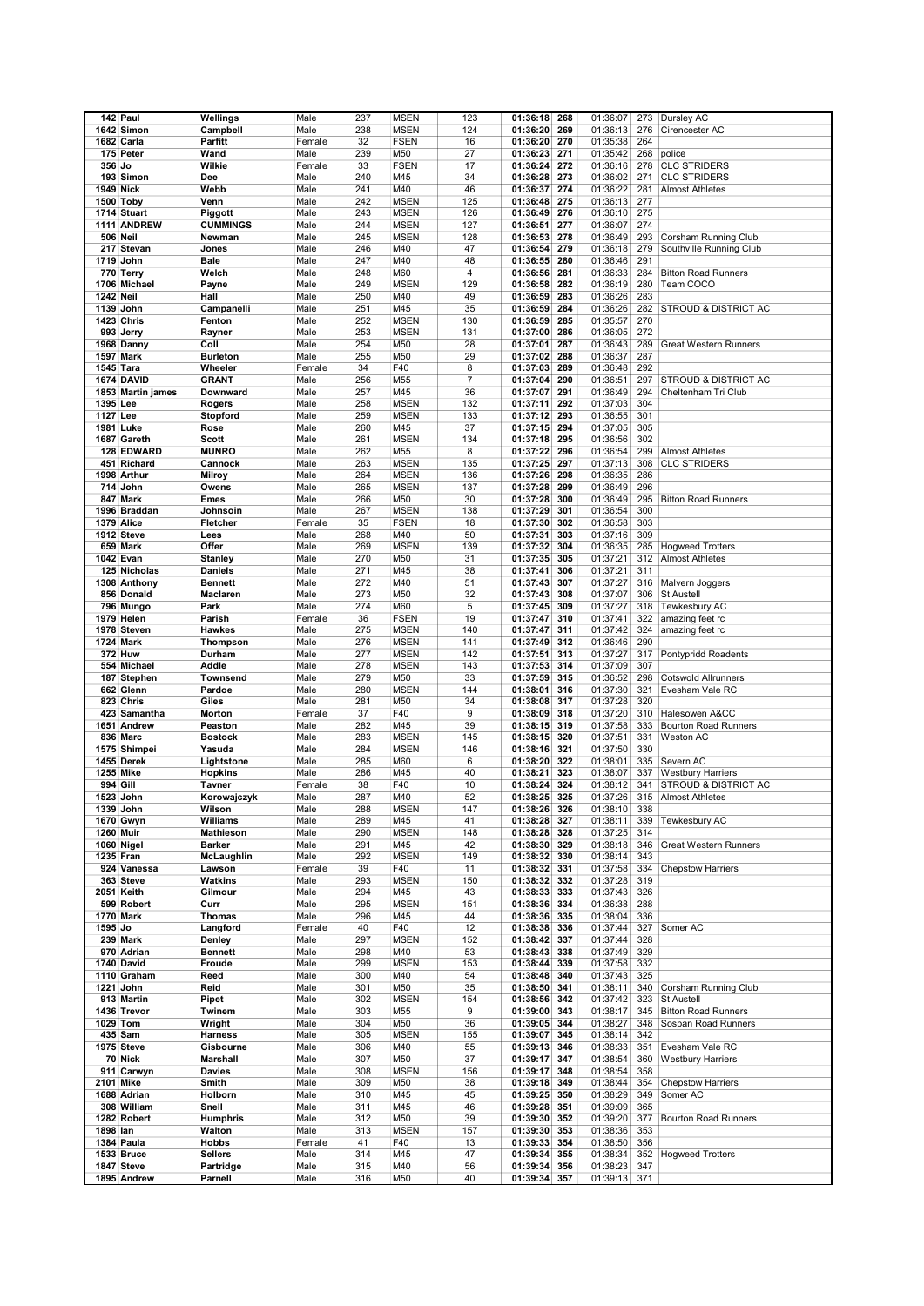|                  | 142 Paul          | Wellings        | Male   | 237 | <b>MSEN</b> | 123            | 01:36:18     | 268 | 01:36:07 | 273 | Dursley AC                      |
|------------------|-------------------|-----------------|--------|-----|-------------|----------------|--------------|-----|----------|-----|---------------------------------|
|                  | 1642 Simon        | Campbell        | Male   | 238 | <b>MSEN</b> | 124            | 01:36:20     | 269 | 01:36:13 | 276 | Cirencester AC                  |
|                  | 1682 Carla        | Parfitt         | Female | 32  | <b>FSEN</b> | 16             | 01:36:20     | 270 | 01:35:38 | 264 |                                 |
|                  |                   |                 |        |     |             |                |              |     |          |     |                                 |
|                  | 175 Peter         | Wand            | Male   | 239 | M50         | 27             | 01:36:23     | 271 | 01:35:42 | 268 | police                          |
| 356 Jo           |                   | Wilkie          | Female | 33  | <b>FSEN</b> | 17             | 01:36:24     | 272 | 01:36:16 | 278 | <b>CLC STRIDERS</b>             |
|                  | 193 Simon         | Dee             | Male   | 240 | M45         | 34             | 01:36:28     | 273 | 01:36:02 | 271 | <b>CLC STRIDERS</b>             |
| 1949 Nick        |                   | Webb            | Male   | 241 | M40         | 46             | 01:36:37     | 274 | 01:36:22 | 281 | <b>Almost Athletes</b>          |
|                  | 1500 Toby         | Venn            | Male   | 242 | <b>MSEN</b> | 125            | 01:36:48     | 275 | 01:36:13 | 277 |                                 |
|                  | 1714 Stuart       | Piggott         | Male   | 243 | <b>MSEN</b> | 126            | 01:36:49     | 276 | 01:36:10 | 275 |                                 |
|                  | 1111 ANDREW       | <b>CUMMINGS</b> | Male   | 244 | <b>MSEN</b> | 127            | 01:36:51     | 277 | 01:36:07 | 274 |                                 |
|                  | <b>506 Neil</b>   | Newman          | Male   | 245 | <b>MSEN</b> | 128            | 01:36:53     | 278 | 01:36:49 | 293 | Corsham Running Club            |
|                  | 217 Stevan        | Jones           | Male   | 246 | M40         | 47             | 01:36:54     | 279 | 01:36:18 | 279 | Southville Running Club         |
|                  | 1719 John         | Bale            | Male   | 247 | M40         | 48             | 01:36:55     | 280 | 01:36:46 | 291 |                                 |
|                  | 770 Terry         | Welch           | Male   | 248 | M60         | 4              | 01:36:56     | 281 | 01:36:33 | 284 | <b>Bitton Road Runners</b>      |
|                  |                   |                 |        | 249 |             |                | 01:36:58     |     |          |     | Team COCO                       |
| <b>1242 Neil</b> | 1706 Michael      | Payne           | Male   |     | <b>MSEN</b> | 129            |              | 282 | 01:36:19 | 280 |                                 |
|                  |                   | Hall            | Male   | 250 | M40         | 49             | 01:36:59     | 283 | 01:36:26 | 283 |                                 |
|                  | 1139 John         | Campanelli      | Male   | 251 | M45         | 35             | 01:36:59     | 284 | 01:36:26 | 282 | <b>STROUD &amp; DISTRICT AC</b> |
|                  | <b>1423 Chris</b> | Fenton          | Male   | 252 | <b>MSEN</b> | 130            | 01:36:59     | 285 | 01:35:57 | 270 |                                 |
|                  | 993 Jerry         | Rayner          | Male   | 253 | <b>MSEN</b> | 131            | 01:37:00     | 286 | 01:36:05 | 272 |                                 |
|                  | 1968 Danny        | Coll            | Male   | 254 | M50         | 28             | 01:37:01     | 287 | 01:36:43 | 289 | <b>Great Western Runners</b>    |
|                  | 1597 Mark         | <b>Burleton</b> | Male   | 255 | M50         | 29             | 01:37:02     | 288 | 01:36:37 | 287 |                                 |
| 1545 Tara        |                   | Wheeler         | Female | 34  | F40         | 8              | 01:37:03     | 289 | 01:36:48 | 292 |                                 |
|                  | 1674 DAVID        | <b>GRANT</b>    | Male   | 256 | M55         | $\overline{7}$ | 01:37:04     | 290 | 01:36:51 | 297 | <b>STROUD &amp; DISTRICT AC</b> |
|                  | 1853 Martin james | Downward        | Male   | 257 | M45         | 36             | 01:37:07     | 291 | 01:36:49 | 294 | Cheltenham Tri Club             |
| 1395 Lee         |                   | Rogers          | Male   | 258 | <b>MSEN</b> | 132            | 01:37:11     | 292 | 01:37:03 | 304 |                                 |
| 1127 Lee         |                   | Stopford        | Male   | 259 | <b>MSEN</b> | 133            | 01:37:12     | 293 | 01:36:55 | 301 |                                 |
|                  | 1981 Luke         | Rose            | Male   | 260 | M45         | 37             | 01:37:15     | 294 | 01:37:05 | 305 |                                 |
|                  | 1687 Gareth       |                 |        | 261 | <b>MSEN</b> | 134            | 01:37:18     | 295 | 01:36:56 | 302 |                                 |
|                  |                   | Scott           | Male   |     |             | 8              |              |     |          | 299 |                                 |
|                  | 128 EDWARD        | <b>MUNRO</b>    | Male   | 262 | M55         |                | 01:37:22     | 296 | 01:36:54 |     | <b>Almost Athletes</b>          |
|                  | 451 Richard       | Cannock         | Male   | 263 | <b>MSEN</b> | 135            | 01:37:25     | 297 | 01:37:13 | 308 | <b>CLC STRIDERS</b>             |
|                  | 1998 Arthur       | <b>Milroy</b>   | Male   | 264 | <b>MSEN</b> | 136            | 01:37:26     | 298 | 01:36:35 | 286 |                                 |
|                  | 714 John          | Owens           | Male   | 265 | <b>MSEN</b> | 137            | 01:37:28     | 299 | 01:36:49 | 296 |                                 |
|                  | 847 Mark          | <b>Emes</b>     | Male   | 266 | M50         | 30             | 01:37:28     | 300 | 01:36:49 | 295 | <b>Bitton Road Runners</b>      |
|                  | 1996 Braddan      | Johnsoin        | Male   | 267 | <b>MSEN</b> | 138            | 01:37:29     | 301 | 01:36:54 | 300 |                                 |
|                  | 1379 Alice        | Fletcher        | Female | 35  | <b>FSEN</b> | 18             | 01:37:30     | 302 | 01:36:58 | 303 |                                 |
|                  | 1912 Steve        | Lees            | Male   | 268 | M40         | 50             | 01:37:31     | 303 | 01:37:16 | 309 |                                 |
|                  | 659 Mark          | Offer           | Male   | 269 | <b>MSEN</b> | 139            | 01:37:32     | 304 | 01:36:35 | 285 | <b>Hogweed Trotters</b>         |
|                  | 1042 Evan         | Stanley         | Male   | 270 | M50         | 31             | 01:37:35     | 305 | 01:37:21 | 312 | <b>Almost Athletes</b>          |
|                  | 125 Nicholas      | <b>Daniels</b>  | Male   | 271 | M45         | 38             | 01:37:41     | 306 | 01:37:21 | 311 |                                 |
|                  | 1308 Anthony      | <b>Bennett</b>  | Male   | 272 | M40         | 51             | 01:37:43     | 307 | 01:37:27 | 316 | Malvern Joggers                 |
|                  | 856 Donald        | Maclaren        | Male   | 273 | M50         | 32             |              | 308 | 01:37:07 | 306 | <b>St Austell</b>               |
|                  |                   |                 |        |     |             |                | 01:37:43     |     |          |     |                                 |
|                  | 796 Mungo         | Park            | Male   | 274 | M60         | 5              | 01:37:45     | 309 | 01:37:27 | 318 | Tewkesbury AC                   |
|                  | 1979 Helen        | Parish          | Female | 36  | <b>FSEN</b> | 19             | 01:37:47     | 310 | 01:37:41 | 322 | amazing feet rc                 |
|                  | 1978 Steven       | <b>Hawkes</b>   | Male   | 275 | <b>MSEN</b> | 140            | 01:37:47     | 311 | 01:37:42 | 324 | amazing feet rc                 |
|                  | 1724 Mark         | <b>Thompson</b> | Male   | 276 | <b>MSEN</b> | 141            | 01:37:49     | 312 | 01:36:46 | 290 |                                 |
|                  | <b>372 Huw</b>    | Durham          | Male   | 277 | <b>MSEN</b> | 142            | 01:37:51     | 313 | 01:37:27 | 317 | Pontypridd Roadents             |
|                  | 554 Michael       | Addle           | Male   | 278 | <b>MSEN</b> | 143            | 01:37:53     | 314 | 01:37:09 | 307 |                                 |
|                  | 187 Stephen       | <b>Townsend</b> | Male   | 279 | M50         | 33             | 01:37:59     | 315 | 01:36:52 | 298 | <b>Cotswold Allrunners</b>      |
|                  | 662 Glenn         | Pardoe          | Male   | 280 | <b>MSEN</b> | 144            | 01:38:01     | 316 | 01:37:30 | 321 | Evesham Vale RC                 |
|                  | 823 Chris         | Giles           | Male   | 281 | M50         | 34             | 01:38:08     | 317 | 01:37:28 | 320 |                                 |
|                  | 423 Samantha      | Morton          | Female | 37  | F40         | 9              | 01:38:09     | 318 | 01:37:20 | 310 | Halesowen A&CC                  |
|                  | 1651 Andrew       | Peaston         | Male   | 282 | M45         | 39             | 01:38:15     | 319 | 01:37:58 | 333 | <b>Bourton Road Runners</b>     |
|                  | 836 Marc          | <b>Bostock</b>  | Male   | 283 | <b>MSEN</b> | 145            | 01:38:15     | 320 | 01:37:51 | 331 | Weston AC                       |
|                  | 1575 Shimpei      | Yasuda          | Male   | 284 | <b>MSEN</b> | 146            | 01:38:16     | 321 | 01:37:50 | 330 |                                 |
|                  | 1455 Derek        | Lightstone      | Male   | 285 | M60         | 6              | 01:38:20     | 322 | 01:38:01 | 335 | Severn AC                       |
|                  |                   |                 |        |     |             |                |              |     |          |     |                                 |
| 1255 Mike        |                   | <b>Hopkins</b>  | Male   | 286 | M45         | 40             | 01:38:21     | 323 | 01:38:07 | 337 | <b>Westbury Harriers</b>        |
| 994 Gill         |                   | Tavner          | Female | 38  | F40         | 10             | 01:38:24     | 324 | 01:38:12 | 341 | <b>STROUD &amp; DISTRICT AC</b> |
|                  | 1523 John         | Korowajczyk     | Male   | 287 | M40         | 52             | 01:38:25     | 325 | 01:37:26 |     | 315 Almost Athletes             |
|                  | 1339 John         | Wilson          | Male   | 288 | <b>MSEN</b> | 147            | 01:38:26 326 |     | 01:38:10 | 338 |                                 |
|                  | 1670 Gwyn         | Williams        | Male   | 289 | M45         | 41             | 01:38:28 327 |     | 01:38:11 | 339 | Tewkesbury AC                   |
| 1260 Muir        |                   | Mathieson       | Male   | 290 | <b>MSEN</b> | 148            | 01:38:28     | 328 | 01:37:25 | 314 |                                 |
|                  | 1060 Nigel        | Barker          | Male   | 291 | M45         | 42             | 01:38:30 329 |     | 01:38:18 | 346 | <b>Great Western Runners</b>    |
|                  | 1235 Fran         | McLaughlin      | Male   | 292 | <b>MSEN</b> | 149            | 01:38:32 330 |     | 01:38:14 | 343 |                                 |
|                  | 924 Vanessa       | Lawson          | Female | 39  | F40         | 11             | 01:38:32 331 |     | 01:37:58 | 334 | <b>Chepstow Harriers</b>        |
|                  | 363 Steve         | Watkins         | Male   | 293 | <b>MSEN</b> | 150            | 01:38:32     | 332 | 01:37:28 | 319 |                                 |
|                  | 2051 Keith        | Gilmour         | Male   | 294 | M45         | 43             | 01:38:33 333 |     | 01:37:43 | 326 |                                 |
|                  | 599 Robert        | Curr            | Male   | 295 | <b>MSEN</b> | 151            | 01:38:36 334 |     | 01:36:38 | 288 |                                 |
|                  | 1770 Mark         | Thomas          | Male   | 296 | M45         | 44             | 01:38:36 335 |     | 01:38:04 | 336 |                                 |
| 1595 Jo          |                   | Langford        | Female | 40  | F40         | 12             | 01:38:38 336 |     | 01:37:44 | 327 | Somer AC                        |
|                  | 239 Mark          | Denley          | Male   | 297 | <b>MSEN</b> | 152            | 01:38:42 337 |     | 01:37:44 | 328 |                                 |
|                  | 970 Adrian        | <b>Bennett</b>  | Male   | 298 | M40         | 53             | 01:38:43     | 338 | 01:37:49 | 329 |                                 |
|                  | 1740 David        | Froude          | Male   | 299 | <b>MSEN</b> | 153            | 01:38:44     | 339 | 01:37:58 | 332 |                                 |
|                  | 1110 Graham       | Reed            | Male   | 300 | M40         | 54             | 01:38:48 340 |     | 01:37:43 | 325 |                                 |
|                  |                   |                 | Male   | 301 | M50         |                |              |     |          | 340 |                                 |
|                  | 1221 John         | Reid            |        |     |             | 35             | 01:38:50 341 |     | 01:38:11 |     | Corsham Running Club            |
|                  | 913 Martin        | Pipet           | Male   | 302 | <b>MSEN</b> | 154            | 01:38:56 342 |     | 01:37:42 | 323 | St Austell                      |
|                  | 1436 Trevor       | Twinem          | Male   | 303 | M55         | 9              | 01:39:00     | 343 | 01:38:17 | 345 | <b>Bitton Road Runners</b>      |
|                  | 1029 Tom          | Wright          | Male   | 304 | M50         | 36             | 01:39:05     | 344 | 01:38:27 | 348 | Sospan Road Runners             |
|                  | 435 Sam           | <b>Harness</b>  | Male   | 305 | <b>MSEN</b> | 155            | 01:39:07     | 345 | 01:38:14 | 342 |                                 |
|                  | 1975 Steve        | Gisbourne       | Male   | 306 | M40         | 55             | 01:39:13     | 346 | 01:38:33 | 351 | Evesham Vale RC                 |
|                  | 70 Nick           | Marshall        | Male   | 307 | M50         | 37             | 01:39:17     | 347 | 01:38:54 | 360 | <b>Westbury Harriers</b>        |
|                  | 911 Carwyn        | Davies          | Male   | 308 | <b>MSEN</b> | 156            | 01:39:17     | 348 | 01:38:54 | 358 |                                 |
|                  | 2101 Mike         | Smith           | Male   | 309 | M50         | 38             | 01:39:18 349 |     | 01:38:44 | 354 | <b>Chepstow Harriers</b>        |
|                  | 1688 Adrian       | Holborn         | Male   | 310 | M45         | 45             | 01:39:25 350 |     | 01:38:29 | 349 | Somer AC                        |
|                  | 308 William       | Snell           | Male   | 311 | M45         | 46             | 01:39:28 351 |     | 01:39:09 | 365 |                                 |
|                  | 1282 Robert       | <b>Humphris</b> | Male   | 312 | M50         | 39             | 01:39:30 352 |     | 01:39:20 | 377 | <b>Bourton Road Runners</b>     |
| 1898 lan         |                   | Walton          | Male   | 313 | <b>MSEN</b> | 157            | 01:39:30     | 353 | 01:38:36 | 353 |                                 |
|                  |                   |                 |        |     |             |                |              |     |          |     |                                 |
|                  | 1384 Paula        | Hobbs           | Female | 41  | F40         | 13             | 01:39:33     | 354 | 01:38:50 | 356 |                                 |
|                  | 1533 Bruce        | Sellers         | Male   | 314 | M45         | 47             | 01:39:34     | 355 | 01:38:34 | 352 | <b>Hogweed Trotters</b>         |
|                  | 1847 Steve        | Partridge       | Male   | 315 | M40         | 56             | 01:39:34     | 356 | 01:38:23 | 347 |                                 |
|                  | 1895 Andrew       | Parnell         | Male   | 316 | M50         | 40             | 01:39:34     | 357 | 01:39:13 | 371 |                                 |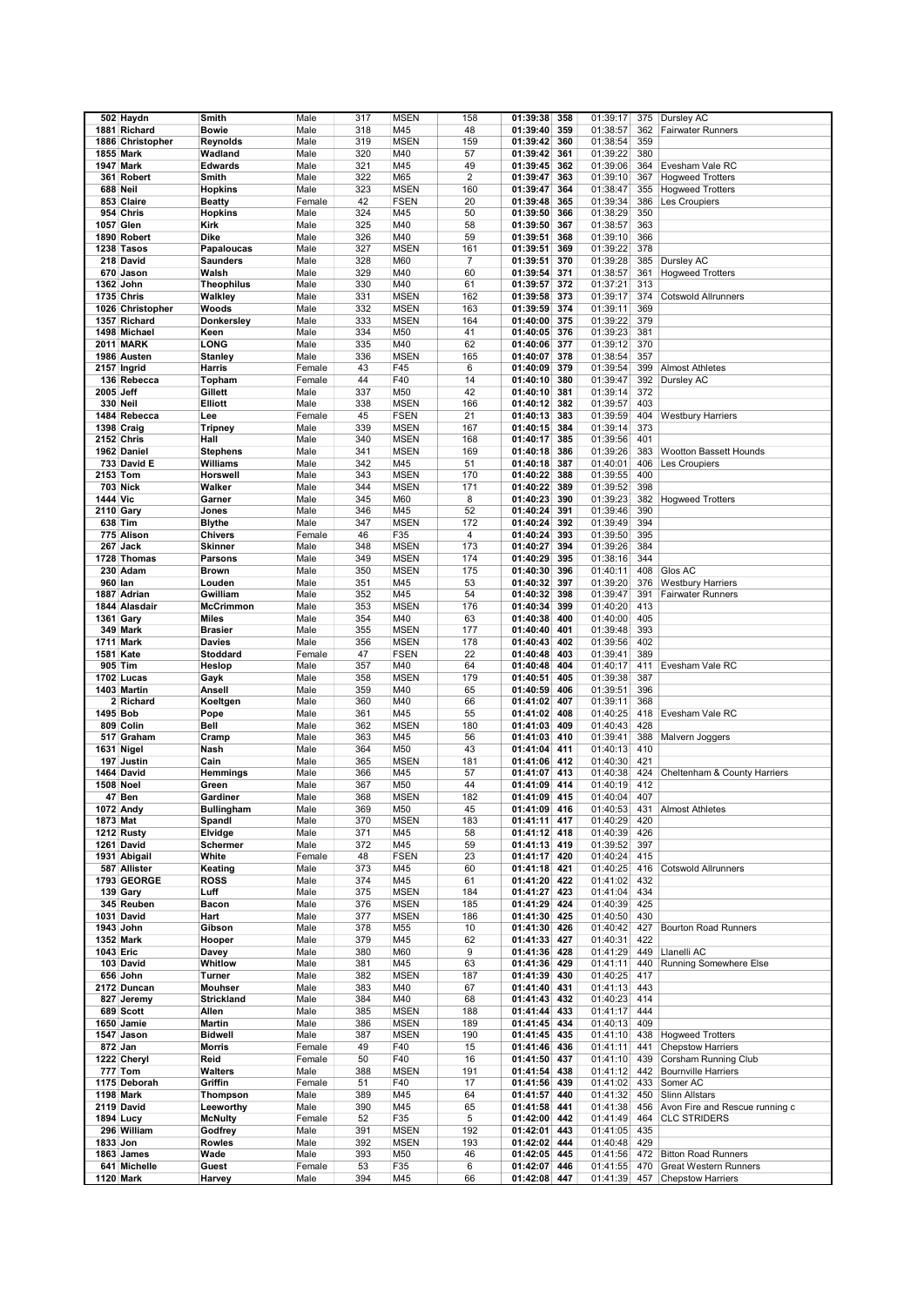|                  | 502 Haydn                 | Smith             | Male           | 317       | <b>MSEN</b> | 158                     |                                    | 01:39:17             |            | Dursley AC                                        |
|------------------|---------------------------|-------------------|----------------|-----------|-------------|-------------------------|------------------------------------|----------------------|------------|---------------------------------------------------|
|                  |                           |                   |                |           |             |                         | 01:39:38<br>358                    |                      | 375        |                                                   |
|                  | 1881 Richard              | <b>Bowie</b>      | Male           | 318       | M45         | 48                      | 01:39:40<br>359                    | 01:38:57             | 362        | <b>Fairwater Runners</b>                          |
|                  | 1886 Christopher          | Reynolds          | Male           | 319       | <b>MSEN</b> | 159                     | 01:39:42<br>360                    | 01:38:54             | 359        |                                                   |
|                  | 1855 Mark                 | Wadland           | Male           | 320       | M40         | 57                      | 01:39:42<br>361                    | 01:39:22             | 380        |                                                   |
|                  | <b>1947 Mark</b>          | <b>Edwards</b>    | Male           | 321       | M45         | 49                      | 01:39:45<br>362                    | 01:39:06             | 364        | Evesham Vale RC                                   |
|                  | 361 Robert                | Smith             | Male           | 322       | M65         | $\overline{\mathbf{c}}$ | 01:39:47<br>363                    | 01:39:10             | 367        | <b>Hogweed Trotters</b>                           |
|                  | 688 Neil                  | <b>Hopkins</b>    | Male           | 323       | <b>MSEN</b> | 160                     | 01:39:47<br>364                    | 01:38:47             | 355        | <b>Hogweed Trotters</b>                           |
|                  | 853 Claire                | <b>Beatty</b>     | Female         | 42        | <b>FSEN</b> | 20                      | 01:39:48<br>365                    | 01:39:34             | 386        | Les Croupiers                                     |
|                  |                           |                   |                |           |             |                         |                                    |                      |            |                                                   |
|                  | 954 Chris                 | <b>Hopkins</b>    | Male           | 324       | M45         | 50                      | 01:39:50<br>366                    | 01:38:29             | 350        |                                                   |
| 1057 Glen        |                           | Kirk              | Male           | 325       | M40         | 58                      | 01:39:50<br>367                    | 01:38:57             | 363        |                                                   |
|                  | 1890 Robert               | Dike              | Male           | 326       | M40         | 59                      | 01:39:51<br>368                    | 01:39:10             | 366        |                                                   |
|                  | 1238 Tasos                | Papaloucas        | Male           | 327       | <b>MSEN</b> | 161                     | 01:39:51<br>369                    | 01:39:22             | 378        |                                                   |
|                  | 218 David                 | <b>Saunders</b>   | Male           | 328       | M60         | $\overline{7}$          | 01:39:51<br>370                    | 01:39:28             | 385        | Dursley AC                                        |
|                  | 670 Jason                 | Walsh             | Male           | 329       | M40         | 60                      | 01:39:54<br>371                    | 01:38:57             | 361        | <b>Hogweed Trotters</b>                           |
|                  | 1362 John                 | <b>Theophilus</b> | Male           | 330       | M40         | 61                      | 01:39:57<br>372                    | 01:37:21             | 313        |                                                   |
|                  |                           |                   |                |           |             |                         |                                    |                      |            |                                                   |
|                  | <b>1735 Chris</b>         | Walkley           | Male           | 331       | <b>MSEN</b> | 162                     | 01:39:58<br>373                    | 01:39:17             | 374        | <b>Cotswold Allrunners</b>                        |
|                  | 1026 Christopher          | Woods             | Male           | 332       | <b>MSEN</b> | 163                     | 01:39:59<br>374                    | 01:39:11             | 369        |                                                   |
|                  | 1357 Richard              | <b>Donkersley</b> | Male           | 333       | <b>MSEN</b> | 164                     | 01:40:00<br>375                    | 01:39:22             | 379        |                                                   |
|                  | 1498 Michael              | Keen              | Male           | 334       | M50         | 41                      | 01:40:05<br>376                    | 01:39:23             | 381        |                                                   |
|                  | <b>2011 MARK</b>          | LONG              | Male           | 335       | M40         | 62                      | 01:40:06<br>377                    | 01:39:12             | 370        |                                                   |
|                  | 1986 Austen               | Stanley           | Male           | 336       | <b>MSEN</b> | 165                     | 01:40:07<br>378                    | 01:38:54             | 357        |                                                   |
|                  | 2157 Ingrid               | Harris            | Female         | 43        | F45         | 6                       | 01:40:09<br>379                    | 01:39:54             | 399        | <b>Almost Athletes</b>                            |
|                  | 136 Rebecca               | Topham            | Female         | 44        | F40         | 14                      | 01:40:10<br>380                    | 01:39:47             | 392        | Dursley AC                                        |
|                  |                           |                   |                |           |             |                         |                                    |                      |            |                                                   |
| 2005 Jeff        |                           | Gillett           | Male           | 337       | M50         | 42                      | 01:40:10<br>381                    | 01:39:14             | 372        |                                                   |
|                  | 330 Neil                  | <b>Elliott</b>    | Male           | 338       | <b>MSEN</b> | 166                     | 01:40:12<br>382                    | 01:39:57             | 403        |                                                   |
|                  | 1484 Rebecca              | Lee               | Female         | 45        | <b>FSEN</b> | 21                      | 01:40:13<br>383                    | 01:39:59             | 404        | <b>Westbury Harriers</b>                          |
|                  | 1398 Craig                | <b>Tripney</b>    | Male           | 339       | <b>MSEN</b> | 167                     | 01:40:15<br>384                    | 01:39:14             | 373        |                                                   |
|                  | <b>2152 Chris</b>         | Hall              | Male           | 340       | <b>MSEN</b> | 168                     | 385<br>01:40:17                    | 01:39:56             | 401        |                                                   |
|                  | 1962 Daniel               | <b>Stephens</b>   | Male           | 341       | <b>MSEN</b> | 169                     | 01:40:18<br>386                    | 01:39:26             | 383        | <b>Wootton Bassett Hounds</b>                     |
|                  | 733 David E               | Williams          | Male           | 342       | M45         | 51                      | 01:40:18<br>387                    | 01:40:01             | 406        | Les Croupiers                                     |
|                  |                           | Horswell          |                |           |             |                         |                                    |                      | 400        |                                                   |
| 2153 Tom         |                           |                   | Male           | 343       | <b>MSEN</b> | 170                     | 01:40:22<br>388                    | 01:39:55             |            |                                                   |
|                  | <b>703 Nick</b>           | Walker            | Male           | 344       | <b>MSEN</b> | 171                     | 01:40:22<br>389                    | 01:39:52             | 398        |                                                   |
| 1444 Vic         |                           | Garner            | Male           | 345       | M60         | 8                       | 01:40:23<br>390                    | 01:39:23             | 382        | <b>Hogweed Trotters</b>                           |
|                  | <b>2110 Gary</b>          | Jones             | Male           | 346       | M45         | 52                      | 01:40:24<br>391                    | 01:39:46             | 390        |                                                   |
|                  | 638 Tim                   | <b>Blythe</b>     | Male           | 347       | <b>MSEN</b> | 172                     | 01:40:24<br>392                    | 01:39:49             | 394        |                                                   |
|                  | 775 Alison                | <b>Chivers</b>    | Female         | 46        | F35         | 4                       | 01:40:24<br>393                    | 01:39:50             | 395        |                                                   |
|                  | 267 Jack                  | <b>Skinner</b>    | Male           | 348       | <b>MSEN</b> | 173                     | 01:40:27<br>394                    | 01:39:26             | 384        |                                                   |
|                  | 1728 Thomas               | <b>Parsons</b>    | Male           | 349       | <b>MSEN</b> | 174                     | 395                                | 01:38:16             | 344        |                                                   |
|                  |                           |                   |                |           |             |                         | 01:40:29                           |                      |            |                                                   |
|                  | 230 Adam                  | <b>Brown</b>      | Male           | 350       | <b>MSEN</b> | 175                     | 01:40:30<br>396                    | 01:40:11             | 408        | Glos AC                                           |
| 960 lan          |                           | Louden            | Male           | 351       | M45         | 53                      | 01:40:32<br>397                    | 01:39:20             | 376        | <b>Westbury Harriers</b>                          |
|                  | 1887 Adrian               | Gwilliam          | Male           | 352       | M45         | 54                      | 01:40:32<br>398                    | 01:39:47             | 391        | <b>Fairwater Runners</b>                          |
|                  | 1844 Alasdair             | <b>McCrimmon</b>  | Male           | 353       | <b>MSEN</b> | 176                     | 01:40:34<br>399                    | 01:40:20             | 413        |                                                   |
| 1361 Gary        |                           | <b>Miles</b>      | Male           | 354       | M40         | 63                      | 400<br>01:40:38                    | 01:40:00             | 405        |                                                   |
|                  | 349 Mark                  | <b>Brasier</b>    | Male           | 355       | <b>MSEN</b> | 177                     | 01:40:40<br>401                    | 01:39:48             | 393        |                                                   |
|                  | 1711 Mark                 | Davies            | Male           | 356       | <b>MSEN</b> | 178                     | 01:40:43<br>402                    | 01:39:56             | 402        |                                                   |
| 1581 Kate        |                           | Stoddard          | Female         | 47        | <b>FSEN</b> | 22                      | 01:40:48<br>403                    | 01:39:41             | 389        |                                                   |
|                  |                           |                   |                |           | M40         |                         |                                    |                      |            |                                                   |
|                  | 905 Tim                   | Heslop            | Male           | 357       |             | 64                      | 01:40:48<br>404                    | 01:40:17             | 411        | Evesham Vale RC                                   |
|                  | 1702 Lucas                | Gayk              | Male           | 358       | <b>MSEN</b> | 179                     | 01:40:51<br>405                    | 01:39:38             | 387        |                                                   |
|                  | 1403 Martin               | Ansell            | Male           | 359       | M40         | 65                      | 01:40:59<br>406                    | 01:39:51             | 396        |                                                   |
|                  | 2 Richard                 | Koeltgen          | Male           | 360       | M40         | 66                      | 01:41:02<br>407                    | 01:39:11             | 368        |                                                   |
| 1495 Bob         |                           | Pope              | Male           | 361       | M45         | 55                      | 01:41:02<br>408                    | 01:40:25             | 418        | Evesham Vale RC                                   |
|                  | 809 Colin                 | Bell              | Male           | 362       | <b>MSEN</b> | 180                     | 01:41:03<br>409                    | 01:40:43             | 428        |                                                   |
|                  | 517 Graham                |                   |                |           | M45         |                         | 01:41:03<br>410                    |                      |            | Malvern Joggers                                   |
|                  |                           |                   |                |           |             |                         |                                    |                      |            |                                                   |
|                  |                           | Cramp             | Male           | 363       |             | 56                      |                                    | 01:39:41             | 388        |                                                   |
| 1631 Nigel       |                           | Nash              | Male           | 364       | M50         | 43                      | 01:41:04<br>411                    | 01:40:13             | 410        |                                                   |
|                  | 197 Justin                | Cain              | Male           | 365       | <b>MSEN</b> | 181                     | 01:41:06<br>412                    | 01:40:30             | 421        |                                                   |
|                  | 1464 David                | <b>Hemmings</b>   | Male           | 366       | M45         | 57                      | 413<br>01:41:07                    | 01:40:38             | 424        | Cheltenham & County Harriers                      |
| <b>1508 Noel</b> |                           | Green             | Male           | 367       | M50         | 44                      | 01:41:09<br>414                    | 01:40:19             | 412        |                                                   |
|                  | 47 Ben                    | Gardiner          | Male           | 368       | <b>MSEN</b> | 182                     | 01:41:09 415                       | 01:40:04             | 407        |                                                   |
|                  | 1072 Andy                 | <b>Bullingham</b> | Male           | 369       | M50         | 45                      | 01:41:09 416                       | 01:40:53             | 431        | <b>Almost Athletes</b>                            |
| 1873 Mat         |                           | Spandl            | Male           | 370       | <b>MSEN</b> | 183                     | 01:41:11 417                       | 01:40:29             | 420        |                                                   |
|                  | 1212 Rusty                | Elvidge           | Male           | 371       | M45         | 58                      | 01:41:12<br>418                    | 01:40:39             | 426        |                                                   |
|                  | 1261 David                | Schermer          | Male           | 372       | M45         | 59                      |                                    | 01:39:52             | 397        |                                                   |
|                  |                           |                   |                |           |             |                         | 01:41:13 419                       |                      |            |                                                   |
|                  | 1931 Abigail              | White             | Female         | 48        | <b>FSEN</b> | 23                      | 01:41:17 420                       | 01:40:24             | 415        |                                                   |
|                  | 587 Allister              | Keating           | Male           | 373       | M45         | 60                      | 01:41:18 421                       | 01:40:25             | 416        | <b>Cotswold Allrunners</b>                        |
|                  | 1793 GEORGE               | <b>ROSS</b>       | Male           | 374       | M45         | 61                      | 01:41:20<br>422                    | 01:41:02             | 432        |                                                   |
|                  | 139 Gary                  | Luff              | Male           | 375       | <b>MSEN</b> | 184                     | 01:41:27<br>423                    | 01:41:04             | 434        |                                                   |
|                  | 345 Reuben                | Bacon             | Male           | 376       | <b>MSEN</b> | 185                     | 01:41:29<br>424                    | 01:40:39             | 425        |                                                   |
|                  | 1031 David                | Hart              | Male           | 377       | <b>MSEN</b> | 186                     | 01:41:30<br>425                    | 01:40:50             | 430        |                                                   |
|                  | 1943 John                 | Gibson            | Male           | 378       | M55         | 10                      | 01:41:30<br>426                    | 01:40:42             | 427        | <b>Bourton Road Runners</b>                       |
|                  | 1352 Mark                 | Hooper            | Male           | 379       | M45         | 62                      | 01:41:33<br>427                    | 01:40:31             | 422        |                                                   |
|                  |                           |                   |                |           |             |                         |                                    |                      |            |                                                   |
| 1043 Eric        |                           | Davey             | Male           | 380       | M60         | 9                       | 01:41:36 428                       | 01:41:29             | 449        | Llanelli AC                                       |
|                  | 103 David                 | Whitlow           | Male           | 381       | M45         | 63                      | 01:41:36 429                       | 01:41:11             | 440        | <b>Running Somewhere Else</b>                     |
|                  | 656 John                  | Turner            | Male           | 382       | <b>MSEN</b> | 187                     | 01:41:39<br>430                    | 01:40:25             | 417        |                                                   |
|                  | 2172 Duncan               | Mouhser           | Male           | 383       | M40         | 67                      | 01:41:40<br>431                    | 01:41:13             | 443        |                                                   |
|                  | 827 Jeremy                | Strickland        | Male           | 384       | M40         | 68                      | 01:41:43<br>432                    | 01:40:23             | 414        |                                                   |
|                  | 689 Scott                 | Allen             | Male           | 385       | <b>MSEN</b> | 188                     | 01:41:44<br>433                    | 01:41:17             | 444        |                                                   |
|                  | 1650 Jamie                | <b>Martin</b>     | Male           | 386       | <b>MSEN</b> | 189                     | 01:41:45<br>434                    | 01:40:13             | 409        |                                                   |
|                  | 1547 Jason                | <b>Bidwell</b>    | Male           | 387       | <b>MSEN</b> | 190                     | 01:41:45<br>435                    | 01:41:10             | 438        | <b>Hogweed Trotters</b>                           |
|                  | 872 Jan                   | <b>Morris</b>     | Female         | 49        | F40         | 15                      | 01:41:46<br>436                    | 01:41:11             | 441        | <b>Chepstow Harriers</b>                          |
|                  |                           |                   |                |           |             |                         | 437                                |                      | 439        |                                                   |
|                  | 1222 Cheryl               | Reid              | Female         | 50        | F40         | 16                      | 01:41:50                           | 01:41:10             |            | Corsham Running Club                              |
|                  | <b>777 Tom</b>            | Walters           | Male           | 388       | <b>MSEN</b> | 191                     | 01:41:54<br>438                    | 01:41:12             | 442        | <b>Bournville Harriers</b>                        |
|                  | 1175 Deborah              | Griffin           | Female         | 51        | F40         | 17                      | 01:41:56<br>439                    | 01:41:02             | 433        | Somer AC                                          |
|                  | 1198 Mark                 | Thompson          | Male           | 389       | M45         | 64                      | 01:41:57<br>440                    | 01:41:32             | 450        | <b>Slinn Allstars</b>                             |
|                  | 2119 David                | Leeworthy         | Male           | 390       | M45         | 65                      | 01:41:58<br>441                    | 01:41:38             | 456        | Avon Fire and Rescue running c                    |
|                  | 1894 Lucy                 | <b>McNulty</b>    | Female         | 52        | F35         | 5                       | 01:42:00<br>442                    | 01:41:49             | 464        | <b>CLC STRIDERS</b>                               |
|                  | 296 William               | Godfrey           | Male           | 391       | <b>MSEN</b> | 192                     | 01:42:01<br>443                    | 01:41:05             | 435        |                                                   |
| 1833 Jon         |                           | <b>Rowles</b>     | Male           | 392       | <b>MSEN</b> | 193                     | 01:42:02<br>444                    | 01:40:48             | 429        |                                                   |
|                  | 1863 James                | Wade              | Male           | 393       | M50         | 46                      | 01:42:05<br>445                    | 01:41:56             | 472        | <b>Bitton Road Runners</b>                        |
|                  |                           |                   |                |           |             |                         |                                    |                      |            |                                                   |
|                  | 641 Michelle<br>1120 Mark | Guest<br>Harvey   | Female<br>Male | 53<br>394 | F35<br>M45  | 6<br>66                 | 01:42:07<br>446<br>01:42:08<br>447 | 01:41:55<br>01:41:39 | 470<br>457 | Great Western Runners<br><b>Chepstow Harriers</b> |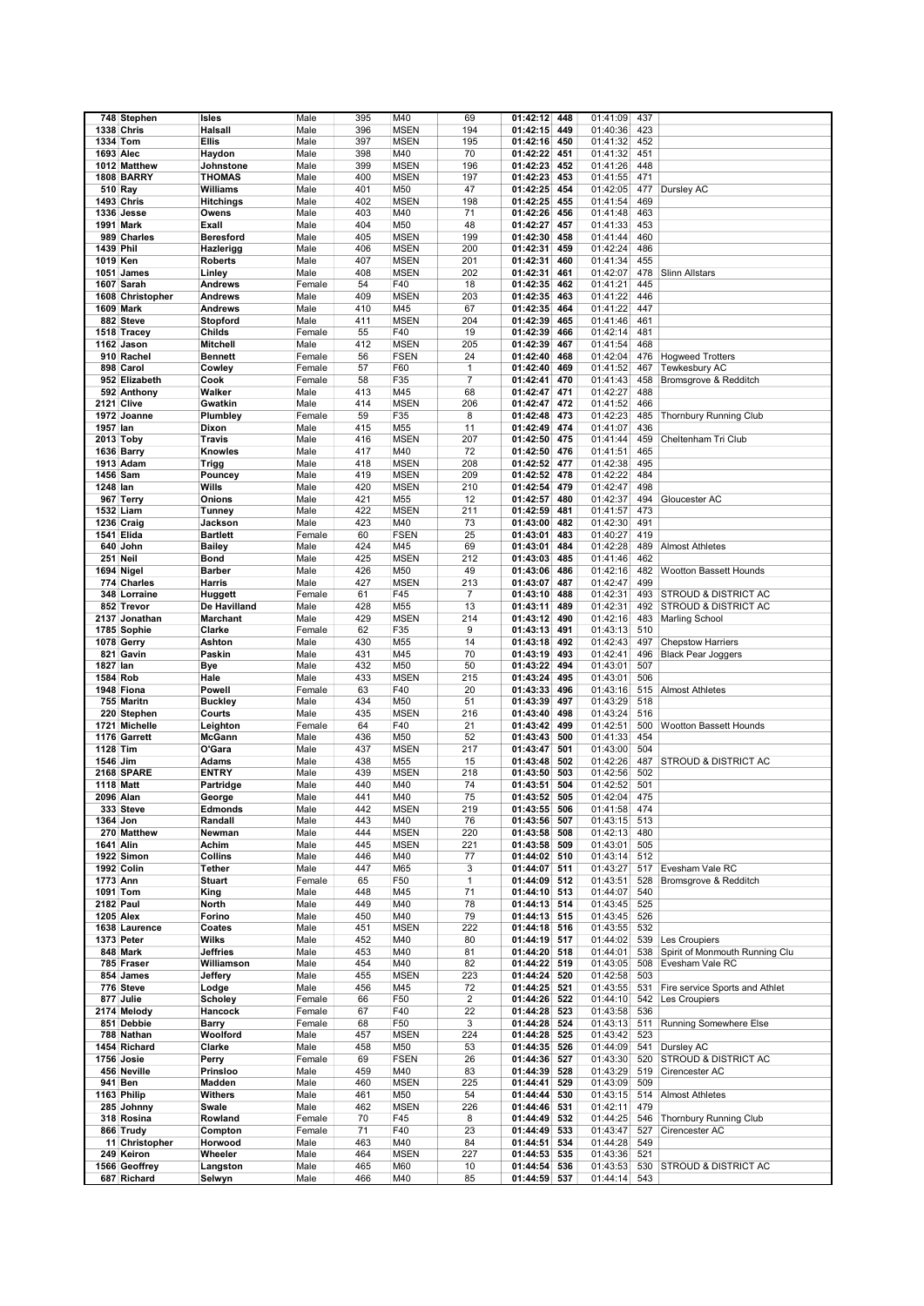|                  | 748 Stephen       | Isles            | Male   | 395 | M40         | 69             | 01:42:12     | 448 | 01:41:09 | 437 |                                 |
|------------------|-------------------|------------------|--------|-----|-------------|----------------|--------------|-----|----------|-----|---------------------------------|
|                  | 1338 Chris        | <b>Halsall</b>   |        | 396 | <b>MSEN</b> | 194            |              |     |          | 423 |                                 |
|                  |                   |                  | Male   |     |             |                | 01:42:15     | 449 | 01:40:36 |     |                                 |
| 1334 Tom         |                   | <b>Ellis</b>     | Male   | 397 | <b>MSEN</b> | 195            | 01:42:16     | 450 | 01:41:32 | 452 |                                 |
| 1693 Alec        |                   | Haydon           | Male   | 398 | M40         | 70             | 01:42:22     | 451 | 01:41:32 | 451 |                                 |
|                  | 1012 Matthew      | Johnstone        | Male   | 399 | <b>MSEN</b> | 196            | 01:42:23     | 452 | 01:41:26 | 448 |                                 |
|                  | <b>1808 BARRY</b> | <b>THOMAS</b>    | Male   | 400 | <b>MSEN</b> | 197            | 01:42:23     | 453 | 01:41:55 | 471 |                                 |
| 510 Ray          |                   | Williams         | Male   | 401 | M50         | 47             | 01:42:25     | 454 | 01:42:05 | 477 | Dursley AC                      |
|                  | <b>1493 Chris</b> | <b>Hitchings</b> | Male   | 402 | <b>MSEN</b> | 198            | 01:42:25     | 455 | 01:41:54 | 469 |                                 |
|                  | 1336 Jesse        | Owens            | Male   | 403 | M40         | 71             | 01:42:26     | 456 | 01:41:48 | 463 |                                 |
|                  | 1991 Mark         | Exall            | Male   | 404 | M50         | 48             | 01:42:27     | 457 | 01:41:33 | 453 |                                 |
|                  |                   |                  |        |     |             |                |              |     |          |     |                                 |
|                  | 989 Charles       | <b>Beresford</b> | Male   | 405 | <b>MSEN</b> | 199            | 01:42:30     | 458 | 01:41:44 | 460 |                                 |
| 1439 Phil        |                   | Hazlerigg        | Male   | 406 | <b>MSEN</b> | 200            | 01:42:31     | 459 | 01:42:24 | 486 |                                 |
| 1019 Ken         |                   | <b>Roberts</b>   | Male   | 407 | <b>MSEN</b> | 201            | 01:42:31     | 460 | 01:41:34 | 455 |                                 |
|                  | 1051 James        | Linley           | Male   | 408 | <b>MSEN</b> | 202            | 01:42:31     | 461 | 01:42:07 | 478 | <b>Slinn Allstars</b>           |
|                  | 1607 Sarah        | <b>Andrews</b>   | Female | 54  | F40         | 18             | 01:42:35     | 462 | 01:41:21 | 445 |                                 |
|                  | 1608 Christopher  | Andrews          | Male   | 409 | <b>MSEN</b> | 203            | 01:42:35     | 463 | 01:41:22 | 446 |                                 |
|                  | 1609 Mark         | <b>Andrews</b>   | Male   | 410 | M45         | 67             | 01:42:35     | 464 | 01:41:22 | 447 |                                 |
|                  | 882 Steve         | Stopford         | Male   | 411 | <b>MSEN</b> | 204            | 01:42:39     | 465 | 01:41:46 | 461 |                                 |
|                  | 1518 Tracey       | Childs           | Female | 55  | F40         | 19             | 01:42:39     | 466 | 01:42:14 | 481 |                                 |
|                  | 1162 Jason        | Mitchell         | Male   | 412 | <b>MSEN</b> | 205            | 01:42:39     | 467 | 01:41:54 | 468 |                                 |
|                  | 910 Rachel        | <b>Bennett</b>   | Female | 56  | <b>FSEN</b> | 24             | 01:42:40     | 468 | 01:42:04 | 476 | <b>Hogweed Trotters</b>         |
|                  | 898 Carol         | Cowley           | Female | 57  | F60         | 1              | 01:42:40     | 469 | 01:41:52 | 467 | Tewkesbury AC                   |
|                  |                   |                  |        |     |             |                |              |     |          |     |                                 |
|                  | 952 Elizabeth     | Cook             | Female | 58  | F35         | $\overline{7}$ | 01:42:41     | 470 | 01:41:43 | 458 | Bromsgrove & Redditch           |
|                  | 592 Anthony       | Walker           | Male   | 413 | M45         | 68             | 01:42:47     | 471 | 01:42:27 | 488 |                                 |
| 2121 Clive       |                   | Gwatkin          | Male   | 414 | <b>MSEN</b> | 206            | 01:42:47     | 472 | 01:41:52 | 466 |                                 |
|                  | 1972 Joanne       | Plumbley         | Female | 59  | F35         | 8              | 01:42:48     | 473 | 01:42:23 | 485 | <b>Thornbury Running Club</b>   |
| 1957 lan         |                   | Dixon            | Male   | 415 | M55         | 11             | 01:42:49     | 474 | 01:41:07 | 436 |                                 |
| 2013 Toby        |                   | Travis           | Male   | 416 | <b>MSEN</b> | 207            | 01:42:50     | 475 | 01:41:44 | 459 | Cheltenham Tri Club             |
|                  | 1636 Barry        | Knowles          | Male   | 417 | M40         | 72             | 01:42:50     | 476 | 01:41:51 | 465 |                                 |
|                  | 1913 Adam         | <b>Trigg</b>     | Male   | 418 | <b>MSEN</b> | 208            | 01:42:52     | 477 | 01:42:38 | 495 |                                 |
| 1456 Sam         |                   | Pouncey          | Male   | 419 | <b>MSEN</b> | 209            | 01:42:52     | 478 | 01:42:22 | 484 |                                 |
| 1248 lan         |                   | Wills            | Male   | 420 | <b>MSEN</b> | 210            | 01:42:54     | 479 | 01:42:47 | 498 |                                 |
|                  | 967 Terry         | Onions           | Male   | 421 | M55         | 12             | 01:42:57     | 480 | 01:42:37 | 494 | Gloucester AC                   |
| 1532 Liam        |                   |                  | Male   | 422 | <b>MSEN</b> | 211            | 01:42:59     | 481 | 01:41:57 | 473 |                                 |
|                  |                   | Tunney           |        |     |             |                |              |     |          |     |                                 |
|                  | 1236 Craig        | Jackson          | Male   | 423 | M40         | 73             | 01:43:00     | 482 | 01:42:30 | 491 |                                 |
|                  | 1541 Elida        | <b>Bartlett</b>  | Female | 60  | <b>FSEN</b> | 25             | 01:43:01     | 483 | 01:40:27 | 419 |                                 |
|                  | 640 John          | <b>Bailey</b>    | Male   | 424 | M45         | 69             | 01:43:01     | 484 | 01:42:28 | 489 | <b>Almost Athletes</b>          |
| 251 Neil         |                   | Bond             | Male   | 425 | <b>MSEN</b> | 212            | 01:43:03     | 485 | 01:41:46 | 462 |                                 |
|                  | 1694 Nigel        | <b>Barber</b>    | Male   | 426 | M50         | 49             | 01:43:06     | 486 | 01:42:16 | 482 | Wootton Bassett Hounds          |
|                  | 774 Charles       | Harris           | Male   | 427 | <b>MSEN</b> | 213            | 01:43:07     | 487 | 01:42:47 | 499 |                                 |
|                  | 348 Lorraine      | Huggett          | Female | 61  | F45         | $\overline{7}$ | 01:43:10     | 488 | 01:42:31 | 493 | <b>STROUD &amp; DISTRICT AC</b> |
|                  | 852 Trevor        | De Havilland     | Male   | 428 | M55         | 13             | 01:43:11     | 489 | 01:42:31 | 492 | STROUD & DISTRICT AC            |
|                  | 2137 Jonathan     | <b>Marchant</b>  | Male   | 429 | <b>MSEN</b> | 214            | 01:43:12     | 490 | 01:42:16 | 483 | <b>Marling School</b>           |
|                  | 1785 Sophie       | Clarke           | Female | 62  | F35         | 9              | 01:43:13     | 491 | 01:43:13 | 510 |                                 |
|                  | 1078 Gerry        | Ashton           | Male   | 430 | M55         | 14             | 01:43:18     | 492 | 01:42:43 | 497 | <b>Chepstow Harriers</b>        |
|                  | 821 Gavin         | Paskin           | Male   | 431 | M45         | 70             | 01:43:19     | 493 | 01:42:41 | 496 | <b>Black Pear Joggers</b>       |
| 1827 lan         |                   | <b>Bye</b>       | Male   | 432 | M50         | 50             | 01:43:22     | 494 | 01:43:01 | 507 |                                 |
|                  |                   |                  |        |     |             |                |              |     |          |     |                                 |
| 1584 Rob         |                   | Hale             | Male   | 433 | <b>MSEN</b> | 215            | 01:43:24     | 495 | 01:43:01 | 506 |                                 |
|                  | 1948 Fiona        | Powell           | Female | 63  | F40         | 20             | 01:43:33     | 496 | 01:43:16 | 515 | <b>Almost Athletes</b>          |
|                  | 755 Maritn        | <b>Buckley</b>   | Male   | 434 | M50         | 51             | 01:43:39     | 497 | 01:43:29 | 518 |                                 |
|                  | 220 Stephen       | Courts           | Male   | 435 | <b>MSEN</b> | 216            | 01:43:40     | 498 | 01:43:24 | 516 |                                 |
|                  | 1721 Michelle     | Leighton         | Female | 64  | F40         | 21             | 01:43:42     | 499 | 01:42:51 | 500 | <b>Wootton Bassett Hounds</b>   |
|                  | 1176 Garrett      | McGann           | Male   | 436 | M50         | 52             | 01:43:43     | 500 | 01:41:33 | 454 |                                 |
| 1128 Tim         |                   | O'Gara           | Male   | 437 | <b>MSEN</b> | 217            | 01:43:47     | 501 | 01:43:00 | 504 |                                 |
| 1546 Jim         |                   | <b>Adams</b>     | Male   | 438 | M55         | 15             | 01:43:48     | 502 | 01:42:26 | 487 | STROUD & DISTRICT AC            |
|                  | 2168 SPARE        | <b>ENTRY</b>     | Male   | 439 | <b>MSEN</b> | 218            | 01:43:50     | 503 | 01:42:56 | 502 |                                 |
| 1118 Matt        |                   | Partridge        | Male   | 440 | M40         | 74             | 01:43:51     | 504 | 01:42:52 | 501 |                                 |
| 2096 Alan        |                   | George           | Male   | 441 | M40         | 75             | 01:43:52     | 505 | 01:42:04 | 475 |                                 |
|                  | 333 Steve         | Edmonds          | Male   | 442 | <b>MSEN</b> | 219            | 01:43:55 506 |     | 01:41:58 | 474 |                                 |
| 1364 Jon         |                   | Randall          | Male   | 443 | M40         | 76             | 01:43:56 507 |     | 01:43:15 | 513 |                                 |
|                  | 270 Matthew       | Newman           | Male   | 444 | <b>MSEN</b> |                |              | 508 |          | 480 |                                 |
|                  |                   |                  |        | 445 |             | 220            | 01:43:58     |     | 01:42:13 | 505 |                                 |
| 1641 Alin        |                   | Achim            | Male   |     | <b>MSEN</b> | 221            | 01:43:58 509 |     | 01:43:01 |     |                                 |
|                  | 1922 Simon        | Collins          | Male   | 446 | M40         | 77             | 01:44:02 510 |     | 01:43:14 | 512 |                                 |
|                  | 1992 Colin        | <b>Tether</b>    | Male   | 447 | M65         | 3              | 01:44:07 511 |     | 01:43:27 | 517 | Evesham Vale RC                 |
| 1773 Ann         |                   | <b>Stuart</b>    | Female | 65  | F50         | $\mathbf{1}$   | 01:44:09 512 |     | 01:43:51 | 528 | Bromsgrove & Redditch           |
| 1091 Tom         |                   | King             | Male   | 448 | M45         | 71             | 01:44:10 513 |     | 01:44:07 | 540 |                                 |
| <b>2182 Paul</b> |                   | North            | Male   | 449 | M40         | 78             | 01:44:13 514 |     | 01:43:45 | 525 |                                 |
| <b>1205 Alex</b> |                   | Forino           | Male   | 450 | M40         | 79             | 01:44:13     | 515 | 01:43:45 | 526 |                                 |
|                  | 1638 Laurence     | Coates           | Male   | 451 | <b>MSEN</b> | 222            | 01:44:18 516 |     | 01:43:55 | 532 |                                 |
|                  | 1373 Peter        | Wilks            | Male   | 452 | M40         | 80             | 01:44:19 517 |     | 01:44:02 | 539 | Les Croupiers                   |
|                  | 848 Mark          | <b>Jeffries</b>  | Male   | 453 | M40         | 81             | 01:44:20 518 |     | 01:44:01 | 538 | Spirit of Monmouth Running Clu  |
|                  | 785 Fraser        | Williamson       | Male   | 454 | M40         | 82             | 01:44:22     | 519 | 01:43:05 | 508 | Evesham Vale RC                 |
|                  | 854 James         | Jeffery          | Male   | 455 | <b>MSEN</b> | 223            | 01:44:24     | 520 | 01:42:58 | 503 |                                 |
|                  | 776 Steve         | Lodge            | Male   | 456 | M45         | 72             | 01:44:25     | 521 | 01:43:55 | 531 | Fire service Sports and Athlet  |
|                  | 877 Julie         | <b>Scholev</b>   | Female | 66  | F50         | $\overline{2}$ | 01:44:26     | 522 | 01:44:10 | 542 | Les Croupiers                   |
|                  | 2174 Melody       | Hancock          | Female | 67  | F40         | 22             | 01:44:28     | 523 | 01:43:58 | 536 |                                 |
|                  |                   |                  |        |     |             | 3              |              |     |          |     |                                 |
|                  | 851 Debbie        | Barry            | Female | 68  | F50         |                | 01:44:28 524 |     | 01:43:13 | 511 | Running Somewhere Else          |
|                  | 788 Nathan        | Woolford         | Male   | 457 | <b>MSEN</b> | 224            | 01:44:28 525 |     | 01:43:42 | 523 |                                 |
|                  | 1454 Richard      | Clarke           | Male   | 458 | M50         | 53             | 01:44:35     | 526 | 01:44:09 | 541 | Dursley AC                      |
|                  | 1756 Josie        | Perry            | Female | 69  | <b>FSEN</b> | 26             | 01:44:36 527 |     | 01:43:30 | 520 | STROUD & DISTRICT AC            |
|                  | 456 Neville       | Prinsloo         | Male   | 459 | M40         | 83             | 01:44:39     | 528 | 01:43:29 | 519 | Cirencester AC                  |
|                  | 941 Ben           | Madden           | Male   | 460 | <b>MSEN</b> | 225            | 01:44:41     | 529 | 01:43:09 | 509 |                                 |
|                  | 1163 Philip       | Withers          | Male   | 461 | M50         | 54             | 01:44:44     | 530 | 01:43:15 | 514 | <b>Almost Athletes</b>          |
|                  | 285 Johnny        | Swale            | Male   | 462 | <b>MSEN</b> | 226            | 01:44:46     | 531 | 01:42:11 | 479 |                                 |
|                  | 318 Rosina        | Rowland          | Female | 70  | F45         | 8              | 01:44:49     | 532 | 01:44:25 | 546 | Thornbury Running Club          |
|                  | 866 Trudy         | Compton          | Female | 71  | F40         | 23             | 01:44:49     | 533 | 01:43:47 | 527 | Cirencester AC                  |
|                  | 11 Christopher    | Horwood          | Male   | 463 | M40         | 84             | 01:44:51     | 534 | 01:44:28 | 549 |                                 |
|                  | 249 Keiron        | Wheeler          | Male   | 464 | <b>MSEN</b> | 227            | 01:44:53     | 535 | 01:43:36 | 521 |                                 |
|                  |                   |                  |        |     |             |                |              |     |          |     |                                 |
|                  | 1566 Geoffrey     | Langston         | Male   | 465 | M60         | 10             | 01:44:54     | 536 | 01:43:53 | 530 | <b>STROUD &amp; DISTRICT AC</b> |
|                  | 687 Richard       | Selwyn           | Male   | 466 | M40         | 85             | 01:44:59 537 |     | 01:44:14 | 543 |                                 |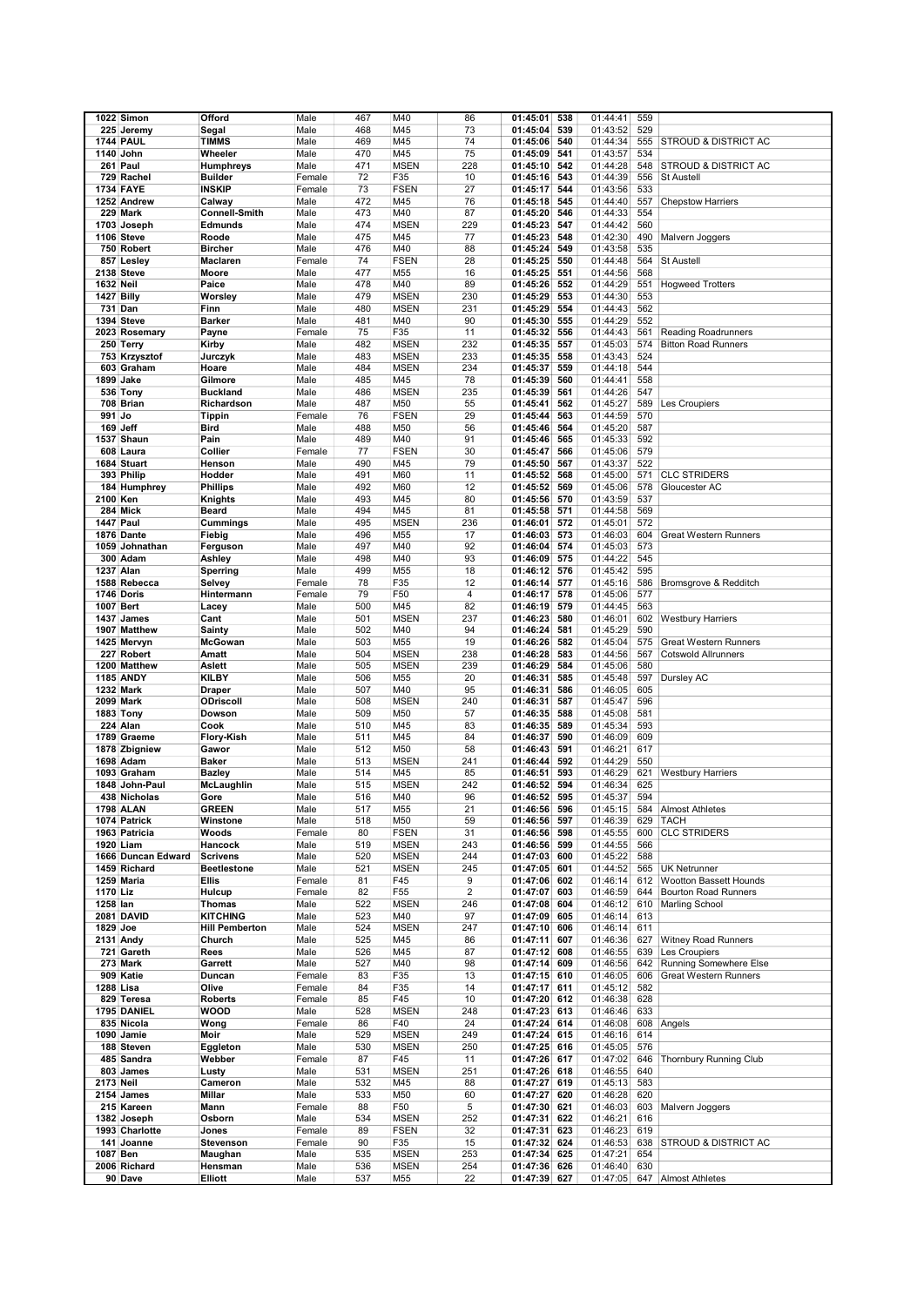|           | 1022 Simon                         | Offord                         | Male         | 467        | M40                        | 86         | 01:45:01<br>538                    | 01:44:41             | 559        |                                 |
|-----------|------------------------------------|--------------------------------|--------------|------------|----------------------------|------------|------------------------------------|----------------------|------------|---------------------------------|
|           | 225 Jeremy                         | Segal                          | Male         | 468        | M45                        | 73         | 539<br>01:45:04                    | 01:43:52             | 529        |                                 |
|           | <b>1744 PAUL</b>                   | TIMMS                          | Male         | 469        | M45                        | 74         | 540<br>01:45:06                    | 01:44:34             | 555        | <b>STROUD &amp; DISTRICT AC</b> |
|           | 1140 John                          | Wheeler                        | Male         | 470        | M45                        | 75         | 01:45:09<br>541                    | 01:43:57             | 534        |                                 |
|           | 261 Paul                           | Humphreys                      | Male         | 471        | <b>MSEN</b>                | 228        | 542<br>01:45:10                    | 01:44:28             | 548        | <b>STROUD &amp; DISTRICT AC</b> |
|           | 729 Rachel                         | <b>Builder</b>                 | Female       | 72         | F35                        | 10         | 01:45:16<br>543                    | 01:44:39             | 556        | <b>St Austell</b>               |
|           | <b>1734 FAYE</b>                   | INSKIP                         | Female       | 73         | <b>FSEN</b>                | 27         | 544<br>01:45:17                    | 01:43:56             | 533        |                                 |
|           | 1252 Andrew                        | Calway                         | Male         | 472        | M45                        | 76         | 01:45:18<br>545                    | 01:44:40             | 557        | <b>Chepstow Harriers</b>        |
|           | 229 Mark                           | <b>Connell-Smith</b>           | Male         | 473        | M40                        | 87         | 01:45:20<br>546                    | 01:44:33             | 554        |                                 |
|           | 1703 Joseph                        | Edmunds                        | Male         | 474        | <b>MSEN</b>                | 229        | 01:45:23<br>547                    | 01:44:42             | 560        |                                 |
|           | 1106 Steve                         | Roode                          | Male         | 475        | M45                        | 77         | 01:45:23<br>548                    | 01:42:30             | 490        | Malvern Joggers                 |
|           | 750 Robert                         | Bircher                        | Male         | 476        | M40                        | 88         | 01:45:24<br>549                    | 01:43:58             | 535        |                                 |
|           | 857 Lesley                         | Maclaren                       | Female       | 74         | <b>FSEN</b>                | 28         | 01:45:25<br>550                    | 01:44:48             | 564        | <b>St Austell</b>               |
|           | 2138 Steve                         | Moore                          | Male         | 477        | M55                        | 16         | 01:45:25<br>551                    | 01:44:56             | 568        |                                 |
| 1632 Neil |                                    | Paice                          | Male         | 478        | M40                        | 89         | 01:45:26<br>552                    | 01:44:29             | 551        | <b>Hogweed Trotters</b>         |
|           | 1427 Billy                         | Worsley                        | Male         | 479        | <b>MSEN</b>                | 230        | 01:45:29<br>553                    | 01:44:30             | 553        |                                 |
|           | 731 Dan                            | Finn                           | Male         | 480        | <b>MSEN</b>                | 231        | 01:45:29<br>554                    | 01:44:43             | 562        |                                 |
|           | 1394 Steve                         | Barker                         | Male         | 481        | M40                        | 90         | 01:45:30<br>555                    | 01:44:29             | 552        |                                 |
|           | 2023 Rosemary                      | Payne                          | Female       | 75         | F35                        | 11         | 01:45:32<br>556                    | 01:44:43             | 561        | <b>Reading Roadrunners</b>      |
|           | 250 Terry                          | Kirby                          | Male         | 482        | <b>MSEN</b>                | 232        | 01:45:35<br>557                    | 01:45:03             | 574        | <b>Bitton Road Runners</b>      |
|           | 753 Krzysztof                      | Jurczyk                        | Male         | 483        | <b>MSEN</b>                | 233        | 01:45:35<br>558                    | 01:43:43             | 524        |                                 |
|           | 603 Graham                         | Hoare                          | Male         | 484        | <b>MSEN</b>                | 234        | 01:45:37<br>559                    | 01:44:18             | 544        |                                 |
|           | 1899 Jake                          | Gilmore                        | Male         | 485        | M45                        | 78         | 560<br>01:45:39                    | 01:44:41             | 558        |                                 |
|           | 536 Tony                           | <b>Buckland</b>                | Male         | 486        | <b>MSEN</b>                | 235        | 01:45:39<br>561                    | 01:44:26             | 547        |                                 |
|           | 708 Brian                          | Richardson                     | Male         | 487        | M50                        | 55         | 01:45:41<br>562                    | 01:45:27             | 589        | Les Croupiers                   |
| 991 Jo    |                                    | Tippin                         | Female       | 76         | <b>FSEN</b>                | 29         | 01:45:44<br>563                    | 01:44:59             | 570        |                                 |
|           | 169 Jeff                           | Bird                           | Male         | 488        | M50                        | 56         | 01:45:46<br>564                    | 01:45:20             | 587        |                                 |
|           | 1537 Shaun                         | Pain                           | Male         | 489        | M40                        | 91         | 565<br>01:45:46                    | 01:45:33             | 592        |                                 |
|           | 608 Laura                          | Collier                        | Female       | 77         | <b>FSEN</b>                | 30         | 01:45:47<br>566                    | 01:45:06             | 579        |                                 |
|           | 1684 Stuart                        | Henson                         | Male         | 490<br>491 | M45<br>M60                 | 79<br>11   | 01:45:50<br>567                    | 01:43:37<br>01:45:00 | 522        | <b>CLC STRIDERS</b>             |
|           | 393 Philip                         | Hodder                         | Male         | 492        |                            |            | 01:45:52<br>568                    |                      | 571<br>578 |                                 |
| 2100 Ken  | 184 Humphrey                       | Phillips<br>Knights            | Male<br>Male | 493        | M60<br>M45                 | 12<br>80   | 01:45:52<br>569<br>01:45:56<br>570 | 01:45:06<br>01:43:59 | 537        | Gloucester AC                   |
|           | 284 Mick                           | Beard                          | Male         | 494        | M45                        | 81         | 01:45:58<br>571                    | 01:44:58             | 569        |                                 |
|           | <b>1447 Paul</b>                   | Cummings                       | Male         | 495        | <b>MSEN</b>                | 236        | 01:46:01<br>572                    | 01:45:01             | 572        |                                 |
|           | 1876 Dante                         | Fiebig                         | Male         | 496        | M55                        | 17         | 01:46:03<br>573                    | 01:46:03             | 604        | Great Western Runners           |
|           | 1059 Johnathan                     | Ferguson                       | Male         | 497        | M40                        | 92         | 01:46:04<br>574                    | 01:45:03             | 573        |                                 |
|           | 300 Adam                           | Ashley                         | Male         | 498        | M40                        | 93         | 01:46:09<br>575                    | 01:44:22             | 545        |                                 |
|           | 1237 Alan                          | Sperring                       | Male         | 499        | M55                        | 18         | 01:46:12<br>576                    | 01:45:42             | 595        |                                 |
|           | 1588 Rebecca                       | Selvey                         | Female       | 78         | F35                        | 12         | 01:46:14<br>577                    | 01:45:16             | 586        | Bromsgrove & Redditch           |
|           | 1746 Doris                         | Hintermann                     | Female       | 79         | F50                        | 4          | 01:46:17<br>578                    | 01:45:06             | 577        |                                 |
|           | 1007 Bert                          | Lacey                          | Male         | 500        | M45                        | 82         | 579<br>01:46:19                    | 01:44:45             | 563        |                                 |
|           | 1437 James                         | Cant                           | Male         | 501        | <b>MSEN</b>                | 237        | 01:46:23<br>580                    | 01:46:01             | 602        | <b>Westbury Harriers</b>        |
|           | 1907 Matthew                       | Sainty                         | Male         | 502        | M40                        | 94         | 01:46:24<br>581                    | 01:45:29             | 590        |                                 |
|           | 1425 Mervyn                        | <b>McGowan</b>                 | Male         | 503        | M55                        | 19         | 01:46:26<br>582                    | 01:45:04             | 575        | <b>Great Western Runners</b>    |
|           | 227 Robert                         | Amatt                          | Male         | 504        | <b>MSEN</b>                | 238        | 583<br>01:46:28                    | 01:44:56             | 567        | <b>Cotswold Allrunners</b>      |
|           | 1200 Matthew                       | Aslett                         | Male         | 505        | <b>MSEN</b>                | 239        | 01:46:29<br>584                    | 01:45:06             | 580        |                                 |
|           | <b>1185 ANDY</b>                   | KILBY                          | Male         | 506        | M55                        | 20         | 585<br>01:46:31                    | 01:45:48             | 597        | Dursley AC                      |
|           | <b>1232 Mark</b>                   | Draper                         | Male         | 507        | M40                        | 95         | 586<br>01:46:31                    | 01:46:05             | 605        |                                 |
|           | <b>2099 Mark</b>                   | ODriscoll                      | Male         | 508        | <b>MSEN</b>                | 240        | 01:46:31<br>587                    | 01:45:47             | 596        |                                 |
|           | 1883 Tony                          | Dowson                         | Male         | 509        | M50                        | 57         | 588<br>01:46:35                    | 01:45:08             | 581        |                                 |
|           | 224 Alan                           | Cook                           | Male         | 510        | M45                        | 83         | 01:46:35<br>589                    | 01:45:34             | 593        |                                 |
|           | 1789 Graeme                        | Flory-Kish                     | Male         | 511        | M45                        | 84         | 590<br>01:46:37                    | 01:46:09             | 609        |                                 |
|           | 1878 Zbigniew                      | Gawor                          | Male         | 512        | M50                        | 58         | 01:46:43<br>591                    | 01:46:21             | 617        |                                 |
|           | 1698 Adam                          | Baker                          | Male         | 513        | <b>MSEN</b>                | 241        | 01:46:44<br>592                    | 01:44:29             | 550        |                                 |
|           | 1093 Graham                        | Bazley                         | Male         | 514        | M45                        | 85         | 593<br>01:46:51                    | 01:46:29             | 621        | <b>Westbury Harriers</b>        |
|           | 1848 John-Paul                     | McLaughlin                     | Male         | 515        | <b>MSEN</b>                | 242        | 594<br>01:46:52                    | 01:46:34             | 625        |                                 |
|           | 438 Nicholas                       | Gore                           | Male         | 516        | M40                        | 96         | 595<br>01:46:52                    | 01:45:37             | 594        |                                 |
|           | <b>1798 ALAN</b>                   | <b>GREEN</b>                   | Male         | 517        | M55                        | 21         | 596<br>01:46:56                    | 01:45:15             | 584        | <b>Almost Athletes</b>          |
|           | 1074 Patrick                       | Winstone                       | Male         | 518        | M50                        | 59         | 01:46:56<br>597                    | 01:46:39             | 629        | <b>TACH</b>                     |
|           | 1963 Patricia                      | Woods                          | Female       | 80         | <b>FSEN</b>                | 31         | 01:46:56<br>598                    | 01:45:55             | 600        | <b>CLC STRIDERS</b>             |
|           | 1920 Liam                          | Hancock                        | Male         | 519        | <b>MSEN</b>                | 243        | 01:46:56<br>599                    | 01:44:55             | 566        |                                 |
|           | 1666 Duncan Edward<br>1459 Richard | <b>Scrivens</b><br>Beetlestone | Male<br>Male | 520<br>521 | <b>MSEN</b><br><b>MSEN</b> | 244<br>245 | 01:47:03<br>600                    | 01:45:22<br>01:44:52 | 588<br>565 | UK Netrunner                    |
|           | 1259 Maria                         | Ellis                          | Female       | 81         | F45                        | 9          | 01:47:05 601<br>01:47:06<br>602    | 01:46:14             | 612        | <b>Wootton Bassett Hounds</b>   |
| 1170 Liz  |                                    | Hulcup                         | Female       | 82         | F <sub>55</sub>            | 2          | 01:47:07<br>603                    | 01:46:59             | 644        | <b>Bourton Road Runners</b>     |
| 1258 lan  |                                    | <b>Thomas</b>                  | Male         | 522        | <b>MSEN</b>                | 246        | 01:47:08<br>604                    | 01:46:12             | 610        | Marling School                  |
|           | 2081 DAVID                         | KITCHING                       | Male         | 523        | M40                        | 97         | 01:47:09<br>605                    | 01:46:14             | 613        |                                 |
| 1829 Joe  |                                    | <b>Hill Pemberton</b>          | Male         | 524        | <b>MSEN</b>                | 247        | 606<br>01:47:10                    | 01:46:14             | 611        |                                 |
|           | 2131 Andy                          | Church                         | Male         | 525        | M45                        | 86         | 01:47:11<br>607                    | 01:46:36             | 627        | <b>Witney Road Runners</b>      |
|           | 721 Gareth                         | Rees                           | Male         | 526        | M45                        | 87         | 01:47:12 608                       | 01:46:55             | 639        | Les Croupiers                   |
|           | 273 Mark                           | Garrett                        | Male         | 527        | M40                        | 98         | 01:47:14<br>609                    | 01:46:56             | 642        | <b>Running Somewhere Else</b>   |
|           | 909 Katie                          | Duncan                         | Female       | 83         | F35                        | 13         | 01:47:15 610                       | 01:46:05             | 606        | <b>Great Western Runners</b>    |
|           | 1288 Lisa                          | Olive                          | Female       | 84         | F35                        | 14         | 01:47:17 611                       | 01:45:12             | 582        |                                 |
|           | 829 Teresa                         | <b>Roberts</b>                 | Female       | 85         | F45                        | 10         | 01:47:20 612                       | 01:46:38             | 628        |                                 |
|           | 1795 DANIEL                        | WOOD                           | Male         | 528        | <b>MSEN</b>                | 248        | 01:47:23 613                       | 01:46:46             | 633        |                                 |
|           | 835 Nicola                         | Wong                           | Female       | 86         | F40                        | 24         | 01:47:24 614                       | 01:46:08             | 608        | Angels                          |
|           | 1090 Jamie                         | Moir                           | Male         | 529        | <b>MSEN</b>                | 249        | 01:47:24<br>615                    | 01:46:16             | 614        |                                 |
|           | 188 Steven                         | Eggleton                       | Male         | 530        | <b>MSEN</b>                | 250        | 01:47:25 616                       | 01:45:05             | 576        |                                 |
|           | 485 Sandra                         | Webber                         | Female       | 87         | F45                        | 11         | 01:47:26 617                       | 01:47:02             | 646        | <b>Thornbury Running Club</b>   |
|           | 803 James                          | Lusty                          | Male         | 531        | <b>MSEN</b>                | 251        | 01:47:26 618                       | 01:46:55             | 640        |                                 |
| 2173 Neil |                                    | Cameron                        | Male         | 532        | M45                        | 88         | 01:47:27 619                       | 01:45:13             | 583        |                                 |
|           | 2154 James                         | Millar                         | Male         | 533        | M50                        | 60         | 01:47:27<br>620                    | 01:46:28             | 620        |                                 |
|           | 215 Kareen                         | Mann                           | Female       | 88         | F50                        | 5          | 01:47:30<br>621                    | 01:46:03             | 603        | Malvern Joggers                 |
|           | 1382 Joseph                        | Osborn                         | Male         | 534        | <b>MSEN</b>                | 252        | 622<br>01:47:31                    | 01:46:21             | 616        |                                 |
|           | 1993 Charlotte                     | Jones                          | Female       | 89         | <b>FSEN</b>                | 32         | 623<br>01:47:31                    | 01:46:23             | 619        |                                 |
|           | 141 Joanne                         | Stevenson                      | Female       | 90         | F35                        | 15         | 01:47:32<br>624                    | 01:46:53<br>01:47:21 | 638        | STROUD & DISTRICT AC            |
|           |                                    |                                |              |            |                            |            |                                    |                      | 654        |                                 |
|           | 1087 Ben                           | Maughan                        | Male         | 535        | <b>MSEN</b>                | 253        | 01:47:34 625                       |                      |            |                                 |
|           | 2006 Richard<br>90 Dave            | Hensman<br>Elliott             | Male<br>Male | 536<br>537 | <b>MSEN</b><br>M55         | 254<br>22  | 01:47:36 626<br>01:47:39<br>627    | 01:46:40<br>01:47:05 | 630<br>647 | <b>Almost Athletes</b>          |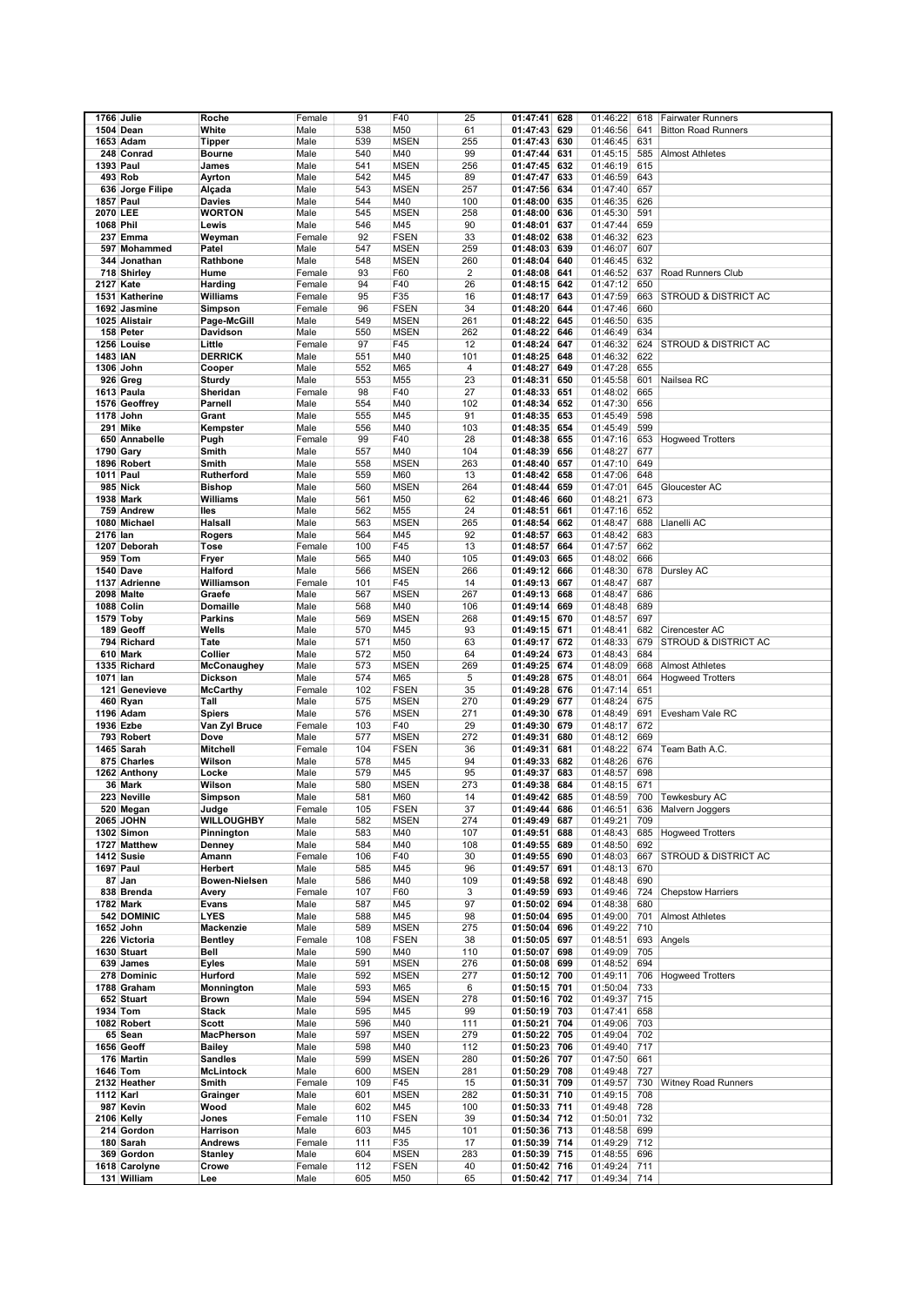|                  | 1766 Julie                   | Roche             | Female         | 91  | F40         | 25             | 01:47:41 628 |     | 01:46:22 | 618 | <b>Fairwater Runners</b>        |
|------------------|------------------------------|-------------------|----------------|-----|-------------|----------------|--------------|-----|----------|-----|---------------------------------|
|                  |                              |                   |                |     |             |                |              |     |          |     |                                 |
|                  | 1504 Dean                    | White             | Male           | 538 | M50         | 61             | 01:47:43     | 629 | 01:46:56 | 641 | <b>Bitton Road Runners</b>      |
|                  | 1653 Adam                    | <b>Tipper</b>     | Male           | 539 | <b>MSEN</b> | 255            | 01:47:43     | 630 | 01:46:45 | 631 |                                 |
|                  | 248 Conrad                   | <b>Bourne</b>     | Male           | 540 | M40         | 99             | 01:47:44     | 631 | 01:45:15 | 585 | <b>Almost Athletes</b>          |
| 1393 Paul        |                              | James             | Male           | 541 | <b>MSEN</b> | 256            | 01:47:45     | 632 | 01:46:19 | 615 |                                 |
|                  |                              |                   |                | 542 | M45         | 89             |              |     |          | 643 |                                 |
|                  | 493 Rob                      | Ayrton            | Male           |     |             |                | 01:47:47     | 633 | 01:46:59 |     |                                 |
|                  | 636 Jorge Filipe             | Alçada            | Male           | 543 | <b>MSEN</b> | 257            | 01:47:56     | 634 | 01:47:40 | 657 |                                 |
| <b>1857 Paul</b> |                              | Davies            | Male           | 544 | M40         | 100            | 01:48:00     | 635 | 01:46:35 | 626 |                                 |
| 2070 LEE         |                              | <b>WORTON</b>     | Male           | 545 | <b>MSEN</b> | 258            | 01:48:00     | 636 | 01:45:30 | 591 |                                 |
| 1068 Phil        |                              | Lewis             | Male           | 546 | M45         | 90             | 01:48:01     | 637 | 01:47:44 | 659 |                                 |
|                  |                              |                   |                |     |             |                |              |     |          |     |                                 |
|                  | 237 Emma                     | Weyman            | Female         | 92  | <b>FSEN</b> | 33             | 01:48:02     | 638 | 01:46:32 | 623 |                                 |
|                  | 597 Mohammed                 | Patel             | Male           | 547 | <b>MSEN</b> | 259            | 01:48:03     | 639 | 01:46:07 | 607 |                                 |
|                  | 344 Jonathan                 | Rathbone          | Male           | 548 | <b>MSEN</b> | 260            | 01:48:04     | 640 | 01:46:45 | 632 |                                 |
|                  |                              | Hume              | Female         | 93  | F60         | $\overline{2}$ |              | 641 | 01:46:52 | 637 | Road Runners Club               |
|                  | 718 Shirley                  |                   |                |     |             |                | 01:48:08     |     |          |     |                                 |
| 2127 Kate        |                              | Harding           | Female         | 94  | F40         | 26             | 01:48:15     | 642 | 01:47:12 | 650 |                                 |
|                  | 1531 Katherine               | Williams          | Female         | 95  | F35         | 16             | 01:48:17     | 643 | 01:47:59 | 663 | STROUD & DISTRICT AC            |
|                  | 1692 Jasmine                 | Simpson           | Female         | 96  | <b>FSEN</b> | 34             | 01:48:20     | 644 | 01:47:46 | 660 |                                 |
|                  |                              |                   |                | 549 |             |                |              |     |          | 635 |                                 |
|                  | 1025 Alistair                | Page-McGill       | Male           |     | <b>MSEN</b> | 261            | 01:48:22     | 645 | 01:46:50 |     |                                 |
|                  | 158 Peter                    | Davidson          | Male           | 550 | <b>MSEN</b> | 262            | 01:48:22     | 646 | 01:46:49 | 634 |                                 |
|                  | 1256 Louise                  | Little            | Female         | 97  | F45         | 12             | 01:48:24     | 647 | 01:46:32 | 624 | <b>STROUD &amp; DISTRICT AC</b> |
| <b>1483 IAN</b>  |                              | <b>DERRICK</b>    | Male           | 551 | M40         | 101            | 01:48:25     | 648 | 01:46:32 | 622 |                                 |
|                  | 1306 John                    |                   |                | 552 |             | 4              |              |     | 01:47:28 | 655 |                                 |
|                  |                              | Cooper            | Male           |     | M65         |                | 01:48:27     | 649 |          |     |                                 |
|                  | 926 Greg                     | Sturdy            | Male           | 553 | M55         | 23             | 01:48:31     | 650 | 01:45:58 | 601 | Nailsea RC                      |
|                  | 1613 Paula                   | Sheridan          | Female         | 98  | F40         | 27             | 01:48:33     | 651 | 01:48:02 | 665 |                                 |
|                  | 1576 Geoffrey                | Parnell           | Male           | 554 | M40         | 102            | 01:48:34     | 652 | 01:47:30 | 656 |                                 |
|                  | 1178 John                    | Grant             | Male           | 555 | M45         | 91             | 01:48:35     | 653 | 01:45:49 | 598 |                                 |
|                  |                              |                   |                |     |             |                |              |     |          |     |                                 |
|                  | 291 Mike                     | Kempster          | Male           | 556 | M40         | 103            | 01:48:35     | 654 | 01:45:49 | 599 |                                 |
|                  | 650 Annabelle                | Pugh              | Female         | 99  | F40         | 28             | 01:48:38     | 655 | 01:47:16 | 653 | <b>Hogweed Trotters</b>         |
|                  | 1790 Gary                    | Smith             | Male           | 557 | M40         | 104            | 01:48:39     | 656 | 01:48:27 | 677 |                                 |
|                  | 1896 Robert                  | Smith             |                | 558 | <b>MSEN</b> | 263            | 01:48:40     |     | 01:47:10 | 649 |                                 |
|                  |                              |                   | Male           |     |             |                |              | 657 |          |     |                                 |
| 1011 Paul        |                              | Rutherford        | Male           | 559 | M60         | 13             | 01:48:42     | 658 | 01:47:06 | 648 |                                 |
|                  | <b>985 Nick</b>              | <b>Bishop</b>     | Male           | 560 | <b>MSEN</b> | 264            | 01:48:44     | 659 | 01:47:01 | 645 | Gloucester AC                   |
|                  | <b>1938 Mark</b>             | Williams          | Male           | 561 | M50         | 62             | 01:48:46     | 660 | 01:48:21 | 673 |                                 |
|                  | 759 Andrew                   | lles              | Male           | 562 | M55         | 24             | 01:48:51     | 661 | 01:47:16 | 652 |                                 |
|                  |                              |                   |                |     |             |                |              |     |          |     |                                 |
|                  | 1080 Michael                 | Halsall           | Male           | 563 | <b>MSEN</b> | 265            | 01:48:54     | 662 | 01:48:47 | 688 | Llanelli AC                     |
| 2176 lan         |                              | Rogers            | Male           | 564 | M45         | 92             | 01:48:57     | 663 | 01:48:42 | 683 |                                 |
|                  | 1207 Deborah                 | Tose              | Female         | 100 | F45         | 13             | 01:48:57     | 664 | 01:47:57 | 662 |                                 |
|                  |                              |                   |                |     |             |                |              |     |          |     |                                 |
|                  | 959 Tom                      | Fryer             | Male           | 565 | M40         | 105            | 01:49:03     | 665 | 01:48:02 | 666 |                                 |
|                  | 1540 Dave                    | Halford           | Male           | 566 | <b>MSEN</b> | 266            | 01:49:12     | 666 | 01:48:30 | 678 | Dursley AC                      |
|                  | 1137 Adrienne                | Williamson        | Female         | 101 | F45         | 14             | 01:49:13     | 667 | 01:48:47 | 687 |                                 |
|                  | 2098 Malte                   | Graefe            | Male           | 567 | <b>MSEN</b> | 267            | 01:49:13     | 668 | 01:48:47 | 686 |                                 |
|                  |                              |                   |                |     |             |                | 01:49:14     |     |          |     |                                 |
|                  | 1088 Colin                   | Domaille          | Male           | 568 | M40         | 106            |              | 669 | 01:48:48 | 689 |                                 |
|                  | 1579 Toby                    | <b>Parkins</b>    | Male           | 569 | <b>MSEN</b> | 268            | 01:49:15     | 670 | 01:48:57 | 697 |                                 |
|                  | 189 Geoff                    | Wells             | Male           | 570 | M45         | 93             | 01:49:15     | 671 | 01:48:41 | 682 | Cirencester AC                  |
|                  | 794 Richard                  | Tate              | Male           | 571 | M50         | 63             | 01:49:17 672 |     | 01:48:33 | 679 | <b>STROUD &amp; DISTRICT AC</b> |
|                  |                              |                   |                |     |             |                |              |     |          | 684 |                                 |
|                  | 610 Mark                     | Collier           | Male           | 572 | M50         | 64             | 01:49:24     | 673 | 01:48:43 |     |                                 |
|                  | 1335 Richard                 | McConaughey       | Male           | 573 | <b>MSEN</b> | 269            | 01:49:25     | 674 | 01:48:09 | 668 | <b>Almost Athletes</b>          |
| 1071 lan         |                              | Dickson           | Male           | 574 | M65         | 5              | 01:49:28     | 675 | 01:48:01 | 664 | <b>Hogweed Trotters</b>         |
|                  | 121 Genevieve                | <b>McCarthy</b>   | Female         | 102 | <b>FSEN</b> | 35             | 01:49:28     | 676 | 01:47:14 | 651 |                                 |
|                  | 460 Ryan                     | Tall              |                | 575 | <b>MSEN</b> | 270            |              |     | 01:48:24 | 675 |                                 |
|                  |                              |                   | Male           |     |             |                | 01:49:29     | 677 |          |     |                                 |
|                  | 1196 Adam                    | <b>Spiers</b>     | Male           | 576 | <b>MSEN</b> | 271            | 01:49:30     | 678 | 01:48:49 | 691 | Evesham Vale RC                 |
|                  | 1936 Ezbe                    | Van Zyl Bruce     | Female         | 103 | F40         | 29             | 01:49:30     | 679 | 01:48:17 | 672 |                                 |
|                  | 793 Robert                   | Dove              | Male           | 577 | <b>MSEN</b> | 272            | 01:49:31     | 680 | 01:48:12 | 669 |                                 |
|                  | 1465 Sarah                   | <b>Mitchell</b>   | Female         | 104 | <b>FSEN</b> | 36             | 01:49:31     | 681 | 01:48:22 | 674 | Team Bath A.C.                  |
|                  |                              |                   |                |     |             |                |              |     |          |     |                                 |
|                  | 875 Charles                  | Wilson            | Male           | 578 | M45         | 94             | 01:49:33     | 682 | 01:48:26 | 676 |                                 |
|                  | 1262 Anthony                 | Locke             | Male           | 579 | M45         | 95             | 01:49:37     | 683 | 01:48:57 | 698 |                                 |
|                  | 36 Mark                      | Wilson            | Male           | 580 | <b>MSEN</b> | 273            | 01:49:38     | 684 | 01:48:15 | 671 |                                 |
|                  | 223 Neville                  | Simpson           | Male           | 581 | M60         | 14             | 01:49:42     | 685 | 01:48:59 |     | 700 Tewkesbury AC               |
|                  |                              |                   |                |     |             |                |              |     |          |     |                                 |
|                  | 520 Megan                    | Judge             | Female         | 105 | <b>FSEN</b> | 37             | 01:49:44 686 |     | 01:46:51 | 636 | Malvern Joggers                 |
|                  | 2065 JOHN                    | <b>WILLOUGHBY</b> | Male           | 582 | <b>MSEN</b> | 274            | 01:49:49 687 |     | 01:49:21 | 709 |                                 |
|                  | 1302 Simon                   | Pinnington        | Male           | 583 | M40         | 107            | 01:49:51     | 688 | 01:48:43 | 685 | <b>Hogweed Trotters</b>         |
|                  | 1727 Matthew                 | Denney            | Male           | 584 | M40         | 108            | 01:49:55     | 689 | 01:48:50 | 692 |                                 |
|                  | 1412 Susie                   | Amann             | Female         | 106 | F40         | 30             |              |     | 01:48:03 | 667 | STROUD & DISTRICT AC            |
|                  |                              |                   |                |     |             |                | 01:49:55 690 |     |          |     |                                 |
|                  | 1697 Paul                    | <b>Herbert</b>    | Male           | 585 | M45         | 96             | 01:49:57     | 691 | 01:48:13 | 670 |                                 |
|                  | 87 Jan                       | Bowen-Nielsen     | Male           | 586 | M40         | 109            | 01:49:58     | 692 | 01:48:48 | 690 |                                 |
|                  | 838 Brenda                   | Avery             | Female         | 107 | F60         | 3              | 01:49:59 693 |     | 01:49:46 | 724 | <b>Chepstow Harriers</b>        |
|                  | 1782 Mark                    | Evans             | Male           | 587 | M45         | 97             | 01:50:02 694 |     | 01:48:38 | 680 |                                 |
|                  | 542 DOMINIC                  |                   | Male           | 588 |             | 98             | 01:50:04 695 |     |          | 701 |                                 |
|                  |                              | <b>LYES</b>       |                |     | M45         |                |              |     | 01:49:00 |     | <b>Almost Athletes</b>          |
|                  | 1652 John                    | Mackenzie         | Male           | 589 | <b>MSEN</b> | 275            | 01:50:04 696 |     | 01:49:22 | 710 |                                 |
|                  | 226 Victoria                 | <b>Bentley</b>    | Female         | 108 | <b>FSEN</b> | 38             | 01:50:05 697 |     | 01:48:51 | 693 | Angels                          |
|                  | 1630 Stuart                  | Bell              | Male           | 590 | M40         | 110            | 01:50:07     | 698 | 01:49:09 | 705 |                                 |
|                  | 639 James                    | Eyles             | Male           | 591 | <b>MSEN</b> | 276            | 01:50:08 699 |     | 01:48:52 | 694 |                                 |
|                  |                              |                   |                |     |             |                |              |     |          |     |                                 |
|                  | 278 Dominic                  | Hurford           | Male           | 592 | <b>MSEN</b> | 277            | 01:50:12 700 |     | 01:49:11 | 706 | <b>Hogweed Trotters</b>         |
|                  | 1788 Graham                  | Monnington        | Male           | 593 | M65         | 6              | 01:50:15 701 |     | 01:50:04 | 733 |                                 |
|                  | 652 Stuart                   | <b>Brown</b>      | Male           | 594 | <b>MSEN</b> | 278            | 01:50:16 702 |     | 01:49:37 | 715 |                                 |
|                  | 1934 Tom                     | <b>Stack</b>      | Male           | 595 | M45         | 99             | 01:50:19 703 |     | 01:47:41 | 658 |                                 |
|                  |                              |                   |                |     |             |                |              |     |          |     |                                 |
|                  | 1082 Robert                  | <b>Scott</b>      | Male           | 596 | M40         | 111            | 01:50:21 704 |     | 01:49:06 | 703 |                                 |
|                  | 65 Sean                      | MacPherson        | Male           | 597 | <b>MSEN</b> | 279            | 01:50:22 705 |     | 01:49:04 | 702 |                                 |
|                  | 1656 Geoff                   | Bailey            | Male           | 598 | M40         | 112            | 01:50:23 706 |     | 01:49:40 | 717 |                                 |
|                  | 176 Martin                   | <b>Sandles</b>    | Male           | 599 | <b>MSEN</b> | 280            | 01:50:26 707 |     | 01:47:50 | 661 |                                 |
|                  |                              |                   |                |     |             |                |              |     |          |     |                                 |
| 1646 Tom         |                              | <b>McLintock</b>  | Male           | 600 | <b>MSEN</b> | 281            | 01:50:29 708 |     | 01:49:48 | 727 |                                 |
|                  | 2132 Heather                 | Smith             | Female         | 109 | F45         | 15             | 01:50:31 709 |     | 01:49:57 | 730 | <b>Witney Road Runners</b>      |
| 1112 Karl        |                              | Grainger          | Male           | 601 | <b>MSEN</b> | 282            | 01:50:31 710 |     | 01:49:15 | 708 |                                 |
|                  | 987 Kevin                    | Wood              | Male           | 602 | M45         | 100            | 01:50:33 711 |     | 01:49:48 | 728 |                                 |
|                  |                              |                   |                |     |             |                |              |     |          |     |                                 |
|                  | 2106 Kelly                   | Jones             | Female         | 110 | <b>FSEN</b> | 39             | 01:50:34 712 |     | 01:50:01 | 732 |                                 |
|                  | 214 Gordon                   | Harrison          | Male           | 603 | M45         | 101            | 01:50:36 713 |     | 01:48:58 | 699 |                                 |
|                  | 180 Sarah                    | <b>Andrews</b>    | Female         | 111 | F35         | 17             | 01:50:39 714 |     | 01:49:29 | 712 |                                 |
|                  | 369 Gordon                   | <b>Stanley</b>    | Male           | 604 | <b>MSEN</b> | 283            | 01:50:39 715 |     | 01:48:55 | 696 |                                 |
|                  |                              |                   |                | 112 | <b>FSEN</b> | 40             | 01:50:42 716 |     | 01:49:24 |     |                                 |
|                  |                              |                   |                |     |             |                |              |     |          | 711 |                                 |
|                  | 1618 Carolyne<br>131 William | Crowe<br>Lee      | Female<br>Male | 605 | M50         | 65             | 01:50:42 717 |     | 01:49:34 | 714 |                                 |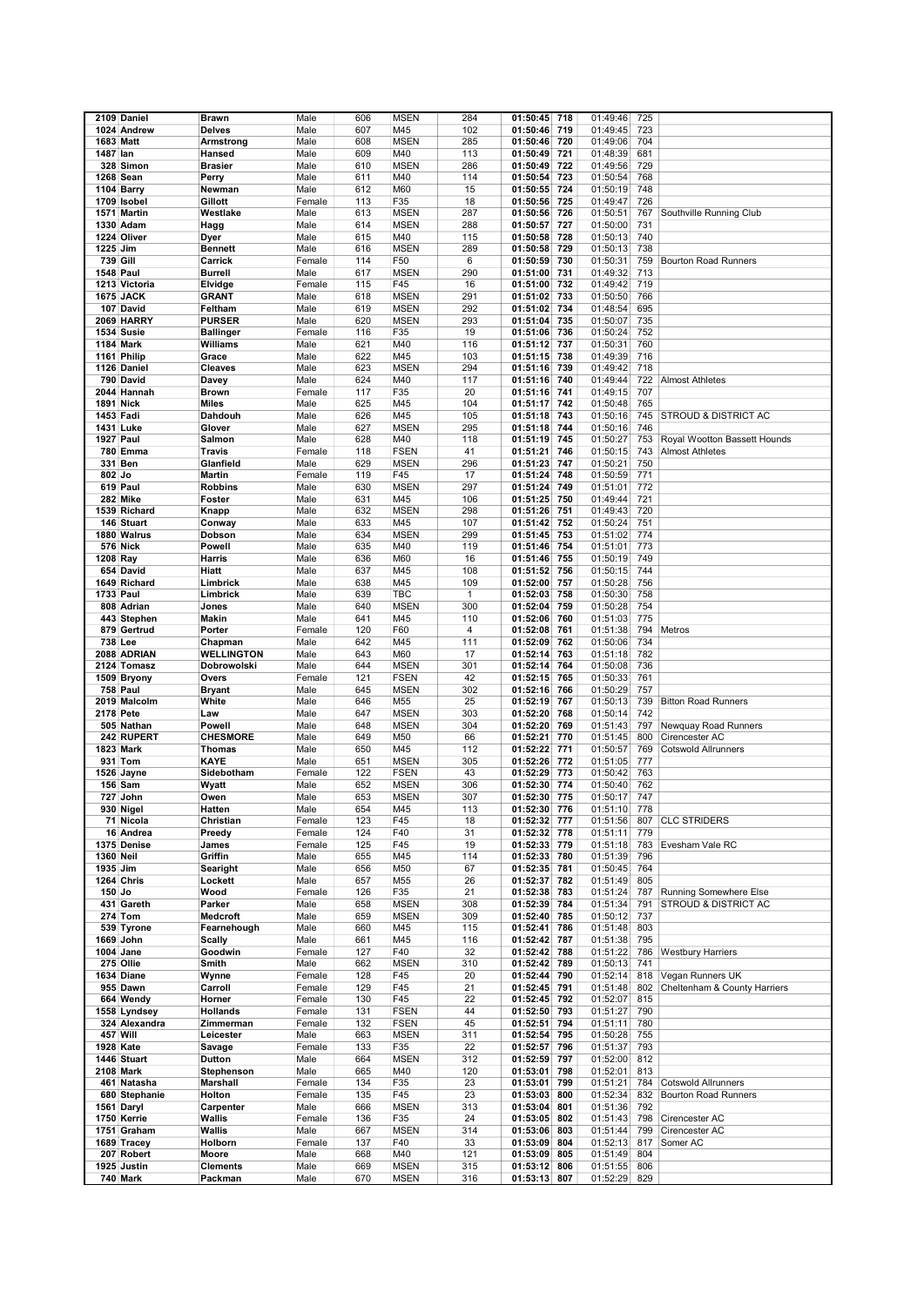|                  | 2109 Daniel             | Brawn                      | Male         | 606        | <b>MSEN</b>                | 284          | 01:50:45<br>718              | 01:49:46             | 725        |                                 |
|------------------|-------------------------|----------------------------|--------------|------------|----------------------------|--------------|------------------------------|----------------------|------------|---------------------------------|
|                  |                         |                            |              |            |                            |              |                              |                      |            |                                 |
|                  | 1024 Andrew             | <b>Delves</b>              | Male         | 607        | M45                        | 102          | 01:50:46<br>719              | 01:49:45             | 723        |                                 |
|                  | <b>1683 Matt</b>        | Armstrong                  | Male         | 608        | <b>MSEN</b>                | 285          | 01:50:46<br>720              | 01:49:06             | 704        |                                 |
| 1487 lan         |                         | Hansed                     | Male         | 609        | M40                        | 113          | 721<br>01:50:49              | 01:48:39             | 681        |                                 |
|                  | 328 Simon               | <b>Brasier</b>             | Male         | 610        | <b>MSEN</b>                | 286          | 01:50:49<br>722              | 01:49:56             | 729        |                                 |
|                  | 1268 Sean               | Perry                      | Male         | 611        | M40                        | 114          | 723<br>01:50:54              | 01:50:54             | 768        |                                 |
|                  | 1104 Barry              | Newman                     | Male         | 612        | M60                        | 15           | 724<br>01:50:55              | 01:50:19             | 748        |                                 |
|                  |                         |                            |              |            |                            |              |                              |                      |            |                                 |
|                  | 1709 Isobel             | Gillott                    | Female       | 113        | F35                        | 18           | 01:50:56<br>725              | 01:49:47             | 726        |                                 |
|                  | 1571 Martin             | Westlake                   | Male         | 613        | <b>MSEN</b>                | 287          | 726<br>01:50:56              | 01:50:51             | 767        | Southville Running Club         |
|                  | 1330 Adam               | Hagg                       | Male         | 614        | <b>MSEN</b>                | 288          | 727<br>01:50:57              | 01:50:00             | 731        |                                 |
|                  | 1224 Oliver             | Dyer                       | Male         | 615        | M40                        | 115          | 728<br>01:50:58              | 01:50:13             | 740        |                                 |
| 1225 Jim         |                         | Bennett                    | Male         | 616        | <b>MSEN</b>                | 289          | 01:50:58<br>729              | 01:50:13             | 738        |                                 |
|                  | 739 Gill                | Carrick                    | Female       | 114        | F50                        | 6            | 01:50:59<br>730              | 01:50:31             | 759        | <b>Bourton Road Runners</b>     |
|                  | <b>1548 Paul</b>        | Burrell                    | Male         | 617        | <b>MSEN</b>                | 290          | 01:51:00<br>731              | 01:49:32             | 713        |                                 |
|                  | 1213 Victoria           | Elvidge                    | Female       | 115        | F45                        | 16           | 01:51:00<br>732              | 01:49:42             | 719        |                                 |
|                  |                         |                            |              |            |                            |              |                              |                      |            |                                 |
|                  | <b>1675 JACK</b>        | GRANT                      | Male         | 618        | <b>MSEN</b>                | 291          | 01:51:02<br>733              | 01:50:50             | 766        |                                 |
|                  | 107 David               | Feltham                    | Male         | 619        | <b>MSEN</b>                | 292          | 01:51:02<br>734              | 01:48:54             | 695        |                                 |
|                  | 2069 HARRY              | <b>PURSER</b>              | Male         | 620        | <b>MSEN</b>                | 293          | 01:51:04<br>735              | 01:50:07             | 735        |                                 |
|                  | 1534 Susie              | <b>Ballinger</b>           | Female       | 116        | F35                        | 19           | 01:51:06<br>736              | 01:50:24             | 752        |                                 |
|                  | <b>1184 Mark</b>        | Williams                   | Male         | 621        | M40                        | 116          | 01:51:12<br>737              | 01:50:31             | 760        |                                 |
|                  | 1161 Philip             | Grace                      | Male         | 622        | M45                        | 103          | 01:51:15<br>738              | 01:49:39             | 716        |                                 |
|                  | 1126 Daniel             | Cleaves                    | Male         | 623        | <b>MSEN</b>                | 294          | 01:51:16<br>739              | 01:49:42             | 718        |                                 |
|                  | 790 David               | Davey                      | Male         | 624        | M40                        | 117          | 01:51:16<br>740              | 01:49:44             | 722        | <b>Almost Athletes</b>          |
|                  |                         |                            |              | 117        |                            |              | 01:51:16<br>741              |                      | 707        |                                 |
|                  | 2044 Hannah             | <b>Brown</b>               | Female       |            | F35                        | 20           |                              | 01:49:15             |            |                                 |
|                  | 1891 Nick               | Miles                      | Male         | 625        | M45                        | 104          | 01:51:17<br>742              | 01:50:48             | 765        |                                 |
|                  | 1453 Fadi               | Dahdouh                    | Male         | 626        | M45                        | 105          | 01:51:18<br>743              | 01:50:16             | 745        | <b>STROUD &amp; DISTRICT AC</b> |
|                  | 1431 Luke               | Glover                     | Male         | 627        | <b>MSEN</b>                | 295          | 01:51:18 744                 | 01:50:16             | 746        |                                 |
|                  | <b>1927 Paul</b>        | Salmon                     | Male         | 628        | M40                        | 118          | 745<br>01:51:19              | 01:50:27             | 753        | Royal Wootton Bassett Hounds    |
|                  | 780 Emma                | Travis                     | Female       | 118        | <b>FSEN</b>                | 41           | 01:51:21<br>746              | 01:50:15             | 743        | <b>Almost Athletes</b>          |
|                  | 331 Ben                 | Glanfield                  | Male         | 629        | <b>MSEN</b>                | 296          | 01:51:23<br>747              | 01:50:21             | 750        |                                 |
| 802 Jo           |                         | Martin                     | Female       | 119        | F45                        | 17           | 01:51:24<br>748              | 01:50:59             | 771        |                                 |
|                  |                         |                            |              |            |                            |              | 749                          |                      | 772        |                                 |
|                  | 619 Paul                | Robbins                    | Male         | 630        | <b>MSEN</b>                | 297          | 01:51:24                     | 01:51:01             |            |                                 |
|                  | 282 Mike                | Foster                     | Male         | 631        | M45                        | 106          | 01:51:25<br>750              | 01:49:44             | 721        |                                 |
|                  | 1539 Richard            | Knapp                      | Male         | 632        | <b>MSEN</b>                | 298          | 01:51:26<br>751              | 01:49:43             | 720        |                                 |
|                  | 146 Stuart              | Conway                     | Male         | 633        | M45                        | 107          | 01:51:42<br>752              | 01:50:24             | 751        |                                 |
|                  | 1880 Walrus             | Dobson                     | Male         | 634        | <b>MSEN</b>                | 299          | 01:51:45<br>753              | 01:51:02             | 774        |                                 |
|                  | <b>576 Nick</b>         | Powell                     | Male         | 635        | M40                        | 119          | 01:51:46<br>754              | 01:51:01             | 773        |                                 |
| 1208 Ray         |                         | Harris                     | Male         | 636        | M60                        | 16           | 01:51:46<br>755              | 01:50:19             | 749        |                                 |
|                  | 654 David               | Hiatt                      | Male         | 637        | M45                        | 108          | 01:51:52<br>756              | 01:50:15             | 744        |                                 |
|                  | 1649 Richard            | Limbrick                   | Male         | 638        | M45                        | 109          | 01:52:00<br>757              | 01:50:28             | 756        |                                 |
|                  |                         |                            |              |            |                            | $\mathbf{1}$ |                              |                      |            |                                 |
|                  | 1733 Paul               | Limbrick                   | Male         | 639        | <b>TBC</b>                 |              | 01:52:03<br>758              | 01:50:30             | 758        |                                 |
|                  | 808 Adrian              | Jones                      | Male         | 640        | <b>MSEN</b>                | 300          | 01:52:04<br>759              | 01:50:28             | 754        |                                 |
|                  | 443 Stephen             | Makin                      | Male         | 641        | M45                        | 110          | 01:52:06<br>760              | 01:51:03             | 775        |                                 |
|                  | 879 Gertrud             | Porter                     | Female       | 120        | F60                        | 4            | 01:52:08<br>761              | 01:51:38             | 794        | Metros                          |
|                  | 738 Lee                 | Chapman                    | Male         | 642        | M45                        | 111          | 01:52:09<br>762              | 01:50:06             | 734        |                                 |
|                  | 2088 ADRIAN             | <b>WELLINGTON</b>          | Male         | 643        | M60                        | 17           | 01:52:14<br>763              | 01:51:18             | 782        |                                 |
|                  | 2124 Tomasz             | Dobrowolski                | Male         | 644        | <b>MSEN</b>                | 301          | 01:52:14<br>764              | 01:50:08             | 736        |                                 |
|                  | 1509 Bryony             | Overs                      | Female       | 121        | <b>FSEN</b>                | 42           | 01:52:15<br>765              | 01:50:33             | 761        |                                 |
|                  | 758 Paul                | Bryant                     | Male         | 645        | <b>MSEN</b>                | 302          | 01:52:16<br>766              | 01:50:29             | 757        |                                 |
|                  | 2019 Malcolm            | White                      | Male         | 646        | M55                        | 25           | 01:52:19<br>767              | 01:50:13             | 739        | <b>Bitton Road Runners</b>      |
|                  |                         |                            |              |            |                            |              |                              |                      |            |                                 |
|                  | 2178 Pete               | Law                        | Male         | 647        | <b>MSEN</b>                | 303          | 01:52:20<br>768              | 01:50:14             | 742        |                                 |
|                  | 505 Nathan              | Powell                     | Male         | 648        | <b>MSEN</b>                | 304          | 01:52:20<br>769              | 01:51:43             | 797        | Newquay Road Runners            |
|                  | 242 RUPERT              | <b>CHESMORE</b>            | Male         | 649        | M50                        | 66           | 01:52:21<br>770              | 01:51:45             | 800        | Cirencester AC                  |
|                  | 1823 Mark               | Thomas                     | Male         | 650        | M45                        | 112          | 01:52:22<br>771              | 01:50:57             | 769        | <b>Cotswold Allrunners</b>      |
|                  | 931 Tom                 | KAYE                       | Male         | 651        | <b>MSEN</b>                | 305          | 01:52:26<br>772              | 01:51:05             | 777        |                                 |
|                  | 1526 Jayne              | Sidebotham                 | Female       | 122        | <b>FSEN</b>                | 43           | 01:52:29<br>773              | 01:50:42             | 763        |                                 |
|                  | 156 Sam                 | Wyatt                      | Male         | 652        | <b>MSEN</b>                | 306          | 01:52:30<br>774              | 01:50:40             | 762        |                                 |
|                  | 727 John                | Owen                       | Male         | 653        | <b>MSEN</b>                | 307          | 01:52:30 775                 | 01:50:17             | 747        |                                 |
|                  | 930 Nigel               | Hatten                     | Male         | 654        | M45                        | 113          | 01:52:30 776                 | 01:51:10             | 778        |                                 |
|                  | 71 Nicola               | Christian                  | Female       | 123        | F45                        | 18           | 01:52:32 777                 | 01:51:56             | 807        | <b>CLC STRIDERS</b>             |
|                  | 16 Andrea               | Preedy                     | Female       | 124        | F40                        | 31           | 01:52:32<br>778              | 01:51:11             | 779        |                                 |
|                  |                         |                            |              |            | F45                        |              |                              |                      | 783        |                                 |
|                  | 1375 Denise             | James                      | Female       | 125        |                            | 19           | 01:52:33 779                 | 01:51:18             |            | Evesham Vale RC                 |
| <b>1360 Neil</b> |                         | Griffin                    | Male         | 655        | M45                        | 114          | 01:52:33 780                 | 01:51:39             | 796        |                                 |
| 1935 Jim         |                         | Searight                   | Male         | 656        | M50                        | 67           | 01:52:35 781                 | 01:50:45             | 764        |                                 |
|                  | 1264 Chris              | Lockett                    | Male         | 657        | M55                        | 26           | 01:52:37<br>782              | 01:51:49             | 805        |                                 |
| 150 Jo           |                         | Wood                       | Female       | 126        | F35                        | 21           | 01:52:38 783                 | 01:51:24             | 787        | Running Somewhere Else          |
|                  | 431 Gareth              | Parker                     | Male         | 658        | <b>MSEN</b>                | 308          | 01:52:39 784                 | 01:51:34             | 791        | STROUD & DISTRICT AC            |
|                  | <b>274 Tom</b>          | <b>Medcroft</b>            | Male         | 659        | <b>MSEN</b>                | 309          | 01:52:40<br>785              | 01:50:12             | 737        |                                 |
|                  |                         | Fearnehough                | Male         | 660        | M45                        | 115          | 01:52:41<br>786              | 01:51:48             | 803        |                                 |
|                  | 539 Tyrone              |                            |              |            | M45                        | 116          |                              | 01:51:38             | 795        |                                 |
|                  |                         |                            |              |            |                            |              |                              |                      |            |                                 |
|                  | 1669 John               | <b>Scally</b>              | Male         | 661        |                            |              | 01:52:42<br>787              |                      |            |                                 |
|                  | 1004 Jane               | Goodwin                    | Female       | 127        | F40                        | 32           | 01:52:42 788                 | 01:51:22             | 786        | <b>Westbury Harriers</b>        |
|                  | 275 Ollie               | Smith                      | Male         | 662        | <b>MSEN</b>                | 310          | 01:52:42<br>789              | 01:50:13             | 741        |                                 |
|                  | 1634 Diane              | Wynne                      | Female       | 128        | F45                        | 20           | 01:52:44 790                 | 01:52:14             | 818        | Vegan Runners UK                |
|                  | 955 Dawn                | Carroll                    | Female       | 129        | F45                        | 21           | 01:52:45 791                 | 01:51:48             | 802        | Cheltenham & County Harriers    |
|                  | 664 Wendy               | Horner                     | Female       | 130        | F45                        | 22           | 01:52:45<br>792              | 01:52:07             | 815        |                                 |
|                  | 1558 Lyndsey            | Hollands                   | Female       | 131        | <b>FSEN</b>                | 44           | 01:52:50<br>793              | 01:51:27             | 790        |                                 |
|                  | 324 Alexandra           | Zimmerman                  | Female       | 132        | <b>FSEN</b>                | 45           | 01:52:51<br>794              | 01:51:11             | 780        |                                 |
|                  | 457 Will                | Leicester                  | Male         | 663        | <b>MSEN</b>                | 311          | 01:52:54<br>795              | 01:50:28             | 755        |                                 |
|                  | <b>1928 Kate</b>        | Savage                     | Female       | 133        | F35                        | 22           | 01:52:57<br>796              | 01:51:37             | 793        |                                 |
|                  |                         |                            |              |            |                            |              |                              |                      |            |                                 |
|                  | 1446 Stuart             | Dutton                     | Male         | 664        | <b>MSEN</b>                | 312          | 01:52:59 797                 | 01:52:00             | 812        |                                 |
|                  | 2108 Mark               | Stephenson                 | Male         | 665        | M40                        | 120          | 01:53:01<br>798              | 01:52:01             | 813        |                                 |
|                  | 461 Natasha             | Marshall                   | Female       | 134        | F35                        | 23           | 01:53:01<br>799              | 01:51:21             | 784        | <b>Cotswold Allrunners</b>      |
|                  | 680 Stephanie           | Holton                     | Female       | 135        | F45                        | 23           | 01:53:03<br>800              | 01:52:34             | 832        | <b>Bourton Road Runners</b>     |
|                  | 1561 Daryl              | Carpenter                  | Male         | 666        | <b>MSEN</b>                | 313          | 01:53:04<br>801              | 01:51:36             | 792        |                                 |
|                  | 1750 Kerrie             | Wallis                     | Female       | 136        | F35                        | 24           | 802<br>01:53:05              | 01:51:43             | 798        | Cirencester AC                  |
|                  | 1751 Graham             | Wallis                     | Male         | 667        | <b>MSEN</b>                | 314          | 01:53:06<br>803              | 01:51:44             | 799        | Cirencester AC                  |
|                  | 1689 Tracey             | Holborn                    | Female       | 137        | F40                        | 33           | 01:53:09<br>804              | 01:52:13             | 817        | Somer AC                        |
|                  | 207 Robert              | Moore                      | Male         | 668        | M40                        | 121          | 01:53:09 805                 | 01:51:49             | 804        |                                 |
|                  |                         |                            |              |            |                            |              |                              |                      |            |                                 |
|                  | 1925 Justin<br>740 Mark | <b>Clements</b><br>Packman | Male<br>Male | 669<br>670 | <b>MSEN</b><br><b>MSEN</b> | 315<br>316   | 01:53:12 806<br>01:53:13 807 | 01:51:55<br>01:52:29 | 806<br>829 |                                 |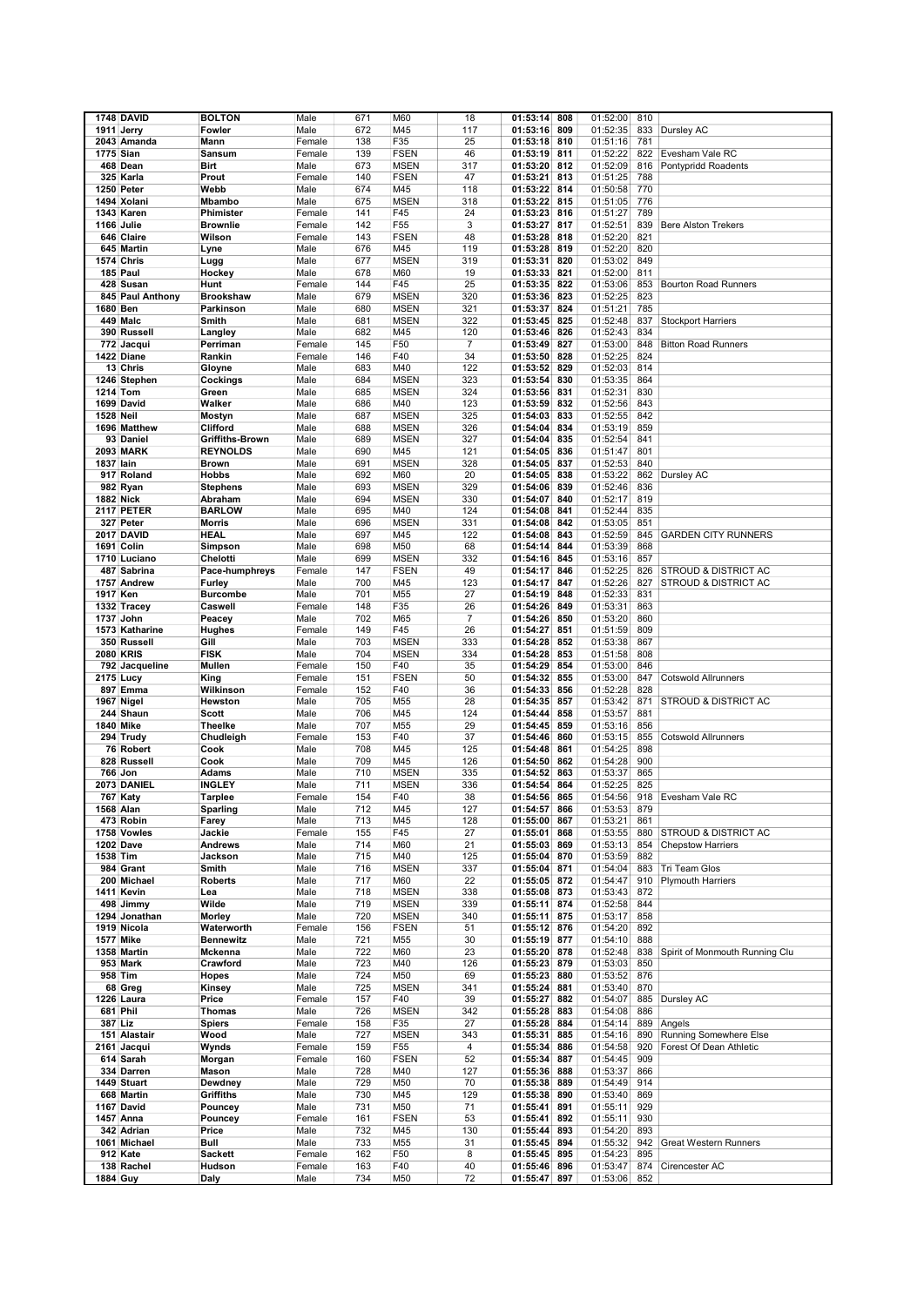|                  | 1748 DAVID                      | <b>BOLTON</b>              | Male           | 671        | M60             | 18             | 01:53:14<br>808                    | 01:52:00             | 810        |                                 |
|------------------|---------------------------------|----------------------------|----------------|------------|-----------------|----------------|------------------------------------|----------------------|------------|---------------------------------|
|                  | 1911 Jerry                      | Fowler                     | Male           | 672        | M45             | 117            | 01:53:16<br>809                    | 01:52:35             | 833        | Dursley AC                      |
|                  |                                 |                            |                | 138        | F35             | 25             | 810                                |                      | 781        |                                 |
|                  | 2043 Amanda                     | Mann                       | Female         |            |                 |                | 01:53:18                           | 01:51:16             |            |                                 |
| 1775 Sian        |                                 | Sansum                     | Female         | 139        | <b>FSEN</b>     | 46             | 01:53:19<br>811                    | 01:52:22             | 822        | Evesham Vale RC                 |
|                  | 468 Dean                        | Birt                       | Male           | 673        | <b>MSEN</b>     | 317            | 812<br>01:53:20                    | 01:52:09             | 816        | Pontypridd Roadents             |
|                  | 325 Karla                       | Prout                      | Female         | 140        | <b>FSEN</b>     | 47             | 813<br>01:53:21                    | 01:51:25             | 788        |                                 |
|                  | 1250 Peter                      | Webb                       | Male           | 674        | M45             | 118            | 01:53:22<br>814                    | 01:50:58             | 770        |                                 |
|                  | 1494 Xolani                     | <b>Mbambo</b>              | Male           | 675        | <b>MSEN</b>     | 318            | 01:53:22<br>815                    | 01:51:05             | 776        |                                 |
|                  | 1343 Karen                      | Phimister                  | Female         | 141        | F45             | 24             | 01:53:23<br>816                    | 01:51:27             | 789        |                                 |
|                  | 1166 Julie                      | <b>Brownlie</b>            | Female         | 142        | F55             | 3              | 01:53:27<br>817                    | 01:52:51             | 839        | <b>Bere Alston Trekers</b>      |
|                  | 646 Claire                      | Wilson                     | Female         | 143        | <b>FSEN</b>     | 48             | 01:53:28<br>818                    | 01:52:20             | 821        |                                 |
|                  | 645 Martin                      | Lyne                       | Male           | 676        | M45             | 119            | 819<br>01:53:28                    | 01:52:20             | 820        |                                 |
|                  | 1574 Chris                      | Lugg                       | Male           | 677        | <b>MSEN</b>     | 319            | 01:53:31<br>820                    | 01:53:02             | 849        |                                 |
|                  | 185 Paul                        | Hockey                     | Male           | 678        | M60             | 19             | 01:53:33<br>821                    | 01:52:00             | 811        |                                 |
|                  | 428 Susan                       | Hunt                       | Female         | 144        | F45             | 25             | 01:53:35<br>822                    | 01:53:06             | 853        | <b>Bourton Road Runners</b>     |
|                  | 845 Paul Anthony                | <b>Brookshaw</b>           | Male           | 679        | <b>MSEN</b>     | 320            | 01:53:36<br>823                    | 01:52:25             | 823        |                                 |
| 1680 Ben         |                                 | Parkinson                  | Male           | 680        | <b>MSEN</b>     | 321            | 01:53:37<br>824                    | 01:51:21             | 785        |                                 |
|                  | 449 Malc                        | Smith                      | Male           | 681        | <b>MSEN</b>     | 322            | 01:53:45<br>825                    | 01:52:48             | 837        | <b>Stockport Harriers</b>       |
|                  | 390 Russell                     | Langley                    | Male           | 682        | M45             | 120            | 01:53:46<br>826                    | 01:52:43             | 834        |                                 |
|                  | 772 Jacqui                      | Perriman                   | Female         | 145        | F50             | $\overline{7}$ | 827<br>01:53:49                    | 01:53:00             | 848        | <b>Bitton Road Runners</b>      |
|                  | 1422 Diane                      | Rankin                     | Female         | 146        | F40             | 34             | 01:53:50<br>828                    | 01:52:25             | 824        |                                 |
|                  | 13 Chris                        | Gloyne                     | Male           | 683        | M40             | 122            | 01:53:52<br>829                    | 01:52:03             | 814        |                                 |
|                  | 1246 Stephen                    | Cockings                   | Male           | 684        | <b>MSEN</b>     | 323            | 01:53:54<br>830                    | 01:53:35             | 864        |                                 |
| 1214 Tom         |                                 |                            |                | 685        | <b>MSEN</b>     | 324            | 01:53:56<br>831                    | 01:52:31             | 830        |                                 |
|                  |                                 | Green                      | Male           |            |                 |                |                                    |                      |            |                                 |
|                  | 1699 David                      | Walker                     | Male           | 686        | M40             | 123            | 01:53:59<br>832                    | 01:52:56             | 843        |                                 |
| 1528 Neil        |                                 | Mostyn                     | Male           | 687        | <b>MSEN</b>     | 325            | 01:54:03<br>833                    | 01:52:55             | 842        |                                 |
|                  | 1696 Matthew                    | Clifford                   | Male           | 688        | <b>MSEN</b>     | 326            | 834<br>01:54:04                    | 01:53:19             | 859        |                                 |
|                  | 93 Daniel                       | <b>Griffiths-Brown</b>     | Male           | 689        | <b>MSEN</b>     | 327            | 835<br>01:54:04                    | 01:52:54             | 841        |                                 |
|                  | <b>2093 MARK</b>                | <b>REYNOLDS</b>            | Male           | 690        | M45             | 121            | 01:54:05<br>836                    | 01:51:47             | 801        |                                 |
| 1837 lain        |                                 | <b>Brown</b>               | Male           | 691        | <b>MSEN</b>     | 328            | 01:54:05<br>837                    | 01:52:53             | 840        |                                 |
|                  | 917 Roland                      | <b>Hobbs</b>               | Male           | 692        | M60             | 20             | 01:54:05<br>838                    | 01:53:22             | 862        | Dursley AC                      |
|                  | 982 Ryan                        | <b>Stephens</b>            | Male           | 693        | <b>MSEN</b>     | 329            | 01:54:06<br>839                    | 01:52:46             | 836        |                                 |
| 1882 Nick        |                                 | Abraham                    | Male           | 694        | <b>MSEN</b>     | 330            | 01:54:07<br>840                    | 01:52:17             | 819        |                                 |
|                  | <b>2117 PETER</b>               | <b>BARLOW</b>              | Male           | 695        | M40             | 124            | 01:54:08<br>841                    | 01:52:44             | 835        |                                 |
|                  | 327 Peter                       | Morris                     | Male           | 696        | <b>MSEN</b>     | 331            | 842<br>01:54:08                    | 01:53:05             | 851        |                                 |
|                  | 2017 DAVID                      | <b>HEAL</b>                | Male           | 697        | M45             | 122            | 01:54:08<br>843                    | 01:52:59             | 845        | <b>GARDEN CITY RUNNERS</b>      |
|                  | 1691 Colin                      | Simpson                    | Male           | 698        | M50             | 68             | 01:54:14<br>844                    | 01:53:39             | 868        |                                 |
|                  | 1710 Luciano                    | Chelotti                   | Male           | 699        | <b>MSEN</b>     | 332            | 01:54:16<br>845                    | 01:53:16             | 857        |                                 |
|                  | 487 Sabrina                     | Pace-humphreys             | Female         | 147        | <b>FSEN</b>     | 49             | 01:54:17<br>846                    | 01:52:25             | 826        | <b>STROUD &amp; DISTRICT AC</b> |
|                  | 1757 Andrew                     | Furley                     | Male           | 700        | M45             | 123            | 01:54:17<br>847                    | 01:52:26             | 827        | STROUD & DISTRICT AC            |
| 1917 Ken         |                                 | <b>Burcombe</b>            | Male           | 701        | M55             | 27             | 01:54:19<br>848                    | 01:52:33             | 831        |                                 |
|                  | 1332 Tracey                     | Caswell                    | Female         | 148        | F35             | 26             | 01:54:26<br>849                    | 01:53:31             | 863        |                                 |
|                  | 1737 John                       | Peacey                     | Male           | 702        | M65             | $\overline{7}$ | 01:54:26<br>850                    | 01:53:20             | 860        |                                 |
|                  | 1573 Katharine                  | Hughes                     | Female         | 149        | F45             | 26             | 01:54:27<br>851                    | 01:51:59             | 809        |                                 |
|                  | 350 Russell                     | Gill                       | Male           | 703        | <b>MSEN</b>     | 333            | 01:54:28<br>852                    | 01:53:38             | 867        |                                 |
|                  |                                 |                            |                |            |                 |                |                                    |                      |            |                                 |
| <b>2080 KRIS</b> |                                 | <b>FISK</b>                | Male           | 704        | <b>MSEN</b>     | 334            | 853<br>01:54:28                    | 01:51:58             | 808        |                                 |
|                  | 792 Jacqueline                  | Mullen                     | Female         | 150        | F40             | 35             | 01:54:29<br>854                    | 01:53:00             | 846        |                                 |
|                  | 2175 Lucy                       | King                       | Female         | 151        | <b>FSEN</b>     | 50             | 01:54:32<br>855                    | 01:53:00             | 847        | <b>Cotswold Allrunners</b>      |
|                  | 897 Emma                        | Wilkinson                  | Female         | 152        | F40             | 36             | 01:54:33<br>856                    | 01:52:28             | 828        |                                 |
|                  | 1967 Nigel                      | Hewston                    | Male           | 705        | M55             | 28             | 01:54:35<br>857                    | 01:53:42             | 871        | STROUD & DISTRICT AC            |
|                  | 244 Shaun                       | <b>Scott</b>               | Male           | 706        | M45             | 124            | 01:54:44<br>858                    | 01:53:57             | 881        |                                 |
| 1840 Mike        |                                 | <b>Theelke</b>             | Male           | 707        | M55             | 29             | 01:54:45<br>859                    | 01:53:16             | 856        |                                 |
|                  | 294 Trudy                       | Chudleigh                  | Female         | 153        | F40             | 37             | 01:54:46<br>860                    | 01:53:15             | 855        | <b>Cotswold Allrunners</b>      |
|                  | 76 Robert                       | Cook                       | Male           | 708        | M45             | 125            | 01:54:48<br>861                    | 01:54:25             | 898        |                                 |
|                  | 828 Russell                     | Cook                       | Male           | 709        | M45             | 126            | 01:54:50<br>862                    | 01:54:28             | 900        |                                 |
| 766 Jon          |                                 |                            |                | 710        |                 |                | 863                                |                      | 865        |                                 |
|                  |                                 | Adams                      | Male           |            | <b>MSEN</b>     | 335            | 01:54:52                           | 01:53:37             |            |                                 |
|                  | 2073 DANIEL                     | <b>INGLEY</b>              | Male           | 711        | <b>MSEN</b>     | 336            | 864<br>01:54:54                    | 01:52:25             | 825        |                                 |
|                  | 767 Katy                        | <b>Tarplee</b><br>Sparling | Female         | 154        | F40             | 38             | 01:54:56<br>865                    | 01:54:56             | 918        | Evesham Vale RC                 |
| 1568 Alan        |                                 |                            | Male           | 712        | M45             | 127            | 01:54:57<br>866                    | 01:53:53             | 879        |                                 |
|                  | 473 Robin                       | Farey<br>Jackie            | Male<br>Female | 713<br>155 | M45<br>F45      | 128            | 867<br>01:55:00<br>868             | 01:53:21             | 861<br>880 | STROUD & DISTRICT AC            |
|                  | 1758 Vowles<br><b>1202 Dave</b> | Andrews                    |                | 714        |                 | 27             | 01:55:01<br>01:55:03<br>869        | 01:53:55             | 854        | <b>Chepstow Harriers</b>        |
|                  |                                 |                            | Male           |            | M60             | 21             |                                    | 01:53:13             |            |                                 |
| 1538 Tim         |                                 | Jackson                    | Male           | 715        | M40             | 125            | 01:55:04<br>870                    | 01:53:59             | 882        |                                 |
|                  | 984 Grant                       | Smith                      | Male           | 716        | <b>MSEN</b>     | 337            | 01:55:04<br>871                    | 01:54:04             | 883        | Tri Team Glos                   |
|                  | 200 Michael                     | <b>Roberts</b>             | Male           | 717        | M60             | 22             | 01:55:05<br>872                    | 01:54:47             | 910        | <b>Plymouth Harriers</b>        |
|                  | 1411 Kevin                      | Lea                        | Male           | 718        | <b>MSEN</b>     | 338            | 01:55:08<br>873                    | 01:53:43             | 872        |                                 |
|                  | 498 Jimmy                       | Wilde                      | Male           | 719        | <b>MSEN</b>     | 339            | 01:55:11<br>874                    | 01:52:58             | 844        |                                 |
|                  | 1294 Jonathan                   | Morley                     | Male           | 720        | <b>MSEN</b>     | 340            | 01:55:11<br>875                    | 01:53:17             | 858        |                                 |
|                  | 1919 Nicola                     | Waterworth                 | Female         | 156        | <b>FSEN</b>     | 51             | 01:55:12<br>876                    | 01:54:20             | 892        |                                 |
| 1577 Mike        |                                 | <b>Bennewitz</b>           | Male           | 721        | M55             | 30             | 01:55:19<br>877                    | 01:54:10             | 888        |                                 |
|                  | 1358 Martin                     | Mckenna                    | Male           | 722        | M60             | 23             | 01:55:20<br>878                    | 01:52:48             | 838        | Spirit of Monmouth Running Clu  |
|                  | 953 Mark                        | Crawford                   | Male           | 723        | M40             | 126            | 01:55:23<br>879                    | 01:53:03             | 850        |                                 |
|                  | 958 Tim                         | Hopes                      | Male           | 724        | M50             | 69             | 01:55:23<br>880                    | 01:53:52             | 876        |                                 |
|                  | 68 Greg                         | Kinsey                     | Male           | 725        | <b>MSEN</b>     | 341            | 01:55:24<br>881                    | 01:53:40             | 870        |                                 |
|                  | 1226 Laura                      | Price                      | Female         | 157        | F40             | 39             | 01:55:27<br>882                    | 01:54:07             | 885        | Dursley AC                      |
|                  | 681 Phil                        | <b>Thomas</b>              | Male           | 726        | <b>MSEN</b>     | 342            | 01:55:28<br>883                    | 01:54:08             | 886        |                                 |
| 387 Liz          |                                 | <b>Spiers</b>              | Female         | 158        | F35             | 27             | 01:55:28<br>884                    | 01:54:14             | 889        | Angels                          |
|                  | 151 Alastair                    | Wood                       | Male           | 727        | <b>MSEN</b>     | 343            | 01:55:31<br>885                    | 01:54:16             | 890        | Running Somewhere Else          |
|                  | 2161 Jacqui                     | Wynds                      | Female         | 159        | F <sub>55</sub> | 4              | 01:55:34<br>886                    | 01:54:58             | 920        | Forest Of Dean Athletic         |
|                  | 614 Sarah                       | Morgan                     | Female         | 160        | <b>FSEN</b>     | 52             | 01:55:34<br>887                    | 01:54:45             | 909        |                                 |
|                  | 334 Darren                      | Mason                      | Male           | 728        | M40             | 127            | 01:55:36<br>888                    | 01:53:37             | 866        |                                 |
|                  | 1449 Stuart                     | Dewdney                    | Male           | 729        | M50             | 70             | 01:55:38<br>889                    | 01:54:49             | 914        |                                 |
|                  | 668 Martin                      | <b>Griffiths</b>           | Male           | 730        | M45             | 129            | 01:55:38<br>890                    | 01:53:40             | 869        |                                 |
|                  | 1167 David                      | Pouncey                    | Male           | 731        | M50             | 71             | 01:55:41<br>891                    | 01:55:11             | 929        |                                 |
|                  | 1457 Anna                       | Pouncey                    | Female         | 161        | <b>FSEN</b>     | 53             | 01:55:41<br>892                    | 01:55:11             | 930        |                                 |
|                  | 342 Adrian                      | Price                      | Male           | 732        | M45             | 130            | 893<br>01:55:44                    | 01:54:20             | 893        |                                 |
|                  | 1061 Michael                    | Bull                       | Male           | 733        | M55             | 31             | 01:55:45<br>894                    | 01:55:32             | 942        | <b>Great Western Runners</b>    |
|                  | 912 Kate                        | Sackett                    | Female         | 162        | F50             | 8              | 01:55:45<br>895                    | 01:54:23             | 895        |                                 |
| 1884 Guy         | 138 Rachel                      | Hudson<br>Daly             | Female<br>Male | 163<br>734 | F40<br>M50      | 40<br>72       | 01:55:46<br>896<br>897<br>01:55:47 | 01:53:47<br>01:53:06 | 874<br>852 | Cirencester AC                  |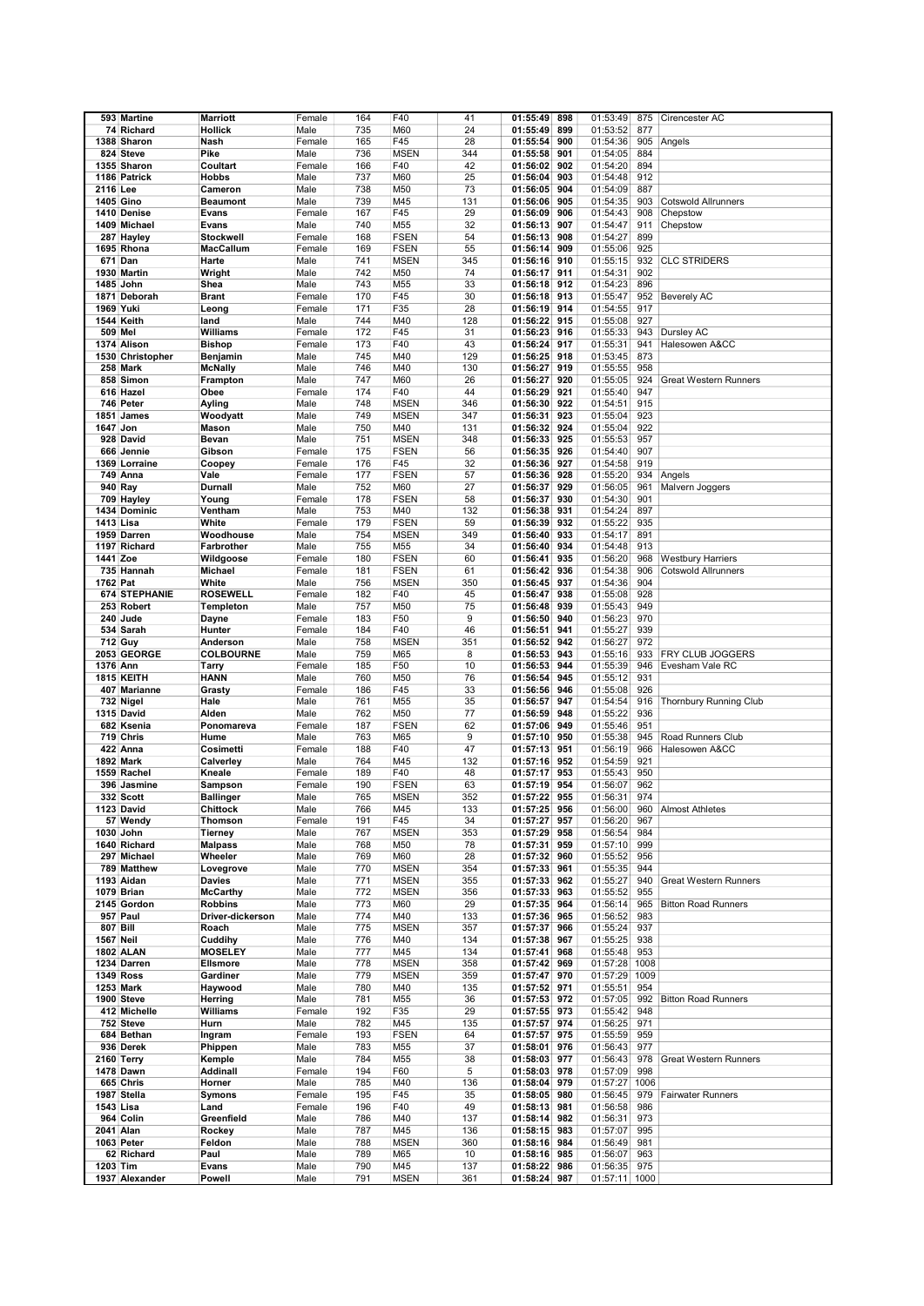|           | 593 Martine          | <b>Marriott</b>  | Female | 164 | F40             | 41  | 01:55:49<br>898 | 01:53:49      | 875  | Cirencester AC               |
|-----------|----------------------|------------------|--------|-----|-----------------|-----|-----------------|---------------|------|------------------------------|
|           |                      |                  |        |     |                 |     |                 |               |      |                              |
|           | 74 Richard           | Hollick          | Male   | 735 | M60             | 24  | 01:55:49<br>899 | 01:53:52      | 877  |                              |
|           | 1388 Sharon          | Nash             | Female | 165 | F45             | 28  | 01:55:54<br>900 | 01:54:36      | 905  | Angels                       |
|           | 824 Steve            | Pike             | Male   | 736 | <b>MSEN</b>     | 344 | 901<br>01:55:58 | 01:54:05      | 884  |                              |
|           | 1355 Sharon          | Coultart         | Female | 166 | F40             | 42  | 902<br>01:56:02 | 01:54:20      | 894  |                              |
|           |                      |                  |        |     |                 |     |                 |               |      |                              |
|           | 1186 Patrick         | <b>Hobbs</b>     | Male   | 737 | M60             | 25  | 903<br>01:56:04 | 01:54:48      | 912  |                              |
| 2116 Lee  |                      | Cameron          | Male   | 738 | M50             | 73  | 904<br>01:56:05 | 01:54:09      | 887  |                              |
|           | 1405 Gino            | <b>Beaumont</b>  | Male   | 739 | M45             | 131 | 01:56:06<br>905 | 01:54:35      | 903  | <b>Cotswold Allrunners</b>   |
|           | 1410 Denise          | Evans            | Female | 167 | F45             | 29  | 01:56:09<br>906 | 01:54:43      | 908  | Chepstow                     |
|           |                      |                  |        |     |                 |     |                 |               |      |                              |
|           | 1409 Michael         | <b>Evans</b>     | Male   | 740 | M55             | 32  | 01:56:13<br>907 | 01:54:47      | 911  | Chepstow                     |
|           | 287 Hayley           | Stockwell        | Female | 168 | <b>FSEN</b>     | 54  | 01:56:13<br>908 | 01:54:27      | 899  |                              |
|           | 1695 Rhona           | MacCallum        | Female | 169 | <b>FSEN</b>     | 55  | 01:56:14<br>909 | 01:55:06      | 925  |                              |
|           | 671 Dan              | Harte            | Male   | 741 | <b>MSEN</b>     | 345 | 01:56:16<br>910 | 01:55:15      | 932  | <b>CLC STRIDERS</b>          |
|           |                      |                  |        |     |                 |     |                 |               |      |                              |
|           | 1930 Martin          | Wright           | Male   | 742 | M50             | 74  | 911<br>01:56:17 | 01:54:31      | 902  |                              |
|           | 1485 John            | Shea             | Male   | 743 | M <sub>55</sub> | 33  | 01:56:18<br>912 | 01:54:23      | 896  |                              |
|           | 1871 Deborah         | <b>Brant</b>     | Female | 170 | F45             | 30  | 01:56:18<br>913 | 01:55:47      | 952  | <b>Beverely AC</b>           |
| 1969 Yuki |                      | Leong            | Female | 171 | F35             | 28  | 01:56:19<br>914 | 01:54:55      | 917  |                              |
|           |                      |                  |        |     |                 |     |                 |               |      |                              |
|           | 1544 Keith           | land             | Male   | 744 | M40             | 128 | 01:56:22<br>915 | 01:55:08      | 927  |                              |
| 509 Mel   |                      | Williams         | Female | 172 | F45             | 31  | 01:56:23<br>916 | 01:55:33      | 943  | Dursley AC                   |
|           | 1374 Alison          | <b>Bishop</b>    | Female | 173 | F40             | 43  | 917<br>01:56:24 | 01:55:31      | 941  | Halesowen A&CC               |
|           | 1530 Christopher     | Benjamin         | Male   | 745 | M40             | 129 | 918<br>01:56:25 | 01:53:45      | 873  |                              |
|           |                      |                  |        |     |                 |     |                 |               |      |                              |
|           | 258 Mark             | <b>McNally</b>   | Male   | 746 | M40             | 130 | 01:56:27<br>919 | 01:55:55      | 958  |                              |
|           | 858 Simon            | Frampton         | Male   | 747 | M60             | 26  | 920<br>01:56:27 | 01:55:05      | 924  | <b>Great Western Runners</b> |
|           | 616 Hazel            | Obee             | Female | 174 | F40             | 44  | 01:56:29<br>921 | 01:55:40      | 947  |                              |
|           | 746 Peter            | Ayling           | Male   | 748 | <b>MSEN</b>     | 346 | 922<br>01:56:30 | 01:54:51      | 915  |                              |
|           |                      |                  |        |     |                 |     |                 |               |      |                              |
|           | 1851 James           | Woodyatt         | Male   | 749 | <b>MSEN</b>     | 347 | 01:56:31<br>923 | 01:55:04      | 923  |                              |
| 1647 Jon  |                      | Mason            | Male   | 750 | M40             | 131 | 924<br>01:56:32 | 01:55:04      | 922  |                              |
|           | 928 David            | Bevan            | Male   | 751 | <b>MSEN</b>     | 348 | 01:56:33<br>925 | 01:55:53      | 957  |                              |
|           | 666 Jennie           | Gibson           | Female | 175 | <b>FSEN</b>     | 56  | 926<br>01:56:35 | 01:54:40      | 907  |                              |
|           |                      |                  |        |     |                 |     |                 |               |      |                              |
|           | 1369 Lorraine        | Coopey           | Female | 176 | F45             | 32  | 927<br>01:56:36 | 01:54:58      | 919  |                              |
|           | 749 Anna             | Vale             | Female | 177 | <b>FSEN</b>     | 57  | 928<br>01:56:36 | 01:55:20      | 934  | Angels                       |
|           | 940 Ray              | Durnall          | Male   | 752 | M60             | 27  | 929<br>01:56:37 | 01:56:05      | 961  | Malvern Joggers              |
|           |                      |                  |        |     |                 |     |                 |               |      |                              |
|           | 709 Hayley           | Young            | Female | 178 | <b>FSEN</b>     | 58  | 01:56:37<br>930 | 01:54:30      | 901  |                              |
|           | 1434 Dominic         | Ventham          | Male   | 753 | M40             | 132 | 01:56:38<br>931 | 01:54:24      | 897  |                              |
| 1413 Lisa |                      | White            | Female | 179 | <b>FSEN</b>     | 59  | 01:56:39<br>932 | 01:55:22      | 935  |                              |
|           | 1959 Darren          | Woodhouse        | Male   | 754 | <b>MSEN</b>     | 349 | 01:56:40<br>933 | 01:54:17      | 891  |                              |
|           |                      |                  |        |     |                 |     |                 |               |      |                              |
|           | 1197 Richard         | Farbrother       | Male   | 755 | M55             | 34  | 01:56:40<br>934 | 01:54:48      | 913  |                              |
| 1441 Zoe  |                      | Wildgoose        | Female | 180 | <b>FSEN</b>     | 60  | 935<br>01:56:41 | 01:56:20      | 968  | <b>Westbury Harriers</b>     |
|           | 735 Hannah           | <b>Michael</b>   | Female | 181 | <b>FSEN</b>     | 61  | 936<br>01:56:42 | 01:54:38      | 906  | <b>Cotswold Allrunners</b>   |
| 1762 Pat  |                      | White            | Male   | 756 | <b>MSEN</b>     | 350 | 01:56:45<br>937 | 01:54:36      | 904  |                              |
|           |                      |                  |        |     |                 |     |                 |               |      |                              |
|           | <b>674 STEPHANIE</b> | <b>ROSEWELL</b>  | Female | 182 | F40             | 45  | 938<br>01:56:47 | 01:55:08      | 928  |                              |
|           | 253 Robert           | <b>Templeton</b> | Male   | 757 | M50             | 75  | 01:56:48<br>939 | 01:55:43      | 949  |                              |
|           | 240 Jude             | Dayne            | Female | 183 | F50             | 9   | 01:56:50<br>940 | 01:56:23      | 970  |                              |
|           | 534 Sarah            | Hunter           | Female | 184 | F40             | 46  | 01:56:51<br>941 | 01:55:27      | 939  |                              |
|           |                      |                  |        |     |                 |     |                 |               |      |                              |
|           | 712 Guy              | Anderson         | Male   | 758 | <b>MSEN</b>     | 351 | 01:56:52<br>942 | 01:56:27      | 972  |                              |
|           | 2053 GEORGE          | <b>COLBOURNE</b> | Male   | 759 | M65             | 8   | 943<br>01:56:53 | 01:55:16      | 933  | FRY CLUB JOGGERS             |
| 1376 Ann  |                      | Tarry            | Female | 185 | F50             | 10  | 01:56:53<br>944 | 01:55:39      | 946  | Evesham Vale RC              |
|           | 1815 KEITH           |                  |        | 760 |                 | 76  | 945             |               | 931  |                              |
|           |                      | <b>HANN</b>      | Male   |     | M50             |     | 01:56:54        | 01:55:12      |      |                              |
|           | 407 Marianne         | Grasty           | Female | 186 | F45             | 33  | 01:56:56<br>946 | 01:55:08      | 926  |                              |
|           | 732 Nigel            | Hale             | Male   | 761 | M55             | 35  | 01:56:57<br>947 | 01:54:54      | 916  | Thornbury Running Club       |
|           | 1315 David           | Alden            | Male   | 762 | M50             | 77  | 948<br>01:56:59 | 01:55:22      | 936  |                              |
|           | 682 Ksenia           | Ponomareva       | Female | 187 | <b>FSEN</b>     | 62  | 01:57:06<br>949 | 01:55:46      | 951  |                              |
|           | 719 Chris            | Hume             | Male   | 763 | M65             | 9   | 950<br>01:57:10 | 01:55:38      | 945  | Road Runners Club            |
|           |                      |                  |        |     |                 |     |                 |               |      |                              |
|           | 422 Anna             | Cosimetti        | Female | 188 | F40             | 47  | 01:57:13<br>951 | 01:56:19      | 966  | Halesowen A&CC               |
|           | 1892 Mark            | Calverley        | Male   | 764 | M45             | 132 | 952<br>01:57:16 | 01:54:59      | 921  |                              |
|           | 1559 Rachel          | Kneale           | Female | 189 | F40             | 48  | 953<br>01:57:17 | 01:55:43      | 950  |                              |
|           |                      |                  |        |     |                 |     |                 |               |      |                              |
|           | 396 Jasmine          | Sampson          | Female | 190 | <b>FSEN</b>     | 63  | 954<br>01:57:19 | 01:56:07      | 962  |                              |
|           | 332 Scott            | <b>Ballinger</b> | Male   | 765 | <b>MSEN</b>     | 352 | 01:57:22<br>955 | 01:56:31      | 974  |                              |
|           | 1123 David           | Chittock         | Male   | 766 | M45             | 133 | 01:57:25 956    | 01:56:00      | 960  | <b>Almost Athletes</b>       |
|           | 57 Wendy             | Thomson          | Female | 191 | F45             | 34  | 01:57:27<br>957 | 01:56:20      | 967  |                              |
|           |                      |                  |        |     |                 |     |                 |               |      |                              |
|           | 1030 John            | <b>Tierney</b>   | Male   | 767 | <b>MSEN</b>     | 353 | 01:57:29<br>958 | 01:56:54      | 984  |                              |
|           | 1640 Richard         | <b>Malpass</b>   | Male   | 768 | M50             | 78  | 01:57:31<br>959 | 01:57:10      | 999  |                              |
|           | 297 Michael          | Wheeler          | Male   | 769 | M60             | 28  | 01:57:32<br>960 | 01:55:52      | 956  |                              |
|           | 789 Matthew          | Lovegrove        | Male   | 770 | <b>MSEN</b>     | 354 | 01:57:33<br>961 | 01:55:35      | 944  |                              |
|           | 1193 Aidan           | Davies           | Male   | 771 | <b>MSEN</b>     | 355 | 01:57:33<br>962 | 01:55:27      | 940  | <b>Great Western Runners</b> |
|           | 1079 Brian           |                  |        | 772 | <b>MSEN</b>     |     | 963             |               | 955  |                              |
|           |                      | <b>McCarthy</b>  | Male   |     |                 | 356 | 01:57:33        | 01:55:52      |      |                              |
|           | 2145 Gordon          | <b>Robbins</b>   | Male   | 773 | M60             | 29  | 01:57:35<br>964 | 01:56:14      | 965  | <b>Bitton Road Runners</b>   |
|           | 957 Paul             | Driver-dickerson | Male   | 774 | M40             | 133 | 01:57:36<br>965 | 01:56:52      | 983  |                              |
| 807 Bill  |                      | Roach            | Male   | 775 | <b>MSEN</b>     | 357 | 01:57:37<br>966 | 01:55:24      | 937  |                              |
| 1567 Neil |                      | Cuddihy          | Male   | 776 | M40             | 134 | 01:57:38<br>967 | 01:55:25      | 938  |                              |
|           |                      | <b>MOSELEY</b>   | Male   | 777 | M45             |     | 01:57:41<br>968 |               | 953  |                              |
|           | <b>1802 ALAN</b>     |                  |        |     |                 | 134 |                 | 01:55:48      |      |                              |
|           | 1234 Darren          | <b>Ellsmore</b>  | Male   | 778 | <b>MSEN</b>     | 358 | 01:57:42<br>969 | 01:57:28      | 1008 |                              |
|           | <b>1349 Ross</b>     | Gardiner         | Male   | 779 | <b>MSEN</b>     | 359 | 01:57:47<br>970 | 01:57:29 1009 |      |                              |
|           | 1253 Mark            | Haywood          | Male   | 780 | M40             | 135 | 01:57:52 971    | 01:55:51      | 954  |                              |
|           | 1900 Steve           | Herring          | Male   | 781 | M55             | 36  | 01:57:53 972    | 01:57:05      | 992  | <b>Bitton Road Runners</b>   |
|           |                      |                  |        |     |                 |     |                 |               |      |                              |
|           | 412 Michelle         | Williams         | Female | 192 | F35             | 29  | 01:57:55<br>973 | 01:55:42      | 948  |                              |
|           | 752 Steve            | Hurn             | Male   | 782 | M45             | 135 | 01:57:57<br>974 | 01:56:25      | 971  |                              |
|           | 684 Bethan           | Ingram           | Female | 193 | <b>FSEN</b>     | 64  | 01:57:57<br>975 | 01:55:59      | 959  |                              |
|           | 936 Derek            | Phippen          | Male   | 783 | M55             | 37  | 01:58:01<br>976 | 01:56:43      | 977  |                              |
|           |                      |                  |        | 784 |                 |     |                 |               |      |                              |
|           | 2160 Terry           | Kemple           | Male   |     | M55             | 38  | 01:58:03<br>977 | 01:56:43      | 978  | <b>Great Western Runners</b> |
|           | <b>1478 Dawn</b>     | Addinall         | Female | 194 | F60             | 5   | 01:58:03<br>978 | 01:57:09      | 998  |                              |
|           | 665 Chris            | Horner           | Male   | 785 | M40             | 136 | 01:58:04<br>979 | 01:57:27      | 1006 |                              |
|           | 1987 Stella          | Symons           | Female | 195 | F45             | 35  | 01:58:05<br>980 | 01:56:45      | 979  | <b>Fairwater Runners</b>     |
| 1543 Lisa |                      | Land             | Female | 196 | F40             | 49  | 01:58:13<br>981 | 01:56:58      | 986  |                              |
|           |                      |                  |        |     |                 |     |                 |               |      |                              |
|           | 964 Colin            | Greenfield       | Male   | 786 | M40             | 137 | 01:58:14<br>982 | 01:56:31      | 973  |                              |
| 2041 Alan |                      | Rockey           | Male   | 787 | M45             | 136 | 01:58:15<br>983 | 01:57:07      | 995  |                              |
|           | 1063 Peter           | Feldon           | Male   | 788 | <b>MSEN</b>     | 360 | 01:58:16<br>984 | 01:56:49      | 981  |                              |
|           | 62 Richard           | Paul             | Male   | 789 | M65             | 10  | 01:58:16<br>985 | 01:56:07      | 963  |                              |
|           |                      |                  |        |     |                 |     |                 |               |      |                              |
| 1203 Tim  |                      | <b>Evans</b>     | Male   | 790 | M45             | 137 | 01:58:22<br>986 | 01:56:35      | 975  |                              |
|           | 1937 Alexander       | Powell           | Male   | 791 | <b>MSEN</b>     | 361 | 987<br>01:58:24 | 01:57:11 1000 |      |                              |
|           |                      |                  |        |     |                 |     |                 |               |      |                              |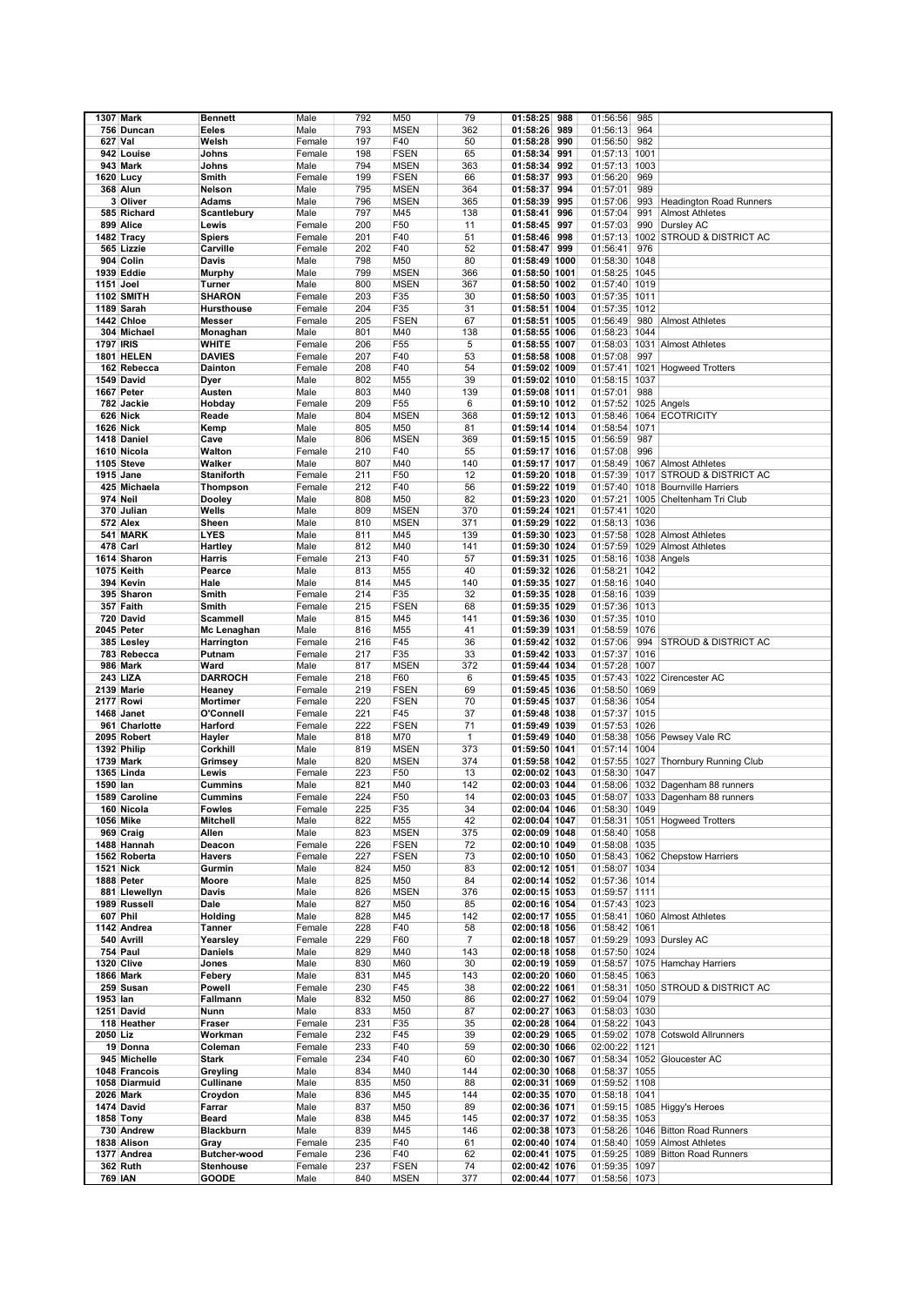|                  | <b>1307 Mark</b>  | <b>Bennett</b>    | Male   | 792 | M50             | 79           | 01:58:25      | 988 | 01:56:56             | 985  |                                       |
|------------------|-------------------|-------------------|--------|-----|-----------------|--------------|---------------|-----|----------------------|------|---------------------------------------|
|                  | 756 Duncan        | Eeles             | Male   | 793 | <b>MSEN</b>     | 362          | 01:58:26      | 989 | 01:56:13             | 964  |                                       |
|                  | 627 Val           | Welsh             | Female | 197 | F40             | 50           | 01:58:28      | 990 | 01:56:50             | 982  |                                       |
|                  |                   |                   |        |     |                 |              |               |     |                      |      |                                       |
|                  | 942 Louise        | Johns             | Female | 198 | <b>FSEN</b>     | 65           | 01:58:34      | 991 | 01:57:13 1001        |      |                                       |
|                  | 943 Mark          | Johns             | Male   | 794 | <b>MSEN</b>     | 363          | 01:58:34      | 992 | 01:57:13 1003        |      |                                       |
|                  | 1620 Lucy         | Smith             | Female | 199 | <b>FSEN</b>     | 66           | 01:58:37      | 993 | 01:56:20             | 969  |                                       |
|                  | 368 Alun          | Nelson            | Male   | 795 | <b>MSEN</b>     | 364          | 01:58:37      | 994 | 01:57:01             | 989  |                                       |
|                  | 3 Oliver          | Adams             | Male   | 796 | <b>MSEN</b>     | 365          | 01:58:39      | 995 | 01:57:06             | 993  | <b>Headington Road Runners</b>        |
|                  | 585 Richard       | Scantlebury       | Male   | 797 | M45             | 138          | 01:58:41      | 996 | 01:57:04             | 991  | <b>Almost Athletes</b>                |
|                  | 899 Alice         | Lewis             | Female | 200 | F50             | 11           | 01:58:45      | 997 | 01:57:03             | 990  | Dursley AC                            |
|                  | 1482 Tracy        | <b>Spiers</b>     | Female | 201 | F40             | 51           | 01:58:46      | 998 | 01:57:13             | 1002 | <b>STROUD &amp; DISTRICT AC</b>       |
|                  | 565 Lizzie        | Carville          | Female | 202 | F40             | 52           | 01:58:47      | 999 | 01:56:41             | 976  |                                       |
|                  | 904 Colin         | Davis             | Male   | 798 | M50             | 80           | 01:58:49 1000 |     | 01:58:30 1048        |      |                                       |
|                  | 1939 Eddie        | Murphy            | Male   | 799 | <b>MSEN</b>     | 366          | 01:58:50 1001 |     | 01:58:25 1045        |      |                                       |
| 1151 Joel        |                   | Turner            | Male   | 800 | <b>MSEN</b>     | 367          | 01:58:50 1002 |     | 01:57:40             | 1019 |                                       |
|                  | <b>1102 SMITH</b> | <b>SHARON</b>     |        | 203 |                 | 30           |               |     |                      |      |                                       |
|                  |                   |                   | Female |     | F35             |              | 01:58:50 1003 |     | 01:57:35 1011        |      |                                       |
|                  | 1189 Sarah        | <b>Hursthouse</b> | Female | 204 | F35             | 31           | 01:58:51 1004 |     | 01:57:35 1012        |      |                                       |
|                  | 1442 Chloe        | Messer            | Female | 205 | <b>FSEN</b>     | 67           | 01:58:51 1005 |     | 01:56:49             | 980  | <b>Almost Athletes</b>                |
|                  | 304 Michael       | Monaghan          | Male   | 801 | M40             | 138          | 01:58:55 1006 |     | 01:58:23 1044        |      |                                       |
| <b>1797 IRIS</b> |                   | WHITE             | Female | 206 | F55             | 5            | 01:58:55 1007 |     |                      |      | 01:58:03 1031 Almost Athletes         |
|                  | 1801 HELEN        | <b>DAVIES</b>     | Female | 207 | F40             | 53           | 01:58:58 1008 |     | 01:57:08             | 997  |                                       |
|                  | 162 Rebecca       | <b>Dainton</b>    | Female | 208 | F40             | 54           | 01:59:02 1009 |     | 01:57:41             |      | 1021 Hogweed Trotters                 |
|                  | 1549 David        | Dyer              | Male   | 802 | M55             | 39           | 01:59:02 1010 |     | 01:58:15 1037        |      |                                       |
|                  | 1667 Peter        | Austen            | Male   | 803 | M40             | 139          | 01:59:08 1011 |     | 01:57:01             | 988  |                                       |
|                  | 782 Jackie        | Hobday            | Female | 209 | F <sub>55</sub> | 6            | 01:59:10 1012 |     | 01:57:52 1025 Angels |      |                                       |
|                  | 626 Nick          | Reade             | Male   | 804 | <b>MSEN</b>     | 368          | 01:59:12 1013 |     |                      |      | 01:58:46 1064 ECOTRICITY              |
|                  | 1626 Nick         | Kemp              | Male   | 805 | M50             | 81           | 01:59:14 1014 |     | 01:58:54 1071        |      |                                       |
|                  | 1418 Daniel       | Cave              | Male   | 806 | <b>MSEN</b>     | 369          | 01:59:15 1015 |     | 01:56:59             | 987  |                                       |
|                  | 1610 Nicola       | Walton            | Female | 210 | F40             | 55           | 01:59:17 1016 |     | 01:57:08             | 996  |                                       |
|                  | 1105 Steve        | Walker            | Male   | 807 | M40             | 140          | 01:59:17 1017 |     | 01:58:49             |      | 1067 Almost Athletes                  |
|                  | 1915 Jane         | <b>Staniforth</b> | Female | 211 | F50             | 12           |               |     | 01:57:39             |      | 1017 STROUD & DISTRICT AC             |
|                  |                   |                   |        |     |                 |              | 01:59:20 1018 |     |                      |      |                                       |
|                  | 425 Michaela      | Thompson          | Female | 212 | F40             | 56           | 01:59:22 1019 |     | 01:57:40             |      | 1018 Bournville Harriers              |
|                  | 974 Neil          | Dooley            | Male   | 808 | M50             | 82           | 01:59:23 1020 |     | 01:57:21             |      | 1005 Cheltenham Tri Club              |
|                  | 370 Julian        | Wells             | Male   | 809 | <b>MSEN</b>     | 370          | 01:59:24 1021 |     | 01:57:41 1020        |      |                                       |
|                  | 572 Alex          | Sheen             | Male   | 810 | <b>MSEN</b>     | 371          | 01:59:29 1022 |     | 01:58:13 1036        |      |                                       |
|                  | 541 MARK          | <b>LYES</b>       | Male   | 811 | M45             | 139          | 01:59:30 1023 |     | 01:57:58             |      | 1028 Almost Athletes                  |
|                  | 478 Carl          | Hartley           | Male   | 812 | M40             | 141          | 01:59:30 1024 |     |                      |      | 01:57:59 1029 Almost Athletes         |
|                  | 1614 Sharon       | Harris            | Female | 213 | F40             | 57           | 01:59:31 1025 |     | 01:58:16 1038 Angels |      |                                       |
|                  | 1075 Keith        | Pearce            | Male   | 813 | M55             | 40           | 01:59:32 1026 |     | 01:58:21             | 1042 |                                       |
|                  | 394 Kevin         | Hale              | Male   | 814 | M45             | 140          | 01:59:35 1027 |     | 01:58:16 1040        |      |                                       |
|                  | 395 Sharon        | Smith             | Female | 214 | F35             | 32           | 01:59:35 1028 |     | 01:58:16 1039        |      |                                       |
|                  | 357 Faith         | Smith             | Female | 215 | <b>FSEN</b>     | 68           | 01:59:35 1029 |     | 01:57:36 1013        |      |                                       |
|                  | 720 David         | Scammell          | Male   | 815 | M45             | 141          | 01:59:36 1030 |     | 01:57:35 1010        |      |                                       |
|                  | 2045 Peter        | Mc Lenaghan       | Male   | 816 | M55             | 41           | 01:59:39 1031 |     | 01:58:59 1076        |      |                                       |
|                  | 385 Lesley        |                   | Female | 216 | F45             | 36           | 01:59:42 1032 |     | 01:57:06             |      | 994 STROUD & DISTRICT AC              |
|                  |                   | Harrington        |        | 217 | F35             | 33           |               |     | 01:57:37             | 1016 |                                       |
|                  | 783 Rebecca       | Putnam            | Female |     |                 |              | 01:59:42 1033 |     |                      |      |                                       |
|                  | 986 Mark          | Ward              | Male   | 817 | <b>MSEN</b>     | 372          | 01:59:44 1034 |     | 01:57:28             | 1007 |                                       |
|                  | 243 LIZA          | DARROCH           | Female | 218 | F60             | 6            | 01:59:45 1035 |     |                      |      | 01:57:43 1022 Cirencester AC          |
|                  | 2139 Marie        | Heaney            | Female | 219 | <b>FSEN</b>     | 69           | 01:59:45 1036 |     | 01:58:50 1069        |      |                                       |
|                  | <b>2177 Rowi</b>  | Mortimer          | Female | 220 | <b>FSEN</b>     | 70           | 01:59:45 1037 |     | 01:58:36 1054        |      |                                       |
|                  | 1468 Janet        | O'Connell         | Female | 221 | F45             | 37           | 01:59:48 1038 |     | 01:57:37 1015        |      |                                       |
|                  | 961 Charlotte     | Harford           | Female | 222 | <b>FSEN</b>     | 71           | 01:59:49 1039 |     | 01:57:53 1026        |      |                                       |
|                  | 2095 Robert       | Hayler            | Male   | 818 | M70             | $\mathbf{1}$ | 01:59:49 1040 |     |                      |      | 01:58:38 1056 Pewsey Vale RC          |
|                  | 1392 Philip       | Corkhill          | Male   | 819 | <b>MSEN</b>     | 373          | 01:59:50 1041 |     | 01:57:14             | 1004 |                                       |
|                  | 1739 Mark         | Grimsey           | Male   | 820 | <b>MSEN</b>     | 374          | 01:59:58 1042 |     |                      |      | 01:57:55 1027 Thornbury Running Club  |
|                  | <b>1365 Linda</b> | Lewis             | Female | 223 | F50             | 13           | 02:00:02 1043 |     | 01:58:30             | 1047 |                                       |
| 1590 lan         |                   | Cummins           | Male   | 821 | M40             | 142          | 02:00:03 1044 |     |                      |      | 01:58:06 1032 Dagenham 88 runners     |
|                  | 1589 Caroline     | Cummins           | Female | 224 | F50             | 14           | 02:00:03 1045 |     |                      |      | 01:58:07 1033 Dagenham 88 runners     |
|                  | 160 Nicola        | Fowles            | Female | 225 | F35             | 34           | 02:00:04 1046 |     | 01:58:30 1049        |      |                                       |
|                  | 1056 Mike         | Mitchell          | Male   | 822 | M55             | 42           | 02:00:04 1047 |     |                      |      | 01:58:31 1051 Hogweed Trotters        |
|                  | 969 Craig         | Allen             | Male   | 823 | <b>MSEN</b>     | 375          | 02:00:09 1048 |     | 01:58:40 1058        |      |                                       |
|                  | 1488 Hannah       | Deacon            | Female | 226 | <b>FSEN</b>     | 72           | 02:00:10 1049 |     | 01:58:08 1035        |      |                                       |
|                  | 1562 Roberta      | <b>Havers</b>     | Female | 227 | <b>FSEN</b>     | 73           | 02:00:10 1050 |     |                      |      | 01:58:43 1062 Chepstow Harriers       |
|                  | <b>1521 Nick</b>  | Gurmin            | Male   | 824 | M50             | 83           | 02:00:12 1051 |     | 01:58:07 1034        |      |                                       |
|                  | 1888 Peter        | Moore             | Male   | 825 | M50             | 84           | 02:00:14 1052 |     | 01:57:36 1014        |      |                                       |
|                  | 881 Llewellyn     | Davis             | Male   | 826 | <b>MSEN</b>     | 376          | 02:00:15 1053 |     | 01:59:57 1111        |      |                                       |
|                  | 1989 Russell      | Dale              | Male   | 827 | M50             | 85           | 02:00:16 1054 |     | 01:57:43 1023        |      |                                       |
|                  |                   |                   |        |     |                 |              |               |     |                      |      |                                       |
|                  | 607 Phil          | Holding           | Male   | 828 | M45             | 142          | 02:00:17 1055 |     |                      |      | 01:58:41 1060 Almost Athletes         |
|                  | 1142 Andrea       | Tanner            | Female | 228 | F40             | 58           | 02:00:18 1056 |     | 01:58:42 1061        |      |                                       |
|                  | 540 Avrill        | Yearsley          | Female | 229 | F60             | 7            | 02:00:18 1057 |     |                      |      | 01:59:29 1093 Dursley AC              |
|                  | 754 Paul          | <b>Daniels</b>    | Male   | 829 | M40             | 143          | 02:00:18 1058 |     | 01:57:50 1024        |      |                                       |
|                  | 1320 Clive        | Jones             | Male   | 830 | M60             | 30           | 02:00:19 1059 |     |                      |      | 01:58:57 1075 Hamchay Harriers        |
|                  | <b>1866 Mark</b>  | Febery            | Male   | 831 | M45             | 143          | 02:00:20 1060 |     | 01:58:45 1063        |      |                                       |
|                  | 259 Susan         | Powell            | Female | 230 | F45             | 38           | 02:00:22 1061 |     |                      |      | 01:58:31 1050 STROUD & DISTRICT AC    |
| 1953 lan         |                   | Fallmann          | Male   | 832 | M50             | 86           | 02:00:27 1062 |     | 01:59:04 1079        |      |                                       |
|                  | 1251 David        | Nunn              | Male   | 833 | M50             | 87           | 02:00:27 1063 |     | 01:58:03 1030        |      |                                       |
|                  | 118 Heather       | Fraser            | Female | 231 | F35             | 35           | 02:00:28 1064 |     | 01:58:22 1043        |      |                                       |
| 2050 Liz         |                   | Workman           | Female | 232 | F45             | 39           | 02:00:29 1065 |     |                      |      | 01:59:02 1078 Cotswold Allrunners     |
|                  | 19 Donna          | Coleman           | Female | 233 | F40             | 59           | 02:00:30 1066 |     | 02:00:22 1121        |      |                                       |
|                  | 945 Michelle      | Stark             | Female | 234 | F40             | 60           | 02:00:30 1067 |     |                      |      | 01:58:34 1052 Gloucester AC           |
|                  | 1048 Francois     | Greyling          | Male   | 834 | M40             | 144          | 02:00:30 1068 |     | 01:58:37 1055        |      |                                       |
|                  | 1058 Diarmuid     | Cullinane         | Male   | 835 | M50             | 88           | 02:00:31 1069 |     | 01:59:52 1108        |      |                                       |
|                  | <b>2026 Mark</b>  |                   | Male   | 836 | M45             | 144          | 02:00:35 1070 |     | 01:58:18 1041        |      |                                       |
|                  |                   | Croydon           |        |     |                 |              |               |     |                      |      |                                       |
|                  | 1474 David        | Farrar            | Male   | 837 | M50             | 89           | 02:00:36 1071 |     |                      |      | 01:59:15 1085 Higgy's Heroes          |
|                  | 1858 Tony         | Beard             | Male   | 838 | M45             | 145          | 02:00:37 1072 |     | 01:58:35 1053        |      |                                       |
|                  | 730 Andrew        | <b>Blackburn</b>  | Male   | 839 | M45             | 146          | 02:00:38 1073 |     |                      |      | 01:58:26 1046 Bitton Road Runners     |
|                  | 1838 Alison       | Gray              | Female | 235 | F40             | 61           | 02:00:40 1074 |     |                      |      | 01:58:40 1059 Almost Athletes         |
|                  | 1377 Andrea       | Butcher-wood      | Female | 236 | F40             | 62           | 02:00:41 1075 |     |                      |      | 01:59:25   1089   Bitton Road Runners |
|                  | 362 Ruth          | <b>Stenhouse</b>  | Female | 237 | <b>FSEN</b>     | 74           | 02:00:42 1076 |     | 01:59:35 1097        |      |                                       |
|                  | <b>769 IAN</b>    | GOODE             | Male   | 840 | <b>MSEN</b>     | 377          | 02:00:44 1077 |     | 01:58:56 1073        |      |                                       |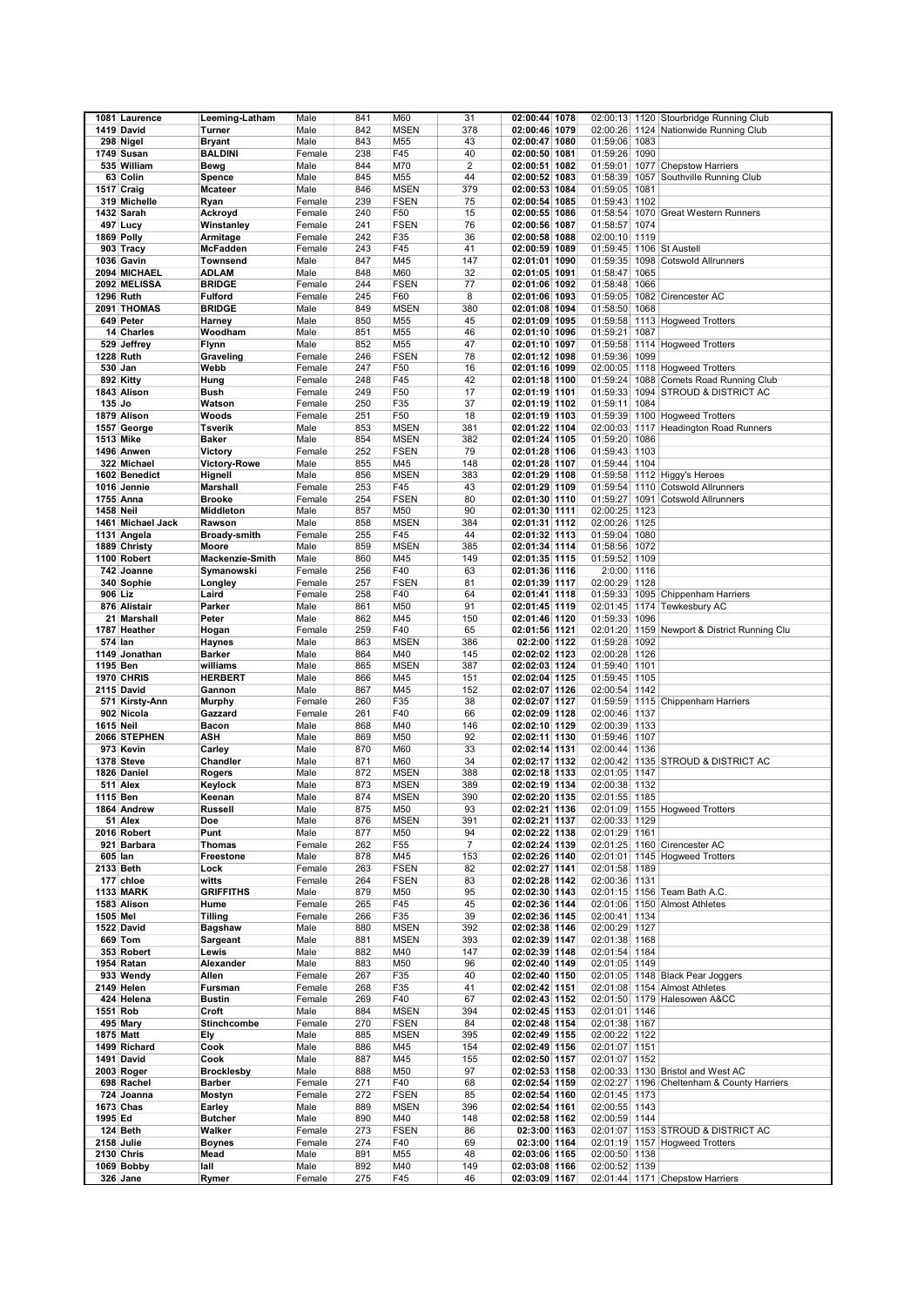|                  | 1081 Laurence     | Leeming-Latham         | Male   | 841 | M60             | 31             | 02:00:44 1078 |               |      | 02:00:13 1120 Stourbridge Running Club         |
|------------------|-------------------|------------------------|--------|-----|-----------------|----------------|---------------|---------------|------|------------------------------------------------|
|                  |                   |                        |        |     |                 |                |               |               |      |                                                |
|                  | 1419 David        | Turner                 | Male   | 842 | <b>MSEN</b>     | 378            | 02:00:46 1079 |               |      | 02:00:26 1124 Nationwide Running Club          |
|                  | 298 Nigel         | <b>Bryant</b>          | Male   | 843 | M55             | 43             | 02:00:47 1080 | 01:59:06 1083 |      |                                                |
|                  | 1749 Susan        | <b>BALDINI</b>         | Female | 238 | F45             | 40             | 02:00:50 1081 | 01:59:26 1090 |      |                                                |
|                  | 535 William       | Bewg                   | Male   | 844 | M70             | $\overline{2}$ | 02:00:51 1082 | 01:59:01      |      | 1077 Chepstow Harriers                         |
|                  | 63 Colin          | Spence                 | Male   | 845 | M55             | 44             | 02:00:52 1083 | 01:58:39      |      | 1057 Southville Running Club                   |
|                  | 1517 Craig        | <b>Mcateer</b>         | Male   | 846 | <b>MSEN</b>     | 379            | 02:00:53 1084 | 01:59:05 1081 |      |                                                |
|                  |                   |                        | Female | 239 | <b>FSEN</b>     | 75             | 02:00:54 1085 | 01:59:43      | 1102 |                                                |
|                  | 319 Michelle      | Ryan                   |        |     |                 |                |               |               |      |                                                |
|                  | 1432 Sarah        | Ackroyd                | Female | 240 | F50             | 15             | 02:00:55 1086 | 01:58:54      |      | 1070 Great Western Runners                     |
|                  | 497 Lucy          | Winstanley             | Female | 241 | <b>FSEN</b>     | 76             | 02:00:56 1087 | 01:58:57 1074 |      |                                                |
|                  | 1869 Polly        | Armitage               | Female | 242 | F35             | 36             | 02:00:58 1088 | 02:00:10 1119 |      |                                                |
|                  | 903 Tracy         | <b>McFadden</b>        | Female | 243 | F45             | 41             | 02:00:59 1089 |               |      | 01:59:45 1106 St Austell                       |
|                  | 1036 Gavin        | <b>Townsend</b>        | Male   | 847 | M45             | 147            | 02:01:01 1090 | 01:59:35      |      | 1098 Cotswold Allrunners                       |
|                  | 2094 MICHAEL      | <b>ADLAM</b>           | Male   | 848 | M60             | 32             | 02:01:05 1091 | 01:58:47      | 1065 |                                                |
|                  | 2092 MELISSA      | <b>BRIDGE</b>          | Female | 244 | <b>FSEN</b>     | 77             | 02:01:06 1092 | 01:58:48      | 1066 |                                                |
|                  | 1296 Ruth         |                        |        |     |                 |                |               |               |      |                                                |
|                  |                   | <b>Fulford</b>         | Female | 245 | F60             | 8              | 02:01:06 1093 |               |      | 01:59:05 1082 Cirencester AC                   |
|                  | 2091 THOMAS       | <b>BRIDGE</b>          | Male   | 849 | <b>MSEN</b>     | 380            | 02:01:08 1094 | 01:58:50 1068 |      |                                                |
|                  | 649 Peter         | Harney                 | Male   | 850 | M55             | 45             | 02:01:09 1095 |               |      | 01:59:58 1113 Hogweed Trotters                 |
|                  | 14 Charles        | Woodham                | Male   | 851 | M55             | 46             | 02:01:10 1096 | 01:59:21      | 1087 |                                                |
|                  | 529 Jeffrey       | <b>Flynn</b>           | Male   | 852 | M55             | 47             | 02:01:10 1097 | 01:59:58      |      | 1114 Hogweed Trotters                          |
| 1228 Ruth        |                   | Graveling              | Female | 246 | <b>FSEN</b>     | 78             | 02:01:12 1098 | 01:59:36 1099 |      |                                                |
| 530 Jan          |                   | Webb                   | Female | 247 | F50             | 16             | 02:01:16 1099 | 02:00:05      |      | 1118 Hogweed Trotters                          |
|                  | 892 Kitty         | Hung                   | Female | 248 | F45             | 42             | 02:01:18 1100 | 01:59:24      |      | 1088 Comets Road Running Club                  |
|                  |                   |                        |        |     |                 |                |               |               |      |                                                |
|                  | 1843 Alison       | <b>Bush</b>            | Female | 249 | F50             | 17             | 02:01:19 1101 |               |      | 01:59:33 1094 STROUD & DISTRICT AC             |
| 135 Jo           |                   | Watson                 | Female | 250 | F35             | 37             | 02:01:19 1102 | 01:59:11 1084 |      |                                                |
|                  | 1879 Alison       | Woods                  | Female | 251 | F50             | 18             | 02:01:19 1103 |               |      | 01:59:39 1100 Hogweed Trotters                 |
|                  | 1557 George       | <b>Tsverik</b>         | Male   | 853 | <b>MSEN</b>     | 381            | 02:01:22 1104 |               |      | 02:00:03 1117 Headington Road Runners          |
| 1513 Mike        |                   | <b>Baker</b>           | Male   | 854 | <b>MSEN</b>     | 382            | 02:01:24 1105 | 01:59:20 1086 |      |                                                |
|                  | 1496 Anwen        | Victory                | Female | 252 | <b>FSEN</b>     | 79             | 02:01:28 1106 | 01:59:43 1103 |      |                                                |
|                  | 322 Michael       | <b>Victory-Rowe</b>    | Male   | 855 | M45             | 148            | 02:01:28 1107 | 01:59:44 1104 |      |                                                |
|                  | 1602 Benedict     |                        |        | 856 |                 | 383            |               |               |      |                                                |
|                  |                   | Hignell                | Male   |     | <b>MSEN</b>     |                | 02:01:29 1108 |               |      | 01:59:58 1112 Higgy's Heroes                   |
|                  | 1016 Jennie       | <b>Marshall</b>        | Female | 253 | F45             | 43             | 02:01:29 1109 | 01:59:54      |      | 1110 Cotswold Allrunners                       |
|                  | 1755 Anna         | <b>Brooke</b>          | Female | 254 | <b>FSEN</b>     | 80             | 02:01:30 1110 | 01:59:27      |      | 1091 Cotswold Allrunners                       |
| <b>1458 Neil</b> |                   | Middleton              | Male   | 857 | M50             | 90             | 02:01:30 1111 | 02:00:25 1123 |      |                                                |
|                  | 1461 Michael Jack | Rawson                 | Male   | 858 | <b>MSEN</b>     | 384            | 02:01:31 1112 | 02:00:26 1125 |      |                                                |
|                  | 1131 Angela       | <b>Broady-smith</b>    | Female | 255 | F45             | 44             | 02:01:32 1113 | 01:59:04 1080 |      |                                                |
|                  | 1889 Christy      | Moore                  | Male   | 859 | <b>MSEN</b>     | 385            | 02:01:34 1114 | 01:58:56 1072 |      |                                                |
|                  | 1100 Robert       | <b>Mackenzie-Smith</b> | Male   | 860 | M45             | 149            |               | 01:59:52 1109 |      |                                                |
|                  |                   |                        |        |     |                 |                | 02:01:35 1115 |               |      |                                                |
|                  | 742 Joanne        | Symanowski             | Female | 256 | F40             | 63             | 02:01:36 1116 | 2:0:00 1116   |      |                                                |
|                  | 340 Sophie        | Longley                | Female | 257 | <b>FSEN</b>     | 81             | 02:01:39 1117 | 02:00:29 1128 |      |                                                |
| 906 Liz          |                   | Laird                  | Female | 258 | F40             | 64             | 02:01:41 1118 | 01:59:33      |      | 1095 Chippenham Harriers                       |
|                  | 876 Alistair      | Parker                 | Male   | 861 | M50             | 91             | 02:01:45 1119 |               |      | 02:01:45 1174 Tewkesbury AC                    |
|                  | 21 Marshall       | Peter                  | Male   | 862 | M45             | 150            | 02:01:46 1120 | 01:59:33      | 1096 |                                                |
|                  | 1787 Heather      | Hogan                  | Female | 259 | F40             | 65             | 02:01:56 1121 |               |      | 02:01:20 1159 Newport & District Running Clu   |
| 574 lan          |                   | Haynes                 | Male   | 863 | <b>MSEN</b>     | 386            | 02:2:00 1122  | 01:59:28 1092 |      |                                                |
|                  | 1149 Jonathan     | <b>Barker</b>          | Male   | 864 | M40             | 145            | 02:02:02 1123 | 02:00:28 1126 |      |                                                |
| 1195 Ben         |                   | williams               | Male   | 865 | <b>MSEN</b>     | 387            | 02:02:03 1124 | 01:59:40      | 1101 |                                                |
|                  | 1970 CHRIS        | <b>HERBERT</b>         | Male   | 866 | M45             | 151            | 02:02:04 1125 | 01:59:45 1105 |      |                                                |
|                  | 2115 David        | Gannon                 | Male   | 867 | M45             | 152            |               | 02:00:54      | 1142 |                                                |
|                  |                   |                        |        |     |                 |                | 02:02:07 1126 |               |      |                                                |
|                  | 571 Kirsty Ann    | <b>Murphy</b>          | Female | 260 | F35             | 38             | 02:02:07 1127 | 01:59:59      |      | 1115 Chippenham Harriers                       |
|                  | 902 Nicola        | Gazzard                | Female | 261 | F40             | 66             | 02:02:09 1128 | 02:00:46 1137 |      |                                                |
| 1615 Neil        |                   | Bacon                  | Male   | 868 | M40             | 146            | 02:02:10 1129 | 02:00:39 1133 |      |                                                |
|                  | 2066 STEPHEN      | ASH                    | Male   | 869 | M50             | 92             | 02:02:11 1130 | 01:59:46 1107 |      |                                                |
|                  | 973 Kevin         | Carley                 | Male   | 870 | M60             | 33             | 02:02:14 1131 | 02:00:44      | 1136 |                                                |
|                  | 1378 Steve        | Chandler               | Male   | 871 | M60             | 34             | 02:02:17 1132 |               |      | 02:00:42 1135 STROUD & DISTRICT AC             |
|                  | 1826 Daniel       | Rogers                 | Male   | 872 | <b>MSEN</b>     | 388            | 02:02:18 1133 | 02:01:05 1147 |      |                                                |
|                  | 511 Alex          | Keylock                | Male   | 873 | <b>MSEN</b>     | 389            | 02:02:19 1134 | 02:00:38 1132 |      |                                                |
| 1115 Ben         |                   | Keenan                 | Male   | 874 | <b>MSEN</b>     | 390            | 02:02:20 1135 | 02:01:55 1185 |      |                                                |
|                  | 1864 Andrew       | <b>Russell</b>         | Male   | 875 | M50             | 93             |               |               |      |                                                |
|                  |                   |                        |        |     |                 |                | 02:02:21 1136 |               |      | 02:01:09 1155 Hogweed Trotters                 |
|                  | 51 Alex           | Doe                    | Male   | 876 | <b>MSEN</b>     | 391            | 02:02:21 1137 | 02:00:33 1129 |      |                                                |
|                  | 2016 Robert       | Punt                   | Male   | 877 | M50             | 94             | 02:02:22 1138 | 02:01:29 1161 |      |                                                |
|                  | 921 Barbara       | <b>Thomas</b>          | Female | 262 | F <sub>55</sub> | $\overline{7}$ | 02:02:24 1139 |               |      | 02:01:25 1160 Cirencester AC                   |
| 605 lan          |                   | Freestone              | Male   | 878 | M45             | 153            | 02:02:26 1140 |               |      | 02:01:01 1145 Hogweed Trotters                 |
| 2133 Beth        |                   | Lock                   | Female | 263 | <b>FSEN</b>     | 82             | 02:02:27 1141 | 02:01:58 1189 |      |                                                |
|                  | 177 chloe         | witts                  | Female | 264 | <b>FSEN</b>     | 83             | 02:02:28 1142 | 02:00:36 1131 |      |                                                |
|                  | <b>1133 MARK</b>  | <b>GRIFFITHS</b>       | Male   | 879 | M50             | 95             | 02:02:30 1143 |               |      | 02:01:15 1156 Team Bath A.C.                   |
|                  | 1583 Alison       | Hume                   | Female | 265 | F45             | 45             | 02:02:36 1144 |               |      | 02:01:06 1150 Almost Athletes                  |
| 1505 Mel         |                   | <b>Tilling</b>         | Female | 266 | F35             | 39             | 02:02:36 1145 | 02:00:41 1134 |      |                                                |
|                  | 1522 David        | <b>Bagshaw</b>         | Male   | 880 | <b>MSEN</b>     | 392            | 02:02:38 1146 | 02:00:29 1127 |      |                                                |
|                  | 669 Tom           |                        |        |     |                 |                |               |               |      |                                                |
|                  |                   | Sargeant               | Male   | 881 | <b>MSEN</b>     | 393            | 02:02:39 1147 | 02:01:38 1168 |      |                                                |
|                  | 353 Robert        | Lewis                  | Male   | 882 | M40             | 147            | 02:02:39 1148 | 02:01:54 1184 |      |                                                |
|                  | 1954 Ratan        | Alexander              | Male   | 883 | M50             | 96             | 02:02:40 1149 | 02:01:05 1149 |      |                                                |
|                  | 933 Wendy         | Allen                  | Female | 267 | F35             | 40             | 02:02:40 1150 |               |      | 02:01:05 1148 Black Pear Joggers               |
|                  | 2149 Helen        | Fursman                | Female | 268 | F35             | 41             | 02:02:42 1151 |               |      | 02:01:08 1154 Almost Athletes                  |
|                  | 424 Helena        | <b>Bustin</b>          | Female | 269 | F40             | 67             | 02:02:43 1152 |               |      | 02:01:50 1179 Halesowen A&CC                   |
| 1551 Rob         |                   | Croft                  | Male   | 884 | <b>MSEN</b>     | 394            | 02:02:45 1153 | 02:01:01 1146 |      |                                                |
|                  | 495 Mary          | Stinchcombe            | Female | 270 | <b>FSEN</b>     | 84             | 02:02:48 1154 | 02:01:38 1167 |      |                                                |
| 1875 Matt        |                   | Ely                    | Male   | 885 | <b>MSEN</b>     | 395            | 02:02:49 1155 | 02:00:22 1122 |      |                                                |
|                  | 1499 Richard      | Cook                   | Male   | 886 | M45             | 154            | 02:02:49 1156 | 02:01:07 1151 |      |                                                |
|                  | 1491 David        | Cook                   | Male   | 887 | M45             | 155            | 02:02:50 1157 | 02:01:07 1152 |      |                                                |
|                  |                   |                        |        |     |                 |                |               |               |      |                                                |
|                  | 2003 Roger        | <b>Brocklesby</b>      | Male   | 888 | M50             | 97             | 02:02:53 1158 |               |      | 02:00:33 1130 Bristol and West AC              |
|                  | 698 Rachel        | Barber                 | Female | 271 | F40             | 68             | 02:02:54 1159 |               |      | 02:02:27   1196   Cheltenham & County Harriers |
|                  | 724 Joanna        | Mostyn                 | Female | 272 | <b>FSEN</b>     | 85             | 02:02:54 1160 | 02:01:45 1173 |      |                                                |
|                  | 1673 Chas         | Earley                 | Male   | 889 | <b>MSEN</b>     | 396            | 02:02:54 1161 | 02:00:55 1143 |      |                                                |
| 1995 Ed          |                   | <b>Butcher</b>         | Male   | 890 | M40             | 148            | 02:02:58 1162 | 02:00:59 1144 |      |                                                |
|                  | 124 Beth          | Walker                 | Female | 273 | <b>FSEN</b>     | 86             | 02:3:00 1163  |               |      | 02:01:07 1153 STROUD & DISTRICT AC             |
|                  | 2158 Julie        | <b>Boynes</b>          | Female | 274 | F40             | 69             | 02:3:00 1164  |               |      | 02:01:19 1157 Hogweed Trotters                 |
|                  | <b>2130 Chris</b> | Mead                   | Male   | 891 | M55             | 48             | 02:03:06 1165 | 02:00:50 1138 |      |                                                |
|                  | 1069 Bobby        | lall                   | Male   | 892 | M40             | 149            | 02:03:08 1166 | 02:00:52 1139 |      |                                                |
|                  | 326 Jane          | Rymer                  | Female | 275 | F45             | 46             | 02:03:09 1167 |               |      | 02:01:44 1171 Chepstow Harriers                |
|                  |                   |                        |        |     |                 |                |               |               |      |                                                |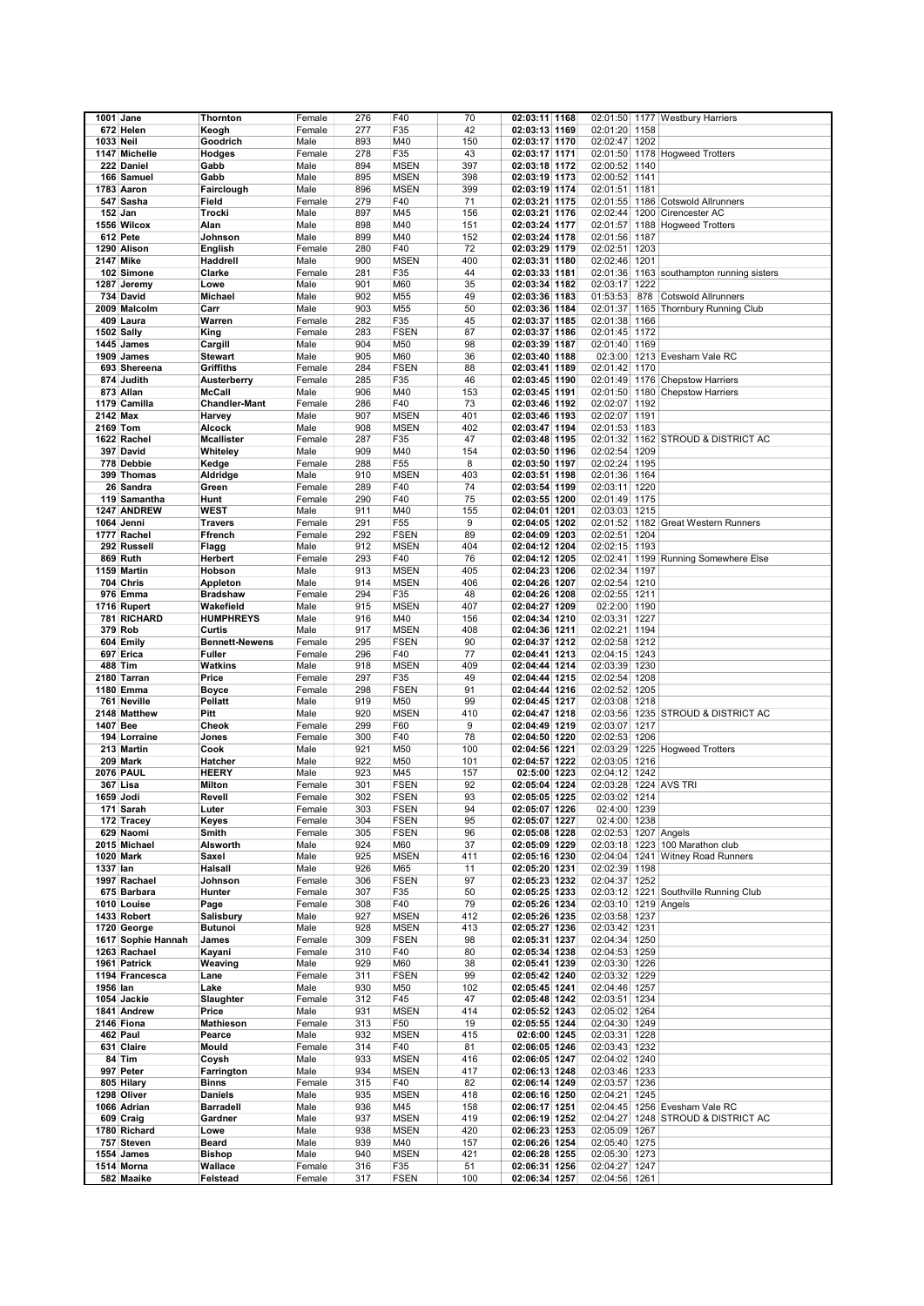|           | $1001$ Jane        | Thornton              | Female | 276 | F40         | 70  | 02:03:11 1168 |                       |      | 02:01:50 1177 Westbury Harriers           |
|-----------|--------------------|-----------------------|--------|-----|-------------|-----|---------------|-----------------------|------|-------------------------------------------|
|           |                    |                       |        |     |             |     |               |                       |      |                                           |
|           | 672 Helen          | Keogh                 | Female | 277 | F35         | 42  | 02:03:13 1169 | 02:01:20 1158         |      |                                           |
| 1033 Neil |                    | Goodrich              | Male   | 893 | M40         | 150 | 02:03:17 1170 | 02:02:47 1202         |      |                                           |
|           | 1147 Michelle      | Hodges                | Female | 278 | F35         | 43  | 02:03:17 1171 |                       |      | 02:01:50 1178 Hogweed Trotters            |
|           | 222 Daniel         | Gabb                  | Male   | 894 | <b>MSEN</b> | 397 | 02:03:18 1172 | 02:00:52 1140         |      |                                           |
|           | 166 Samuel         | Gabb                  | Male   | 895 | <b>MSEN</b> | 398 | 02:03:19 1173 | 02:00:52 1141         |      |                                           |
|           | 1783 Aaron         | Fairclough            | Male   | 896 | <b>MSEN</b> | 399 | 02:03:19 1174 | 02:01:51 1181         |      |                                           |
|           | 547 Sasha          | Field                 | Female | 279 | F40         | 71  |               |                       |      | 02:01:55 1186 Cotswold Allrunners         |
|           |                    |                       |        |     |             |     | 02:03:21 1175 |                       |      |                                           |
|           | 152 Jan            | Trocki                | Male   | 897 | M45         | 156 | 02:03:21 1176 |                       |      | 02:02:44 1200 Cirencester AC              |
|           | 1556 Wilcox        | Alan                  | Male   | 898 | M40         | 151 | 02:03:24 1177 |                       |      | 02:01:57 1188 Hogweed Trotters            |
|           | 612 Pete           | Johnson               | Male   | 899 | M40         | 152 | 02:03:24 1178 | 02:01:56 1187         |      |                                           |
|           | 1290 Alison        | English               | Female | 280 | F40         | 72  | 02:03:29 1179 | 02:02:51 1203         |      |                                           |
|           | 2147 Mike          | Haddrell              | Male   | 900 | <b>MSEN</b> | 400 | 02:03:31 1180 | 02:02:46 1201         |      |                                           |
|           | 102 Simone         | Clarke                | Female | 281 | F35         | 44  | 02:03:33 1181 |                       |      | 02:01:36 1163 southampton running sisters |
|           | 1287 Jeremy        | Lowe                  | Male   | 901 | M60         | 35  | 02:03:34 1182 | 02:03:17              | 1222 |                                           |
|           |                    |                       |        |     |             |     |               |                       |      |                                           |
|           | 734 David          | Michael               | Male   | 902 | M55         | 49  | 02:03:36 1183 | 01:53:53              | 878  | <b>Cotswold Allrunners</b>                |
|           | 2009 Malcolm       | Carr                  | Male   | 903 | M55         | 50  | 02:03:36 1184 |                       |      | 02:01:37 1165 Thornbury Running Club      |
|           | 409 Laura          | Warren                | Female | 282 | F35         | 45  | 02:03:37 1185 | 02:01:38 1166         |      |                                           |
|           | 1502 Sally         | King                  | Female | 283 | <b>FSEN</b> | 87  | 02:03:37 1186 | 02:01:45 1172         |      |                                           |
|           | 1445 James         | Cargill               | Male   | 904 | M50         | 98  | 02:03:39 1187 | 02:01:40 1169         |      |                                           |
|           | 1909 James         | <b>Stewart</b>        | Male   | 905 | M60         | 36  | 02:03:40 1188 |                       |      | 02:3:00 1213 Evesham Vale RC              |
|           | 693 Shereena       | Griffiths             | Female | 284 | <b>FSEN</b> | 88  | 02:03:41 1189 | 02:01:42 1170         |      |                                           |
|           | 874 Judith         | Austerberry           | Female | 285 | F35         | 46  | 02:03:45 1190 |                       |      | 02:01:49 1176 Chepstow Harriers           |
|           |                    |                       |        |     |             |     |               |                       |      |                                           |
|           | 873 Allan          | McCall                | Male   | 906 | M40         | 153 | 02:03:45 1191 |                       |      | 02:01:50 1180 Chepstow Harriers           |
|           | 1179 Camilla       | <b>Chandler-Mant</b>  | Female | 286 | F40         | 73  | 02:03:46 1192 | 02:02:07 1192         |      |                                           |
| 2142 Max  |                    | Harvey                | Male   | 907 | <b>MSEN</b> | 401 | 02:03:46 1193 | 02:02:07 1191         |      |                                           |
|           | 2169 Tom           | Alcock                | Male   | 908 | <b>MSEN</b> | 402 | 02:03:47 1194 | 02:01:53 1183         |      |                                           |
|           | 1622 Rachel        | <b>Mcallister</b>     | Female | 287 | F35         | 47  | 02:03:48 1195 |                       |      | 02:01:32 1162 STROUD & DISTRICT AC        |
|           | 397 David          | Whiteley              | Male   | 909 | M40         | 154 | 02:03:50 1196 | 02:02:54 1209         |      |                                           |
|           | 778 Debbie         | Kedge                 | Female | 288 | F55         | 8   | 02:03:50 1197 | 02:02:24 1195         |      |                                           |
|           | 399 Thomas         | Aldridge              | Male   | 910 | <b>MSEN</b> | 403 | 02:03:51 1198 | 02:01:36 1164         |      |                                           |
|           | 26 Sandra          |                       |        | 289 | F40         | 74  | 02:03:54 1199 | 02:03:11 1220         |      |                                           |
|           |                    | Green                 | Female |     |             |     |               |                       |      |                                           |
|           | 119 Samantha       | Hunt                  | Female | 290 | F40         | 75  | 02:03:55 1200 | 02:01:49 1175         |      |                                           |
|           | 1247 ANDREW        | WEST                  | Male   | 911 | M40         | 155 | 02:04:01 1201 | 02:03:03 1215         |      |                                           |
|           | 1064 Jenni         | <b>Travers</b>        | Female | 291 | F55         | 9   | 02:04:05 1202 |                       |      | 02:01:52 1182 Great Western Runners       |
|           | 1777 Rachel        | Ffrench               | Female | 292 | <b>FSEN</b> | 89  | 02:04:09 1203 | 02:02:51 1204         |      |                                           |
|           | 292 Russell        | Flagg                 | Male   | 912 | <b>MSEN</b> | 404 | 02:04:12 1204 | 02:02:15 1193         |      |                                           |
|           | 869 Ruth           | Herbert               | Female | 293 | F40         | 76  | 02:04:12 1205 |                       |      | 02:02:41 1199 Running Somewhere Else      |
|           | 1159 Martin        | Hobson                | Male   | 913 | <b>MSEN</b> | 405 | 02:04:23 1206 | 02:02:34 1197         |      |                                           |
|           | 704 Chris          | Appleton              | Male   | 914 | <b>MSEN</b> | 406 | 02:04:26 1207 | 02:02:54 1210         |      |                                           |
|           | 976 Emma           | <b>Bradshaw</b>       | Female | 294 | F35         | 48  | 02:04:26 1208 | 02:02:55 1211         |      |                                           |
|           | 1716 Rupert        | Wakefield             | Male   | 915 | <b>MSEN</b> | 407 | 02:04:27 1209 | 02:2:00 1190          |      |                                           |
|           |                    |                       |        |     |             |     |               | 02:03:31 1227         |      |                                           |
|           | <b>781 RICHARD</b> | <b>HUMPHREYS</b>      | Male   | 916 | M40         | 156 | 02:04:34 1210 |                       |      |                                           |
|           | 379 Rob            | Curtis                | Male   | 917 | <b>MSEN</b> | 408 | 02:04:36 1211 | 02:02:21 1194         |      |                                           |
|           | 604 Emily          | <b>Bennett-Newens</b> | Female | 295 | <b>FSEN</b> | 90  | 02:04:37 1212 | 02:02:58 1212         |      |                                           |
|           | 697 Erica          | Fuller                | Female | 296 | F40         | 77  | 02:04:41 1213 | 02:04:15 1243         |      |                                           |
|           | 488 Tim            | Watkins               | Male   | 918 | <b>MSEN</b> | 409 | 02:04:44 1214 | 02:03:39 1230         |      |                                           |
|           | 2180 Tarran        | Price                 | Female | 297 | F35         | 49  | 02:04:44 1215 | 02:02:54 1208         |      |                                           |
|           | 1180 Emma          | Boyce                 | Female | 298 | <b>FSEN</b> | 91  | 02:04:44 1216 | 02:02:52 1205         |      |                                           |
|           | 761 Neville        | Pellatt               | Male   | 919 | M50         | 99  | 02:04:45 1217 | 02:03:08              | 1218 |                                           |
|           | 2148 Matthew       | Pitt                  | Male   | 920 | <b>MSEN</b> | 410 | 02:04:47 1218 |                       |      | 02:03:56 1235 STROUD & DISTRICT AC        |
| 1407 Bee  |                    | Cheok                 | Female | 299 | F60         | 9   | 02:04:49 1219 | 02:03:07 1217         |      |                                           |
|           | 194 Lorraine       | Jones                 | Female | 300 | F40         | 78  | 02:04:50 1220 | 02:02:53 1206         |      |                                           |
|           | 213 Martin         | Cook                  | Male   | 921 | M50         | 100 | 02:04:56 1221 |                       |      | 02:03:29 1225 Hogweed Trotters            |
|           | 209 Mark           | Hatcher               | Male   | 922 | M50         | 101 | 02:04:57 1222 | 02:03:05 1216         |      |                                           |
|           | <b>2076 PAUL</b>   | <b>HEERY</b>          |        |     |             |     |               |                       |      |                                           |
|           |                    |                       | Male   | 923 | M45         | 157 | 02:5:00 1223  | 02:04:12 1242         |      |                                           |
|           | 367 Lisa           | Milton                | Female | 301 | <b>FSEN</b> | 92  | 02:05:04 1224 | 02:03:28 1224 AVS TRI |      |                                           |
|           | 1659 Jodi          | Revell                | Female | 302 | <b>FSEN</b> | 93  | 02:05:05 1225 | 02:03:02 1214         |      |                                           |
|           | 171 Sarah          | Luter                 | Female | 303 | <b>FSEN</b> | 94  | 02:05:07 1226 | 02:4:00 1239          |      |                                           |
|           | 172 Tracey         | Keyes                 | Female | 304 | <b>FSEN</b> | 95  | 02:05:07 1227 | 02:4:00 1238          |      |                                           |
|           | 629 Naomi          | Smith                 | Female | 305 | <b>FSEN</b> | 96  | 02:05:08 1228 | 02:02:53 1207 Angels  |      |                                           |
|           | 2015 Michael       | Alsworth              | Male   | 924 | M60         | 37  | 02:05:09 1229 |                       |      | 02:03:18 1223 100 Marathon club           |
|           | 1020 Mark          | Saxel                 | Male   | 925 | <b>MSEN</b> | 411 | 02:05:16 1230 |                       |      | 02:04:04 1241 Witney Road Runners         |
| 1337 lan  |                    | Halsall               | Male   | 926 | M65         | 11  | 02:05:20 1231 | 02:02:39 1198         |      |                                           |
|           | 1997 Rachael       | Johnson               | Female | 306 | <b>FSEN</b> | 97  | 02:05:23 1232 | 02:04:37 1252         |      |                                           |
|           | 675 Barbara        | Hunter                | Female | 307 | F35         | 50  | 02:05:25 1233 |                       |      | 02:03:12 1221 Southville Running Club     |
|           | 1010 Louise        | Page                  | Female | 308 | F40         | 79  | 02:05:26 1234 | 02:03:10 1219 Angels  |      |                                           |
|           | 1433 Robert        | Salisbury             | Male   | 927 | <b>MSEN</b> | 412 | 02:05:26 1235 | 02:03:58 1237         |      |                                           |
|           | 1720 George        | <b>Butunoi</b>        | Male   | 928 | <b>MSEN</b> | 413 | 02:05:27 1236 | 02:03:42 1231         |      |                                           |
|           | 1617 Sophie Hannah | James                 | Female | 309 | <b>FSEN</b> | 98  | 02:05:31 1237 | 02:04:34 1250         |      |                                           |
|           |                    |                       | Female |     |             |     |               |                       |      |                                           |
|           | 1263 Rachael       | Kayani                |        | 310 | F40         | 80  | 02:05:34 1238 | 02:04:53 1259         |      |                                           |
|           | 1961 Patrick       | Weaving               | Male   | 929 | M60         | 38  | 02:05:41 1239 | 02:03:30 1226         |      |                                           |
|           | 1194 Francesca     | Lane                  | Female | 311 | <b>FSEN</b> | 99  | 02:05:42 1240 | 02:03:32 1229         |      |                                           |
| 1956 lan  |                    | Lake                  | Male   | 930 | M50         | 102 | 02:05:45 1241 | 02:04:46 1257         |      |                                           |
|           | 1054 Jackie        | Slaughter             | Female | 312 | F45         | 47  | 02:05:48 1242 | 02:03:51 1234         |      |                                           |
|           | 1841 Andrew        | Price                 | Male   | 931 | <b>MSEN</b> | 414 | 02:05:52 1243 | 02:05:02 1264         |      |                                           |
|           | 2146 Fiona         | Mathieson             | Female | 313 | F50         | 19  | 02:05:55 1244 | 02:04:30 1249         |      |                                           |
|           | 462 Paul           | Pearce                | Male   | 932 | <b>MSEN</b> | 415 | 02:6:00 1245  | 02:03:31 1228         |      |                                           |
|           | 631 Claire         | Mould                 | Female | 314 | F40         | 81  | 02:06:05 1246 | 02:03:43 1232         |      |                                           |
|           | 84 Tim             | Coysh                 | Male   | 933 | <b>MSEN</b> | 416 | 02:06:05 1247 | 02:04:02 1240         |      |                                           |
|           | 997 Peter          | Farrington            | Male   | 934 | <b>MSEN</b> | 417 | 02:06:13 1248 | 02:03:46 1233         |      |                                           |
|           | 805 Hilary         | Binns                 | Female | 315 | F40         | 82  | 02:06:14 1249 | 02:03:57 1236         |      |                                           |
|           | 1298 Oliver        | <b>Daniels</b>        | Male   | 935 | <b>MSEN</b> | 418 | 02:06:16 1250 | 02:04:21 1245         |      |                                           |
|           | 1066 Adrian        | Barradell             | Male   | 936 | M45         | 158 | 02:06:17 1251 |                       |      | 02:04:45 1256 Evesham Vale RC             |
|           |                    |                       |        | 937 |             | 419 |               |                       |      |                                           |
|           | 609 Craig          | Gardner               | Male   |     | <b>MSEN</b> |     | 02:06:19 1252 |                       |      | 02:04:27 1248 STROUD & DISTRICT AC        |
|           | 1780 Richard       | Lowe                  | Male   | 938 | <b>MSEN</b> | 420 | 02:06:23 1253 | 02:05:09 1267         |      |                                           |
|           | 757 Steven         | Beard                 | Male   | 939 | M40         | 157 | 02:06:26 1254 | 02:05:40 1275         |      |                                           |
|           | 1554 James         | <b>Bishop</b>         | Male   | 940 | <b>MSEN</b> | 421 | 02:06:28 1255 | 02:05:30 1273         |      |                                           |
|           | 1514 Morna         | Wallace               | Female | 316 | F35         | 51  | 02:06:31 1256 | 02:04:27 1247         |      |                                           |
|           | 582 Maaike         | Felstead              | Female | 317 | FSEN        | 100 | 02:06:34 1257 | 02:04:56 1261         |      |                                           |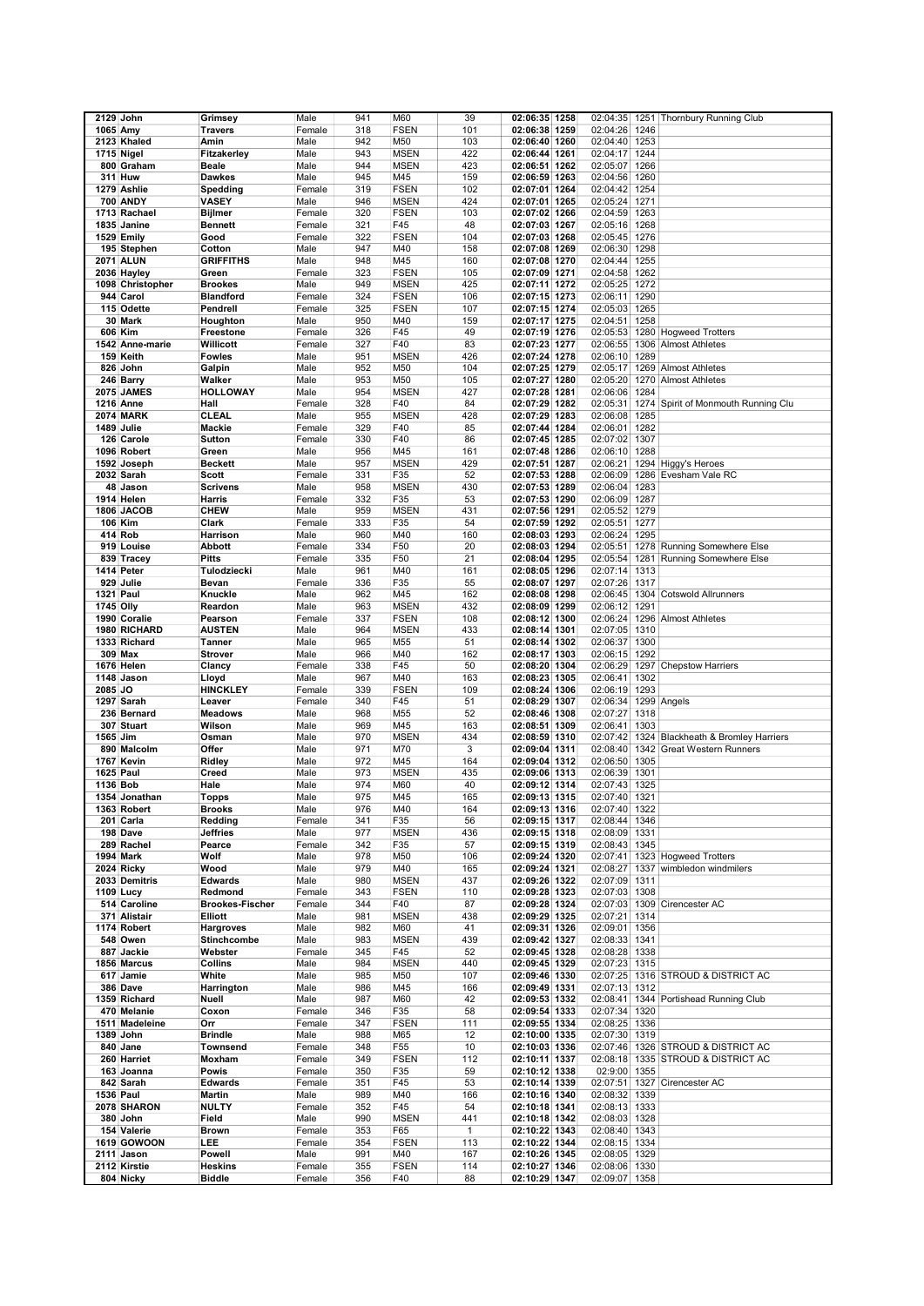|                  | 2129 John         | Grimsey                | Male   | 941 | M60             | 39  | 02:06:35 1258                  |                                | 02:04:35 1251 Thornbury Running Club        |
|------------------|-------------------|------------------------|--------|-----|-----------------|-----|--------------------------------|--------------------------------|---------------------------------------------|
| 1065 Amy         |                   | <b>Travers</b>         | Female | 318 | <b>FSEN</b>     | 101 | 02:06:38 1259                  | 02:04:26 1246                  |                                             |
|                  | 2123 Khaled       | Amin                   | Male   | 942 | M50             | 103 | 02:06:40 1260                  | 02:04:40 1253                  |                                             |
|                  | 1715 Nigel        | Fitzakerley            | Male   | 943 | <b>MSEN</b>     | 422 | 02:06:44 1261                  | 02:04:17 1244                  |                                             |
|                  | 800 Graham        | <b>Beale</b>           | Male   | 944 | <b>MSEN</b>     | 423 | 02:06:51 1262                  | 02:05:07 1266                  |                                             |
|                  | 311 Huw           | <b>Dawkes</b>          | Male   | 945 | M45             | 159 | 02:06:59 1263                  | 02:04:56 1260                  |                                             |
|                  | 1279 Ashlie       | Spedding               | Female | 319 | <b>FSEN</b>     | 102 | 02:07:01 1264                  | 02:04:42 1254                  |                                             |
|                  | <b>700 ANDY</b>   | VASEY                  | Male   | 946 | <b>MSEN</b>     | 424 | 02:07:01 1265                  | 02:05:24 1271                  |                                             |
|                  | 1713 Rachael      | <b>Bijlmer</b>         | Female | 320 | <b>FSEN</b>     | 103 | 02:07:02 1266                  | 02:04:59 1263                  |                                             |
|                  | 1835 Janine       | <b>Bennett</b>         | Female | 321 | F45             | 48  | 02:07:03 1267                  | 02:05:16 1268                  |                                             |
|                  | 1529 Emily        | Good                   | Female | 322 | <b>FSEN</b>     | 104 | 02:07:03 1268                  | 02:05:45 1276                  |                                             |
|                  | 195 Stephen       | Cotton                 | Male   | 947 | M40             | 158 | 02:07:08 1269                  | 02:06:30 1298                  |                                             |
|                  | <b>2071 ALUN</b>  | <b>GRIFFITHS</b>       | Male   | 948 | M45             | 160 | 02:07:08 1270                  | 02:04:44 1255                  |                                             |
|                  | 2036 Hayley       | Green                  | Female | 323 | <b>FSEN</b>     | 105 | 02:07:09 1271                  | 02:04:58 1262                  |                                             |
|                  | 1098 Christopher  | <b>Brookes</b>         | Male   | 949 | <b>MSEN</b>     | 425 | 02:07:11 1272                  | 02:05:25 1272                  |                                             |
|                  | 944 Carol         | <b>Blandford</b>       | Female | 324 | <b>FSEN</b>     | 106 | 02:07:15 1273                  | 02:06:11 1290                  |                                             |
|                  | 115 Odette        | Pendrell               | Female | 325 | <b>FSEN</b>     | 107 | 02:07:15 1274                  | 02:05:03 1265                  |                                             |
|                  | 30 Mark           | Houghton               | Male   | 950 | M40             | 159 | 02:07:17 1275                  | 02:04:51<br>1258               |                                             |
|                  | 606 Kim           | Freestone              | Female | 326 | F45             | 49  | 02:07:19 1276                  |                                | 02:05:53 1280 Hogweed Trotters              |
|                  | 1542 Anne-marie   | Willicott              | Female | 327 | F40             | 83  | 02:07:23 1277                  |                                | 02:06:55 1306 Almost Athletes               |
|                  | 159 Keith         | <b>Fowles</b>          | Male   | 951 | <b>MSEN</b>     | 426 | 02:07:24 1278                  | 02:06:10 1289                  |                                             |
|                  | 826 John          | Galpin                 | Male   | 952 | M50             | 104 | 02:07:25 1279                  | 02:05:17                       | 1269 Almost Athletes                        |
|                  | 246 Barry         | Walker                 | Male   | 953 | M50             | 105 | 02:07:27 1280                  |                                | 02:05:20 1270 Almost Athletes               |
|                  | <b>2075 JAMES</b> | <b>HOLLOWAY</b>        | Male   | 954 | <b>MSEN</b>     | 427 | 02:07:28 1281                  | 02:06:06 1284                  |                                             |
|                  | 1216 Anne         | Hall                   | Female | 328 | F40             | 84  | 02:07:29 1282                  | 02:05:31                       | 1274 Spirit of Monmouth Running Clu         |
|                  | <b>2074 MARK</b>  | <b>CLEAL</b>           | Male   | 955 | <b>MSEN</b>     | 428 | 02:07:29 1283                  | 02:06:08<br>1285               |                                             |
|                  | 1489 Julie        | Mackie                 | Female | 329 | F40             | 85  | 02:07:44 1284                  | 02:06:01 1282                  |                                             |
|                  | 126 Carole        | <b>Sutton</b>          | Female | 330 | F40             | 86  |                                |                                |                                             |
|                  | 1096 Robert       | Green                  | Male   | 956 | M45             | 161 | 02:07:45 1285<br>02:07:48 1286 | 02:07:02 1307<br>02:06:10 1288 |                                             |
|                  |                   |                        |        |     |                 |     |                                | 02:06:21                       |                                             |
|                  | 1592 Joseph       | <b>Beckett</b>         | Male   | 957 | <b>MSEN</b>     | 429 | 02:07:51 1287                  |                                | 1294 Higgy's Heroes                         |
|                  | 2032 Sarah        | Scott                  | Female | 331 | F35             | 52  | 02:07:53 1288                  | 02:06:09                       | 1286 Evesham Vale RC                        |
|                  | 48 Jason          | <b>Scrivens</b>        | Male   | 958 | <b>MSEN</b>     | 430 | 02:07:53 1289                  | 02:06:04<br>1283               |                                             |
|                  | 1914 Helen        | Harris                 | Female | 332 | F35             | 53  | 02:07:53 1290                  | 02:06:09 1287                  |                                             |
|                  | 1806 JACOB        | <b>CHEW</b>            | Male   | 959 | <b>MSEN</b>     | 431 | 02:07:56 1291                  | 02:05:52 1279                  |                                             |
|                  | 106 Kim           | Clark                  | Female | 333 | F35             | 54  | 02:07:59 1292                  | 02:05:51 1277                  |                                             |
|                  | 414 Rob           | Harrison               | Male   | 960 | M40             | 160 | 02:08:03 1293                  | 02:06:24 1295                  |                                             |
|                  | 919 Louise        | <b>Abbott</b>          | Female | 334 | F <sub>50</sub> | 20  | 02:08:03 1294                  | 02:05:51                       | 1278 Running Somewhere Else                 |
|                  | 839 Tracey        | <b>Pitts</b>           | Female | 335 | F50             | 21  | 02:08:04 1295                  | 02:05:54                       | 1281 Running Somewhere Else                 |
|                  | 1414 Peter        | Tulodziecki            | Male   | 961 | M40             | 161 | 02:08:05 1296                  | 02:07:14<br>1313               |                                             |
|                  | 929 Julie         | Bevan                  | Female | 336 | F35             | 55  | 02:08:07 1297                  | 02:07:26 1317                  |                                             |
| 1321 Paul        |                   | Knuckle                | Male   | 962 | M45             | 162 | 02:08:08 1298                  |                                | 02:06:45 1304 Cotswold Allrunners           |
| 1745 Olly        |                   | Reardon                | Male   | 963 | <b>MSEN</b>     | 432 | 02:08:09 1299                  | 1291<br>02:06:12               |                                             |
|                  | 1990 Coralie      | Pearson                | Female | 337 | <b>FSEN</b>     | 108 | 02:08:12 1300                  | 02:06:24                       | 1296 Almost Athletes                        |
|                  | 1980 RICHARD      | <b>AUSTEN</b>          | Male   | 964 | <b>MSEN</b>     | 433 | 02:08:14 1301                  | 02:07:05 1310                  |                                             |
|                  | 1333 Richard      | <b>Tanner</b>          | Male   | 965 | M55             | 51  | 02:08:14 1302                  | 02:06:37 1300                  |                                             |
|                  | 309 Max           | <b>Strover</b>         | Male   | 966 | M40             | 162 | 02:08:17 1303                  | 02:06:15 1292                  |                                             |
|                  | 1676 Helen        | Clancy                 | Female | 338 | F45             | 50  | 02:08:20 1304                  |                                | 02:06:29 1297 Chepstow Harriers             |
|                  | 1148 Jason        | Lloyd                  | Male   | 967 | M40             | 163 | 02:08:23 1305                  | 02:06:41 1302                  |                                             |
| 2085 JO          |                   | <b>HINCKLEY</b>        | Female | 339 | <b>FSEN</b>     | 109 | 02:08:24 1306                  | 02:06:19 1293                  |                                             |
|                  | 1297 Sarah        | Leaver                 | Female | 340 | F45             | 51  | 02:08:29 1307                  | 02:06:34                       | 1299 Angels                                 |
|                  | 236 Bernard       | <b>Meadows</b>         | Male   | 968 | M55             | 52  | 02:08:46 1308                  | 02:07:27 1318                  |                                             |
|                  | 307 Stuart        | Wilson                 | Male   | 969 | M45             | 163 | 02:08:51 1309                  | 02:06:41<br>1303               |                                             |
| 1565 Jim         |                   | Osman                  | Male   | 970 | <b>MSEN</b>     | 434 | 02:08:59 1310                  |                                | 02:07:42 1324 Blackheath & Bromley Harriers |
|                  | 890 Malcolm       | Offer                  | Male   | 971 | M70             | 3   | 02:09:04 1311                  |                                | 02:08:40 1342 Great Western Runners         |
|                  | 1767 Kevin        | Ridley                 | Male   | 972 | M45             | 164 | 02:09:04 1312                  | 02:06:50 1305                  |                                             |
| <b>1625 Paul</b> |                   | Creed                  | Male   | 973 | <b>MSEN</b>     | 435 | 02:09:06 1313                  | 02:06:39 1301                  |                                             |
| 1136 Bob         |                   | Hale                   | Male   | 974 | M60             | 40  | 02:09:12 1314                  | 02:07:43 1325                  |                                             |
|                  | 1354 Jonathan     | <b>Topps</b>           | Male   | 975 | M45             | 165 | 02:09:13 1315                  | 02:07:40 1321                  |                                             |
|                  | 1363 Robert       | <b>Brooks</b>          | Male   | 976 | M40             | 164 | 02:09:13 1316                  | 02:07:40 1322                  |                                             |
|                  | 201 Carla         | Redding                | Female | 341 | F35             | 56  | 02:09:15 1317                  | 02:08:44 1346                  |                                             |
|                  | 198 Dave          | <b>Jeffries</b>        | Male   | 977 | <b>MSEN</b>     | 436 | 02:09:15 1318                  | 02:08:09 1331                  |                                             |
|                  | 289 Rachel        | Pearce                 | Female | 342 | F35             | 57  | 02:09:15 1319                  | 02:08:43 1345                  |                                             |
|                  | 1994 Mark         | Wolf                   | Male   | 978 | M50             | 106 | 02:09:24 1320                  |                                | 02:07:41 1323 Hogweed Trotters              |
|                  | 2024 Ricky        | Wood                   | Male   | 979 | M40             | 165 | 02:09:24 1321                  | 02:08:27 1337                  | wimbledon windmilers                        |
|                  | 2033 Demitris     | <b>Edwards</b>         | Male   | 980 | <b>MSEN</b>     | 437 | 02:09:26 1322                  | 02:07:09 1311                  |                                             |
|                  | 1109 Lucy         | Redmond                | Female | 343 | <b>FSEN</b>     | 110 | 02:09:28 1323                  | 02:07:03 1308                  |                                             |
|                  | 514 Caroline      | <b>Brookes Fischer</b> | Female | 344 | F40             | 87  | 02:09:28 1324                  |                                | 02:07:03 1309 Cirencester AC                |
|                  | 371 Alistair      | Elliott                | Male   | 981 | <b>MSEN</b>     | 438 | 02:09:29 1325                  | 02:07:21 1314                  |                                             |
|                  | 1174 Robert       | Hargroves              | Male   | 982 | M60             | 41  | 02:09:31 1326                  | 02:09:01 1356                  |                                             |
|                  | 548 Owen          | Stinchcombe            | Male   | 983 | <b>MSEN</b>     | 439 | 02:09:42 1327                  | 02:08:33 1341                  |                                             |
|                  | 887 Jackie        | Webster                | Female | 345 | F45             | 52  | 02:09:45 1328                  | 02:08:28 1338                  |                                             |
|                  | 1856 Marcus       | Collins                | Male   | 984 | <b>MSEN</b>     | 440 | 02:09:45 1329                  | 02:07:23 1315                  |                                             |
|                  | 617 Jamie         | White                  | Male   | 985 | M50             | 107 | 02:09:46 1330                  |                                | 02:07:25 1316 STROUD & DISTRICT AC          |
|                  | 386 Dave          | Harrington             | Male   | 986 | M45             | 166 | 02:09:49 1331                  | 02:07:13 1312                  |                                             |
|                  | 1359 Richard      | Nuell                  | Male   | 987 | M60             | 42  | 02:09:53 1332                  |                                | 02:08:41 1344 Portishead Running Club       |
|                  | 470 Melanie       | Coxon                  | Female | 346 | F35             | 58  | 02:09:54 1333                  | 02:07:34 1320                  |                                             |
|                  | 1511 Madeleine    | Orr                    | Female | 347 | <b>FSEN</b>     | 111 | 02:09:55 1334                  | 02:08:25 1336                  |                                             |
|                  | 1389 John         | <b>Brindle</b>         | Male   | 988 | M65             | 12  | 02:10:00 1335                  | 02:07:30 1319                  |                                             |
|                  | 840 Jane          | Townsend               | Female | 348 | F55             | 10  | 02:10:03 1336                  |                                | 02:07:46 1326 STROUD & DISTRICT AC          |
|                  | 260 Harriet       | Moxham                 | Female | 349 | <b>FSEN</b>     | 112 | 02:10:11 1337                  |                                | 02:08:18 1335 STROUD & DISTRICT AC          |
|                  | 163 Joanna        | Powis                  | Female | 350 | F35             | 59  | 02:10:12 1338                  | 02:9:00 1355                   |                                             |
|                  | 842 Sarah         | <b>Edwards</b>         | Female | 351 | F45             | 53  | 02:10:14 1339                  |                                | 02:07:51   1327   Cirencester AC            |
|                  | <b>1536 Paul</b>  | <b>Martin</b>          | Male   | 989 | M40             | 166 | 02:10:16 1340                  | 02:08:32 1339                  |                                             |
|                  | 2078 SHARON       | <b>NULTY</b>           | Female | 352 | F45             | 54  | 02:10:18 1341                  | 02:08:13 1333                  |                                             |
|                  |                   |                        |        | 990 |                 | 441 |                                |                                |                                             |
|                  | 380 John          | Field                  | Male   |     | <b>MSEN</b>     |     | 02:10:18 1342                  | 02:08:03 1328                  |                                             |
|                  | 154 Valerie       | Brown                  | Female | 353 | F65             | 1   | 02:10:22 1343                  | 02:08:40 1343                  |                                             |
|                  | 1619 GOWOON       | LEE                    | Female | 354 | <b>FSEN</b>     | 113 | 02:10:22 1344                  | 02:08:15 1334                  |                                             |
|                  | 2111 Jason        | Powell                 | Male   | 991 | M40             | 167 | 02:10:26 1345                  | 02:08:05 1329                  |                                             |
|                  | 2112 Kirstie      | Heskins                | Female | 355 | <b>FSEN</b>     | 114 | 02:10:27 1346                  | 02:08:06 1330                  |                                             |
|                  | 804 Nicky         | Biddle                 | Female | 356 | F40             | 88  | 02:10:29 1347                  | 02:09:07 1358                  |                                             |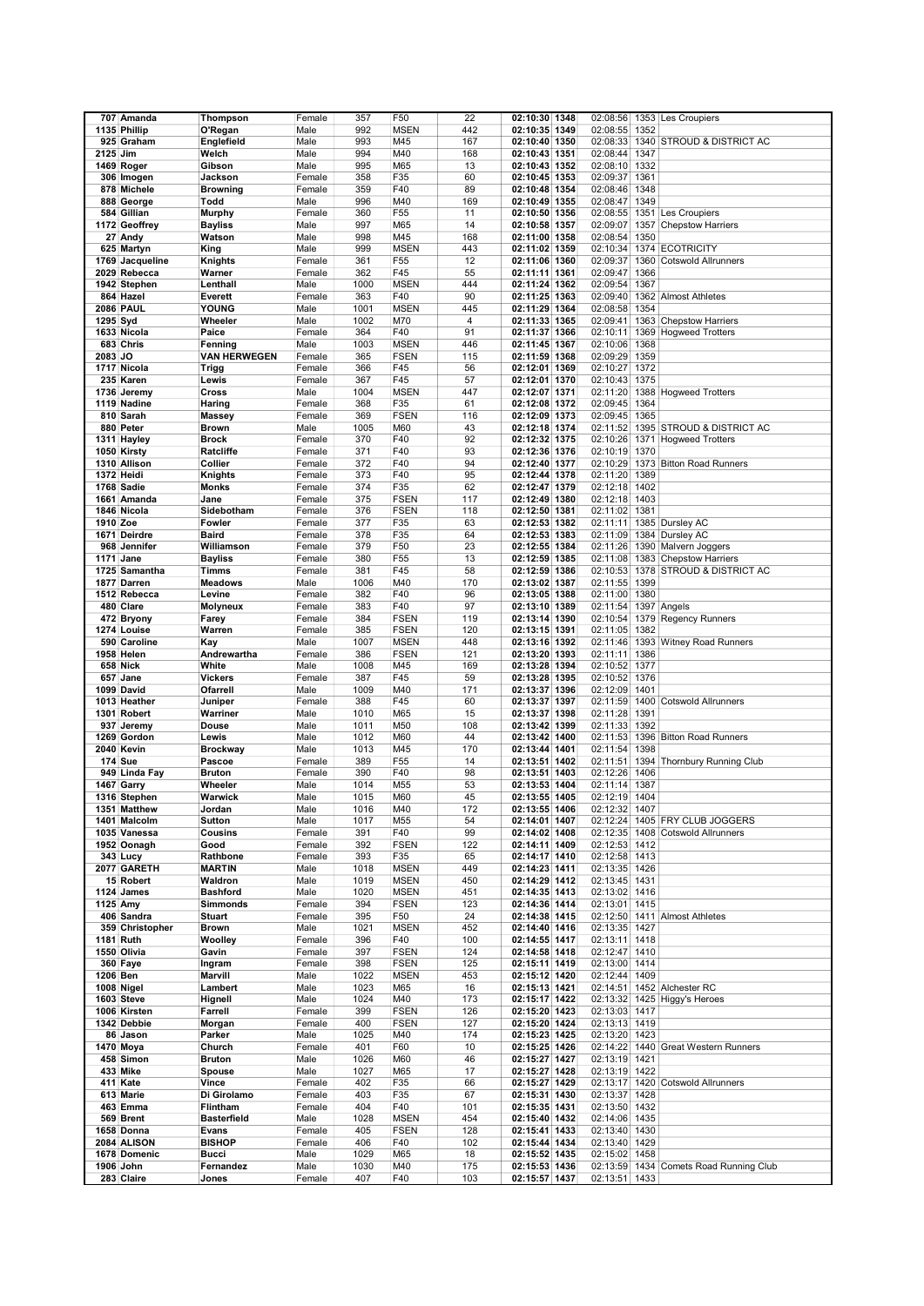|          | 707 Amanda       | Thompson            | Female | 357  | F50             | 22  | 02:10:30 1348 |               |      | 02:08:56 1353 Les Croupiers            |
|----------|------------------|---------------------|--------|------|-----------------|-----|---------------|---------------|------|----------------------------------------|
|          | 1135 Phillip     | O'Regan             | Male   | 992  | <b>MSEN</b>     | 442 | 02:10:35 1349 | 02:08:55      | 1352 |                                        |
|          |                  |                     |        |      |                 |     |               |               |      |                                        |
|          | 925 Graham       | Englefield          | Male   | 993  | M45             | 167 | 02:10:40 1350 |               |      | 02:08:33 1340 STROUD & DISTRICT AC     |
| 2125 Jim |                  | Welch               | Male   | 994  | M40             | 168 | 02:10:43 1351 | 02:08:44      | 1347 |                                        |
|          | 1469 Roger       | Gibson              | Male   | 995  | M65             | 13  | 02:10:43 1352 | 02:08:10      | 1332 |                                        |
|          | 306 Imogen       | Jackson             | Female | 358  | F35             | 60  | 02:10:45 1353 | 02:09:37 1361 |      |                                        |
|          | 878 Michele      | <b>Browning</b>     | Female | 359  | F40             | 89  | 02:10:48 1354 | 02:08:46 1348 |      |                                        |
|          | 888 George       | Todd                | Male   | 996  | M40             | 169 | 02:10:49 1355 | 02:08:47      | 1349 |                                        |
|          | 584 Gillian      | <b>Murphy</b>       | Female | 360  | F <sub>55</sub> | 11  | 02:10:50 1356 | 02:08:55      |      | 1351 Les Croupiers                     |
|          | 1172 Geoffrey    | <b>Bayliss</b>      | Male   | 997  | M65             | 14  | 02:10:58 1357 | 02:09:07      |      | 1357 Chepstow Harriers                 |
|          |                  |                     |        |      |                 |     |               |               |      |                                        |
|          | 27 Andy          | Watson              | Male   | 998  | M45             | 168 | 02:11:00 1358 | 02:08:54      | 1350 |                                        |
|          | 625 Martyn       | King                | Male   | 999  | <b>MSEN</b>     | 443 | 02:11:02 1359 | 02:10:34      |      | 1374 ECOTRICITY                        |
|          | 1769 Jacqueline  | Knights             | Female | 361  | F55             | 12  | 02:11:06 1360 | 02:09:37      |      | 1360 Cotswold Allrunners               |
|          | 2029 Rebecca     | Warner              | Female | 362  | F45             | 55  | 02:11:11 1361 | 02:09:47      | 1366 |                                        |
|          | 1942 Stephen     | Lenthall            | Male   | 1000 | <b>MSEN</b>     | 444 | 02:11:24 1362 | 02:09:54      | 1367 |                                        |
|          | 864 Hazel        | Everett             | Female | 363  | F40             | 90  | 02:11:25 1363 |               |      | 02:09:40 1362 Almost Athletes          |
|          | <b>2086 PAUL</b> | YOUNG               | Male   | 1001 | <b>MSEN</b>     | 445 | 02:11:29 1364 | 02:08:58 1354 |      |                                        |
| 1295 Syd |                  | Wheeler             | Male   | 1002 | M70             | 4   | 02:11:33 1365 | 02:09:41      |      | 1363 Chepstow Harriers                 |
|          |                  |                     |        |      |                 |     |               |               |      |                                        |
|          | 1633 Nicola      | Paice               | Female | 364  | F40             | 91  | 02:11:37 1366 | 02:10:11      |      | 1369 Hogweed Trotters                  |
|          | 683 Chris        | Fenning             | Male   | 1003 | <b>MSEN</b>     | 446 | 02:11:45 1367 | 02:10:06      | 1368 |                                        |
| 2083 JO  |                  | <b>VAN HERWEGEN</b> | Female | 365  | <b>FSEN</b>     | 115 | 02:11:59 1368 | 02:09:29 1359 |      |                                        |
|          | 1717 Nicola      | Trigg               | Female | 366  | F45             | 56  | 02:12:01 1369 | 02:10:27      | 1372 |                                        |
|          | 235 Karen        | Lewis               | Female | 367  | F45             | 57  | 02:12:01 1370 | 02:10:43 1375 |      |                                        |
|          | 1736 Jeremy      | Cross               | Male   | 1004 | <b>MSEN</b>     | 447 | 02:12:07 1371 | 02:11:20      |      | 1388 Hogweed Trotters                  |
|          | 1119 Nadine      | Haring              | Female | 368  | F35             | 61  | 02:12:08 1372 | 02:09:45 1364 |      |                                        |
|          | 810 Sarah        | <b>Massey</b>       | Female | 369  | <b>FSEN</b>     | 116 | 02:12:09 1373 | 02:09:45 1365 |      |                                        |
|          | 880 Peter        | <b>Brown</b>        | Male   | 1005 | M60             | 43  | 02:12:18 1374 |               |      | 02:11:52 1395 STROUD & DISTRICT AC     |
|          |                  |                     |        |      |                 |     |               |               |      |                                        |
|          | 1311 Hayley      | <b>Brock</b>        | Female | 370  | F40             | 92  | 02:12:32 1375 |               |      | 02:10:26 1371 Hogweed Trotters         |
|          | 1050 Kirsty      | Ratcliffe           | Female | 371  | F40             | 93  | 02:12:36 1376 | 02:10:19      | 1370 |                                        |
|          | 1310 Allison     | Collier             | Female | 372  | F40             | 94  | 02:12:40 1377 | 02:10:29      |      | 1373 Bitton Road Runners               |
|          | 1372 Heidi       | Knights             | Female | 373  | F40             | 95  | 02:12:44 1378 | 02:11:20 1389 |      |                                        |
|          | 1768 Sadie       | Monks               | Female | 374  | F35             | 62  | 02:12:47 1379 | 02:12:18 1402 |      |                                        |
|          | 1661 Amanda      | Jane                | Female | 375  | <b>FSEN</b>     | 117 | 02:12:49 1380 | 02:12:18 1403 |      |                                        |
|          | 1846 Nicola      | Sidebotham          | Female | 376  | <b>FSEN</b>     | 118 | 02:12:50 1381 | 02:11:02 1381 |      |                                        |
| 1910 Zoe |                  | Fowler              |        | 377  | F35             | 63  |               |               |      | 02:11:11 1385 Dursley AC               |
|          |                  |                     | Female |      |                 |     | 02:12:53 1382 |               |      |                                        |
|          | 1671 Deirdre     | <b>Baird</b>        | Female | 378  | F35             | 64  | 02:12:53 1383 | 02:11:09      |      | 1384 Dursley AC                        |
|          | 968 Jennifer     | Williamson          | Female | 379  | F50             | 23  | 02:12:55 1384 | 02:11:26      |      | 1390 Malvern Joggers                   |
|          | 1171 Jane        | <b>Bayliss</b>      | Female | 380  | F55             | 13  | 02:12:59 1385 | 02:11:08      |      | 1383 Chepstow Harriers                 |
|          | 1725 Samantha    | <b>Timms</b>        | Female | 381  | F45             | 58  | 02:12:59 1386 | 02:10:53      |      | 1378 STROUD & DISTRICT AC              |
|          | 1877 Darren      | <b>Meadows</b>      | Male   | 1006 | M40             | 170 | 02:13:02 1387 | 02:11:55 1399 |      |                                        |
|          | 1512 Rebecca     | Levine              | Female | 382  | F40             | 96  | 02:13:05 1388 | 02:11:00 1380 |      |                                        |
|          | 480 Clare        | <b>Molyneux</b>     | Female | 383  | F40             | 97  | 02:13:10 1389 | 02:11:54      |      | 1397 Angels                            |
|          |                  |                     |        | 384  |                 |     |               | 02:10:54      |      |                                        |
|          | 472 Bryony       | Farey               | Female |      | <b>FSEN</b>     | 119 | 02:13:14 1390 |               |      | 1379 Regency Runners                   |
|          | 1274 Louise      | Warren              | Female | 385  | <b>FSEN</b>     | 120 | 02:13:15 1391 | 02:11:05      | 1382 |                                        |
|          | 590 Caroline     | Kay                 | Male   | 1007 | <b>MSEN</b>     | 448 | 02:13:16 1392 |               |      | 02:11:46 1393 Witney Road Runners      |
|          | 1958 Helen       | Andrewartha         | Female | 386  | <b>FSEN</b>     | 121 | 02:13:20 1393 | 02:11:11      | 1386 |                                        |
|          | 658 Nick         | White               | Male   | 1008 | M45             | 169 | 02:13:28 1394 | 02:10:52      | 1377 |                                        |
|          | 657 Jane         | <b>Vickers</b>      | Female | 387  | F45             | 59  | 02:13:28 1395 | 02:10:52 1376 |      |                                        |
|          | 1099 David       | Ofarrell            | Male   | 1009 | M40             | 171 | 02:13:37 1396 | 02:12:09      | 1401 |                                        |
|          | 1013 Heather     | Juniper             | Female | 388  | F45             | 60  | 02:13:37 1397 | 02:11:59      |      | 1400 Cotswold Allrunners               |
|          | 1301 Robert      | Warriner            | Male   | 1010 | M65             | 15  | 02:13:37 1398 | 02:11:28      | 1391 |                                        |
|          |                  |                     |        |      |                 |     |               |               |      |                                        |
|          | 937 Jeremy       | Douse               | Male   | 1011 | M50             | 108 | 02:13:42 1399 | 02:11:33      | 1392 |                                        |
|          | 1269 Gordon      | Lewis               | Male   | 1012 | M60             | 44  | 02:13:42 1400 | 02:11:53      |      | 1396 Bitton Road Runners               |
|          | 2040 Kevin       | <b>Brockway</b>     | Male   | 1013 | M45             | 170 | 02:13:44 1401 | 02:11:54      | 1398 |                                        |
|          | <b>174 Sue</b>   | Pascoe              | Female | 389  | F55             | 14  | 02:13:51 1402 | 02:11:51      | 1394 | Thornbury Running Club                 |
|          | 949 Linda Fay    | <b>Bruton</b>       | Female | 390  | F40             | 98  | 02:13:51 1403 | 02:12:26      | 1406 |                                        |
|          | 1467 Garry       | Wheeler             | Male   | 1014 | M <sub>55</sub> | 53  | 02:13:53 1404 | 02:11:14      | 1387 |                                        |
|          | 1316 Stephen     | Warwick             | Male   | 1015 | M60             | 45  | 02:13:55 1405 | 02:12:19 1404 |      |                                        |
|          | 1351 Matthew     | Jordan              | Male   | 1016 | M40             | 172 | 02:13:55 1406 | 02:12:32 1407 |      |                                        |
|          | 1401 Malcolm     | Sutton              | Male   | 1017 | M55             | 54  | 02:14:01 1407 |               |      | 02:12:24 1405 FRY CLUB JOGGERS         |
|          | 1035 Vanessa     | Cousins             | Female | 391  | F40             | 99  | 02:14:02 1408 | 02:12:35      |      | 1408 Cotswold Allrunners               |
|          |                  |                     |        |      |                 |     |               |               |      |                                        |
|          | 1952 Oonagh      | Good                | Female | 392  | <b>FSEN</b>     | 122 | 02:14:11 1409 | 02:12:53 1412 |      |                                        |
|          | 343 Lucv         | Rathbone            | Female | 393  | F35             | 65  | 02:14:17 1410 | 02:12:58 1413 |      |                                        |
|          | 2077 GARETH      | <b>MARTIN</b>       | Male   | 1018 | <b>MSEN</b>     | 449 | 02:14:23 1411 | 02:13:35 1426 |      |                                        |
|          | 15 Robert        | Waldron             | Male   | 1019 | <b>MSEN</b>     | 450 | 02:14:29 1412 | 02:13:45 1431 |      |                                        |
|          | 1124 James       | <b>Bashford</b>     | Male   | 1020 | <b>MSEN</b>     | 451 | 02:14:35 1413 | 02:13:02 1416 |      |                                        |
|          | 1125 Amy         | <b>Simmonds</b>     | Female | 394  | <b>FSEN</b>     | 123 | 02:14:36 1414 | 02:13:01 1415 |      |                                        |
|          | 406 Sandra       | Stuart              | Female | 395  | F50             | 24  | 02:14:38 1415 |               |      | 02:12:50 1411 Almost Athletes          |
|          | 359 Christopher  | <b>Brown</b>        | Male   | 1021 | <b>MSEN</b>     | 452 | 02:14:40 1416 | 02:13:35 1427 |      |                                        |
|          | 1181 Ruth        | Woolley             | Female | 396  | F40             | 100 | 02:14:55 1417 | 02:13:11 1418 |      |                                        |
|          | 1550 Olivia      | Gavin               | Female | 397  | <b>FSEN</b>     | 124 | 02:14:58 1418 | 02:12:47 1410 |      |                                        |
|          | 360 Faye         | Ingram              | Female | 398  | <b>FSEN</b>     | 125 | 02:15:11 1419 | 02:13:00 1414 |      |                                        |
|          |                  |                     |        |      |                 |     |               |               |      |                                        |
| 1206 Ben |                  | Marvill             | Male   | 1022 | <b>MSEN</b>     | 453 | 02:15:12 1420 | 02:12:44 1409 |      |                                        |
|          | 1008 Nigel       | Lambert             | Male   | 1023 | M65             | 16  | 02:15:13 1421 |               |      | 02:14:51   1452   Alchester RC         |
|          | 1603 Steve       | Hignell             | Male   | 1024 | M40             | 173 | 02:15:17 1422 |               |      | 02:13:32 1425 Higgy's Heroes           |
|          | 1006 Kirsten     | Farrell             | Female | 399  | <b>FSEN</b>     | 126 | 02:15:20 1423 | 02:13:03 1417 |      |                                        |
|          | 1342 Debbie      | Morgan              | Female | 400  | <b>FSEN</b>     | 127 | 02:15:20 1424 | 02:13:13 1419 |      |                                        |
|          | 86 Jason         | Parker              | Male   | 1025 | M40             | 174 | 02:15:23 1425 | 02:13:20 1423 |      |                                        |
|          | 1470 Moya        | Church              | Female | 401  | F60             | 10  | 02:15:25 1426 |               |      | 02:14:22 1440 Great Western Runners    |
|          | 458 Simon        | <b>Bruton</b>       | Male   | 1026 | M60             | 46  | 02:15:27 1427 | 02:13:19 1421 |      |                                        |
|          | 433 Mike         | Spouse              | Male   | 1027 | M65             | 17  | 02:15:27 1428 | 02:13:19 1422 |      |                                        |
|          | 411 Kate         | Vince               | Female | 402  | F35             | 66  |               |               |      |                                        |
|          |                  |                     |        |      |                 |     | 02:15:27 1429 |               |      | 02:13:17 1420 Cotswold Allrunners      |
|          | 613 Marie        | Di Girolamo         | Female | 403  | F35             | 67  | 02:15:31 1430 | 02:13:37 1428 |      |                                        |
|          | 463 Emma         | Flintham            | Female | 404  | F40             | 101 | 02:15:35 1431 | 02:13:50 1432 |      |                                        |
|          | 569 Brent        | <b>Basterfield</b>  | Male   | 1028 | <b>MSEN</b>     | 454 | 02:15:40 1432 | 02:14:06 1435 |      |                                        |
|          | 1658 Donna       | Evans               | Female | 405  | <b>FSEN</b>     | 128 | 02:15:41 1433 | 02:13:40 1430 |      |                                        |
|          | 2084 ALISON      | <b>BISHOP</b>       | Female | 406  | F40             | 102 | 02:15:44 1434 | 02:13:40 1429 |      |                                        |
|          | 1678 Domenic     | Bucci               | Male   | 1029 | M65             | 18  | 02:15:52 1435 | 02:15:02 1458 |      |                                        |
|          | 1906 John        | Fernandez           | Male   | 1030 | M40             | 175 | 02:15:53 1436 |               |      | 02:13:59 1434 Comets Road Running Club |
|          | 283 Claire       | Jones               | Female | 407  | F40             | 103 | 02:15:57 1437 | 02:13:51 1433 |      |                                        |
|          |                  |                     |        |      |                 |     |               |               |      |                                        |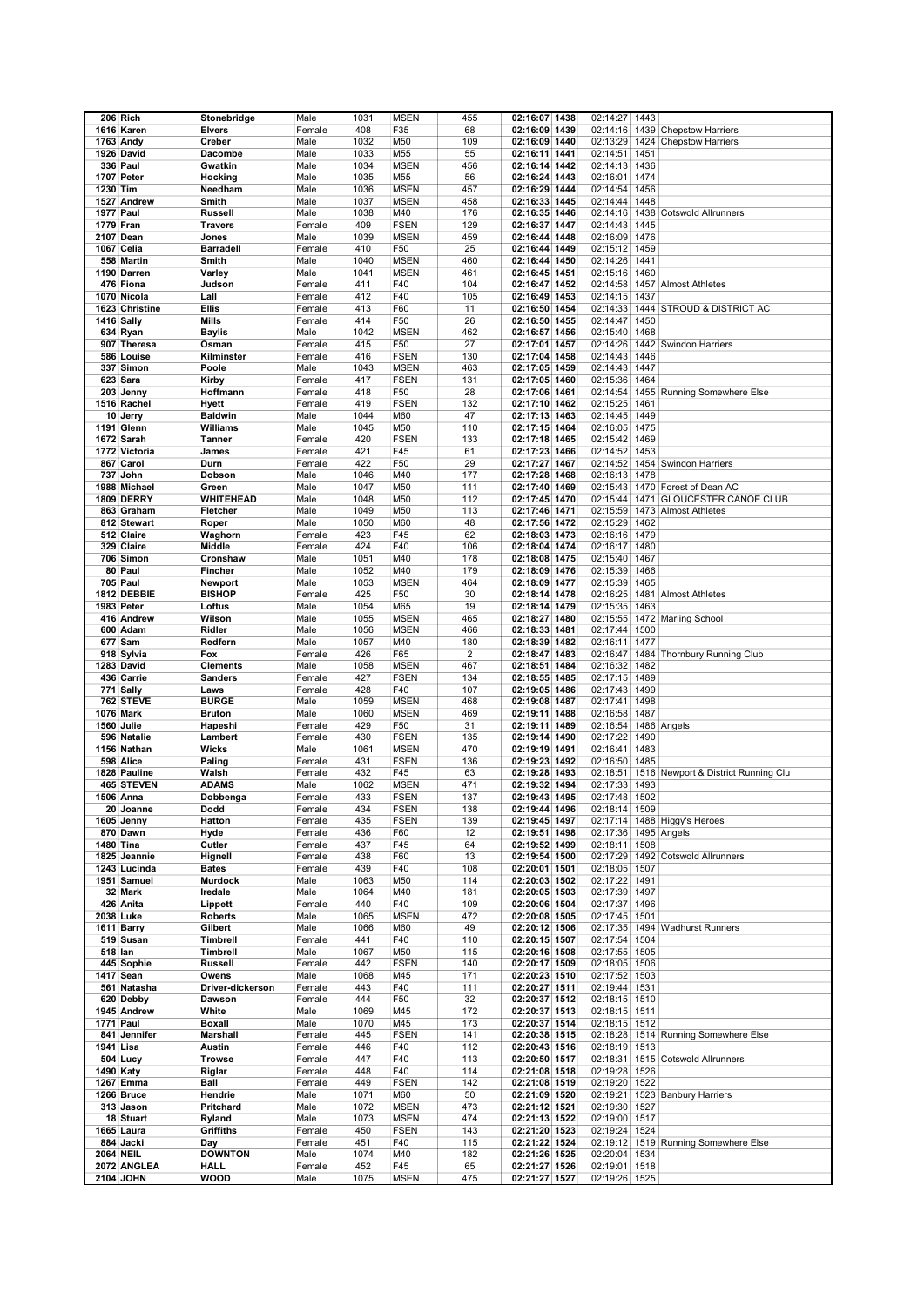|                  | 206 Rich          | Stonebridge      | Male   | 1031 | <b>MSEN</b> | 455            | 02:16:07 1438                  | 02:14:27             | 1443 |                                      |
|------------------|-------------------|------------------|--------|------|-------------|----------------|--------------------------------|----------------------|------|--------------------------------------|
|                  | 1616 Karen        | <b>Elvers</b>    | Female | 408  | F35         | 68             | 02:16:09 1439                  | 02:14:16             |      | 1439 Chepstow Harriers               |
|                  | 1763 Andy         | Creber           | Male   | 1032 | M50         | 109            | 02:16:09 1440                  |                      |      | 02:13:29 1424 Chepstow Harriers      |
|                  |                   |                  |        |      |             | 55             |                                |                      |      |                                      |
|                  | 1926 David        | Dacombe          | Male   | 1033 | M55         |                | 02:16:11 1441                  | 02:14:51 1451        |      |                                      |
|                  | <b>336 Paul</b>   | Gwatkin          | Male   | 1034 | <b>MSEN</b> | 456            | 02:16:14 1442                  | 02:14:13 1436        |      |                                      |
|                  | 1707 Peter        | Hocking          | Male   | 1035 | M55         | 56             | 02:16:24 1443                  | 02:16:01 1474        |      |                                      |
| 1230 Tim         |                   | Needham          | Male   | 1036 | <b>MSEN</b> | 457            | 02:16:29 1444                  | 02:14:54             | 1456 |                                      |
|                  | 1527 Andrew       | Smith            | Male   | 1037 | <b>MSEN</b> | 458            | 02:16:33 1445                  | 02:14:44             | 1448 |                                      |
| <b>1977 Paul</b> |                   | <b>Russell</b>   | Male   | 1038 | M40         | 176            | 02:16:35 1446                  | 02:14:16             | 1438 | <b>Cotswold Allrunners</b>           |
| 1779 Fran        |                   | <b>Travers</b>   | Female | 409  | <b>FSEN</b> | 129            | 02:16:37 1447                  | 02:14:43 1445        |      |                                      |
|                  | 2107 Dean         | Jones            | Male   | 1039 | <b>MSEN</b> | 459            | 02:16:44 1448                  | 02:16:09 1476        |      |                                      |
|                  | 1067 Celia        | <b>Barradell</b> | Female | 410  | F50         | 25             | 02:16:44 1449                  | 02:15:12 1459        |      |                                      |
|                  | 558 Martin        | Smith            | Male   | 1040 | <b>MSEN</b> | 460            | 02:16:44 1450                  | 02:14:26 1441        |      |                                      |
|                  | 1190 Darren       | Varley           | Male   | 1041 | <b>MSEN</b> | 461            | 02:16:45 1451                  | 02:15:16             | 1460 |                                      |
|                  |                   | Judson           |        | 411  |             | 104            |                                | 02:14:58             |      |                                      |
|                  | 476 Fiona         |                  | Female |      | F40         |                | 02:16:47 1452                  |                      |      | 1457 Almost Athletes                 |
|                  | 1070 Nicola       | Lall             | Female | 412  | F40         | 105            | 02:16:49 1453                  | 02:14:15 1437        |      |                                      |
|                  | 1623 Christine    | <b>Ellis</b>     | Female | 413  | F60         | 11             | 02:16:50 1454                  | 02:14:33             |      | 1444 STROUD & DISTRICT AC            |
|                  | 1416 Sally        | Mills            | Female | 414  | F50         | 26             | 02:16:50 1455                  | 02:14:47             | 1450 |                                      |
|                  | 634 Ryan          | <b>Baylis</b>    | Male   | 1042 | <b>MSEN</b> | 462            | 02:16:57 1456                  | 02:15:40             | 1468 |                                      |
|                  | 907 Theresa       | Osman            | Female | 415  | F50         | 27             | 02:17:01 1457                  | 02:14:26             |      | 1442 Swindon Harriers                |
|                  | 586 Louise        | Kilminster       | Female | 416  | <b>FSEN</b> | 130            | 02:17:04 1458                  | 02:14:43             | 1446 |                                      |
|                  | 337 Simon         | Poole            | Male   | 1043 | <b>MSEN</b> | 463            | 02:17:05 1459                  | 02:14:43 1447        |      |                                      |
|                  | 623 Sara          | Kirby            | Female | 417  | <b>FSEN</b> | 131            | 02:17:05 1460                  | 02:15:36 1464        |      |                                      |
|                  | 203 Jenny         | Hoffmann         | Female | 418  | F50         | 28             | 02:17:06 1461                  | 02:14:54             |      | 1455 Running Somewhere Else          |
|                  | 1516 Rachel       | Hyett            | Female | 419  | <b>FSEN</b> | 132            | 02:17:10 1462                  | 02:15:25             | 1461 |                                      |
|                  | 10 Jerry          | <b>Baldwin</b>   | Male   | 1044 | M60         | 47             | 02:17:13 1463                  | 02:14:45 1449        |      |                                      |
|                  | 1191 Glenn        | Williams         | Male   | 1045 | M50         | 110            | 02:17:15 1464                  | 02:16:05 1475        |      |                                      |
|                  | 1672 Sarah        | <b>Tanner</b>    | Female | 420  | <b>FSEN</b> | 133            | 02:17:18 1465                  | 02:15:42 1469        |      |                                      |
|                  | 1772 Victoria     | James            | Female | 421  | F45         | 61             | 02:17:23 1466                  | 02:14:52             | 1453 |                                      |
|                  |                   |                  |        |      |             |                |                                |                      |      |                                      |
|                  | 867 Carol         | Durn             | Female | 422  | F50         | 29             | 02:17:27 1467                  |                      |      | 02:14:52 1454 Swindon Harriers       |
|                  | 737 John          | Dobson           | Male   | 1046 | M40         | 177            | 02:17:28 1468                  | 02:16:13 1478        |      |                                      |
|                  | 1988 Michael      | Green            | Male   | 1047 | M50         | 111            | 02:17:40 1469                  | 02:15:43             |      | 1470 Forest of Dean AC               |
|                  | <b>1809 DERRY</b> | WHITEHEAD        | Male   | 1048 | M50         | 112            | 02:17:45 1470                  | 02:15:44             |      | 1471 GLOUCESTER CANOE CLUB           |
|                  | 863 Graham        | Fletcher         | Male   | 1049 | M50         | 113            | 02:17:46 1471                  | 02:15:59             | 1473 | <b>Almost Athletes</b>               |
|                  | 812 Stewart       | Roper            | Male   | 1050 | M60         | 48             | 02:17:56 1472                  | 02:15:29 1462        |      |                                      |
|                  | 512 Claire        | Waghorn          | Female | 423  | F45         | 62             | 02:18:03 1473                  | 02:16:16 1479        |      |                                      |
|                  | 329 Claire        | Middle           | Female | 424  | F40         | 106            | 02:18:04 1474                  | 02:16:17 1480        |      |                                      |
|                  | 706 Simon         | Cronshaw         | Male   | 1051 | M40         | 178            | 02:18:08 1475                  | 02:15:40 1467        |      |                                      |
|                  | 80 Paul           | Fincher          | Male   | 1052 | M40         | 179            | 02:18:09 1476                  | 02:15:39             | 1466 |                                      |
|                  | <b>705 Paul</b>   | Newport          | Male   | 1053 | <b>MSEN</b> | 464            | 02:18:09 1477                  | 02:15:39             | 1465 |                                      |
|                  | 1812 DEBBIE       | <b>BISHOP</b>    | Female | 425  | F50         | 30             | 02:18:14 1478                  | 02:16:25             |      | 1481 Almost Athletes                 |
|                  | 1983 Peter        |                  |        | 1054 | M65         | 19             | 02:18:14 1479                  | 02:15:35 1463        |      |                                      |
|                  |                   | Loftus           | Male   |      |             |                |                                |                      |      |                                      |
|                  | 416 Andrew        | Wilson           | Male   | 1055 | <b>MSEN</b> | 465            | 02:18:27 1480                  | 02:15:55             |      | 1472 Marling School                  |
|                  | 600 Adam          | Ridler           | Male   | 1056 | <b>MSEN</b> | 466            | 02:18:33 1481                  | 02:17:44 1500        |      |                                      |
|                  | 677 Sam           | Redfern          | Male   | 1057 | M40         | 180            | 02:18:39 1482                  | 02:16:11 1477        |      |                                      |
|                  | 918 Sylvia        | Fox              | Female | 426  | F65         | $\overline{2}$ | 02:18:47 1483                  | 02:16:47             | 1484 | Thornbury Running Club               |
|                  | 1283 David        | <b>Clements</b>  | Male   | 1058 | <b>MSEN</b> | 467            | 02:18:51 1484                  | 02:16:32             | 1482 |                                      |
|                  | 436 Carrie        | <b>Sanders</b>   | Female | 427  | <b>FSEN</b> | 134            | 02:18:55 1485                  | 02:17:15 1489        |      |                                      |
|                  | 771 Sally         | Laws             | Female | 428  | F40         | 107            | 02:19:05 1486                  | 02:17:43             | 1499 |                                      |
|                  | 762 STEVE         | <b>BURGE</b>     | Male   | 1059 | <b>MSEN</b> | 468            | 02:19:08 1487                  | 02:17:41             | 1498 |                                      |
|                  | 1076 Mark         | <b>Bruton</b>    | Male   | 1060 | <b>MSEN</b> | 469            | 02:19:11 1488                  | 02:16:58 1487        |      |                                      |
|                  | 1560 Julie        | Hapeshi          | Female | 429  | F50         | 31             | 02:19:11 1489                  | 02:16:54 1486 Angels |      |                                      |
|                  | 596 Natalie       | Lambert          | Female | 430  | <b>FSEN</b> | 135            | 02:19:14 1490                  | 02:17:22 1490        |      |                                      |
|                  | 1156 Nathan       | Wicks            | Male   | 1061 | <b>MSEN</b> | 470            | 02:19:19 1491                  | 02:16:41             | 1483 |                                      |
|                  | 598 Alice         | Paling           | Female | 431  | <b>FSEN</b> | 136            | 02:19:23 1492                  | 02:16:50             | 1485 |                                      |
|                  | 1828 Pauline      | Walsh            | Female | 432  | F45         | 63             |                                | 02:18:51             |      |                                      |
|                  | 465 STEVEN        |                  | Male   | 1062 |             |                | 02:19:28 1493<br>02:19:32 1494 | 02:17:33             |      | 1516 Newport & District Running Clu  |
|                  |                   | <b>ADAMS</b>     |        |      | <b>MSEN</b> | 471            |                                |                      | 1493 |                                      |
|                  | 1506 Anna         | Dobbenga         | Female | 433  | <b>FSEN</b> | 137            | 02:19:43 1495                  | 02:17:48 1502        |      |                                      |
|                  | 20 Joanne         | Dodd             | Female | 434  | <b>FSEN</b> | 138            | 02:19:44 1496                  | 02:18:14 1509        |      |                                      |
|                  | 1605 Jenny        | Hatton           | Female | 435  | <b>FSEN</b> | 139            | 02:19:45 1497                  |                      |      | 02:17:14 1488 Higgy's Heroes         |
|                  | 870 Dawn          | Hyde             | Female | 436  | F60         | 12             | 02:19:51 1498                  | 02:17:36 1495 Angels |      |                                      |
|                  | <b>1480 Tina</b>  | Cutler           | Female | 437  | F45         | 64             | 02:19:52 1499                  | 02:18:11 1508        |      |                                      |
|                  | 1825 Jeannie      | Hignell          | Female | 438  | F60         | 13             | 02:19:54 1500                  |                      |      | 02:17:29 1492 Cotswold Allrunners    |
|                  | 1243 Lucinda      | <b>Bates</b>     | Female | 439  | F40         | 108            | 02:20:01 1501                  | 02:18:05 1507        |      |                                      |
|                  | 1951 Samuel       | <b>Murdock</b>   | Male   | 1063 | M50         | 114            | 02:20:03 1502                  | 02:17:22 1491        |      |                                      |
|                  | 32 Mark           | Iredale          | Male   | 1064 | M40         | 181            | 02:20:05 1503                  | 02:17:39 1497        |      |                                      |
|                  | 426 Anita         | Lippett          | Female | 440  | F40         | 109            | 02:20:06 1504                  | 02:17:37 1496        |      |                                      |
|                  | 2038 Luke         | <b>Roberts</b>   | Male   | 1065 | <b>MSEN</b> | 472            | 02:20:08 1505                  | 02:17:45 1501        |      |                                      |
|                  | 1611 Barry        | Gilbert          | Male   | 1066 | M60         | 49             | 02:20:12 1506                  |                      |      | 02:17:35 1494 Wadhurst Runners       |
|                  | 519 Susan         | Timbrell         | Female | 441  | F40         | 110            | 02:20:15 1507                  | 02:17:54 1504        |      |                                      |
| 518 lan          |                   | Timbrell         | Male   | 1067 | M50         | 115            | 02:20:16 1508                  | 02:17:55 1505        |      |                                      |
|                  | 445 Sophie        | <b>Russell</b>   | Female | 442  | <b>FSEN</b> | 140            | 02:20:17 1509                  | 02:18:05 1506        |      |                                      |
|                  | 1417 Sean         | Owens            | Male   | 1068 | M45         | 171            | 02:20:23 1510                  | 02:17:52 1503        |      |                                      |
|                  | 561 Natasha       | Driver-dickerson | Female | 443  | F40         | 111            | 02:20:27 1511                  | 02:19:44 1531        |      |                                      |
|                  | 620 Debby         | Dawson           | Female | 444  | F50         | 32             | 02:20:37 1512                  | 02:18:15 1510        |      |                                      |
|                  | 1945 Andrew       | White            | Male   | 1069 | M45         | 172            | 02:20:37 1513                  | 02:18:15 1511        |      |                                      |
|                  |                   |                  |        |      |             |                |                                |                      |      |                                      |
| <b>1771 Paul</b> |                   | <b>Boxall</b>    | Male   | 1070 | M45         | 173            | 02:20:37 1514                  | 02:18:15 1512        |      |                                      |
|                  | 841 Jennifer      | Marshall         | Female | 445  | <b>FSEN</b> | 141            | 02:20:38 1515                  |                      |      | 02:18:28 1514 Running Somewhere Else |
| 1941 Lisa        |                   | Austin           | Female | 446  | F40         | 112            | 02:20:43 1516                  | 02:18:19 1513        |      |                                      |
|                  | 504 Lucy          | <b>Trowse</b>    | Female | 447  | F40         | 113            | 02:20:50 1517                  |                      |      | 02:18:31 1515 Cotswold Allrunners    |
|                  | 1490 Katy         | Riglar           | Female | 448  | F40         | 114            | 02:21:08 1518                  | 02:19:28 1526        |      |                                      |
|                  | 1267 Emma         | Ball             | Female | 449  | <b>FSEN</b> | 142            | 02:21:08 1519                  | 02:19:20 1522        |      |                                      |
|                  | 1266 Bruce        | Hendrie          | Male   | 1071 | M60         | 50             | 02:21:09 1520                  |                      |      | 02:19:21 1523 Banbury Harriers       |
|                  | 313 Jason         | Pritchard        | Male   | 1072 | <b>MSEN</b> | 473            | 02:21:12 1521                  | 02:19:30 1527        |      |                                      |
|                  | 18 Stuart         | Ryland           | Male   | 1073 | <b>MSEN</b> | 474            | 02:21:13 1522                  | 02:19:00 1517        |      |                                      |
|                  | 1665 Laura        | Griffiths        | Female | 450  | <b>FSEN</b> | 143            | 02:21:20 1523                  | 02:19:24 1524        |      |                                      |
|                  | 884 Jacki         | Day              | Female | 451  | F40         | 115            | 02:21:22 1524                  |                      |      | 02:19:12 1519 Running Somewhere Else |
|                  | <b>2064 NEIL</b>  | <b>DOWNTON</b>   | Male   | 1074 | M40         | 182            | 02:21:26 1525                  | 02:20:04 1534        |      |                                      |
|                  | 2072 ANGLEA       | <b>HALL</b>      | Female | 452  | F45         | 65             |                                | 02:19:01 1518        |      |                                      |
|                  | <b>2104 JOHN</b>  | <b>WOOD</b>      |        |      |             |                | 02:21:27 1526                  |                      |      |                                      |
|                  |                   |                  | Male   | 1075 | <b>MSEN</b> | 475            | 02:21:27 1527                  | 02:19:26 1525        |      |                                      |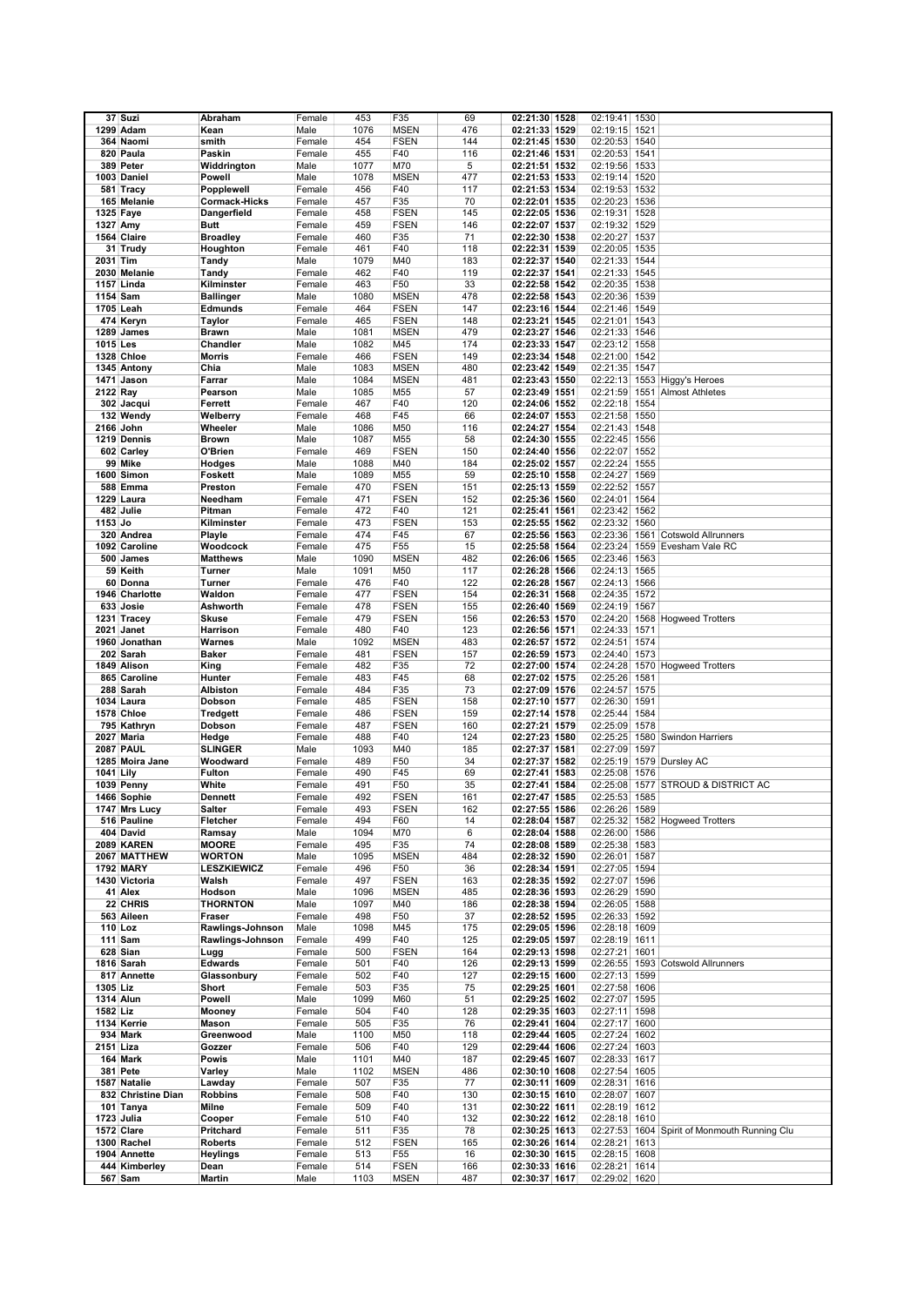|           | 37 Suzi            | Abraham              | Female | 453  | F35         | 69  | 02:21:30 1528 | 02:19:41 1530 |      |                                              |
|-----------|--------------------|----------------------|--------|------|-------------|-----|---------------|---------------|------|----------------------------------------------|
|           | 1299 Adam          | Kean                 | Male   | 1076 | <b>MSEN</b> | 476 | 02:21:33 1529 | 02:19:15 1521 |      |                                              |
|           | 364 Naomi          | smith                | Female | 454  | <b>FSEN</b> | 144 | 02:21:45 1530 | 02:20:53 1540 |      |                                              |
|           |                    |                      |        |      |             |     |               |               |      |                                              |
|           | 820 Paula          | Paskin               | Female | 455  | F40         | 116 | 02:21:46 1531 | 02:20:53      | 1541 |                                              |
|           | 389 Peter          | Widdrington          | Male   | 1077 | M70         | 5   | 02:21:51 1532 | 02:19:56 1533 |      |                                              |
|           | 1003 Daniel        | Powell               | Male   | 1078 | <b>MSEN</b> | 477 | 02:21:53 1533 | 02:19:14      | 1520 |                                              |
|           |                    |                      |        |      |             |     |               |               |      |                                              |
|           | 581 Tracy          | Popplewell           | Female | 456  | F40         | 117 | 02:21:53 1534 | 02:19:53      | 1532 |                                              |
|           | 165 Melanie        | <b>Cormack-Hicks</b> | Female | 457  | F35         | 70  | 02:22:01 1535 | 02:20:23 1536 |      |                                              |
|           | 1325 Faye          | Dangerfield          | Female | 458  | <b>FSEN</b> | 145 | 02:22:05 1536 | 02:19:31 1528 |      |                                              |
|           |                    |                      |        |      |             |     |               |               |      |                                              |
| 1327 Amy  |                    | <b>Butt</b>          | Female | 459  | <b>FSEN</b> | 146 | 02:22:07 1537 | 02:19:32 1529 |      |                                              |
|           | 1564 Claire        | <b>Broadley</b>      | Female | 460  | F35         | 71  | 02:22:30 1538 | 02:20:27      | 1537 |                                              |
|           | 31 Trudy           | Houghton             | Female | 461  | F40         | 118 | 02:22:31 1539 | 02:20:05 1535 |      |                                              |
|           |                    |                      |        |      |             |     |               |               |      |                                              |
| 2031 Tim  |                    | Tandy                | Male   | 1079 | M40         | 183 | 02:22:37 1540 | 02:21:33 1544 |      |                                              |
|           | 2030 Melanie       | Tandy                | Female | 462  | F40         | 119 | 02:22:37 1541 | 02:21:33 1545 |      |                                              |
|           | 1157 Linda         | Kilminster           | Female | 463  | F50         | 33  | 02:22:58 1542 | 02:20:35 1538 |      |                                              |
|           |                    |                      |        |      |             |     |               |               |      |                                              |
| 1154 Sam  |                    | <b>Ballinger</b>     | Male   | 1080 | <b>MSEN</b> | 478 | 02:22:58 1543 | 02:20:36 1539 |      |                                              |
|           | 1705 Leah          | <b>Edmunds</b>       | Female | 464  | <b>FSEN</b> | 147 | 02:23:16 1544 | 02:21:46 1549 |      |                                              |
|           | 474 Keryn          | <b>Taylor</b>        | Female | 465  | <b>FSEN</b> | 148 | 02:23:21 1545 | 02:21:01      | 1543 |                                              |
|           | 1289 James         | <b>Brawn</b>         | Male   | 1081 | <b>MSEN</b> | 479 | 02:23:27 1546 | 02:21:33 1546 |      |                                              |
|           |                    |                      |        |      |             |     |               |               |      |                                              |
| 1015 Les  |                    | Chandler             | Male   | 1082 | M45         | 174 | 02:23:33 1547 | 02:23:12      | 1558 |                                              |
|           | 1328 Chloe         | Morris               | Female | 466  | <b>FSEN</b> | 149 | 02:23:34 1548 | 02:21:00      | 1542 |                                              |
|           | 1345 Antony        | Chia                 | Male   | 1083 | <b>MSEN</b> | 480 | 02:23:42 1549 | 02:21:35 1547 |      |                                              |
|           |                    |                      |        |      |             |     |               |               |      |                                              |
|           | 1471 Jason         | Farrar               | Male   | 1084 | <b>MSEN</b> | 481 | 02:23:43 1550 |               |      | 02:22:13 1553 Higgy's Heroes                 |
| 2122 Ray  |                    | Pearson              | Male   | 1085 | M55         | 57  | 02:23:49 1551 | 02:21:59      |      | 1551 Almost Athletes                         |
|           | 302 Jacqui         | Ferrett              | Female | 467  | F40         | 120 | 02:24:06 1552 | 02:22:18      | 1554 |                                              |
|           | 132 Wendy          |                      |        | 468  | F45         | 66  | 02:24:07 1553 |               |      |                                              |
|           |                    | Welberry             | Female |      |             |     |               | 02:21:58 1550 |      |                                              |
|           | 2166 John          | Wheeler              | Male   | 1086 | M50         | 116 | 02:24:27 1554 | 02:21:43 1548 |      |                                              |
|           | 1219 Dennis        | <b>Brown</b>         | Male   | 1087 | M55         | 58  | 02:24:30 1555 | 02:22:45 1556 |      |                                              |
|           | 602 Carley         | O'Brien              | Female | 469  | <b>FSEN</b> | 150 | 02:24:40 1556 | 02:22:07      | 1552 |                                              |
|           |                    |                      |        |      |             |     |               |               |      |                                              |
|           | 99 Mike            | Hodges               | Male   | 1088 | M40         | 184 | 02:25:02 1557 | 02:22:24      | 1555 |                                              |
|           | 1600 Simon         | <b>Foskett</b>       | Male   | 1089 | M55         | 59  | 02:25:10 1558 | 02:24:27      | 1569 |                                              |
|           |                    |                      |        | 470  |             |     | 02:25:13 1559 |               |      |                                              |
|           | 588 Emma           | Preston              | Female |      | <b>FSEN</b> | 151 |               | 02:22:52      | 1557 |                                              |
|           | 1229 Laura         | Needham              | Female | 471  | <b>FSEN</b> | 152 | 02:25:36 1560 | 02:24:01      | 1564 |                                              |
|           | 482 Julie          | Pitman               | Female | 472  | F40         | 121 | 02:25:41 1561 | 02:23:42 1562 |      |                                              |
| 1153 Jo   |                    | Kilminster           | Female | 473  | <b>FSEN</b> | 153 | 02:25:55 1562 | 02:23:32 1560 |      |                                              |
|           |                    |                      |        |      |             |     |               |               |      |                                              |
|           | 320 Andrea         | Playle               | Female | 474  | F45         | 67  | 02:25:56 1563 | 02:23:36      |      | 1561 Cotswold Allrunners                     |
|           | 1092 Caroline      | Woodcock             | Female | 475  | F55         | 15  | 02:25:58 1564 | 02:23:24      | 1559 | Evesham Vale RC                              |
|           | 500 James          | <b>Matthews</b>      | Male   | 1090 | <b>MSEN</b> | 482 | 02:26:06 1565 | 02:23:46 1563 |      |                                              |
|           |                    |                      |        |      |             |     |               |               |      |                                              |
|           | 59 Keith           | Turner               | Male   | 1091 | M50         | 117 | 02:26:28 1566 | 02:24:13 1565 |      |                                              |
|           | 60 Donna           | Turner               | Female | 476  | F40         | 122 | 02:26:28 1567 | 02:24:13 1566 |      |                                              |
|           | 1946 Charlotte     | Waldon               | Female | 477  | <b>FSEN</b> | 154 | 02:26:31 1568 | 02:24:35 1572 |      |                                              |
|           |                    |                      |        |      |             |     |               |               |      |                                              |
|           | 633 Josie          | Ashworth             | Female | 478  | <b>FSEN</b> | 155 | 02:26:40 1569 | 02:24:19 1567 |      |                                              |
|           | 1231 Tracey        | <b>Skuse</b>         | Female | 479  | <b>FSEN</b> | 156 | 02:26:53 1570 | 02:24:20      |      | 1568 Hogweed Trotters                        |
|           | 2021 Janet         | Harrison             | Female | 480  | F40         | 123 | 02:26:56 1571 | 02:24:33 1571 |      |                                              |
|           |                    |                      |        |      |             |     |               |               |      |                                              |
|           | 1960 Jonathan      | Warnes               | Male   | 1092 | <b>MSEN</b> | 483 | 02:26:57 1572 | 02:24:51      | 1574 |                                              |
|           | 202 Sarah          | <b>Baker</b>         | Female | 481  | <b>FSEN</b> | 157 | 02:26:59 1573 | 02:24:40 1573 |      |                                              |
|           | 1849 Alison        | King                 | Female | 482  | F35         | 72  | 02:27:00 1574 |               |      | 02:24:28 1570 Hogweed Trotters               |
|           |                    |                      |        |      |             |     |               |               |      |                                              |
|           | 865 Caroline       | Hunter               | Female | 483  | F45         | 68  | 02:27:02 1575 | 02:25:26      | 1581 |                                              |
|           | 288 Sarah          | Albiston             | Female | 484  | F35         | 73  | 02:27:09 1576 | 02:24:57 1575 |      |                                              |
|           | 1034 Laura         | Dobson               | Female | 485  | <b>FSEN</b> | 158 | 02:27:10 1577 | 02:26:30      | 1591 |                                              |
|           | 1578 Chloe         |                      |        | 486  | <b>FSEN</b> | 159 |               | 02:25:44      | 1584 |                                              |
|           |                    | <b>Tredgett</b>      | Female |      |             |     | 02:27:14 1578 |               |      |                                              |
|           | 795 Kathryn        | Dobson               | Female | 487  | <b>FSEN</b> | 160 | 02:27:21 1579 | 02:25:09      | 1578 |                                              |
|           | 2027 Maria         | Hedge                | Female | 488  | F40         | 124 | 02:27:23 1580 | 02:25:25      |      | 1580 Swindon Harriers                        |
|           | <b>2087 PAUL</b>   | <b>SLINGER</b>       | Male   | 1093 | M40         | 185 | 02:27:37 1581 | 02:27:09      | 1597 |                                              |
|           |                    |                      |        |      |             |     |               |               |      |                                              |
|           | 1285 Moira Jane    | Woodward             | Female | 489  | F50         | 34  | 02:27:37 1582 |               |      | 02:25:19 1579 Dursley AC                     |
| 1041 Lily |                    | <b>Fulton</b>        | Female | 490  | F45         | 69  | 02:27:41 1583 | 02:25:08      | 1576 |                                              |
|           | 1039 Penny         | White                | Female | 491  | F50         | 35  | 02:27:41 1584 | 02:25:08      |      | 1577 STROUD & DISTRICT AC                    |
|           |                    |                      |        |      |             |     |               |               |      |                                              |
|           | 1466 Sophie        | <b>Dennett</b>       | Female | 492  | <b>FSEN</b> | 161 | 02:27:47 1585 | 02:25:53 1585 |      |                                              |
|           | 1747 Mrs Lucy      | <b>Salter</b>        | Female | 493  | <b>FSEN</b> | 162 | 02:27:55 1586 | 02:26:26 1589 |      |                                              |
|           | 516 Pauline        | Fletcher             | Female | 494  | F60         | 14  | 02:28:04 1587 |               |      | 02:25:32 1582 Hogweed Trotters               |
|           | 404 David          | Ramsay               | Male   | 1094 | M70         | 6   | 02:28:04 1588 | 02:26:00      | 1586 |                                              |
|           |                    |                      |        |      |             |     |               |               |      |                                              |
|           | 2089 KAREN         | <b>MOORE</b>         | Female | 495  | F35         | 74  | 02:28:08 1589 | 02:25:38 1583 |      |                                              |
|           | 2067 MATTHEW       | <b>WORTON</b>        | Male   | 1095 | <b>MSEN</b> | 484 | 02:28:32 1590 | 02:26:01 1587 |      |                                              |
|           | <b>1792 MARY</b>   | <b>LESZKIEWICZ</b>   | Female | 496  | F50         | 36  | 02:28:34 1591 | 02:27:05 1594 |      |                                              |
|           |                    |                      |        |      |             |     |               |               |      |                                              |
|           | 1430 Victoria      | Walsh                | Female | 497  | <b>FSEN</b> | 163 | 02:28:35 1592 | 02:27:07 1596 |      |                                              |
|           | 41 Alex            | Hodson               | Male   | 1096 | <b>MSEN</b> | 485 | 02:28:36 1593 | 02:26:29 1590 |      |                                              |
|           | 22 CHRIS           | <b>THORNTON</b>      | Male   | 1097 | M40         | 186 | 02:28:38 1594 | 02:26:05 1588 |      |                                              |
|           | 563 Aileen         | Fraser               | Female | 498  | F50         | 37  | 02:28:52 1595 | 02:26:33 1592 |      |                                              |
|           |                    |                      |        |      |             |     |               |               |      |                                              |
|           | $110$ Loz          | Rawlings-Johnson     | Male   | 1098 | M45         | 175 | 02:29:05 1596 | 02:28:18 1609 |      |                                              |
|           | 111 Sam            | Rawlings-Johnson     | Female | 499  | F40         | 125 | 02:29:05 1597 | 02:28:19 1611 |      |                                              |
|           | 628 Sian           | Lugg                 | Female | 500  | <b>FSEN</b> | 164 | 02:29:13 1598 | 02:27:21 1601 |      |                                              |
|           |                    |                      |        |      |             |     |               |               |      |                                              |
|           | 1816 Sarah         | <b>Edwards</b>       | Female | 501  | F40         | 126 | 02:29:13 1599 |               |      | 02:26:55 1593 Cotswold Allrunners            |
|           | 817 Annette        | Glassonbury          | Female | 502  | F40         | 127 | 02:29:15 1600 | 02:27:13 1599 |      |                                              |
| 1305 Liz  |                    | Short                | Female | 503  | F35         | 75  | 02:29:25 1601 | 02:27:58 1606 |      |                                              |
|           |                    |                      |        |      |             |     |               |               |      |                                              |
|           | <b>1314 Alun</b>   | Powell               | Male   | 1099 | M60         | 51  | 02:29:25 1602 | 02:27:07 1595 |      |                                              |
| 1582 Liz  |                    | Mooney               | Female | 504  | F40         | 128 | 02:29:35 1603 | 02:27:11 1598 |      |                                              |
|           | 1134 Kerrie        | Mason                | Female | 505  | F35         | 76  | 02:29:41 1604 | 02:27:17 1600 |      |                                              |
|           | 934 Mark           | Greenwood            | Male   | 1100 | M50         | 118 | 02:29:44 1605 | 02:27:24 1602 |      |                                              |
|           |                    |                      |        |      |             |     |               |               |      |                                              |
| 2151 Liza |                    | Gozzer               | Female | 506  | F40         | 129 | 02:29:44 1606 | 02:27:24 1603 |      |                                              |
|           | 164 Mark           | Powis                | Male   | 1101 | M40         | 187 | 02:29:45 1607 | 02:28:33 1617 |      |                                              |
|           | 381 Pete           | Varley               | Male   | 1102 | <b>MSEN</b> | 486 | 02:30:10 1608 | 02:27:54 1605 |      |                                              |
|           |                    |                      |        |      |             |     |               |               |      |                                              |
|           | 1587 Natalie       | Lawday               | Female | 507  | F35         | 77  | 02:30:11 1609 | 02:28:31 1616 |      |                                              |
|           | 832 Christine Dian | <b>Robbins</b>       | Female | 508  | F40         | 130 | 02:30:15 1610 | 02:28:07 1607 |      |                                              |
|           | 101 Tanya          | Milne                | Female | 509  | F40         | 131 | 02:30:22 1611 | 02:28:19 1612 |      |                                              |
|           |                    |                      |        |      |             |     |               |               |      |                                              |
|           | 1723 Julia         | Cooper               | Female | 510  | F40         | 132 | 02:30:22 1612 | 02:28:18 1610 |      |                                              |
|           | 1572 Clare         | Pritchard            | Female | 511  | F35         | 78  | 02:30:25 1613 |               |      | 02:27:53 1604 Spirit of Monmouth Running Clu |
|           | 1300 Rachel        | <b>Roberts</b>       | Female | 512  | <b>FSEN</b> | 165 | 02:30:26 1614 | 02:28:21 1613 |      |                                              |
|           | 1904 Annette       | <b>Heylings</b>      | Female | 513  | F55         | 16  | 02:30:30 1615 | 02:28:15 1608 |      |                                              |
|           |                    |                      |        |      |             |     |               |               |      |                                              |
|           | 444 Kimberley      | Dean                 | Female | 514  | <b>FSEN</b> | 166 | 02:30:33 1616 | 02:28:21 1614 |      |                                              |
|           | 567 Sam            | Martin               | Male   | 1103 | <b>MSEN</b> | 487 | 02:30:37 1617 | 02:29:02 1620 |      |                                              |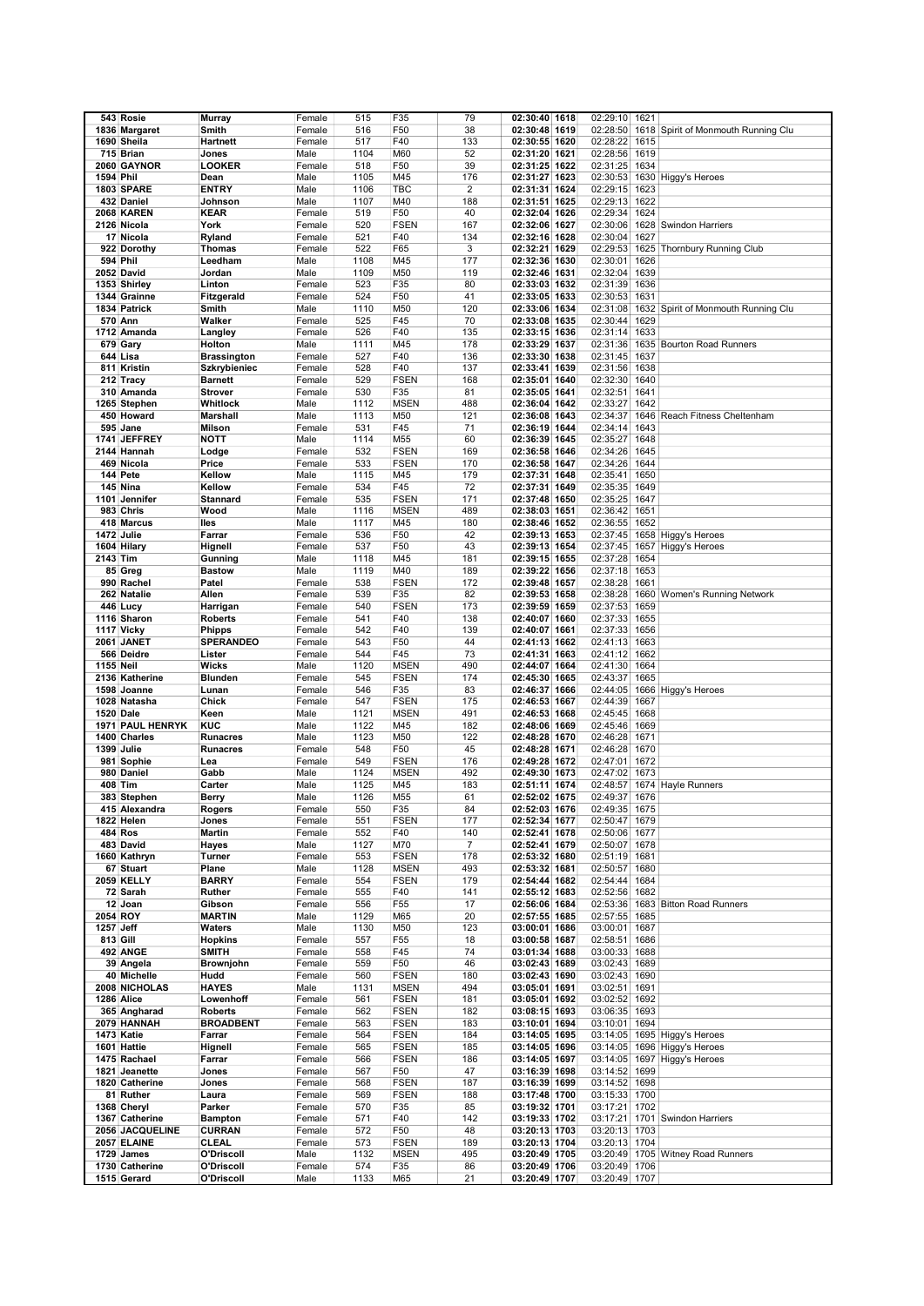|                  | 543 Rosie         | <b>Murray</b>      | Female | 515  | F35             | 79             | 02:30:40 1618 | 02:29:10 1621 |      |                                     |
|------------------|-------------------|--------------------|--------|------|-----------------|----------------|---------------|---------------|------|-------------------------------------|
|                  | 1836 Margaret     | Smith              | Female | 516  | F50             | 38             | 02:30:48 1619 | 02:28:50      |      | 1618 Spirit of Monmouth Running Clu |
|                  |                   |                    |        |      |                 |                |               |               |      |                                     |
|                  | 1690 Sheila       | <b>Hartnett</b>    | Female | 517  | F40             | 133            | 02:30:55 1620 | 02:28:22 1615 |      |                                     |
|                  | 715 Brian         | Jones              | Male   | 1104 | M60             | 52             | 02:31:20 1621 | 02:28:56 1619 |      |                                     |
|                  | 2060 GAYNOR       | <b>LOOKER</b>      | Female | 518  | F50             | 39             | 02:31:25 1622 | 02:31:25      | 1634 |                                     |
|                  |                   |                    |        |      |                 |                |               |               |      |                                     |
| 1594 Phil        |                   | Dean               | Male   | 1105 | M45             | 176            | 02:31:27 1623 | 02:30:53      |      | 1630 Higgy's Heroes                 |
|                  | 1803 SPARE        | <b>ENTRY</b>       | Male   | 1106 | <b>TBC</b>      | $\overline{2}$ | 02:31:31 1624 | 02:29:15      | 1623 |                                     |
|                  |                   | Johnson            |        |      |                 |                |               |               |      |                                     |
|                  | 432 Daniel        |                    | Male   | 1107 | M40             | 188            | 02:31:51 1625 | 02:29:13      | 1622 |                                     |
|                  | 2068 KAREN        | <b>KEAR</b>        | Female | 519  | F50             | 40             | 02:32:04 1626 | 02:29:34      | 1624 |                                     |
|                  | 2126 Nicola       | York               | Female | 520  | <b>FSEN</b>     | 167            | 02:32:06 1627 |               |      | 02:30:06 1628 Swindon Harriers      |
|                  |                   |                    |        |      |                 |                |               |               |      |                                     |
|                  | 17 Nicola         | Ryland             | Female | 521  | F40             | 134            | 02:32:16 1628 | 02:30:04      | 1627 |                                     |
|                  | 922 Dorothy       | <b>Thomas</b>      | Female | 522  | F65             | 3              | 02:32:21 1629 | 02:29:53 1625 |      | Thornbury Running Club              |
|                  | 594 Phil          | Leedham            | Male   | 1108 | M45             | 177            | 02:32:36 1630 | 02:30:01      | 1626 |                                     |
|                  |                   |                    |        |      |                 |                |               |               |      |                                     |
|                  | 2052 David        | Jordan             | Male   | 1109 | M50             | 119            | 02:32:46 1631 | 02:32:04      | 1639 |                                     |
|                  | 1353 Shirley      | Linton             | Female | 523  | F35             | 80             | 02:33:03 1632 | 02:31:39      | 1636 |                                     |
|                  | 1344 Grainne      | Fitzgerald         | Female | 524  | F50             | 41             | 02:33:05 1633 | 02:30:53 1631 |      |                                     |
|                  |                   |                    |        |      |                 |                |               |               |      |                                     |
|                  | 1834 Patrick      | Smith              | Male   | 1110 | M50             | 120            | 02:33:06 1634 | 02:31:08      |      | 1632 Spirit of Monmouth Running Clu |
|                  | 570 Ann           | Walker             | Female | 525  | F45             | 70             | 02:33:08 1635 | 02:30:44      | 1629 |                                     |
|                  | 1712 Amanda       | Langley            | Female | 526  | F40             | 135            | 02:33:15 1636 | 02:31:14      | 1633 |                                     |
|                  |                   |                    |        | 1111 |                 | 178            |               |               |      |                                     |
|                  | 679 Gary          | Holton             | Male   |      | M45             |                | 02:33:29 1637 | 02:31:36      |      | 1635 Bourton Road Runners           |
|                  | 644 Lisa          | <b>Brassington</b> | Female | 527  | F40             | 136            | 02:33:30 1638 | 02:31:45      | 1637 |                                     |
|                  | 811 Kristin       | Szkrybieniec       | Female | 528  | F40             | 137            | 02:33:41 1639 | 02:31:56      | 1638 |                                     |
|                  | 212 Tracy         | <b>Barnett</b>     | Female | 529  | <b>FSEN</b>     | 168            | 02:35:01 1640 | 02:32:30 1640 |      |                                     |
|                  |                   |                    |        |      |                 |                |               |               |      |                                     |
|                  | 310 Amanda        | <b>Strover</b>     | Female | 530  | F35             | 81             | 02:35:05 1641 | 02:32:51      | 1641 |                                     |
|                  | 1265 Stephen      | Whitlock           | Male   | 1112 | <b>MSEN</b>     | 488            | 02:36:04 1642 | 02:33:27      | 1642 |                                     |
|                  | 450 Howard        | <b>Marshall</b>    | Male   | 1113 | M50             | 121            | 02:36:08 1643 | 02:34:37      |      | 1646 Reach Fitness Cheltenham       |
|                  |                   |                    |        |      |                 |                |               |               |      |                                     |
|                  | 595 Jane          | Milson             | Female | 531  | F45             | 71             | 02:36:19 1644 | 02:34:14      | 1643 |                                     |
|                  | 1741 JEFFREY      | <b>NOTT</b>        | Male   | 1114 | M55             | 60             | 02:36:39 1645 | 02:35:27      | 1648 |                                     |
|                  | 2144 Hannah       | Lodge              | Female | 532  | <b>FSEN</b>     | 169            | 02:36:58 1646 | 02:34:26      | 1645 |                                     |
|                  |                   |                    |        |      |                 |                |               |               |      |                                     |
|                  | 469 Nicola        | Price              | Female | 533  | <b>FSEN</b>     | 170            | 02:36:58 1647 | 02:34:26      | 1644 |                                     |
|                  | 144 Pete          | Kellow             | Male   | 1115 | M45             | 179            | 02:37:31 1648 | 02:35:41      | 1650 |                                     |
|                  | 145 Nina          | Kellow             |        | 534  | F45             | 72             |               |               |      |                                     |
|                  |                   |                    | Female |      |                 |                | 02:37:31 1649 | 02:35:35 1649 |      |                                     |
|                  | 1101 Jennifer     | <b>Stannard</b>    | Female | 535  | <b>FSEN</b>     | 171            | 02:37:48 1650 | 02:35:25      | 1647 |                                     |
|                  | 983 Chris         | Wood               | Male   | 1116 | <b>MSEN</b>     | 489            | 02:38:03 1651 | 02:36:42 1651 |      |                                     |
|                  |                   |                    |        | 1117 | M45             |                |               | 02:36:55 1652 |      |                                     |
|                  | 418 Marcus        | lles               | Male   |      |                 | 180            | 02:38:46 1652 |               |      |                                     |
|                  | 1472 Julie        | Farrar             | Female | 536  | F50             | 42             | 02:39:13 1653 | 02:37:45      |      | 1658 Higgy's Heroes                 |
|                  | 1604 Hilary       | Hignell            | Female | 537  | F50             | 43             | 02:39:13 1654 |               |      | 02:37:45 1657 Higgy's Heroes        |
|                  |                   |                    |        |      |                 |                |               |               |      |                                     |
| 2143 Tim         |                   | Gunning            | Male   | 1118 | M45             | 181            | 02:39:15 1655 | 02:37:28      | 1654 |                                     |
|                  | 85 Greg           | <b>Bastow</b>      | Male   | 1119 | M40             | 189            | 02:39:22 1656 | 02:37:18      | 1653 |                                     |
|                  | 990 Rachel        | Patel              | Female | 538  | <b>FSEN</b>     | 172            | 02:39:48 1657 | 02:38:28      | 1661 |                                     |
|                  |                   |                    |        |      |                 | 82             |               |               |      |                                     |
|                  | 262 Natalie       | Allen              | Female | 539  | F35             |                | 02:39:53 1658 | 02:38:28      |      | 1660 Women's Running Network        |
|                  | 446 Lucy          | Harrigan           | Female | 540  | <b>FSEN</b>     | 173            | 02:39:59 1659 | 02:37:53      | 1659 |                                     |
|                  | 1116 Sharon       | <b>Roberts</b>     | Female | 541  | F40             | 138            | 02:40:07 1660 | 02:37:33 1655 |      |                                     |
|                  | 1117 Vicky        |                    |        | 542  | F40             | 139            | 02:40:07 1661 |               |      |                                     |
|                  |                   | <b>Phipps</b>      | Female |      |                 |                |               | 02:37:33 1656 |      |                                     |
|                  | 2061 JANET        | <b>SPERANDEO</b>   | Female | 543  | F50             | 44             | 02:41:13 1662 | 02:41:13 1663 |      |                                     |
|                  | 566 Deidre        | Lister             | Female | 544  | F45             | 73             | 02:41:31 1663 | 02:41:12      | 1662 |                                     |
| 1155 Neil        |                   | <b>Wicks</b>       | Male   | 1120 | <b>MSEN</b>     | 490            | 02:44:07 1664 | 02:41:30      | 1664 |                                     |
|                  |                   |                    |        |      |                 |                |               |               |      |                                     |
|                  | 2136 Katherine    | <b>Blunden</b>     | Female | 545  | <b>FSEN</b>     | 174            | 02:45:30 1665 | 02:43:37      | 1665 |                                     |
|                  | 1598 Joanne       | Lunan              | Female | 546  | F35             | 83             | 02:46:37 1666 |               |      | 02:44:05 1666 Higgy's Heroes        |
|                  | 1028 Natasha      | Chick              | Female | 547  | <b>FSEN</b>     | 175            | 02:46:53 1667 | 02:44:39      | 1667 |                                     |
|                  |                   |                    |        |      |                 |                |               |               |      |                                     |
| <b>1520 Dale</b> |                   | Keen               | Male   | 1121 | <b>MSEN</b>     | 491            | 02:46:53 1668 | 02:45:45 1668 |      |                                     |
|                  | 1971 PAUL HENRYK  | <b>KUC</b>         | Male   | 1122 | M45             | 182            | 02:48:06 1669 | 02:45:46      | 1669 |                                     |
|                  | 1400 Charles      | <b>Runacres</b>    | Male   | 1123 | M50             | 122            | 02:48:28 1670 | 02:46:28 1671 |      |                                     |
|                  |                   |                    |        |      |                 |                |               |               |      |                                     |
|                  | 1399 Julie        | <b>Runacres</b>    | Female | 548  | F50             | 45             | 02:48:28 1671 | 02:46:28      | 1670 |                                     |
|                  | 981 Sophie        | Lea                | Female | 549  | <b>FSEN</b>     | 176            | 02:49:28 1672 | 02:47:01      | 1672 |                                     |
|                  | 980 Daniel        | Gabb               | Male   | 1124 | <b>MSEN</b>     | 492            | 02:49:30 1673 | 02:47:02      | 1673 |                                     |
|                  |                   |                    |        |      |                 |                |               |               |      |                                     |
|                  | 408 Tim           | Carter             | Male   | 1125 | M45             | 183            | 02:51:11 1674 |               |      | 02:48:57 1674 Hayle Runners         |
|                  | 383 Stephen       | Berry              | Male   | 1126 | M55             | 61             | 02:52:02 1675 | 02:49:37 1676 |      |                                     |
|                  | 415 Alexandra     | Rogers             | Female | 550  | F35             | 84             | 02:52:03 1676 | 02:49:35 1675 |      |                                     |
|                  |                   |                    |        |      |                 |                |               |               |      |                                     |
|                  | 1822 Helen        | Jones              | Female | 551  | <b>FSEN</b>     | 177            | 02:52:34 1677 | 02:50:47 1679 |      |                                     |
|                  | 484 Ros           | <b>Martin</b>      | Female | 552  | F40             | 140            | 02:52:41 1678 | 02:50:06 1677 |      |                                     |
|                  | 483 David         | Hayes              | Male   | 1127 | M70             | $\overline{7}$ | 02:52:41 1679 | 02:50:07 1678 |      |                                     |
|                  | 1660 Kathryn      | Turner             | Female | 553  | <b>FSEN</b>     | 178            | 02:53:32 1680 | 02:51:19 1681 |      |                                     |
|                  |                   |                    |        |      |                 |                |               |               |      |                                     |
|                  | 67 Stuart         | Plane              | Male   | 1128 | <b>MSEN</b>     | 493            | 02:53:32 1681 | 02:50:57 1680 |      |                                     |
|                  | <b>2059 KELLY</b> | <b>BARRY</b>       | Female | 554  | <b>FSEN</b>     | 179            | 02:54:44 1682 | 02:54:44 1684 |      |                                     |
|                  | 72 Sarah          | Ruther             | Female | 555  | F40             | 141            | 02:55:12 1683 | 02:52:56 1682 |      |                                     |
|                  | 12 Joan           | Gibson             | Female | 556  | F55             | 17             | 02:56:06 1684 |               |      | 02:53:36 1683 Bitton Road Runners   |
|                  |                   |                    |        |      |                 |                |               |               |      |                                     |
| 2054 ROY         |                   | <b>MARTIN</b>      | Male   | 1129 | M65             | 20             | 02:57:55 1685 | 02:57:55 1685 |      |                                     |
| 1257 Jeff        |                   | Waters             | Male   | 1130 | M50             | 123            | 03:00:01 1686 | 03:00:01 1687 |      |                                     |
|                  | 813 Gill          | <b>Hopkins</b>     | Female | 557  | F <sub>55</sub> | 18             | 03:00:58 1687 | 02:58:51 1686 |      |                                     |
|                  |                   |                    |        |      |                 |                |               |               |      |                                     |
|                  | 492 ANGE          | <b>SMITH</b>       | Female | 558  | F45             | 74             | 03:01:34 1688 | 03:00:33 1688 |      |                                     |
|                  | 39 Angela         | Brownjohn          | Female | 559  | F50             | 46             | 03:02:43 1689 | 03:02:43 1689 |      |                                     |
|                  | 40 Michelle       | Hudd               | Female | 560  | <b>FSEN</b>     | 180            | 03:02:43 1690 | 03:02:43 1690 |      |                                     |
|                  |                   |                    |        |      |                 |                |               |               |      |                                     |
|                  | 2008 NICHOLAS     | <b>HAYES</b>       | Male   | 1131 | <b>MSEN</b>     | 494            | 03:05:01 1691 | 03:02:51 1691 |      |                                     |
|                  | 1286 Alice        | Lowenhoff          | Female | 561  | <b>FSEN</b>     | 181            | 03:05:01 1692 | 03:02:52 1692 |      |                                     |
|                  | 365 Angharad      | <b>Roberts</b>     | Female | 562  | <b>FSEN</b>     | 182            | 03:08:15 1693 | 03:06:35 1693 |      |                                     |
|                  |                   |                    |        |      |                 |                |               |               |      |                                     |
|                  | 2079 HANNAH       | <b>BROADBENT</b>   | Female | 563  | <b>FSEN</b>     | 183            | 03:10:01 1694 | 03:10:01 1694 |      |                                     |
|                  | 1473 Katie        | Farrar             | Female | 564  | <b>FSEN</b>     | 184            | 03:14:05 1695 |               |      | 03:14:05 1695 Higgy's Heroes        |
|                  | 1601 Hattie       | Hignell            | Female | 565  | <b>FSEN</b>     | 185            | 03:14:05 1696 | 03:14:05      |      | 1696 Higgy's Heroes                 |
|                  |                   |                    | Female |      |                 |                |               |               |      |                                     |
|                  | 1475 Rachael      | Farrar             |        | 566  | <b>FSEN</b>     | 186            | 03:14:05 1697 |               |      | 03:14:05 1697 Higgy's Heroes        |
|                  | 1821 Jeanette     | Jones              | Female | 567  | F50             | 47             | 03:16:39 1698 | 03:14:52 1699 |      |                                     |
|                  | 1820 Catherine    | Jones              | Female | 568  | <b>FSEN</b>     | 187            | 03:16:39 1699 | 03:14:52 1698 |      |                                     |
|                  | 81 Ruther         | Laura              | Female | 569  | <b>FSEN</b>     | 188            | 03:17:48 1700 | 03:15:33 1700 |      |                                     |
|                  |                   |                    |        |      |                 |                |               |               |      |                                     |
|                  | 1368 Cheryl       | Parker             | Female | 570  | F35             | 85             | 03:19:32 1701 | 03:17:21 1702 |      |                                     |
|                  | 1367 Catherine    | <b>Bampton</b>     | Female | 571  | F40             | 142            | 03:19:33 1702 |               |      | 03:17:21   1701   Swindon Harriers  |
|                  | 2056 JACQUELINE   | <b>CURRAN</b>      | Female | 572  | F50             | 48             | 03:20:13 1703 | 03:20:13 1703 |      |                                     |
|                  |                   |                    |        |      |                 |                |               |               |      |                                     |
|                  | 2057 ELAINE       | <b>CLEAL</b>       | Female | 573  | <b>FSEN</b>     | 189            | 03:20:13 1704 | 03:20:13 1704 |      |                                     |
|                  | 1729 James        | O'Driscoll         | Male   | 1132 | <b>MSEN</b>     | 495            | 03:20:49 1705 |               |      | 03:20:49 1705 Witney Road Runners   |
|                  |                   |                    |        |      |                 |                |               |               |      |                                     |
|                  | 1730 Catherine    | O'Driscoll         | Female | 574  | F35             | 86             | 03:20:49 1706 | 03:20:49 1706 |      |                                     |
|                  |                   |                    |        |      | M65             | 21             | 03:20:49 1707 | 03:20:49 1707 |      |                                     |
|                  | 1515 Gerard       | O'Driscoll         | Male   | 1133 |                 |                |               |               |      |                                     |